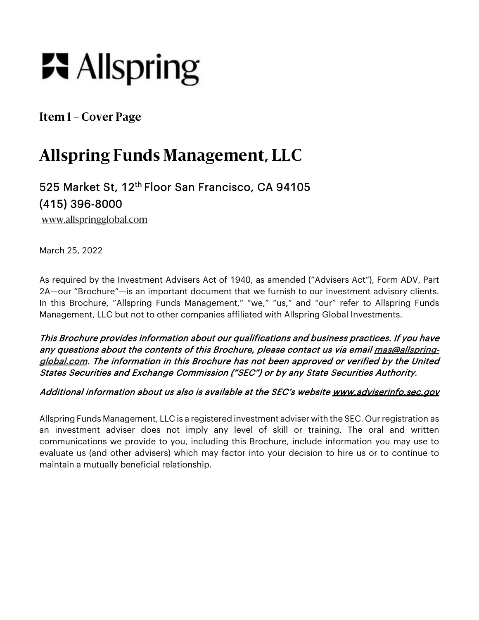# **R** Allspring

**Item 1 – Cover Page** 

# **Allspring Funds Management, LLC**

# 525 Market St, 12th Floor San Francisco, CA 94105 (415) 396-8000

www.allspringglobal.com

March 25, 2022

As required by the Investment Advisers Act of 1940, as amended ("Advisers Act"), Form ADV, Part 2A—our "Brochure"—is an important document that we furnish to our investment advisory clients. In this Brochure, "Allspring Funds Management," "we," "us," and "our" refer to Allspring Funds Management, LLC but not to other companies affiliated with Allspring Global Investments.

This Brochure provides information about our qualifications and business practices. If you have any questions about the contents of this Brochure, please contact us via email mas@allspringglobal.com. The information in this Brochure has not been approved or verified by the United States Securities and Exchange Commission ("SEC") or by any State Securities Authority.

#### Additional information about us also is available at the SEC's website www.adviserinfo.sec.gov

Allspring Funds Management, LLC is a registered investment adviser with the SEC. Our registration as an investment adviser does not imply any level of skill or training. The oral and written communications we provide to you, including this Brochure, include information you may use to evaluate us (and other advisers) which may factor into your decision to hire us or to continue to maintain a mutually beneficial relationship.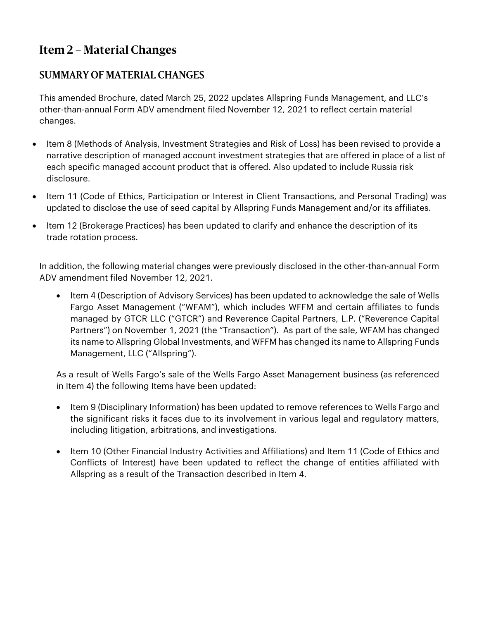## **Item 2 – Material Changes**

## SUMMARY OF MATERIAL CHANGES

This amended Brochure, dated March 25, 2022 updates Allspring Funds Management, and LLC's other-than-annual Form ADV amendment filed November 12, 2021 to reflect certain material changes.

- Item 8 (Methods of Analysis, Investment Strategies and Risk of Loss) has been revised to provide a narrative description of managed account investment strategies that are offered in place of a list of each specific managed account product that is offered. Also updated to include Russia risk disclosure.
- Item 11 (Code of Ethics, Participation or Interest in Client Transactions, and Personal Trading) was updated to disclose the use of seed capital by Allspring Funds Management and/or its affiliates.
- Item 12 (Brokerage Practices) has been updated to clarify and enhance the description of its trade rotation process.

In addition, the following material changes were previously disclosed in the other-than-annual Form ADV amendment filed November 12, 2021.

• Item 4 (Description of Advisory Services) has been updated to acknowledge the sale of Wells Fargo Asset Management ("WFAM"), which includes WFFM and certain affiliates to funds managed by GTCR LLC ("GTCR") and Reverence Capital Partners, L.P. ("Reverence Capital Partners") on November 1, 2021 (the "Transaction"). As part of the sale, WFAM has changed its name to Allspring Global Investments, and WFFM has changed its name to Allspring Funds Management, LLC ("Allspring").

As a result of Wells Fargo's sale of the Wells Fargo Asset Management business (as referenced in Item 4) the following Items have been updated:

- Item 9 (Disciplinary Information) has been updated to remove references to Wells Fargo and the significant risks it faces due to its involvement in various legal and regulatory matters, including litigation, arbitrations, and investigations.
- Item 10 (Other Financial Industry Activities and Affiliations) and Item 11 (Code of Ethics and Conflicts of Interest) have been updated to reflect the change of entities affiliated with Allspring as a result of the Transaction described in Item 4.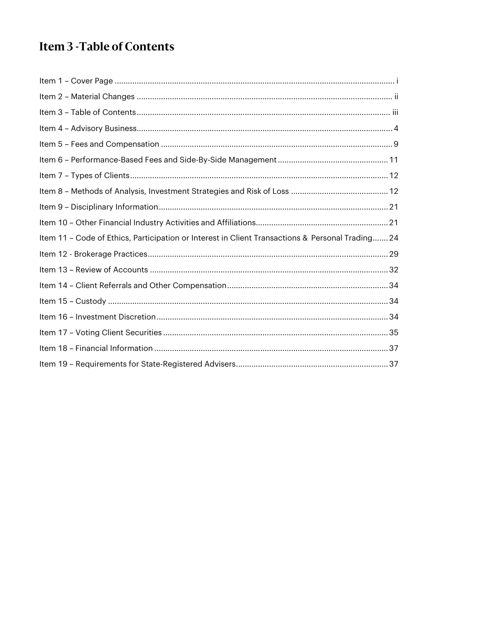# Item 3 - Table of Contents

| Item 11 - Code of Ethics, Participation or Interest in Client Transactions & Personal Trading 24 |
|--------------------------------------------------------------------------------------------------|
|                                                                                                  |
|                                                                                                  |
|                                                                                                  |
|                                                                                                  |
|                                                                                                  |
|                                                                                                  |
|                                                                                                  |
|                                                                                                  |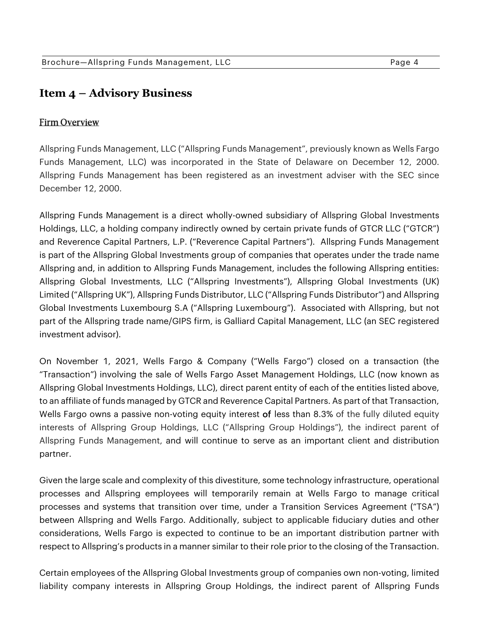## **Item 4 – Advisory Business**

#### Firm Overview

Allspring Funds Management, LLC ("Allspring Funds Management", previously known as Wells Fargo Funds Management, LLC) was incorporated in the State of Delaware on December 12, 2000. Allspring Funds Management has been registered as an investment adviser with the SEC since December 12, 2000.

Allspring Funds Management is a direct wholly-owned subsidiary of Allspring Global Investments Holdings, LLC, a holding company indirectly owned by certain private funds of GTCR LLC ("GTCR") and Reverence Capital Partners, L.P. ("Reverence Capital Partners"). Allspring Funds Management is part of the Allspring Global Investments group of companies that operates under the trade name Allspring and, in addition to Allspring Funds Management, includes the following Allspring entities: Allspring Global Investments, LLC ("Allspring Investments"), Allspring Global Investments (UK) Limited ("Allspring UK"), Allspring Funds Distributor, LLC ("Allspring Funds Distributor") and Allspring Global Investments Luxembourg S.A ("Allspring Luxembourg"). Associated with Allspring, but not part of the Allspring trade name/GIPS firm, is Galliard Capital Management, LLC (an SEC registered investment advisor).

On November 1, 2021, Wells Fargo & Company ("Wells Fargo") closed on a transaction (the "Transaction") involving the sale of Wells Fargo Asset Management Holdings, LLC (now known as Allspring Global Investments Holdings, LLC), direct parent entity of each of the entities listed above, to an affiliate of funds managed by GTCR and Reverence Capital Partners. As part of that Transaction, Wells Fargo owns a passive non-voting equity interest of less than 8.3% of the fully diluted equity interests of Allspring Group Holdings, LLC ("Allspring Group Holdings"), the indirect parent of Allspring Funds Management, and will continue to serve as an important client and distribution partner.

Given the large scale and complexity of this divestiture, some technology infrastructure, operational processes and Allspring employees will temporarily remain at Wells Fargo to manage critical processes and systems that transition over time, under a Transition Services Agreement ("TSA") between Allspring and Wells Fargo. Additionally, subject to applicable fiduciary duties and other considerations, Wells Fargo is expected to continue to be an important distribution partner with respect to Allspring's products in a manner similar to their role prior to the closing of the Transaction.

Certain employees of the Allspring Global Investments group of companies own non-voting, limited liability company interests in Allspring Group Holdings, the indirect parent of Allspring Funds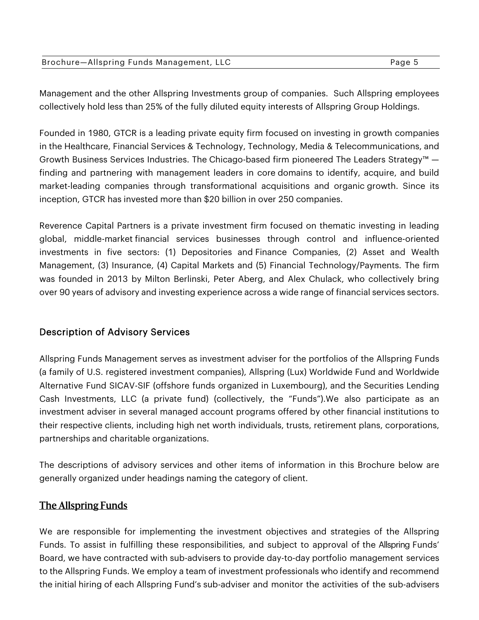|  | Brochure-Allspring Funds Management, LLC | Page 5 |
|--|------------------------------------------|--------|
|--|------------------------------------------|--------|

Management and the other Allspring Investments group of companies. Such Allspring employees collectively hold less than 25% of the fully diluted equity interests of Allspring Group Holdings.

Founded in 1980, GTCR is a leading private equity firm focused on investing in growth companies in the Healthcare, Financial Services & Technology, Technology, Media & Telecommunications, and Growth Business Services Industries. The Chicago-based firm pioneered The Leaders Strategy™ finding and partnering with management leaders in core domains to identify, acquire, and build market-leading companies through transformational acquisitions and organic growth. Since its inception, GTCR has invested more than \$20 billion in over 250 companies.

Reverence Capital Partners is a private investment firm focused on thematic investing in leading global, middle-market financial services businesses through control and influence-oriented investments in five sectors: (1) Depositories and Finance Companies, (2) Asset and Wealth Management, (3) Insurance, (4) Capital Markets and (5) Financial Technology/Payments. The firm was founded in 2013 by Milton Berlinski, Peter Aberg, and Alex Chulack, who collectively bring over 90 years of advisory and investing experience across a wide range of financial services sectors.

## Description of Advisory Services

Allspring Funds Management serves as investment adviser for the portfolios of the Allspring Funds (a family of U.S. registered investment companies), Allspring (Lux) Worldwide Fund and Worldwide Alternative Fund SICAV-SIF (offshore funds organized in Luxembourg), and the Securities Lending Cash Investments, LLC (a private fund) (collectively, the "Funds").We also participate as an investment adviser in several managed account programs offered by other financial institutions to their respective clients, including high net worth individuals, trusts, retirement plans, corporations, partnerships and charitable organizations.

The descriptions of advisory services and other items of information in this Brochure below are generally organized under headings naming the category of client.

## The Allspring Funds

We are responsible for implementing the investment objectives and strategies of the Allspring Funds. To assist in fulfilling these responsibilities, and subject to approval of the Allspring Funds' Board, we have contracted with sub-advisers to provide day-to-day portfolio management services to the Allspring Funds. We employ a team of investment professionals who identify and recommend the initial hiring of each Allspring Fund's sub-adviser and monitor the activities of the sub-advisers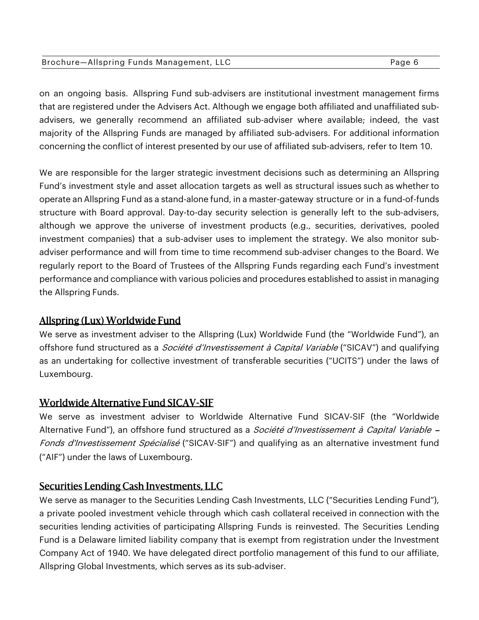| Brochure-Allspring Funds Management, LLC | Page 6 |
|------------------------------------------|--------|
|                                          |        |

on an ongoing basis. Allspring Fund sub-advisers are institutional investment management firms that are registered under the Advisers Act. Although we engage both affiliated and unaffiliated subadvisers, we generally recommend an affiliated sub-adviser where available; indeed, the vast majority of the Allspring Funds are managed by affiliated sub-advisers. For additional information concerning the conflict of interest presented by our use of affiliated sub-advisers, refer to Item 10.

We are responsible for the larger strategic investment decisions such as determining an Allspring Fund's investment style and asset allocation targets as well as structural issues such as whether to operate an Allspring Fund as a stand-alone fund, in a master-gateway structure or in a fund-of-funds structure with Board approval. Day-to-day security selection is generally left to the sub-advisers, although we approve the universe of investment products (e.g., securities, derivatives, pooled investment companies) that a sub-adviser uses to implement the strategy. We also monitor subadviser performance and will from time to time recommend sub-adviser changes to the Board. We regularly report to the Board of Trustees of the Allspring Funds regarding each Fund's investment performance and compliance with various policies and procedures established to assist in managing the Allspring Funds.

## Allspring (Lux) Worldwide Fund

We serve as investment adviser to the Allspring (Lux) Worldwide Fund (the "Worldwide Fund"), an offshore fund structured as a *Société d'Investissement à Capital Variable* ("SICAV") and qualifying as an undertaking for collective investment of transferable securities ("UCITS") under the laws of Luxembourg.

## Worldwide Alternative Fund SICAV-SIF

We serve as investment adviser to Worldwide Alternative Fund SICAV-SIF (the "Worldwide Alternative Fund"), an offshore fund structured as a Société d'Investissement à Capital Variable -Fonds d'Investissement Spécialisé ("SICAV-SIF") and qualifying as an alternative investment fund ("AIF") under the laws of Luxembourg.

## Securities Lending Cash Investments, LLC

We serve as manager to the Securities Lending Cash Investments, LLC ("Securities Lending Fund"), a private pooled investment vehicle through which cash collateral received in connection with the securities lending activities of participating Allspring Funds is reinvested. The Securities Lending Fund is a Delaware limited liability company that is exempt from registration under the Investment Company Act of 1940. We have delegated direct portfolio management of this fund to our affiliate, Allspring Global Investments, which serves as its sub-adviser.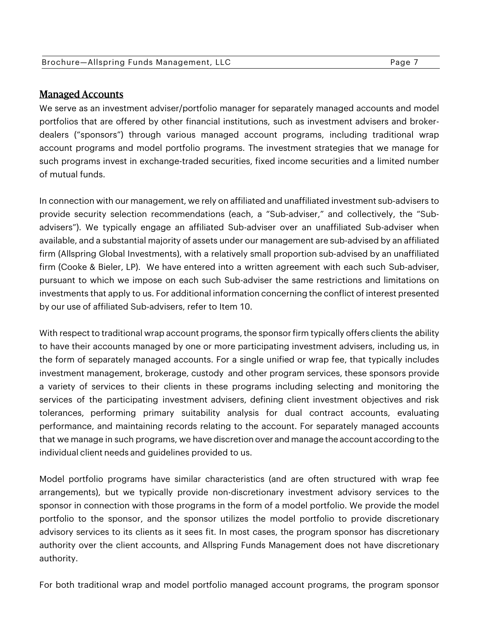## Managed Accounts

We serve as an investment adviser/portfolio manager for separately managed accounts and model portfolios that are offered by other financial institutions, such as investment advisers and brokerdealers ("sponsors") through various managed account programs, including traditional wrap account programs and model portfolio programs. The investment strategies that we manage for such programs invest in exchange-traded securities, fixed income securities and a limited number of mutual funds.

In connection with our management, we rely on affiliated and unaffiliated investment sub-advisers to provide security selection recommendations (each, a "Sub-adviser," and collectively, the "Subadvisers"). We typically engage an affiliated Sub-adviser over an unaffiliated Sub-adviser when available, and a substantial majority of assets under our management are sub-advised by an affiliated firm (Allspring Global Investments), with a relatively small proportion sub-advised by an unaffiliated firm (Cooke & Bieler, LP). We have entered into a written agreement with each such Sub-adviser, pursuant to which we impose on each such Sub-adviser the same restrictions and limitations on investments that apply to us. For additional information concerning the conflict of interest presented by our use of affiliated Sub-advisers, refer to Item 10.

With respect to traditional wrap account programs, the sponsor firm typically offers clients the ability to have their accounts managed by one or more participating investment advisers, including us, in the form of separately managed accounts. For a single unified or wrap fee, that typically includes investment management, brokerage, custody and other program services, these sponsors provide a variety of services to their clients in these programs including selecting and monitoring the services of the participating investment advisers, defining client investment objectives and risk tolerances, performing primary suitability analysis for dual contract accounts, evaluating performance, and maintaining records relating to the account. For separately managed accounts that we manage in such programs, we have discretion over and manage the account according to the individual client needs and guidelines provided to us.

Model portfolio programs have similar characteristics (and are often structured with wrap fee arrangements), but we typically provide non-discretionary investment advisory services to the sponsor in connection with those programs in the form of a model portfolio. We provide the model portfolio to the sponsor, and the sponsor utilizes the model portfolio to provide discretionary advisory services to its clients as it sees fit. In most cases, the program sponsor has discretionary authority over the client accounts, and Allspring Funds Management does not have discretionary authority.

For both traditional wrap and model portfolio managed account programs, the program sponsor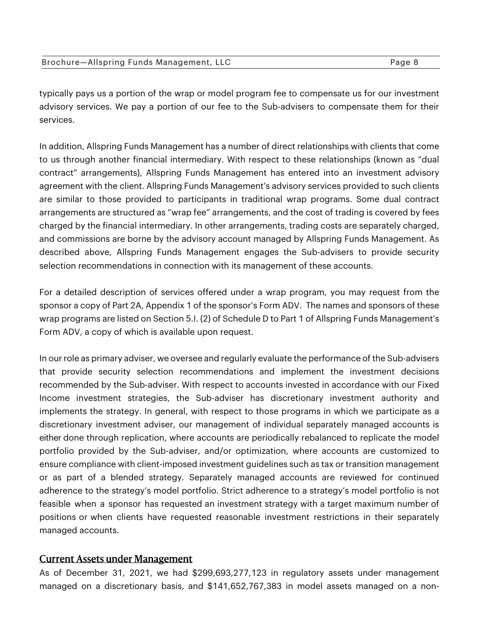| Brochure-Allspring Funds Management, LLC | Page 8 |
|------------------------------------------|--------|
|------------------------------------------|--------|

typically pays us a portion of the wrap or model program fee to compensate us for our investment advisory services. We pay a portion of our fee to the Sub-advisers to compensate them for their services.

In addition, Allspring Funds Management has a number of direct relationships with clients that come to us through another financial intermediary. With respect to these relationships (known as "dual contract" arrangements), Allspring Funds Management has entered into an investment advisory agreement with the client. Allspring Funds Management's advisory services provided to such clients are similar to those provided to participants in traditional wrap programs. Some dual contract arrangements are structured as "wrap fee" arrangements, and the cost of trading is covered by fees charged by the financial intermediary. In other arrangements, trading costs are separately charged, and commissions are borne by the advisory account managed by Allspring Funds Management. As described above, Allspring Funds Management engages the Sub-advisers to provide security selection recommendations in connection with its management of these accounts.

For a detailed description of services offered under a wrap program, you may request from the sponsor a copy of Part 2A, Appendix 1 of the sponsor's Form ADV. The names and sponsors of these wrap programs are listed on Section 5.I. (2) of Schedule D to Part 1 of Allspring Funds Management's Form ADV, a copy of which is available upon request.

In our role as primary adviser, we oversee and regularly evaluate the performance of the Sub-advisers that provide security selection recommendations and implement the investment decisions recommended by the Sub-adviser. With respect to accounts invested in accordance with our Fixed Income investment strategies, the Sub-adviser has discretionary investment authority and implements the strategy. In general, with respect to those programs in which we participate as a discretionary investment adviser, our management of individual separately managed accounts is either done through replication, where accounts are periodically rebalanced to replicate the model portfolio provided by the Sub-adviser, and/or optimization, where accounts are customized to ensure compliance with client-imposed investment guidelines such as tax or transition management or as part of a blended strategy. Separately managed accounts are reviewed for continued adherence to the strategy's model portfolio. Strict adherence to a strategy's model portfolio is not feasible when a sponsor has requested an investment strategy with a target maximum number of positions or when clients have requested reasonable investment restrictions in their separately managed accounts.

#### Current Assets under Management

As of December 31, 2021, we had \$299,693,277,123 in regulatory assets under management managed on a discretionary basis, and \$141,652,767,383 in model assets managed on a non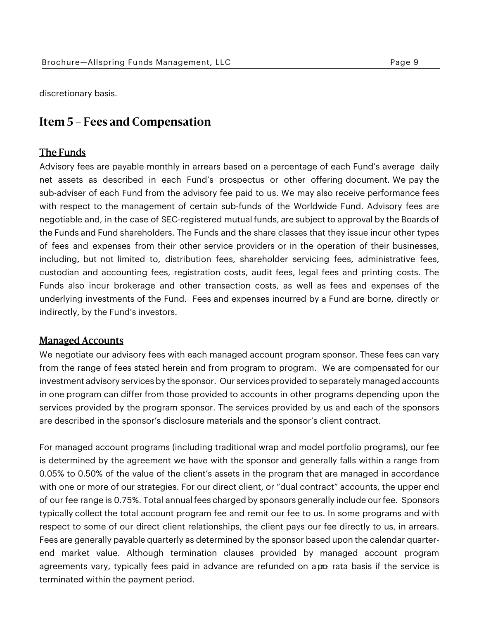discretionary basis.

## **Item 5 – Fees and Compensation**

#### The Funds

Advisory fees are payable monthly in arrears based on a percentage of each Fund's average daily net assets as described in each Fund's prospectus or other offering document. We pay the sub-adviser of each Fund from the advisory fee paid to us. We may also receive performance fees with respect to the management of certain sub-funds of the Worldwide Fund. Advisory fees are negotiable and, in the case of SEC-registered mutual funds, are subject to approval by the Boards of the Funds and Fund shareholders. The Funds and the share classes that they issue incur other types of fees and expenses from their other service providers or in the operation of their businesses, including, but not limited to, distribution fees, shareholder servicing fees, administrative fees, custodian and accounting fees, registration costs, audit fees, legal fees and printing costs. The Funds also incur brokerage and other transaction costs, as well as fees and expenses of the underlying investments of the Fund. Fees and expenses incurred by a Fund are borne, directly or indirectly, by the Fund's investors.

#### Managed Accounts

We negotiate our advisory fees with each managed account program sponsor. These fees can vary from the range of fees stated herein and from program to program. We are compensated for our investment advisory services by the sponsor. Our services provided to separately managed accounts in one program can differ from those provided to accounts in other programs depending upon the services provided by the program sponsor. The services provided by us and each of the sponsors are described in the sponsor's disclosure materials and the sponsor's client contract.

For managed account programs (including traditional wrap and model portfolio programs), our fee is determined by the agreement we have with the sponsor and generally falls within a range from 0.05% to 0.50% of the value of the client's assets in the program that are managed in accordance with one or more of our strategies. For our direct client, or "dual contract" accounts, the upper end of our fee range is 0.75%. Total annual fees charged by sponsors generally include our fee. Sponsors typically collect the total account program fee and remit our fee to us. In some programs and with respect to some of our direct client relationships, the client pays our fee directly to us, in arrears. Fees are generally payable quarterly as determined by the sponsor based upon the calendar quarterend market value. Although termination clauses provided by managed account program agreements vary, typically fees paid in advance are refunded on a po rata basis if the service is terminated within the payment period.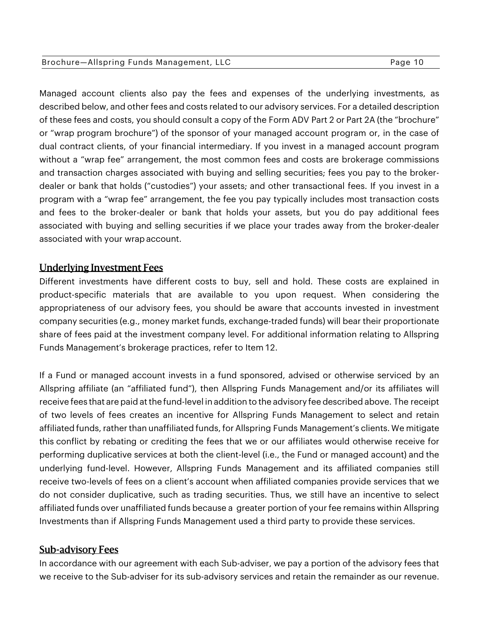#### Brochure-Allspring Funds Management, LLC extending the page 10 Page 10

Managed account clients also pay the fees and expenses of the underlying investments, as described below, and other fees and costs related to our advisory services. For a detailed description of these fees and costs, you should consult a copy of the Form ADV Part 2 or Part 2A (the "brochure" or "wrap program brochure") of the sponsor of your managed account program or, in the case of dual contract clients, of your financial intermediary. If you invest in a managed account program without a "wrap fee" arrangement, the most common fees and costs are brokerage commissions and transaction charges associated with buying and selling securities; fees you pay to the brokerdealer or bank that holds ("custodies") your assets; and other transactional fees. If you invest in a program with a "wrap fee" arrangement, the fee you pay typically includes most transaction costs and fees to the broker-dealer or bank that holds your assets, but you do pay additional fees associated with buying and selling securities if we place your trades away from the broker-dealer associated with your wrap account.

## Underlying Investment Fees

Different investments have different costs to buy, sell and hold. These costs are explained in product-specific materials that are available to you upon request. When considering the appropriateness of our advisory fees, you should be aware that accounts invested in investment company securities (e.g., money market funds, exchange-traded funds) will bear their proportionate share of fees paid at the investment company level. For additional information relating to Allspring Funds Management's brokerage practices, refer to Item 12.

If a Fund or managed account invests in a fund sponsored, advised or otherwise serviced by an Allspring affiliate (an "affiliated fund"), then Allspring Funds Management and/or its affiliates will receive fees that are paid at the fund-level in addition to the advisory fee described above. The receipt of two levels of fees creates an incentive for Allspring Funds Management to select and retain affiliated funds, rather than unaffiliated funds, for Allspring Funds Management's clients. We mitigate this conflict by rebating or crediting the fees that we or our affiliates would otherwise receive for performing duplicative services at both the client-level (i.e., the Fund or managed account) and the underlying fund-level. However, Allspring Funds Management and its affiliated companies still receive two-levels of fees on a client's account when affiliated companies provide services that we do not consider duplicative, such as trading securities. Thus, we still have an incentive to select affiliated funds over unaffiliated funds because a greater portion of your fee remains within Allspring Investments than if Allspring Funds Management used a third party to provide these services.

## Sub-advisory Fees

In accordance with our agreement with each Sub-adviser, we pay a portion of the advisory fees that we receive to the Sub-adviser for its sub-advisory services and retain the remainder as our revenue.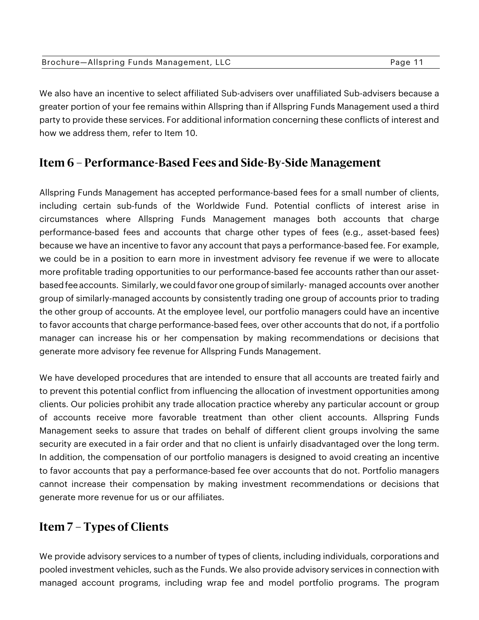| Brochure-Allspring Funds Management, LLC | Page 11 |
|------------------------------------------|---------|
|                                          |         |

We also have an incentive to select affiliated Sub-advisers over unaffiliated Sub-advisers because a greater portion of your fee remains within Allspring than if Allspring Funds Management used a third party to provide these services. For additional information concerning these conflicts of interest and how we address them, refer to Item 10.

## **Item 6 – Performance-Based Fees and Side-By-Side Management**

Allspring Funds Management has accepted performance-based fees for a small number of clients, including certain sub-funds of the Worldwide Fund. Potential conflicts of interest arise in circumstances where Allspring Funds Management manages both accounts that charge performance-based fees and accounts that charge other types of fees (e.g., asset-based fees) because we have an incentive to favor any account that pays a performance-based fee. For example, we could be in a position to earn more in investment advisory fee revenue if we were to allocate more profitable trading opportunities to our performance-based fee accounts rather than our assetbased fee accounts. Similarly, we could favor one group of similarly- managed accounts over another group of similarly-managed accounts by consistently trading one group of accounts prior to trading the other group of accounts. At the employee level, our portfolio managers could have an incentive to favor accounts that charge performance-based fees, over other accounts that do not, if a portfolio manager can increase his or her compensation by making recommendations or decisions that generate more advisory fee revenue for Allspring Funds Management.

We have developed procedures that are intended to ensure that all accounts are treated fairly and to prevent this potential conflict from influencing the allocation of investment opportunities among clients. Our policies prohibit any trade allocation practice whereby any particular account or group of accounts receive more favorable treatment than other client accounts. Allspring Funds Management seeks to assure that trades on behalf of different client groups involving the same security are executed in a fair order and that no client is unfairly disadvantaged over the long term. In addition, the compensation of our portfolio managers is designed to avoid creating an incentive to favor accounts that pay a performance-based fee over accounts that do not. Portfolio managers cannot increase their compensation by making investment recommendations or decisions that generate more revenue for us or our affiliates.

# **Item 7 – Types of Clients**

We provide advisory services to a number of types of clients, including individuals, corporations and pooled investment vehicles, such as the Funds. We also provide advisory services in connection with managed account programs, including wrap fee and model portfolio programs. The program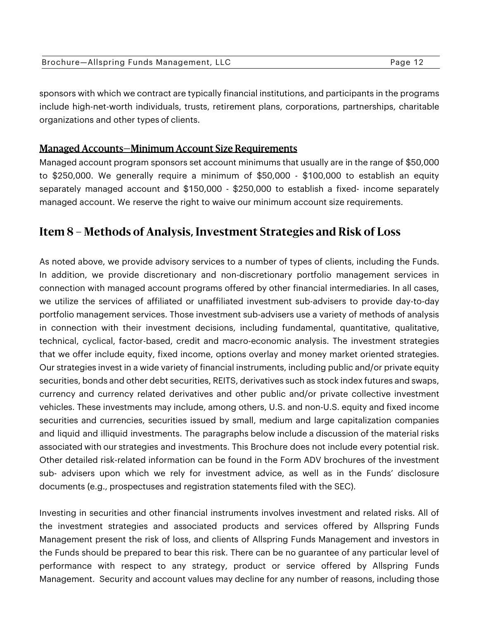| Brochure-Allspring Funds Management, LLC | Page 12 |
|------------------------------------------|---------|
|------------------------------------------|---------|

sponsors with which we contract are typically financial institutions, and participants in the programs include high-net-worth individuals, trusts, retirement plans, corporations, partnerships, charitable organizations and other types of clients.

#### Managed Accounts—Minimum Account Size Requirements

Managed account program sponsors set account minimums that usually are in the range of \$50,000 to \$250,000. We generally require a minimum of \$50,000 - \$100,000 to establish an equity separately managed account and \$150,000 - \$250,000 to establish a fixed- income separately managed account. We reserve the right to waive our minimum account size requirements.

## **Item 8 – Methods of Analysis, Investment Strategies and Risk of Loss**

As noted above, we provide advisory services to a number of types of clients, including the Funds. In addition, we provide discretionary and non-discretionary portfolio management services in connection with managed account programs offered by other financial intermediaries. In all cases, we utilize the services of affiliated or unaffiliated investment sub-advisers to provide day-to-day portfolio management services. Those investment sub-advisers use a variety of methods of analysis in connection with their investment decisions, including fundamental, quantitative, qualitative, technical, cyclical, factor-based, credit and macro-economic analysis. The investment strategies that we offer include equity, fixed income, options overlay and money market oriented strategies. Our strategies invest in a wide variety of financial instruments, including public and/or private equity securities, bonds and other debt securities, REITS, derivatives such as stock index futures and swaps, currency and currency related derivatives and other public and/or private collective investment vehicles. These investments may include, among others, U.S. and non-U.S. equity and fixed income securities and currencies, securities issued by small, medium and large capitalization companies and liquid and illiquid investments. The paragraphs below include a discussion of the material risks associated with our strategies and investments. This Brochure does not include every potential risk. Other detailed risk-related information can be found in the Form ADV brochures of the investment sub- advisers upon which we rely for investment advice, as well as in the Funds' disclosure documents (e.g., prospectuses and registration statements filed with the SEC).

Investing in securities and other financial instruments involves investment and related risks. All of the investment strategies and associated products and services offered by Allspring Funds Management present the risk of loss, and clients of Allspring Funds Management and investors in the Funds should be prepared to bear this risk. There can be no guarantee of any particular level of performance with respect to any strategy, product or service offered by Allspring Funds Management. Security and account values may decline for any number of reasons, including those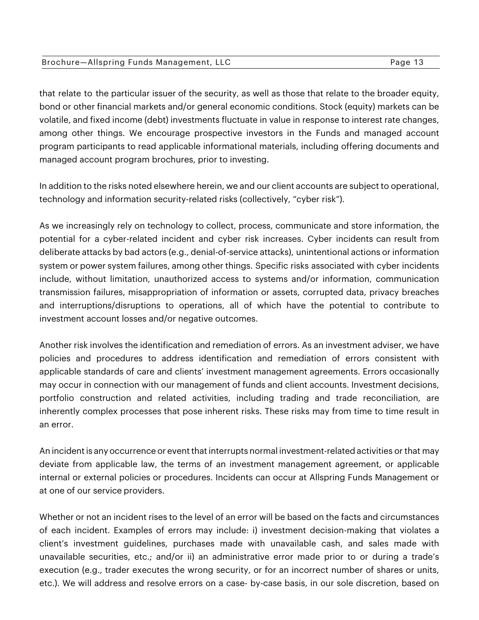#### Brochure-Allspring Funds Management, LLC extending the state of Page 13

that relate to the particular issuer of the security, as well as those that relate to the broader equity, bond or other financial markets and/or general economic conditions. Stock (equity) markets can be volatile, and fixed income (debt) investments fluctuate in value in response to interest rate changes, among other things. We encourage prospective investors in the Funds and managed account program participants to read applicable informational materials, including offering documents and managed account program brochures, prior to investing.

In addition to the risks noted elsewhere herein, we and our client accounts are subject to operational, technology and information security-related risks (collectively, "cyber risk").

As we increasingly rely on technology to collect, process, communicate and store information, the potential for a cyber-related incident and cyber risk increases. Cyber incidents can result from deliberate attacks by bad actors (e.g., denial-of-service attacks), unintentional actions or information system or power system failures, among other things. Specific risks associated with cyber incidents include, without limitation, unauthorized access to systems and/or information, communication transmission failures, misappropriation of information or assets, corrupted data, privacy breaches and interruptions/disruptions to operations, all of which have the potential to contribute to investment account losses and/or negative outcomes.

Another risk involves the identification and remediation of errors. As an investment adviser, we have policies and procedures to address identification and remediation of errors consistent with applicable standards of care and clients' investment management agreements. Errors occasionally may occur in connection with our management of funds and client accounts. Investment decisions, portfolio construction and related activities, including trading and trade reconciliation, are inherently complex processes that pose inherent risks. These risks may from time to time result in an error.

An incident is any occurrence or event that interrupts normal investment-related activities or that may deviate from applicable law, the terms of an investment management agreement, or applicable internal or external policies or procedures. Incidents can occur at Allspring Funds Management or at one of our service providers.

Whether or not an incident rises to the level of an error will be based on the facts and circumstances of each incident. Examples of errors may include: i) investment decision-making that violates a client's investment guidelines, purchases made with unavailable cash, and sales made with unavailable securities, etc.; and/or ii) an administrative error made prior to or during a trade's execution (e.g., trader executes the wrong security, or for an incorrect number of shares or units, etc.). We will address and resolve errors on a case- by-case basis, in our sole discretion, based on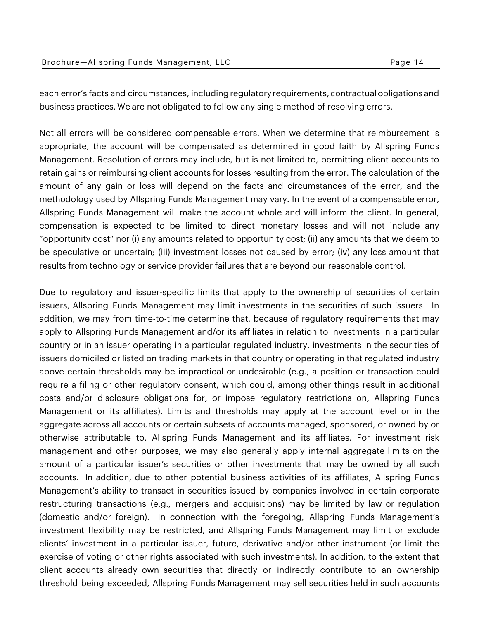| Brochure-Allspring Funds Management, LLC | Page 14 |
|------------------------------------------|---------|
|------------------------------------------|---------|

each error's facts and circumstances, including regulatory requirements, contractual obligations and business practices. We are not obligated to follow any single method of resolving errors.

Not all errors will be considered compensable errors. When we determine that reimbursement is appropriate, the account will be compensated as determined in good faith by Allspring Funds Management. Resolution of errors may include, but is not limited to, permitting client accounts to retain gains or reimbursing client accounts for losses resulting from the error. The calculation of the amount of any gain or loss will depend on the facts and circumstances of the error, and the methodology used by Allspring Funds Management may vary. In the event of a compensable error, Allspring Funds Management will make the account whole and will inform the client. In general, compensation is expected to be limited to direct monetary losses and will not include any "opportunity cost" nor (i) any amounts related to opportunity cost; (ii) any amounts that we deem to be speculative or uncertain; (iii) investment losses not caused by error; (iv) any loss amount that results from technology or service provider failures that are beyond our reasonable control.

Due to regulatory and issuer-specific limits that apply to the ownership of securities of certain issuers, Allspring Funds Management may limit investments in the securities of such issuers. In addition, we may from time-to-time determine that, because of regulatory requirements that may apply to Allspring Funds Management and/or its affiliates in relation to investments in a particular country or in an issuer operating in a particular regulated industry, investments in the securities of issuers domiciled or listed on trading markets in that country or operating in that regulated industry above certain thresholds may be impractical or undesirable (e.g., a position or transaction could require a filing or other regulatory consent, which could, among other things result in additional costs and/or disclosure obligations for, or impose regulatory restrictions on, Allspring Funds Management or its affiliates). Limits and thresholds may apply at the account level or in the aggregate across all accounts or certain subsets of accounts managed, sponsored, or owned by or otherwise attributable to, Allspring Funds Management and its affiliates. For investment risk management and other purposes, we may also generally apply internal aggregate limits on the amount of a particular issuer's securities or other investments that may be owned by all such accounts. In addition, due to other potential business activities of its affiliates, Allspring Funds Management's ability to transact in securities issued by companies involved in certain corporate restructuring transactions (e.g., mergers and acquisitions) may be limited by law or regulation (domestic and/or foreign). In connection with the foregoing, Allspring Funds Management's investment flexibility may be restricted, and Allspring Funds Management may limit or exclude clients' investment in a particular issuer, future, derivative and/or other instrument (or limit the exercise of voting or other rights associated with such investments). In addition, to the extent that client accounts already own securities that directly or indirectly contribute to an ownership threshold being exceeded, Allspring Funds Management may sell securities held in such accounts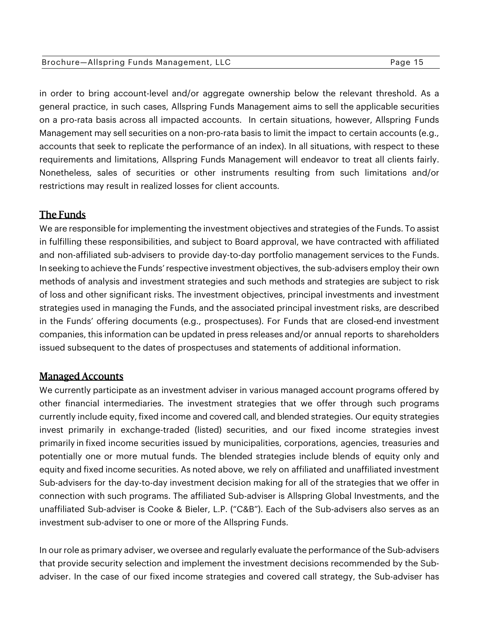in order to bring account-level and/or aggregate ownership below the relevant threshold. As a general practice, in such cases, Allspring Funds Management aims to sell the applicable securities on a pro-rata basis across all impacted accounts. In certain situations, however, Allspring Funds Management may sell securities on a non-pro-rata basis to limit the impact to certain accounts (e.g., accounts that seek to replicate the performance of an index). In all situations, with respect to these requirements and limitations, Allspring Funds Management will endeavor to treat all clients fairly. Nonetheless, sales of securities or other instruments resulting from such limitations and/or restrictions may result in realized losses for client accounts.

## The Funds

We are responsible for implementing the investment objectives and strategies of the Funds. To assist in fulfilling these responsibilities, and subject to Board approval, we have contracted with affiliated and non-affiliated sub-advisers to provide day-to-day portfolio management services to the Funds. In seeking to achieve the Funds' respective investment objectives, the sub-advisers employ their own methods of analysis and investment strategies and such methods and strategies are subject to risk of loss and other significant risks. The investment objectives, principal investments and investment strategies used in managing the Funds, and the associated principal investment risks, are described in the Funds' offering documents (e.g., prospectuses). For Funds that are closed-end investment companies, this information can be updated in press releases and/or annual reports to shareholders issued subsequent to the dates of prospectuses and statements of additional information.

#### Managed Accounts

We currently participate as an investment adviser in various managed account programs offered by other financial intermediaries. The investment strategies that we offer through such programs currently include equity, fixed income and covered call, and blended strategies. Our equity strategies invest primarily in exchange-traded (listed) securities, and our fixed income strategies invest primarily in fixed income securities issued by municipalities, corporations, agencies, treasuries and potentially one or more mutual funds. The blended strategies include blends of equity only and equity and fixed income securities. As noted above, we rely on affiliated and unaffiliated investment Sub-advisers for the day-to-day investment decision making for all of the strategies that we offer in connection with such programs. The affiliated Sub-adviser is Allspring Global Investments, and the unaffiliated Sub-adviser is Cooke & Bieler, L.P. ("C&B"). Each of the Sub-advisers also serves as an investment sub-adviser to one or more of the Allspring Funds.

In our role as primary adviser, we oversee and regularly evaluate the performance of the Sub-advisers that provide security selection and implement the investment decisions recommended by the Subadviser. In the case of our fixed income strategies and covered call strategy, the Sub-adviser has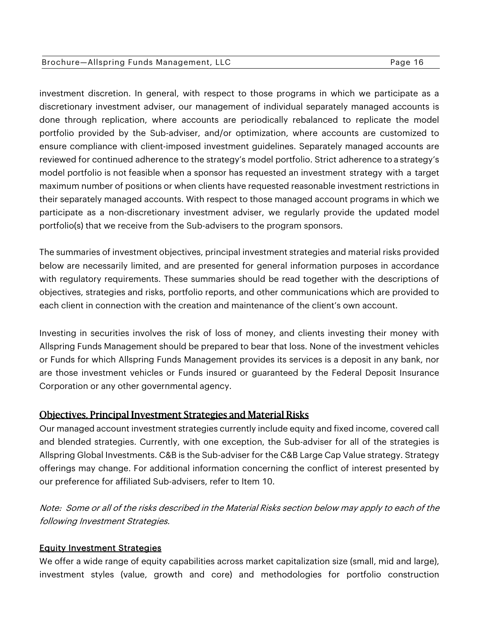#### Brochure-Allspring Funds Management, LLC extending the state of Page 16

investment discretion. In general, with respect to those programs in which we participate as a discretionary investment adviser, our management of individual separately managed accounts is done through replication, where accounts are periodically rebalanced to replicate the model portfolio provided by the Sub-adviser, and/or optimization, where accounts are customized to ensure compliance with client-imposed investment guidelines. Separately managed accounts are reviewed for continued adherence to the strategy's model portfolio. Strict adherence to a strategy's model portfolio is not feasible when a sponsor has requested an investment strategy with a target maximum number of positions or when clients have requested reasonable investment restrictions in their separately managed accounts. With respect to those managed account programs in which we participate as a non-discretionary investment adviser, we regularly provide the updated model portfolio(s) that we receive from the Sub-advisers to the program sponsors.

The summaries of investment objectives, principal investment strategies and material risks provided below are necessarily limited, and are presented for general information purposes in accordance with regulatory requirements. These summaries should be read together with the descriptions of objectives, strategies and risks, portfolio reports, and other communications which are provided to each client in connection with the creation and maintenance of the client's own account.

Investing in securities involves the risk of loss of money, and clients investing their money with Allspring Funds Management should be prepared to bear that loss. None of the investment vehicles or Funds for which Allspring Funds Management provides its services is a deposit in any bank, nor are those investment vehicles or Funds insured or guaranteed by the Federal Deposit Insurance Corporation or any other governmental agency.

## Objectives, Principal Investment Strategies and Material Risks

Our managed account investment strategies currently include equity and fixed income, covered call and blended strategies. Currently, with one exception, the Sub-adviser for all of the strategies is Allspring Global Investments. C&B is the Sub-adviser for the C&B Large Cap Value strategy. Strategy offerings may change. For additional information concerning the conflict of interest presented by our preference for affiliated Sub-advisers, refer to Item 10.

Note: Some or all of the risks described in the Material Risks section below may apply to each of the following Investment Strategies.

#### Equity Investment Strategies

We offer a wide range of equity capabilities across market capitalization size (small, mid and large), investment styles (value, growth and core) and methodologies for portfolio construction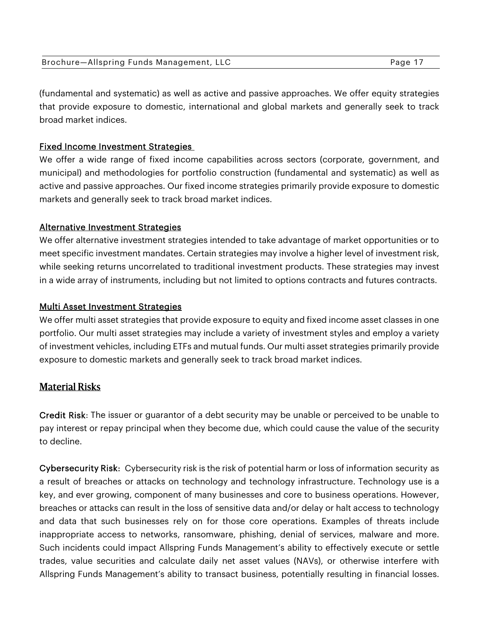| Brochure-Allspring Funds Management, LLC | Page 17 |
|------------------------------------------|---------|
|------------------------------------------|---------|

(fundamental and systematic) as well as active and passive approaches. We offer equity strategies that provide exposure to domestic, international and global markets and generally seek to track broad market indices.

#### Fixed Income Investment Strategies

We offer a wide range of fixed income capabilities across sectors (corporate, government, and municipal) and methodologies for portfolio construction (fundamental and systematic) as well as active and passive approaches. Our fixed income strategies primarily provide exposure to domestic markets and generally seek to track broad market indices.

#### Alternative Investment Strategies

We offer alternative investment strategies intended to take advantage of market opportunities or to meet specific investment mandates. Certain strategies may involve a higher level of investment risk, while seeking returns uncorrelated to traditional investment products. These strategies may invest in a wide array of instruments, including but not limited to options contracts and futures contracts.

#### Multi Asset Investment Strategies

We offer multi asset strategies that provide exposure to equity and fixed income asset classes in one portfolio. Our multi asset strategies may include a variety of investment styles and employ a variety of investment vehicles, including ETFs and mutual funds. Our multi asset strategies primarily provide exposure to domestic markets and generally seek to track broad market indices.

## Material Risks

Credit Risk: The issuer or guarantor of a debt security may be unable or perceived to be unable to pay interest or repay principal when they become due, which could cause the value of the security to decline.

Cybersecurity Risk: Cybersecurity risk is the risk of potential harm or loss of information security as a result of breaches or attacks on technology and technology infrastructure. Technology use is a key, and ever growing, component of many businesses and core to business operations. However, breaches or attacks can result in the loss of sensitive data and/or delay or halt access to technology and data that such businesses rely on for those core operations. Examples of threats include inappropriate access to networks, ransomware, phishing, denial of services, malware and more. Such incidents could impact Allspring Funds Management's ability to effectively execute or settle trades, value securities and calculate daily net asset values (NAVs), or otherwise interfere with Allspring Funds Management's ability to transact business, potentially resulting in financial losses.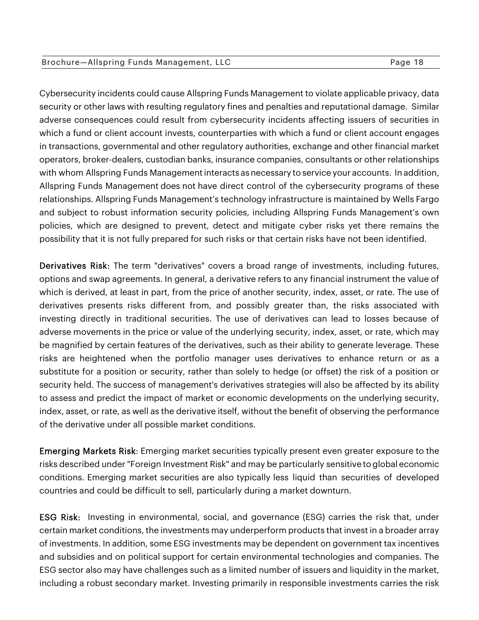Cybersecurity incidents could cause Allspring Funds Management to violate applicable privacy, data security or other laws with resulting regulatory fines and penalties and reputational damage. Similar adverse consequences could result from cybersecurity incidents affecting issuers of securities in which a fund or client account invests, counterparties with which a fund or client account engages in transactions, governmental and other regulatory authorities, exchange and other financial market operators, broker-dealers, custodian banks, insurance companies, consultants or other relationships with whom Allspring Funds Management interacts as necessary to service your accounts. In addition, Allspring Funds Management does not have direct control of the cybersecurity programs of these relationships. Allspring Funds Management's technology infrastructure is maintained by Wells Fargo and subject to robust information security policies, including Allspring Funds Management's own policies, which are designed to prevent, detect and mitigate cyber risks yet there remains the possibility that it is not fully prepared for such risks or that certain risks have not been identified.

Derivatives Risk: The term "derivatives" covers a broad range of investments, including futures, options and swap agreements. In general, a derivative refers to any financial instrument the value of which is derived, at least in part, from the price of another security, index, asset, or rate. The use of derivatives presents risks different from, and possibly greater than, the risks associated with investing directly in traditional securities. The use of derivatives can lead to losses because of adverse movements in the price or value of the underlying security, index, asset, or rate, which may be magnified by certain features of the derivatives, such as their ability to generate leverage. These risks are heightened when the portfolio manager uses derivatives to enhance return or as a substitute for a position or security, rather than solely to hedge (or offset) the risk of a position or security held. The success of management's derivatives strategies will also be affected by its ability to assess and predict the impact of market or economic developments on the underlying security, index, asset, or rate, as well as the derivative itself, without the benefit of observing the performance of the derivative under all possible market conditions.

Emerging Markets Risk: Emerging market securities typically present even greater exposure to the risks described under "Foreign Investment Risk" and may be particularly sensitive to global economic conditions. Emerging market securities are also typically less liquid than securities of developed countries and could be difficult to sell, particularly during a market downturn.

ESG Risk: Investing in environmental, social, and governance (ESG) carries the risk that, under certain market conditions, the investments may underperform products that invest in a broader array of investments. In addition, some ESG investments may be dependent on government tax incentives and subsidies and on political support for certain environmental technologies and companies. The ESG sector also may have challenges such as a limited number of issuers and liquidity in the market, including a robust secondary market. Investing primarily in responsible investments carries the risk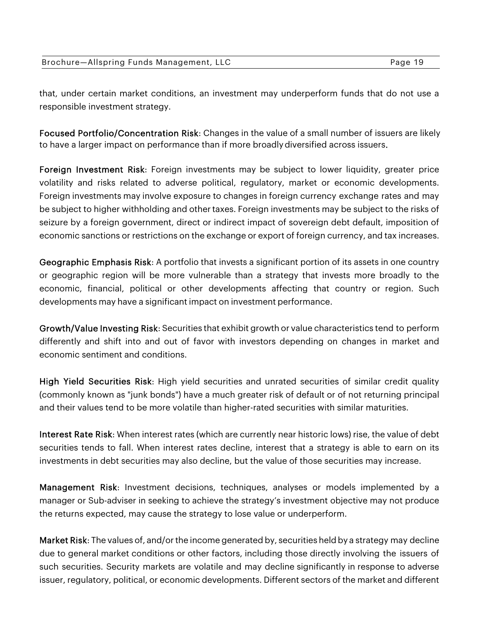| Page 19 |
|---------|
|         |
|         |

that, under certain market conditions, an investment may underperform funds that do not use a responsible investment strategy.

Focused Portfolio/Concentration Risk: Changes in the value of a small number of issuers are likely to have a larger impact on performance than if more broadly diversified across issuers.

Foreign Investment Risk: Foreign investments may be subject to lower liquidity, greater price volatility and risks related to adverse political, regulatory, market or economic developments. Foreign investments may involve exposure to changes in foreign currency exchange rates and may be subject to higher withholding and other taxes. Foreign investments may be subject to the risks of seizure by a foreign government, direct or indirect impact of sovereign debt default, imposition of economic sanctions or restrictions on the exchange or export of foreign currency, and tax increases.

Geographic Emphasis Risk: A portfolio that invests a significant portion of its assets in one country or geographic region will be more vulnerable than a strategy that invests more broadly to the economic, financial, political or other developments affecting that country or region. Such developments may have a significant impact on investment performance.

Growth/Value Investing Risk: Securities that exhibit growth or value characteristics tend to perform differently and shift into and out of favor with investors depending on changes in market and economic sentiment and conditions.

High Yield Securities Risk: High yield securities and unrated securities of similar credit quality (commonly known as "junk bonds") have a much greater risk of default or of not returning principal and their values tend to be more volatile than higher-rated securities with similar maturities.

Interest Rate Risk: When interest rates (which are currently near historic lows) rise, the value of debt securities tends to fall. When interest rates decline, interest that a strategy is able to earn on its investments in debt securities may also decline, but the value of those securities may increase.

Management Risk: Investment decisions, techniques, analyses or models implemented by a manager or Sub-adviser in seeking to achieve the strategy's investment objective may not produce the returns expected, may cause the strategy to lose value or underperform.

Market Risk: The values of, and/or the income generated by, securities held by a strategy may decline due to general market conditions or other factors, including those directly involving the issuers of such securities. Security markets are volatile and may decline significantly in response to adverse issuer, regulatory, political, or economic developments. Different sectors of the market and different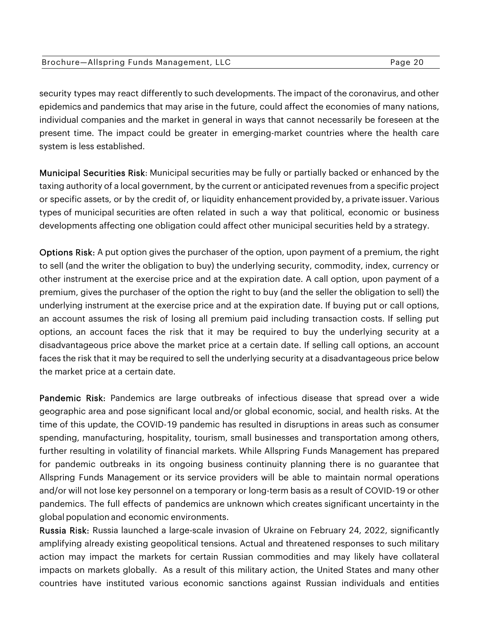| Brochure-Allspring Funds Management, LLC | Page 20 |
|------------------------------------------|---------|
|------------------------------------------|---------|

security types may react differently to such developments. The impact of the coronavirus, and other epidemics and pandemics that may arise in the future, could affect the economies of many nations, individual companies and the market in general in ways that cannot necessarily be foreseen at the present time. The impact could be greater in emerging-market countries where the health care system is less established.

Municipal Securities Risk: Municipal securities may be fully or partially backed or enhanced by the taxing authority of a local government, by the current or anticipated revenues from a specific project or specific assets, or by the credit of, or liquidity enhancement provided by, a private issuer. Various types of municipal securities are often related in such a way that political, economic or business developments affecting one obligation could affect other municipal securities held by a strategy.

Options Risk: A put option gives the purchaser of the option, upon payment of a premium, the right to sell (and the writer the obligation to buy) the underlying security, commodity, index, currency or other instrument at the exercise price and at the expiration date. A call option, upon payment of a premium, gives the purchaser of the option the right to buy (and the seller the obligation to sell) the underlying instrument at the exercise price and at the expiration date. If buying put or call options, an account assumes the risk of losing all premium paid including transaction costs. If selling put options, an account faces the risk that it may be required to buy the underlying security at a disadvantageous price above the market price at a certain date. If selling call options, an account faces the risk that it may be required to sell the underlying security at a disadvantageous price below the market price at a certain date.

Pandemic Risk: Pandemics are large outbreaks of infectious disease that spread over a wide geographic area and pose significant local and/or global economic, social, and health risks. At the time of this update, the COVID-19 pandemic has resulted in disruptions in areas such as consumer spending, manufacturing, hospitality, tourism, small businesses and transportation among others, further resulting in volatility of financial markets. While Allspring Funds Management has prepared for pandemic outbreaks in its ongoing business continuity planning there is no guarantee that Allspring Funds Management or its service providers will be able to maintain normal operations and/or will not lose key personnel on a temporary or long-term basis as a result of COVID-19 or other pandemics. The full effects of pandemics are unknown which creates significant uncertainty in the global population and economic environments.

Russia Risk: Russia launched a large-scale invasion of Ukraine on February 24, 2022, significantly amplifying already existing geopolitical tensions. Actual and threatened responses to such military action may impact the markets for certain Russian commodities and may likely have collateral impacts on markets globally. As a result of this military action, the United States and many other countries have instituted various economic sanctions against Russian individuals and entities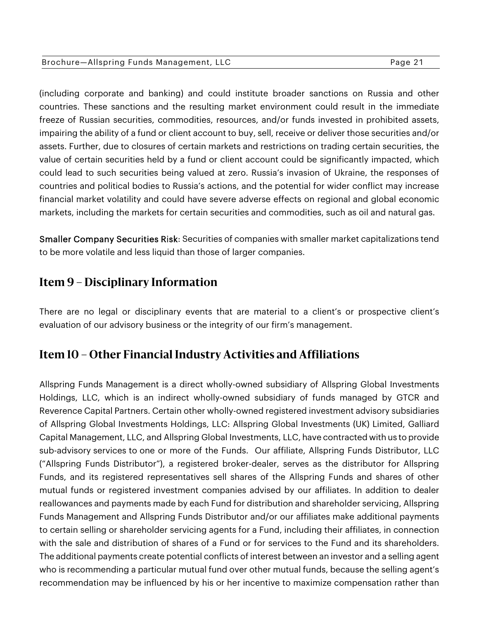#### Brochure-Allspring Funds Management, LLC extending the Same Page 21

(including corporate and banking) and could institute broader sanctions on Russia and other countries. These sanctions and the resulting market environment could result in the immediate freeze of Russian securities, commodities, resources, and/or funds invested in prohibited assets, impairing the ability of a fund or client account to buy, sell, receive or deliver those securities and/or assets. Further, due to closures of certain markets and restrictions on trading certain securities, the value of certain securities held by a fund or client account could be significantly impacted, which could lead to such securities being valued at zero. Russia's invasion of Ukraine, the responses of countries and political bodies to Russia's actions, and the potential for wider conflict may increase financial market volatility and could have severe adverse effects on regional and global economic markets, including the markets for certain securities and commodities, such as oil and natural gas.

Smaller Company Securities Risk: Securities of companies with smaller market capitalizations tend to be more volatile and less liquid than those of larger companies.

## **Item 9 – Disciplinary Information**

There are no legal or disciplinary events that are material to a client's or prospective client's evaluation of our advisory business or the integrity of our firm's management.

## **Item 10 – Other Financial Industry Activities and Affiliations**

Allspring Funds Management is a direct wholly-owned subsidiary of Allspring Global Investments Holdings, LLC, which is an indirect wholly-owned subsidiary of funds managed by GTCR and Reverence Capital Partners. Certain other wholly-owned registered investment advisory subsidiaries of Allspring Global Investments Holdings, LLC: Allspring Global Investments (UK) Limited, Galliard Capital Management, LLC, and Allspring Global Investments, LLC, have contracted with us to provide sub-advisory services to one or more of the Funds. Our affiliate, Allspring Funds Distributor, LLC ("Allspring Funds Distributor"), a registered broker-dealer, serves as the distributor for Allspring Funds, and its registered representatives sell shares of the Allspring Funds and shares of other mutual funds or registered investment companies advised by our affiliates. In addition to dealer reallowances and payments made by each Fund for distribution and shareholder servicing, Allspring Funds Management and Allspring Funds Distributor and/or our affiliates make additional payments to certain selling or shareholder servicing agents for a Fund, including their affiliates, in connection with the sale and distribution of shares of a Fund or for services to the Fund and its shareholders. The additional payments create potential conflicts of interest between an investor and a selling agent who is recommending a particular mutual fund over other mutual funds, because the selling agent's recommendation may be influenced by his or her incentive to maximize compensation rather than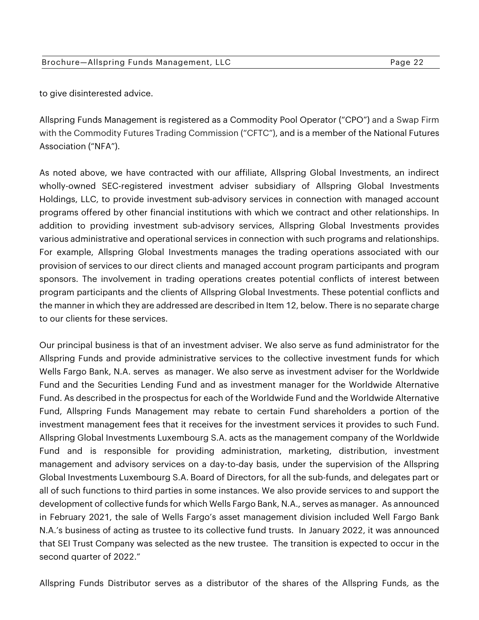to give disinterested advice.

Allspring Funds Management is registered as a Commodity Pool Operator ("CPO") and a Swap Firm with the Commodity Futures Trading Commission ("CFTC"), and is a member of the National Futures Association ("NFA").

As noted above, we have contracted with our affiliate, Allspring Global Investments, an indirect wholly-owned SEC-registered investment adviser subsidiary of Allspring Global Investments Holdings, LLC, to provide investment sub-advisory services in connection with managed account programs offered by other financial institutions with which we contract and other relationships. In addition to providing investment sub-advisory services, Allspring Global Investments provides various administrative and operational services in connection with such programs and relationships. For example, Allspring Global Investments manages the trading operations associated with our provision of services to our direct clients and managed account program participants and program sponsors. The involvement in trading operations creates potential conflicts of interest between program participants and the clients of Allspring Global Investments. These potential conflicts and the manner in which they are addressed are described in Item 12, below. There is no separate charge to our clients for these services.

Our principal business is that of an investment adviser. We also serve as fund administrator for the Allspring Funds and provide administrative services to the collective investment funds for which Wells Fargo Bank, N.A. serves as manager. We also serve as investment adviser for the Worldwide Fund and the Securities Lending Fund and as investment manager for the Worldwide Alternative Fund. As described in the prospectus for each of the Worldwide Fund and the Worldwide Alternative Fund, Allspring Funds Management may rebate to certain Fund shareholders a portion of the investment management fees that it receives for the investment services it provides to such Fund. Allspring Global Investments Luxembourg S.A. acts as the management company of the Worldwide Fund and is responsible for providing administration, marketing, distribution, investment management and advisory services on a day-to-day basis, under the supervision of the Allspring Global Investments Luxembourg S.A. Board of Directors, for all the sub-funds, and delegates part or all of such functions to third parties in some instances. We also provide services to and support the development of collective funds for which Wells Fargo Bank, N.A., serves as manager. As announced in February 2021, the sale of Wells Fargo's asset management division included Well Fargo Bank N.A.'s business of acting as trustee to its collective fund trusts. In January 2022, it was announced that SEI Trust Company was selected as the new trustee. The transition is expected to occur in the second quarter of 2022."

Allspring Funds Distributor serves as a distributor of the shares of the Allspring Funds, as the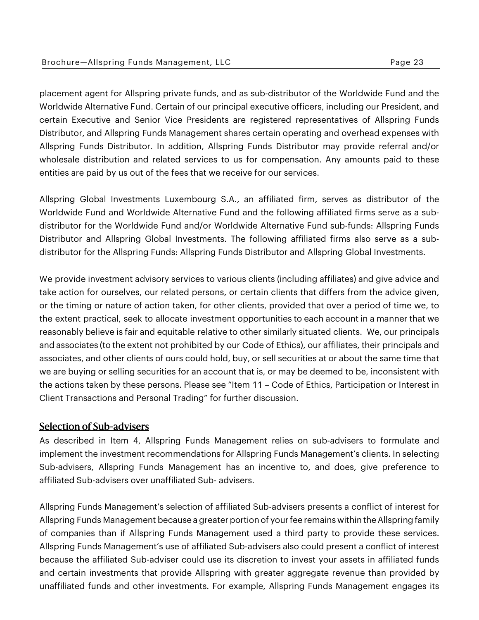#### Brochure—Allspring Funds Management, LLC extending the control of Page 23

placement agent for Allspring private funds, and as sub-distributor of the Worldwide Fund and the Worldwide Alternative Fund. Certain of our principal executive officers, including our President, and certain Executive and Senior Vice Presidents are registered representatives of Allspring Funds Distributor, and Allspring Funds Management shares certain operating and overhead expenses with Allspring Funds Distributor. In addition, Allspring Funds Distributor may provide referral and/or wholesale distribution and related services to us for compensation. Any amounts paid to these entities are paid by us out of the fees that we receive for our services.

Allspring Global Investments Luxembourg S.A., an affiliated firm, serves as distributor of the Worldwide Fund and Worldwide Alternative Fund and the following affiliated firms serve as a subdistributor for the Worldwide Fund and/or Worldwide Alternative Fund sub-funds: Allspring Funds Distributor and Allspring Global Investments. The following affiliated firms also serve as a subdistributor for the Allspring Funds: Allspring Funds Distributor and Allspring Global Investments.

We provide investment advisory services to various clients (including affiliates) and give advice and take action for ourselves, our related persons, or certain clients that differs from the advice given, or the timing or nature of action taken, for other clients, provided that over a period of time we, to the extent practical, seek to allocate investment opportunities to each account in a manner that we reasonably believe is fair and equitable relative to other similarly situated clients. We, our principals and associates (to the extent not prohibited by our Code of Ethics), our affiliates, their principals and associates, and other clients of ours could hold, buy, or sell securities at or about the same time that we are buying or selling securities for an account that is, or may be deemed to be, inconsistent with the actions taken by these persons. Please see "Item 11 – Code of Ethics, Participation or Interest in Client Transactions and Personal Trading" for further discussion.

## Selection of Sub-advisers

As described in Item 4, Allspring Funds Management relies on sub-advisers to formulate and implement the investment recommendations for Allspring Funds Management's clients. In selecting Sub-advisers, Allspring Funds Management has an incentive to, and does, give preference to affiliated Sub-advisers over unaffiliated Sub- advisers.

Allspring Funds Management's selection of affiliated Sub-advisers presents a conflict of interest for Allspring Funds Management because a greater portion of your fee remains within the Allspring family of companies than if Allspring Funds Management used a third party to provide these services. Allspring Funds Management's use of affiliated Sub-advisers also could present a conflict of interest because the affiliated Sub-adviser could use its discretion to invest your assets in affiliated funds and certain investments that provide Allspring with greater aggregate revenue than provided by unaffiliated funds and other investments. For example, Allspring Funds Management engages its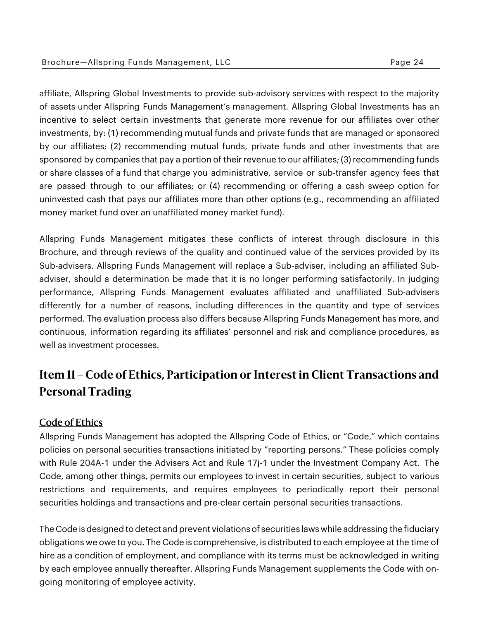affiliate, Allspring Global Investments to provide sub-advisory services with respect to the majority of assets under Allspring Funds Management's management. Allspring Global Investments has an incentive to select certain investments that generate more revenue for our affiliates over other investments, by: (1) recommending mutual funds and private funds that are managed or sponsored by our affiliates; (2) recommending mutual funds, private funds and other investments that are sponsored by companies that pay a portion of their revenue to our affiliates; (3) recommending funds or share classes of a fund that charge you administrative, service or sub-transfer agency fees that are passed through to our affiliates; or (4) recommending or offering a cash sweep option for uninvested cash that pays our affiliates more than other options (e.g., recommending an affiliated money market fund over an unaffiliated money market fund).

Allspring Funds Management mitigates these conflicts of interest through disclosure in this Brochure, and through reviews of the quality and continued value of the services provided by its Sub-advisers. Allspring Funds Management will replace a Sub-adviser, including an affiliated Subadviser, should a determination be made that it is no longer performing satisfactorily. In judging performance, Allspring Funds Management evaluates affiliated and unaffiliated Sub-advisers differently for a number of reasons, including differences in the quantity and type of services performed. The evaluation process also differs because Allspring Funds Management has more, and continuous, information regarding its affiliates' personnel and risk and compliance procedures, as well as investment processes.

# **Item 11 – Code of Ethics, Participation or Interest in Client Transactions and Personal Trading**

## Code of Ethics

Allspring Funds Management has adopted the Allspring Code of Ethics, or "Code," which contains policies on personal securities transactions initiated by "reporting persons." These policies comply with Rule 204A-1 under the Advisers Act and Rule 17j-1 under the Investment Company Act. The Code, among other things, permits our employees to invest in certain securities, subject to various restrictions and requirements, and requires employees to periodically report their personal securities holdings and transactions and pre-clear certain personal securities transactions.

The Code is designed to detect and prevent violations of securities laws while addressing the fiduciary obligations we owe to you. The Code is comprehensive, is distributed to each employee at the time of hire as a condition of employment, and compliance with its terms must be acknowledged in writing by each employee annually thereafter. Allspring Funds Management supplements the Code with ongoing monitoring of employee activity.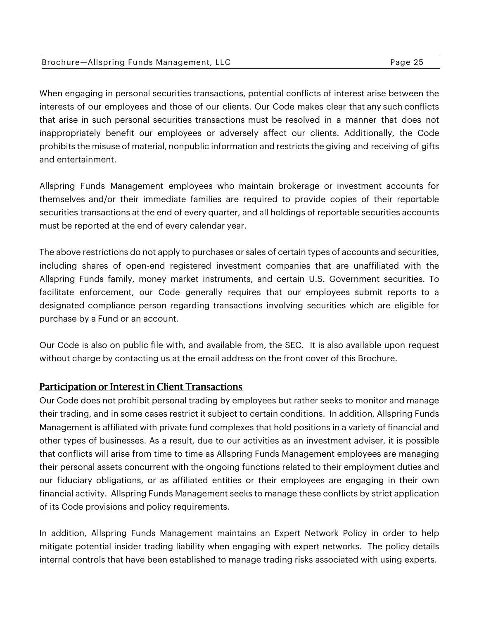| Brochure-Allspring Funds Management, LLC | Page 25 |
|------------------------------------------|---------|
|------------------------------------------|---------|

When engaging in personal securities transactions, potential conflicts of interest arise between the interests of our employees and those of our clients. Our Code makes clear that any such conflicts that arise in such personal securities transactions must be resolved in a manner that does not inappropriately benefit our employees or adversely affect our clients. Additionally, the Code prohibits the misuse of material, nonpublic information and restricts the giving and receiving of gifts and entertainment.

Allspring Funds Management employees who maintain brokerage or investment accounts for themselves and/or their immediate families are required to provide copies of their reportable securities transactions at the end of every quarter, and all holdings of reportable securities accounts must be reported at the end of every calendar year.

The above restrictions do not apply to purchases or sales of certain types of accounts and securities, including shares of open-end registered investment companies that are unaffiliated with the Allspring Funds family, money market instruments, and certain U.S. Government securities. To facilitate enforcement, our Code generally requires that our employees submit reports to a designated compliance person regarding transactions involving securities which are eligible for purchase by a Fund or an account.

Our Code is also on public file with, and available from, the SEC. It is also available upon request without charge by contacting us at the email address on the front cover of this Brochure.

#### Participation or Interest in Client Transactions

Our Code does not prohibit personal trading by employees but rather seeks to monitor and manage their trading, and in some cases restrict it subject to certain conditions. In addition, Allspring Funds Management is affiliated with private fund complexes that hold positions in a variety of financial and other types of businesses. As a result, due to our activities as an investment adviser, it is possible that conflicts will arise from time to time as Allspring Funds Management employees are managing their personal assets concurrent with the ongoing functions related to their employment duties and our fiduciary obligations, or as affiliated entities or their employees are engaging in their own financial activity. Allspring Funds Management seeks to manage these conflicts by strict application of its Code provisions and policy requirements.

In addition, Allspring Funds Management maintains an Expert Network Policy in order to help mitigate potential insider trading liability when engaging with expert networks. The policy details internal controls that have been established to manage trading risks associated with using experts.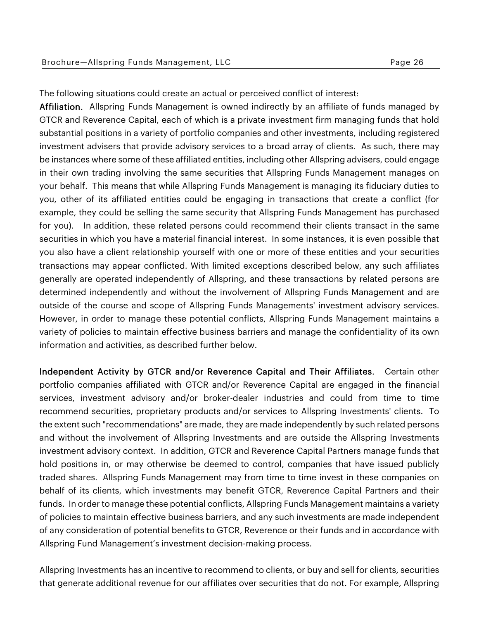| Brochure-Allspring Funds Management, LLC | Page 26 |
|------------------------------------------|---------|
|------------------------------------------|---------|

The following situations could create an actual or perceived conflict of interest:

Affiliation. Allspring Funds Management is owned indirectly by an affiliate of funds managed by GTCR and Reverence Capital, each of which is a private investment firm managing funds that hold substantial positions in a variety of portfolio companies and other investments, including registered investment advisers that provide advisory services to a broad array of clients. As such, there may be instances where some of these affiliated entities, including other Allspring advisers, could engage in their own trading involving the same securities that Allspring Funds Management manages on your behalf. This means that while Allspring Funds Management is managing its fiduciary duties to you, other of its affiliated entities could be engaging in transactions that create a conflict (for example, they could be selling the same security that Allspring Funds Management has purchased for you). In addition, these related persons could recommend their clients transact in the same securities in which you have a material financial interest. In some instances, it is even possible that you also have a client relationship yourself with one or more of these entities and your securities transactions may appear conflicted. With limited exceptions described below, any such affiliates generally are operated independently of Allspring, and these transactions by related persons are determined independently and without the involvement of Allspring Funds Management and are outside of the course and scope of Allspring Funds Managements' investment advisory services. However, in order to manage these potential conflicts, Allspring Funds Management maintains a variety of policies to maintain effective business barriers and manage the confidentiality of its own information and activities, as described further below.

Independent Activity by GTCR and/or Reverence Capital and Their Affiliates. Certain other portfolio companies affiliated with GTCR and/or Reverence Capital are engaged in the financial services, investment advisory and/or broker-dealer industries and could from time to time recommend securities, proprietary products and/or services to Allspring Investments' clients. To the extent such "recommendations" are made, they are made independently by such related persons and without the involvement of Allspring Investments and are outside the Allspring Investments investment advisory context. In addition, GTCR and Reverence Capital Partners manage funds that hold positions in, or may otherwise be deemed to control, companies that have issued publicly traded shares. Allspring Funds Management may from time to time invest in these companies on behalf of its clients, which investments may benefit GTCR, Reverence Capital Partners and their funds. In order to manage these potential conflicts, Allspring Funds Management maintains a variety of policies to maintain effective business barriers, and any such investments are made independent of any consideration of potential benefits to GTCR, Reverence or their funds and in accordance with Allspring Fund Management's investment decision-making process.

Allspring Investments has an incentive to recommend to clients, or buy and sell for clients, securities that generate additional revenue for our affiliates over securities that do not. For example, Allspring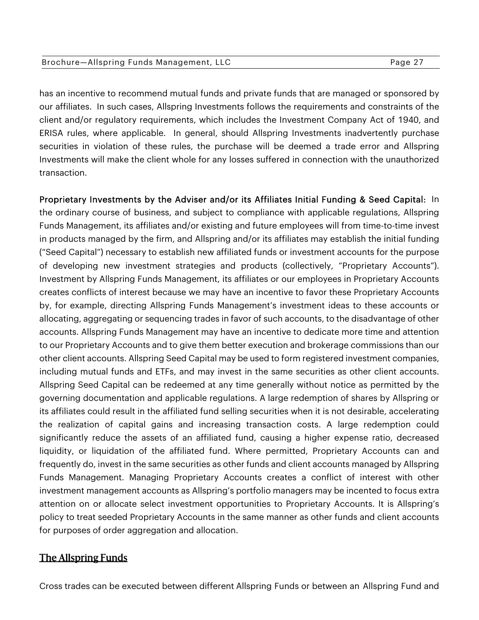|  | Brochure—Allspring Funds Management, LLC |  | Page 27 |
|--|------------------------------------------|--|---------|
|--|------------------------------------------|--|---------|

has an incentive to recommend mutual funds and private funds that are managed or sponsored by our affiliates. In such cases, Allspring Investments follows the requirements and constraints of the client and/or regulatory requirements, which includes the Investment Company Act of 1940, and ERISA rules, where applicable. In general, should Allspring Investments inadvertently purchase securities in violation of these rules, the purchase will be deemed a trade error and Allspring Investments will make the client whole for any losses suffered in connection with the unauthorized transaction.

Proprietary Investments by the Adviser and/or its Affiliates Initial Funding & Seed Capital: In the ordinary course of business, and subject to compliance with applicable regulations, Allspring Funds Management, its affiliates and/or existing and future employees will from time-to-time invest in products managed by the firm, and Allspring and/or its affiliates may establish the initial funding ("Seed Capital") necessary to establish new affiliated funds or investment accounts for the purpose of developing new investment strategies and products (collectively, "Proprietary Accounts"). Investment by Allspring Funds Management, its affiliates or our employees in Proprietary Accounts creates conflicts of interest because we may have an incentive to favor these Proprietary Accounts by, for example, directing Allspring Funds Management's investment ideas to these accounts or allocating, aggregating or sequencing trades in favor of such accounts, to the disadvantage of other accounts. Allspring Funds Management may have an incentive to dedicate more time and attention to our Proprietary Accounts and to give them better execution and brokerage commissions than our other client accounts. Allspring Seed Capital may be used to form registered investment companies, including mutual funds and ETFs, and may invest in the same securities as other client accounts. Allspring Seed Capital can be redeemed at any time generally without notice as permitted by the governing documentation and applicable regulations. A large redemption of shares by Allspring or its affiliates could result in the affiliated fund selling securities when it is not desirable, accelerating the realization of capital gains and increasing transaction costs. A large redemption could significantly reduce the assets of an affiliated fund, causing a higher expense ratio, decreased liquidity, or liquidation of the affiliated fund. Where permitted, Proprietary Accounts can and frequently do, invest in the same securities as other funds and client accounts managed by Allspring Funds Management. Managing Proprietary Accounts creates a conflict of interest with other investment management accounts as Allspring's portfolio managers may be incented to focus extra attention on or allocate select investment opportunities to Proprietary Accounts. It is Allspring's policy to treat seeded Proprietary Accounts in the same manner as other funds and client accounts for purposes of order aggregation and allocation.

## The Allspring Funds

Cross trades can be executed between different Allspring Funds or between an Allspring Fund and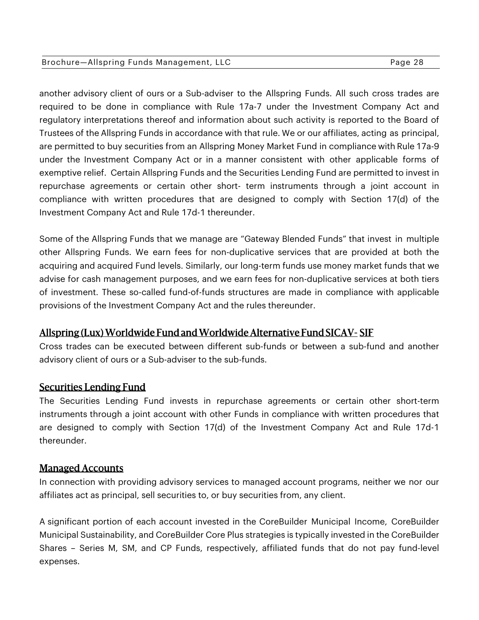#### Brochure—Allspring Funds Management, LLC extending the control of Page 28

another advisory client of ours or a Sub-adviser to the Allspring Funds. All such cross trades are required to be done in compliance with Rule 17a-7 under the Investment Company Act and regulatory interpretations thereof and information about such activity is reported to the Board of Trustees of the Allspring Funds in accordance with that rule. We or our affiliates, acting as principal, are permitted to buy securities from an Allspring Money Market Fund in compliance with Rule 17a-9 under the Investment Company Act or in a manner consistent with other applicable forms of exemptive relief. Certain Allspring Funds and the Securities Lending Fund are permitted to invest in repurchase agreements or certain other short- term instruments through a joint account in compliance with written procedures that are designed to comply with Section 17(d) of the Investment Company Act and Rule 17d-1 thereunder.

Some of the Allspring Funds that we manage are "Gateway Blended Funds" that invest in multiple other Allspring Funds. We earn fees for non-duplicative services that are provided at both the acquiring and acquired Fund levels. Similarly, our long-term funds use money market funds that we advise for cash management purposes, and we earn fees for non-duplicative services at both tiers of investment. These so-called fund-of-funds structures are made in compliance with applicable provisions of the Investment Company Act and the rules thereunder.

## Allspring (Lux) Worldwide Fund and Worldwide Alternative Fund SICAV- SIF

Cross trades can be executed between different sub-funds or between a sub-fund and another advisory client of ours or a Sub-adviser to the sub-funds.

## Securities Lending Fund

The Securities Lending Fund invests in repurchase agreements or certain other short-term instruments through a joint account with other Funds in compliance with written procedures that are designed to comply with Section 17(d) of the Investment Company Act and Rule 17d-1 thereunder.

## Managed Accounts

In connection with providing advisory services to managed account programs, neither we nor our affiliates act as principal, sell securities to, or buy securities from, any client.

A significant portion of each account invested in the CoreBuilder Municipal Income, CoreBuilder Municipal Sustainability, and CoreBuilder Core Plus strategies is typically invested in the CoreBuilder Shares – Series M, SM, and CP Funds, respectively, affiliated funds that do not pay fund-level expenses.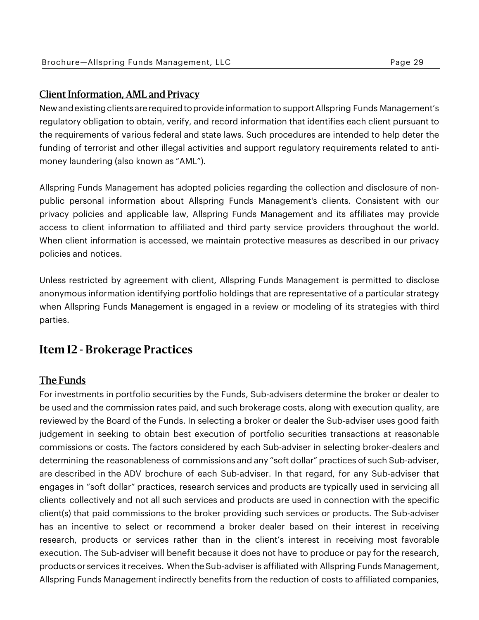## Client Information, AML and Privacy

New and existing clients are required to provide information to support Allspring Funds Management's regulatory obligation to obtain, verify, and record information that identifies each client pursuant to the requirements of various federal and state laws. Such procedures are intended to help deter the funding of terrorist and other illegal activities and support regulatory requirements related to antimoney laundering (also known as "AML").

Allspring Funds Management has adopted policies regarding the collection and disclosure of nonpublic personal information about Allspring Funds Management's clients. Consistent with our privacy policies and applicable law, Allspring Funds Management and its affiliates may provide access to client information to affiliated and third party service providers throughout the world. When client information is accessed, we maintain protective measures as described in our privacy policies and notices.

Unless restricted by agreement with client, Allspring Funds Management is permitted to disclose anonymous information identifying portfolio holdings that are representative of a particular strategy when Allspring Funds Management is engaged in a review or modeling of its strategies with third parties.

## **Item 12 - Brokerage Practices**

## The Funds

For investments in portfolio securities by the Funds, Sub-advisers determine the broker or dealer to be used and the commission rates paid, and such brokerage costs, along with execution quality, are reviewed by the Board of the Funds. In selecting a broker or dealer the Sub-adviser uses good faith judgement in seeking to obtain best execution of portfolio securities transactions at reasonable commissions or costs. The factors considered by each Sub-adviser in selecting broker-dealers and determining the reasonableness of commissions and any "soft dollar" practices of such Sub-adviser, are described in the ADV brochure of each Sub-adviser. In that regard, for any Sub-adviser that engages in "soft dollar" practices, research services and products are typically used in servicing all clients collectively and not all such services and products are used in connection with the specific client(s) that paid commissions to the broker providing such services or products. The Sub-adviser has an incentive to select or recommend a broker dealer based on their interest in receiving research, products or services rather than in the client's interest in receiving most favorable execution. The Sub-adviser will benefit because it does not have to produce or pay for the research, products or services it receives. When the Sub-adviser is affiliated with Allspring Funds Management, Allspring Funds Management indirectly benefits from the reduction of costs to affiliated companies,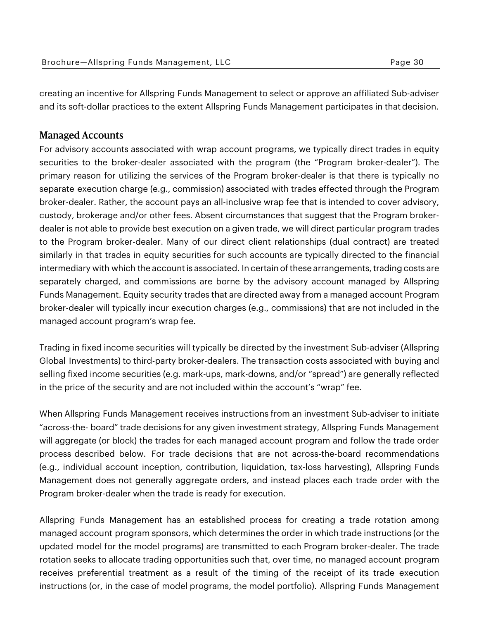| Brochure-Allspring Funds Management, LLC | Page 30 |
|------------------------------------------|---------|
|                                          |         |

creating an incentive for Allspring Funds Management to select or approve an affiliated Sub-adviser and its soft-dollar practices to the extent Allspring Funds Management participates in that decision.

## Managed Accounts

For advisory accounts associated with wrap account programs, we typically direct trades in equity securities to the broker-dealer associated with the program (the "Program broker-dealer"). The primary reason for utilizing the services of the Program broker-dealer is that there is typically no separate execution charge (e.g., commission) associated with trades effected through the Program broker-dealer. Rather, the account pays an all-inclusive wrap fee that is intended to cover advisory, custody, brokerage and/or other fees. Absent circumstances that suggest that the Program brokerdealer is not able to provide best execution on a given trade, we will direct particular program trades to the Program broker-dealer. Many of our direct client relationships (dual contract) are treated similarly in that trades in equity securities for such accounts are typically directed to the financial intermediary with which the account is associated. In certain of these arrangements, trading costs are separately charged, and commissions are borne by the advisory account managed by Allspring Funds Management. Equity security trades that are directed away from a managed account Program broker-dealer will typically incur execution charges (e.g., commissions) that are not included in the managed account program's wrap fee.

Trading in fixed income securities will typically be directed by the investment Sub-adviser (Allspring Global Investments) to third-party broker-dealers. The transaction costs associated with buying and selling fixed income securities (e.g. mark-ups, mark-downs, and/or "spread") are generally reflected in the price of the security and are not included within the account's "wrap" fee.

When Allspring Funds Management receives instructions from an investment Sub-adviser to initiate "across-the- board" trade decisions for any given investment strategy, Allspring Funds Management will aggregate (or block) the trades for each managed account program and follow the trade order process described below. For trade decisions that are not across-the-board recommendations (e.g., individual account inception, contribution, liquidation, tax-loss harvesting), Allspring Funds Management does not generally aggregate orders, and instead places each trade order with the Program broker-dealer when the trade is ready for execution.

Allspring Funds Management has an established process for creating a trade rotation among managed account program sponsors, which determines the order in which trade instructions (or the updated model for the model programs) are transmitted to each Program broker-dealer. The trade rotation seeks to allocate trading opportunities such that, over time, no managed account program receives preferential treatment as a result of the timing of the receipt of its trade execution instructions (or, in the case of model programs, the model portfolio). Allspring Funds Management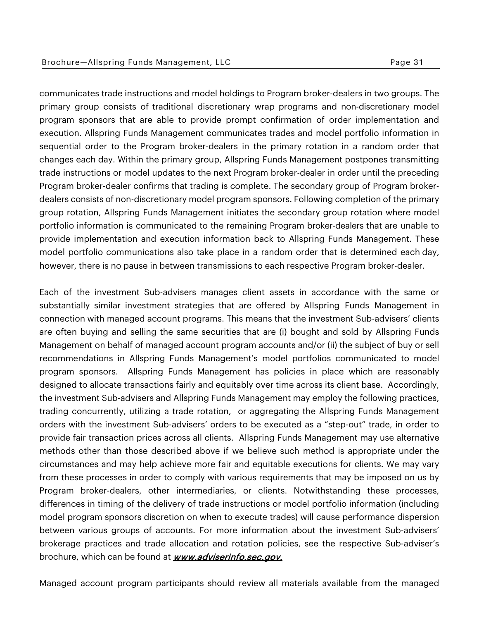#### Brochure-Allspring Funds Management, LLC extending the State Page 31

communicates trade instructions and model holdings to Program broker-dealers in two groups. The primary group consists of traditional discretionary wrap programs and non-discretionary model program sponsors that are able to provide prompt confirmation of order implementation and execution. Allspring Funds Management communicates trades and model portfolio information in sequential order to the Program broker-dealers in the primary rotation in a random order that changes each day. Within the primary group, Allspring Funds Management postpones transmitting trade instructions or model updates to the next Program broker-dealer in order until the preceding Program broker-dealer confirms that trading is complete. The secondary group of Program brokerdealers consists of non-discretionary model program sponsors. Following completion of the primary group rotation, Allspring Funds Management initiates the secondary group rotation where model portfolio information is communicated to the remaining Program broker-dealers that are unable to provide implementation and execution information back to Allspring Funds Management. These model portfolio communications also take place in a random order that is determined each day, however, there is no pause in between transmissions to each respective Program broker-dealer.

Each of the investment Sub-advisers manages client assets in accordance with the same or substantially similar investment strategies that are offered by Allspring Funds Management in connection with managed account programs. This means that the investment Sub-advisers' clients are often buying and selling the same securities that are (i) bought and sold by Allspring Funds Management on behalf of managed account program accounts and/or (ii) the subject of buy or sell recommendations in Allspring Funds Management's model portfolios communicated to model program sponsors. Allspring Funds Management has policies in place which are reasonably designed to allocate transactions fairly and equitably over time across its client base. Accordingly, the investment Sub-advisers and Allspring Funds Management may employ the following practices, trading concurrently, utilizing a trade rotation, or aggregating the Allspring Funds Management orders with the investment Sub-advisers' orders to be executed as a "step-out" trade, in order to provide fair transaction prices across all clients. Allspring Funds Management may use alternative methods other than those described above if we believe such method is appropriate under the circumstances and may help achieve more fair and equitable executions for clients. We may vary from these processes in order to comply with various requirements that may be imposed on us by Program broker-dealers, other intermediaries, or clients. Notwithstanding these processes, differences in timing of the delivery of trade instructions or model portfolio information (including model program sponsors discretion on when to execute trades) will cause performance dispersion between various groups of accounts. For more information about the investment Sub-advisers' brokerage practices and trade allocation and rotation policies, see the respective Sub-adviser's brochure, which can be found at **www.adviserinfo.sec.gov.** 

Managed account program participants should review all materials available from the managed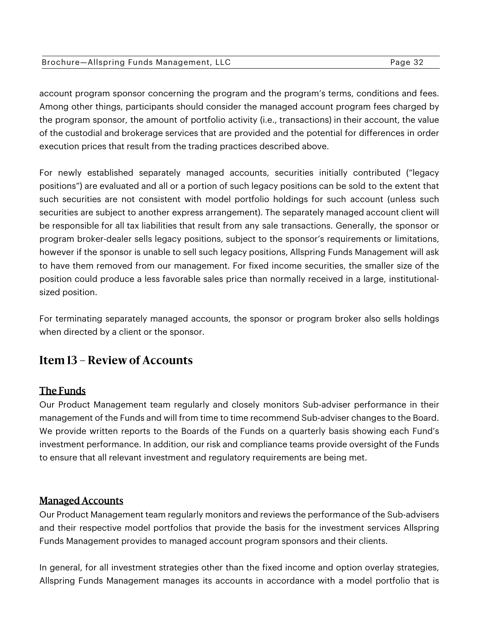| Brochure-Allspring Funds Management, LLC | Page 32 |
|------------------------------------------|---------|
|                                          |         |

account program sponsor concerning the program and the program's terms, conditions and fees. Among other things, participants should consider the managed account program fees charged by the program sponsor, the amount of portfolio activity (i.e., transactions) in their account, the value of the custodial and brokerage services that are provided and the potential for differences in order execution prices that result from the trading practices described above.

For newly established separately managed accounts, securities initially contributed ("legacy positions") are evaluated and all or a portion of such legacy positions can be sold to the extent that such securities are not consistent with model portfolio holdings for such account (unless such securities are subject to another express arrangement). The separately managed account client will be responsible for all tax liabilities that result from any sale transactions. Generally, the sponsor or program broker-dealer sells legacy positions, subject to the sponsor's requirements or limitations, however if the sponsor is unable to sell such legacy positions, Allspring Funds Management will ask to have them removed from our management. For fixed income securities, the smaller size of the position could produce a less favorable sales price than normally received in a large, institutionalsized position.

For terminating separately managed accounts, the sponsor or program broker also sells holdings when directed by a client or the sponsor.

## **Item 13 – Review of Accounts**

## The Funds

Our Product Management team regularly and closely monitors Sub-adviser performance in their management of the Funds and will from time to time recommend Sub-adviser changes to the Board. We provide written reports to the Boards of the Funds on a quarterly basis showing each Fund's investment performance. In addition, our risk and compliance teams provide oversight of the Funds to ensure that all relevant investment and regulatory requirements are being met.

## Managed Accounts

Our Product Management team regularly monitors and reviews the performance of the Sub-advisers and their respective model portfolios that provide the basis for the investment services Allspring Funds Management provides to managed account program sponsors and their clients.

In general, for all investment strategies other than the fixed income and option overlay strategies, Allspring Funds Management manages its accounts in accordance with a model portfolio that is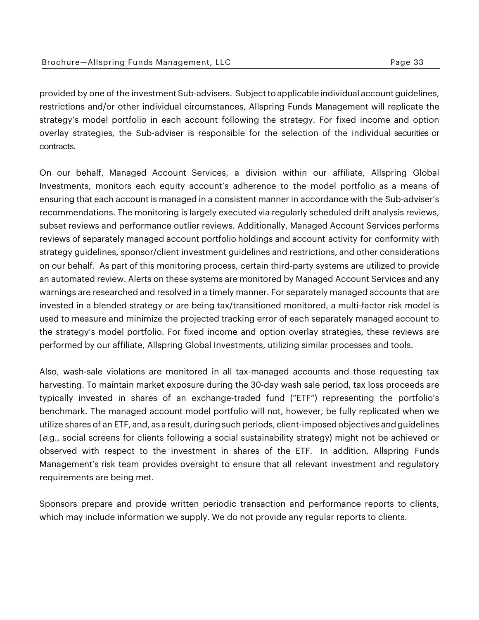| Brochure-Allspring Funds Management, LLC | Page 33 |
|------------------------------------------|---------|
|------------------------------------------|---------|

provided by one of the investment Sub-advisers. Subject to applicable individual account guidelines, restrictions and/or other individual circumstances, Allspring Funds Management will replicate the strategy's model portfolio in each account following the strategy. For fixed income and option overlay strategies, the Sub-adviser is responsible for the selection of the individual securities or contracts.

On our behalf, Managed Account Services, a division within our affiliate, Allspring Global Investments, monitors each equity account's adherence to the model portfolio as a means of ensuring that each account is managed in a consistent manner in accordance with the Sub-adviser's recommendations. The monitoring is largely executed via regularly scheduled drift analysis reviews, subset reviews and performance outlier reviews. Additionally, Managed Account Services performs reviews of separately managed account portfolio holdings and account activity for conformity with strategy guidelines, sponsor/client investment guidelines and restrictions, and other considerations on our behalf. As part of this monitoring process, certain third-party systems are utilized to provide an automated review. Alerts on these systems are monitored by Managed Account Services and any warnings are researched and resolved in a timely manner. For separately managed accounts that are invested in a blended strategy or are being tax/transitioned monitored, a multi-factor risk model is used to measure and minimize the projected tracking error of each separately managed account to the strategy's model portfolio. For fixed income and option overlay strategies, these reviews are performed by our affiliate, Allspring Global Investments, utilizing similar processes and tools.

Also, wash-sale violations are monitored in all tax-managed accounts and those requesting tax harvesting. To maintain market exposure during the 30-day wash sale period, tax loss proceeds are typically invested in shares of an exchange-traded fund ("ETF") representing the portfolio's benchmark. The managed account model portfolio will not, however, be fully replicated when we utilize shares of an ETF, and, as a result, during such periods, client-imposed objectives and guidelines (e.g., social screens for clients following a social sustainability strategy) might not be achieved or observed with respect to the investment in shares of the ETF. In addition, Allspring Funds Management's risk team provides oversight to ensure that all relevant investment and regulatory requirements are being met.

Sponsors prepare and provide written periodic transaction and performance reports to clients, which may include information we supply. We do not provide any regular reports to clients.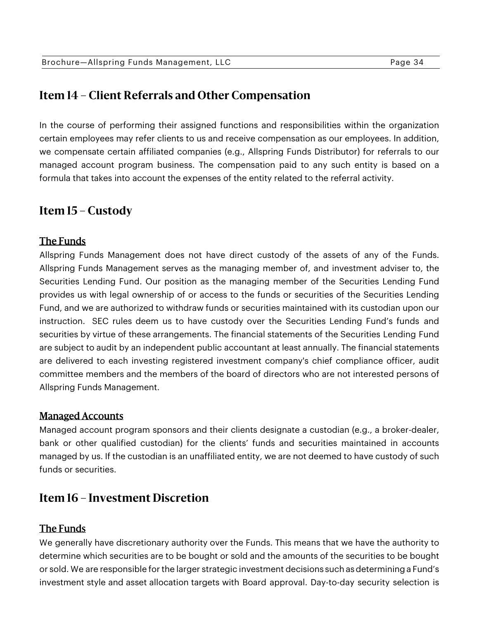## **Item 14 – Client Referrals and Other Compensation**

In the course of performing their assigned functions and responsibilities within the organization certain employees may refer clients to us and receive compensation as our employees. In addition, we compensate certain affiliated companies (e.g., Allspring Funds Distributor) for referrals to our managed account program business. The compensation paid to any such entity is based on a formula that takes into account the expenses of the entity related to the referral activity.

## **Item 15 – Custody**

#### The Funds

Allspring Funds Management does not have direct custody of the assets of any of the Funds. Allspring Funds Management serves as the managing member of, and investment adviser to, the Securities Lending Fund. Our position as the managing member of the Securities Lending Fund provides us with legal ownership of or access to the funds or securities of the Securities Lending Fund, and we are authorized to withdraw funds or securities maintained with its custodian upon our instruction. SEC rules deem us to have custody over the Securities Lending Fund's funds and securities by virtue of these arrangements. The financial statements of the Securities Lending Fund are subject to audit by an independent public accountant at least annually. The financial statements are delivered to each investing registered investment company's chief compliance officer, audit committee members and the members of the board of directors who are not interested persons of Allspring Funds Management.

#### Managed Accounts

Managed account program sponsors and their clients designate a custodian (e.g., a broker-dealer, bank or other qualified custodian) for the clients' funds and securities maintained in accounts managed by us. If the custodian is an unaffiliated entity, we are not deemed to have custody of such funds or securities.

## **Item 16 – Investment Discretion**

#### The Funds

We generally have discretionary authority over the Funds. This means that we have the authority to determine which securities are to be bought or sold and the amounts of the securities to be bought or sold. We are responsible for the larger strategic investment decisions such as determining a Fund's investment style and asset allocation targets with Board approval. Day-to-day security selection is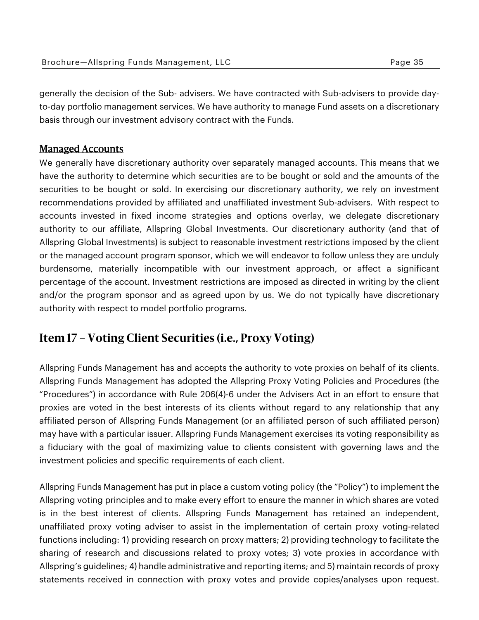| Brochure-Allspring Funds Management, LLC | Page 35 |
|------------------------------------------|---------|
|                                          |         |

generally the decision of the Sub- advisers. We have contracted with Sub-advisers to provide dayto-day portfolio management services. We have authority to manage Fund assets on a discretionary basis through our investment advisory contract with the Funds.

## Managed Accounts

We generally have discretionary authority over separately managed accounts. This means that we have the authority to determine which securities are to be bought or sold and the amounts of the securities to be bought or sold. In exercising our discretionary authority, we rely on investment recommendations provided by affiliated and unaffiliated investment Sub-advisers. With respect to accounts invested in fixed income strategies and options overlay, we delegate discretionary authority to our affiliate, Allspring Global Investments. Our discretionary authority (and that of Allspring Global Investments) is subject to reasonable investment restrictions imposed by the client or the managed account program sponsor, which we will endeavor to follow unless they are unduly burdensome, materially incompatible with our investment approach, or affect a significant percentage of the account. Investment restrictions are imposed as directed in writing by the client and/or the program sponsor and as agreed upon by us. We do not typically have discretionary authority with respect to model portfolio programs.

## **Item 17 – Voting Client Securities (i.e., Proxy Voting)**

Allspring Funds Management has and accepts the authority to vote proxies on behalf of its clients. Allspring Funds Management has adopted the Allspring Proxy Voting Policies and Procedures (the "Procedures") in accordance with Rule 206(4)-6 under the Advisers Act in an effort to ensure that proxies are voted in the best interests of its clients without regard to any relationship that any affiliated person of Allspring Funds Management (or an affiliated person of such affiliated person) may have with a particular issuer. Allspring Funds Management exercises its voting responsibility as a fiduciary with the goal of maximizing value to clients consistent with governing laws and the investment policies and specific requirements of each client.

Allspring Funds Management has put in place a custom voting policy (the "Policy") to implement the Allspring voting principles and to make every effort to ensure the manner in which shares are voted is in the best interest of clients. Allspring Funds Management has retained an independent, unaffiliated proxy voting adviser to assist in the implementation of certain proxy voting-related functions including: 1) providing research on proxy matters; 2) providing technology to facilitate the sharing of research and discussions related to proxy votes; 3) vote proxies in accordance with Allspring's guidelines; 4) handle administrative and reporting items; and 5) maintain records of proxy statements received in connection with proxy votes and provide copies/analyses upon request.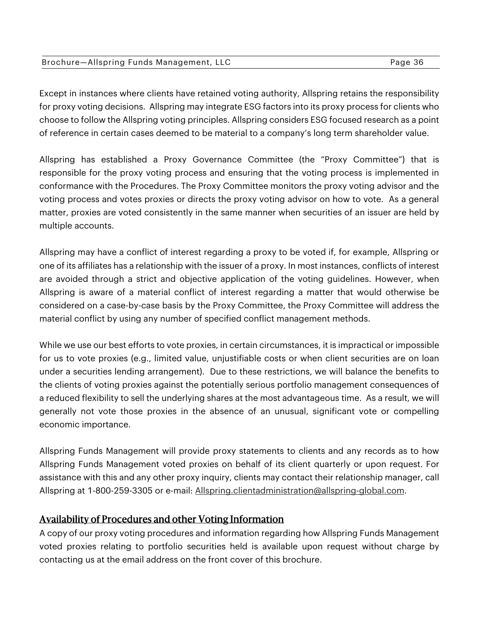| Brochure-Allspring Funds Management, LLC | Page 36 |
|------------------------------------------|---------|
|                                          |         |

Except in instances where clients have retained voting authority, Allspring retains the responsibility for proxy voting decisions. Allspring may integrate ESG factors into its proxy process for clients who choose to follow the Allspring voting principles. Allspring considers ESG focused research as a point of reference in certain cases deemed to be material to a company's long term shareholder value.

Allspring has established a Proxy Governance Committee (the "Proxy Committee") that is responsible for the proxy voting process and ensuring that the voting process is implemented in conformance with the Procedures. The Proxy Committee monitors the proxy voting advisor and the voting process and votes proxies or directs the proxy voting advisor on how to vote. As a general matter, proxies are voted consistently in the same manner when securities of an issuer are held by multiple accounts.

Allspring may have a conflict of interest regarding a proxy to be voted if, for example, Allspring or one of its affiliates has a relationship with the issuer of a proxy. In most instances, conflicts of interest are avoided through a strict and objective application of the voting guidelines. However, when Allspring is aware of a material conflict of interest regarding a matter that would otherwise be considered on a case-by-case basis by the Proxy Committee, the Proxy Committee will address the material conflict by using any number of specified conflict management methods.

While we use our best efforts to vote proxies, in certain circumstances, it is impractical or impossible for us to vote proxies (e.g., limited value, unjustifiable costs or when client securities are on loan under a securities lending arrangement). Due to these restrictions, we will balance the benefits to the clients of voting proxies against the potentially serious portfolio management consequences of a reduced flexibility to sell the underlying shares at the most advantageous time. As a result, we will generally not vote those proxies in the absence of an unusual, significant vote or compelling economic importance.

Allspring Funds Management will provide proxy statements to clients and any records as to how Allspring Funds Management voted proxies on behalf of its client quarterly or upon request. For assistance with this and any other proxy inquiry, clients may contact their relationship manager, call Allspring at 1-800-259-3305 or e-mail: Allspring.clientadministration@allspring-global.com.

## Availability of Procedures and other Voting Information

A copy of our proxy voting procedures and information regarding how Allspring Funds Management voted proxies relating to portfolio securities held is available upon request without charge by contacting us at the email address on the front cover of this brochure.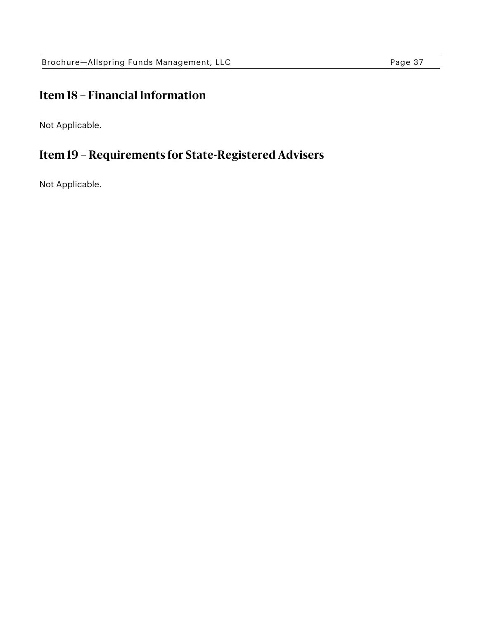## **Item 18 – Financial Information**

Not Applicable.

## **Item 19 – Requirements for State-Registered Advisers**

Not Applicable.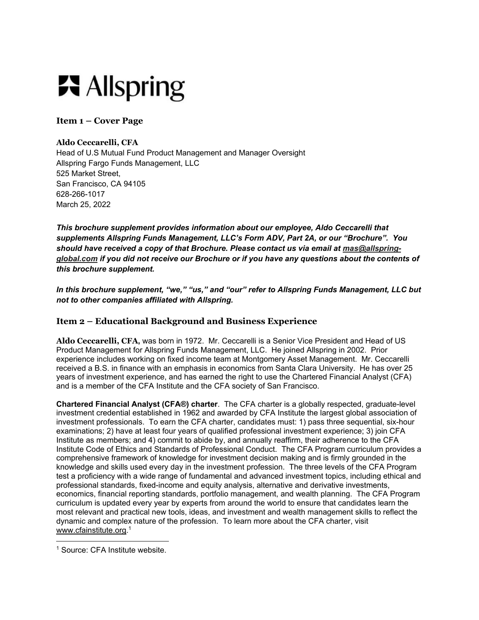# **六** Allspring

**Item 1 – Cover Page** 

#### **Aldo Ceccarelli, CFA**

Head of U.S Mutual Fund Product Management and Manager Oversight Allspring Fargo Funds Management, LLC 525 Market Street, San Francisco, CA 94105 628-266-1017 March 25, 2022

*This brochure supplement provides information about our employee, Aldo Ceccarelli that supplements Allspring Funds Management, LLC's Form ADV, Part 2A, or our "Brochure". You should have received a copy of that Brochure. Please contact us via email at mas@allspringglobal.com if you did not receive our Brochure or if you have any questions about the contents of this brochure supplement.* 

*In this brochure supplement, "we," "us," and "our" refer to Allspring Funds Management, LLC but not to other companies affiliated with Allspring.* 

#### **Item 2 – Educational Background and Business Experience**

**Aldo Ceccarelli, CFA,** was born in 1972. Mr. Ceccarelli is a Senior Vice President and Head of US Product Management for Allspring Funds Management, LLC. He joined Allspring in 2002. Prior experience includes working on fixed income team at Montgomery Asset Management. Mr. Ceccarelli received a B.S. in finance with an emphasis in economics from Santa Clara University. He has over 25 years of investment experience, and has earned the right to use the Chartered Financial Analyst (CFA) and is a member of the CFA Institute and the CFA society of San Francisco.

**Chartered Financial Analyst (CFA®) charter**. The CFA charter is a globally respected, graduate-level investment credential established in 1962 and awarded by CFA Institute the largest global association of investment professionals. To earn the CFA charter, candidates must: 1) pass three sequential, six-hour examinations; 2) have at least four years of qualified professional investment experience; 3) join CFA Institute as members; and 4) commit to abide by, and annually reaffirm, their adherence to the CFA Institute Code of Ethics and Standards of Professional Conduct. The CFA Program curriculum provides a comprehensive framework of knowledge for investment decision making and is firmly grounded in the knowledge and skills used every day in the investment profession. The three levels of the CFA Program test a proficiency with a wide range of fundamental and advanced investment topics, including ethical and professional standards, fixed-income and equity analysis, alternative and derivative investments, economics, financial reporting standards, portfolio management, and wealth planning. The CFA Program curriculum is updated every year by experts from around the world to ensure that candidates learn the most relevant and practical new tools, ideas, and investment and wealth management skills to reflect the dynamic and complex nature of the profession. To learn more about the CFA charter, visit www.cfainstitute.org.1

 $\overline{\phantom{a}}$ 1 Source: CFA Institute website.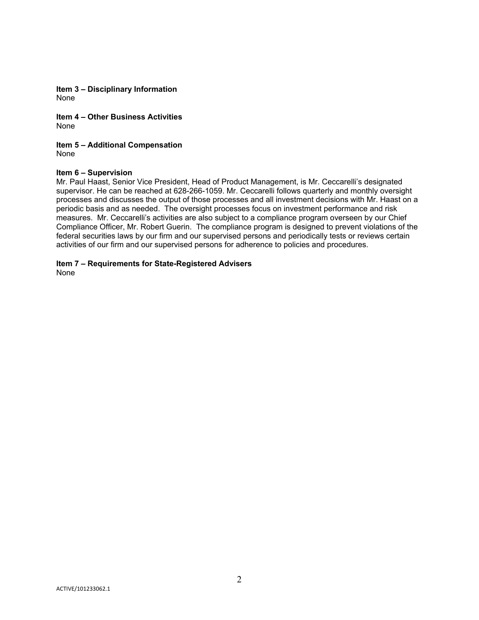**Item 3 – Disciplinary Information**  None

**Item 4 – Other Business Activities**  None

**Item 5 – Additional Compensation**  None

#### **Item 6 – Supervision**

Mr. Paul Haast, Senior Vice President, Head of Product Management, is Mr. Ceccarelli's designated supervisor. He can be reached at 628-266-1059. Mr. Ceccarelli follows quarterly and monthly oversight processes and discusses the output of those processes and all investment decisions with Mr. Haast on a periodic basis and as needed. The oversight processes focus on investment performance and risk measures. Mr. Ceccarelli's activities are also subject to a compliance program overseen by our Chief Compliance Officer, Mr. Robert Guerin. The compliance program is designed to prevent violations of the federal securities laws by our firm and our supervised persons and periodically tests or reviews certain activities of our firm and our supervised persons for adherence to policies and procedures.

**Item 7 – Requirements for State-Registered Advisers**  None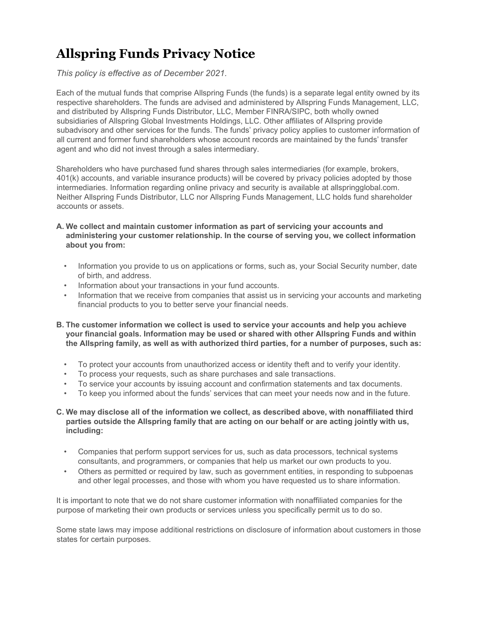## **Allspring Funds Privacy Notice**

*This policy is effective as of December 2021.*

Each of the mutual funds that comprise Allspring Funds (the funds) is a separate legal entity owned by its respective shareholders. The funds are advised and administered by Allspring Funds Management, LLC, and distributed by Allspring Funds Distributor, LLC, Member FINRA/SIPC, both wholly owned subsidiaries of Allspring Global Investments Holdings, LLC. Other affiliates of Allspring provide subadvisory and other services for the funds. The funds' privacy policy applies to customer information of all current and former fund shareholders whose account records are maintained by the funds' transfer agent and who did not invest through a sales intermediary.

Shareholders who have purchased fund shares through sales intermediaries (for example, brokers, 401(k) accounts, and variable insurance products) will be covered by privacy policies adopted by those intermediaries. Information regarding online privacy and security is available at allspringglobal.com. Neither Allspring Funds Distributor, LLC nor Allspring Funds Management, LLC holds fund shareholder accounts or assets.

- **A. We collect and maintain customer information as part of servicing your accounts and administering your customer relationship. In the course of serving you, we collect information about you from:**
	- Information you provide to us on applications or forms, such as, your Social Security number, date of birth, and address.
	- Information about your transactions in your fund accounts.
	- Information that we receive from companies that assist us in servicing your accounts and marketing financial products to you to better serve your financial needs.
- **B. The customer information we collect is used to service your accounts and help you achieve your financial goals. Information may be used or shared with other Allspring Funds and within the Allspring family, as well as with authorized third parties, for a number of purposes, such as:**
	- To protect your accounts from unauthorized access or identity theft and to verify your identity.
	- To process your requests, such as share purchases and sale transactions.
	- To service your accounts by issuing account and confirmation statements and tax documents.
	- To keep you informed about the funds' services that can meet your needs now and in the future.
- **C. We may disclose all of the information we collect, as described above, with nonaffiliated third parties outside the Allspring family that are acting on our behalf or are acting jointly with us, including:**
	- Companies that perform support services for us, such as data processors, technical systems consultants, and programmers, or companies that help us market our own products to you.
	- Others as permitted or required by law, such as government entities, in responding to subpoenas and other legal processes, and those with whom you have requested us to share information.

It is important to note that we do not share customer information with nonaffiliated companies for the purpose of marketing their own products or services unless you specifically permit us to do so.

Some state laws may impose additional restrictions on disclosure of information about customers in those states for certain purposes.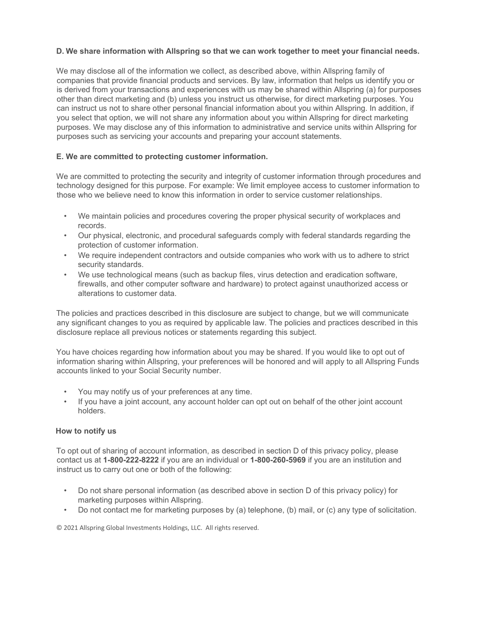#### **D. We share information with Allspring so that we can work together to meet your financial needs.**

We may disclose all of the information we collect, as described above, within Allspring family of companies that provide financial products and services. By law, information that helps us identify you or is derived from your transactions and experiences with us may be shared within Allspring (a) for purposes other than direct marketing and (b) unless you instruct us otherwise, for direct marketing purposes. You can instruct us not to share other personal financial information about you within Allspring. In addition, if you select that option, we will not share any information about you within Allspring for direct marketing purposes. We may disclose any of this information to administrative and service units within Allspring for purposes such as servicing your accounts and preparing your account statements.

#### **E. We are committed to protecting customer information.**

We are committed to protecting the security and integrity of customer information through procedures and technology designed for this purpose. For example: We limit employee access to customer information to those who we believe need to know this information in order to service customer relationships.

- We maintain policies and procedures covering the proper physical security of workplaces and records.
- Our physical, electronic, and procedural safeguards comply with federal standards regarding the protection of customer information.
- We require independent contractors and outside companies who work with us to adhere to strict security standards.
- We use technological means (such as backup files, virus detection and eradication software, firewalls, and other computer software and hardware) to protect against unauthorized access or alterations to customer data.

The policies and practices described in this disclosure are subject to change, but we will communicate any significant changes to you as required by applicable law. The policies and practices described in this disclosure replace all previous notices or statements regarding this subject.

You have choices regarding how information about you may be shared. If you would like to opt out of information sharing within Allspring, your preferences will be honored and will apply to all Allspring Funds accounts linked to your Social Security number.

- You may notify us of your preferences at any time.
- If you have a joint account, any account holder can opt out on behalf of the other joint account holders.

#### **How to notify us**

To opt out of sharing of account information, as described in section D of this privacy policy, please contact us at **1-800-222-8222** if you are an individual or **1-800-260-5969** if you are an institution and instruct us to carry out one or both of the following:

- Do not share personal information (as described above in section D of this privacy policy) for marketing purposes within Allspring.
- Do not contact me for marketing purposes by (a) telephone, (b) mail, or (c) any type of solicitation.

© 2021 Allspring Global Investments Holdings, LLC. All rights reserved.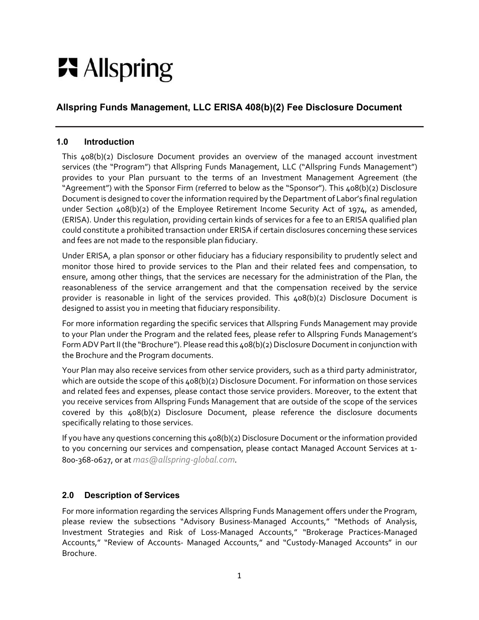## **只** Allspring

#### **Allspring Funds Management, LLC ERISA 408(b)(2) Fee Disclosure Document**

#### **1.0 Introduction**

This 408(b)(2) Disclosure Document provides an overview of the managed account investment services (the "Program") that Allspring Funds Management, LLC ("Allspring Funds Management") provides to your Plan pursuant to the terms of an Investment Management Agreement (the "Agreement") with the Sponsor Firm (referred to below as the "Sponsor"). This 408(b)(2) Disclosure Document is designed to cover the information required by the Department of Labor's final regulation under Section 408(b)(2) of the Employee Retirement Income Security Act of 1974, as amended, (ERISA). Under this regulation, providing certain kinds of services for a fee to an ERISA qualified plan could constitute a prohibited transaction under ERISA if certain disclosures concerning these services and fees are not made to the responsible plan fiduciary.

Under ERISA, a plan sponsor or other fiduciary has a fiduciary responsibility to prudently select and monitor those hired to provide services to the Plan and their related fees and compensation, to ensure, among other things, that the services are necessary for the administration of the Plan, the reasonableness of the service arrangement and that the compensation received by the service provider is reasonable in light of the services provided. This 408(b)(2) Disclosure Document is designed to assist you in meeting that fiduciary responsibility.

For more information regarding the specific services that Allspring Funds Management may provide to your Plan under the Program and the related fees, please refer to Allspring Funds Management's Form ADV Part II (the "Brochure"). Please read this 408(b)(2) Disclosure Document in conjunction with the Brochure and the Program documents.

Your Plan may also receive services from other service providers, such as a third party administrator, which are outside the scope of this  $408(b)(2)$  Disclosure Document. For information on those services and related fees and expenses, please contact those service providers. Moreover, to the extent that you receive services from Allspring Funds Management that are outside of the scope of the services covered by this 408(b)(2) Disclosure Document, please reference the disclosure documents specifically relating to those services.

If you have any questions concerning this 408(b)(2) Disclosure Document or the information provided to you concerning our services and compensation, please contact Managed Account Services at 1- 800-368-0627, or at *mas@allspring-global.com.* 

#### **2.0 Description of Services**

For more information regarding the services Allspring Funds Management offers under the Program, please review the subsections "Advisory Business-Managed Accounts," "Methods of Analysis, Investment Strategies and Risk of Loss-Managed Accounts," "Brokerage Practices-Managed Accounts," "Review of Accounts- Managed Accounts," and "Custody-Managed Accounts" in our Brochure.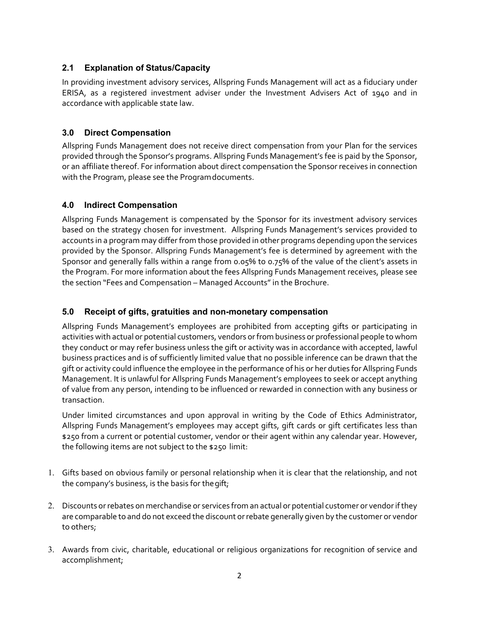#### **2.1 Explanation of Status/Capacity**

In providing investment advisory services, Allspring Funds Management will act as a fiduciary under ERISA, as a registered investment adviser under the Investment Advisers Act of 1940 and in accordance with applicable state law.

#### **3.0 Direct Compensation**

Allspring Funds Management does not receive direct compensation from your Plan for the services provided through the Sponsor's programs. Allspring Funds Management's fee is paid by the Sponsor, or an affiliate thereof. For information about direct compensation the Sponsor receives in connection with the Program, please see the Program documents.

#### **4.0 Indirect Compensation**

Allspring Funds Management is compensated by the Sponsor for its investment advisory services based on the strategy chosen for investment. Allspring Funds Management's services provided to accounts in a program may differ from those provided in other programs depending upon the services provided by the Sponsor. Allspring Funds Management's fee is determined by agreement with the Sponsor and generally falls within a range from 0.05% to 0.75% of the value of the client's assets in the Program. For more information about the fees Allspring Funds Management receives, please see the section "Fees and Compensation – Managed Accounts" in the Brochure.

#### **5.0 Receipt of gifts, gratuities and non-monetary compensation**

Allspring Funds Management's employees are prohibited from accepting gifts or participating in activities with actual or potential customers, vendors or from business or professional people to whom they conduct or may refer business unless the gift or activity was in accordance with accepted, lawful business practices and is of sufficiently limited value that no possible inference can be drawn that the gift or activity could influence the employee in the performance of his or her duties for Allspring Funds Management. It is unlawful for Allspring Funds Management's employees to seek or accept anything of value from any person, intending to be influenced or rewarded in connection with any business or transaction.

Under limited circumstances and upon approval in writing by the Code of Ethics Administrator, Allspring Funds Management's employees may accept gifts, gift cards or gift certificates less than \$250 from a current or potential customer, vendor or their agent within any calendar year. However, the following items are not subject to the \$250 limit:

- 1. Gifts based on obvious family or personal relationship when it is clear that the relationship, and not the company's business, is the basis for the gift;
- 2. Discounts or rebates on merchandise or services from an actual or potential customer or vendor if they are comparable to and do not exceed the discount or rebate generally given by the customer or vendor to others;
- 3. Awards from civic, charitable, educational or religious organizations for recognition of service and accomplishment;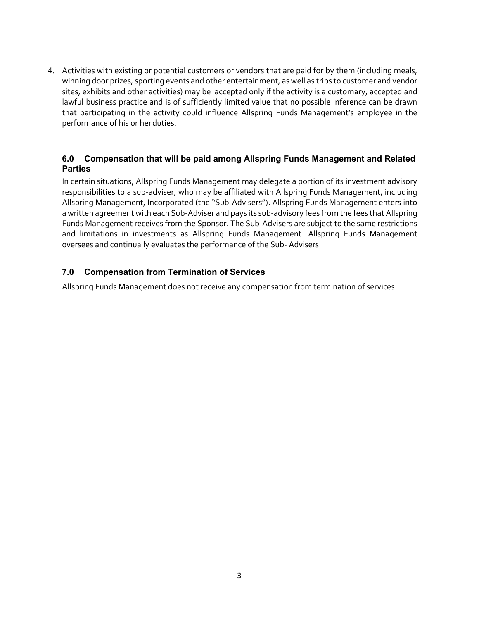4. Activities with existing or potential customers or vendors that are paid for by them (including meals, winning door prizes, sporting events and other entertainment, as well as trips to customer and vendor sites, exhibits and other activities) may be accepted only if the activity is a customary, accepted and lawful business practice and is of sufficiently limited value that no possible inference can be drawn that participating in the activity could influence Allspring Funds Management's employee in the performance of his or her duties.

#### **6.0 Compensation that will be paid among Allspring Funds Management and Related Parties**

In certain situations, Allspring Funds Management may delegate a portion of its investment advisory responsibilities to a sub-adviser, who may be affiliated with Allspring Funds Management, including Allspring Management, Incorporated (the "Sub-Advisers"). Allspring Funds Management enters into a written agreement with each Sub-Adviser and pays its sub-advisory fees from the fees that Allspring Funds Management receives from the Sponsor. The Sub-Advisers are subject to the same restrictions and limitations in investments as Allspring Funds Management. Allspring Funds Management oversees and continually evaluates the performance of the Sub- Advisers.

#### **7.0 Compensation from Termination of Services**

Allspring Funds Management does not receive any compensation from termination of services.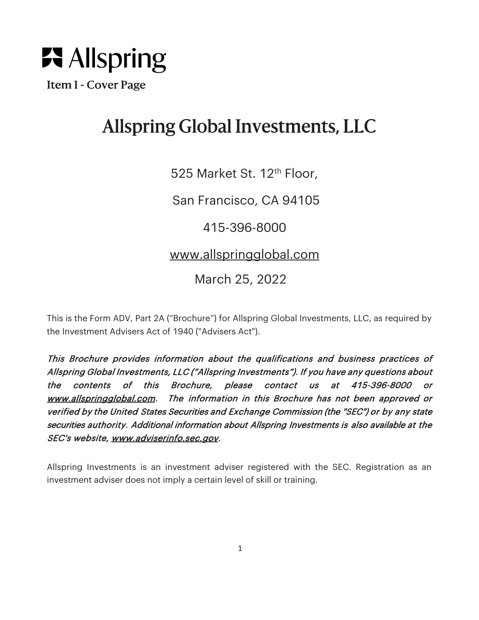

Item 1 - Cover Page

## Allspring Global Investments, LLC

525 Market St. 12<sup>th</sup> Floor,

San Francisco, CA 94105

415-396-8000

www.allspringglobal.com

March 25, 2022

This is the Form ADV, Part 2A ("Brochure") for Allspring Global Investments, LLC, as required by the Investment Advisers Act of 1940 ("Advisers Act").

This Brochure provides information about the qualifications and business practices of Allspring Global Investments, LLC ("Allspring Investments"). If you have any questions about the contents of this Brochure, please contact us at 415-396-8000 or www.allspringglobal.com. The information in this Brochure has not been approved or verified by the United States Securities and Exchange Commission (the "SEC") or by any state securities authority. Additional information about Allspring Investments is also available at the SEC's website, www.adviserinfo.sec.gov.

Allspring Investments is an investment adviser registered with the SEC. Registration as an investment adviser does not imply a certain level of skill or training.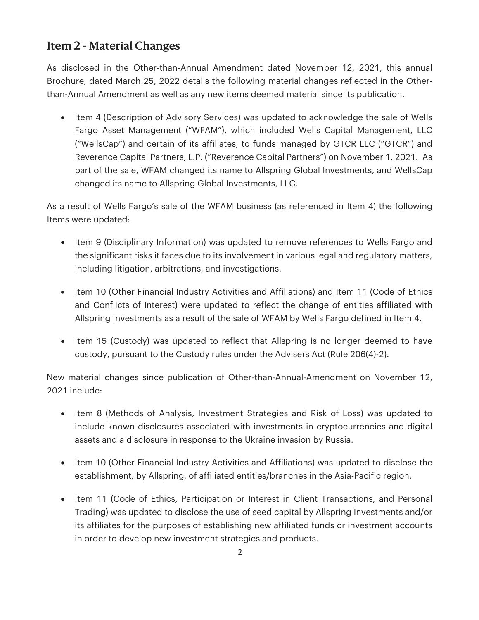## Item 2 - Material Changes

As disclosed in the Other-than-Annual Amendment dated November 12, 2021, this annual Brochure, dated March 25, 2022 details the following material changes reflected in the Otherthan-Annual Amendment as well as any new items deemed material since its publication.

• Item 4 (Description of Advisory Services) was updated to acknowledge the sale of Wells Fargo Asset Management ("WFAM"), which included Wells Capital Management, LLC ("WellsCap") and certain of its affiliates, to funds managed by GTCR LLC ("GTCR") and Reverence Capital Partners, L.P. ("Reverence Capital Partners") on November 1, 2021. As part of the sale, WFAM changed its name to Allspring Global Investments, and WellsCap changed its name to Allspring Global Investments, LLC.

As a result of Wells Fargo's sale of the WFAM business (as referenced in Item 4) the following Items were updated:

- Item 9 (Disciplinary Information) was updated to remove references to Wells Fargo and the significant risks it faces due to its involvement in various legal and regulatory matters, including litigation, arbitrations, and investigations.
- Item 10 (Other Financial Industry Activities and Affiliations) and Item 11 (Code of Ethics and Conflicts of Interest) were updated to reflect the change of entities affiliated with Allspring Investments as a result of the sale of WFAM by Wells Fargo defined in Item 4.
- Item 15 (Custody) was updated to reflect that Allspring is no longer deemed to have custody, pursuant to the Custody rules under the Advisers Act (Rule 206(4)-2).

New material changes since publication of Other-than-Annual-Amendment on November 12, 2021 include:

- Item 8 (Methods of Analysis, Investment Strategies and Risk of Loss) was updated to include known disclosures associated with investments in cryptocurrencies and digital assets and a disclosure in response to the Ukraine invasion by Russia.
- Item 10 (Other Financial Industry Activities and Affiliations) was updated to disclose the establishment, by Allspring, of affiliated entities/branches in the Asia-Pacific region.
- Item 11 (Code of Ethics, Participation or Interest in Client Transactions, and Personal Trading) was updated to disclose the use of seed capital by Allspring Investments and/or its affiliates for the purposes of establishing new affiliated funds or investment accounts in order to develop new investment strategies and products.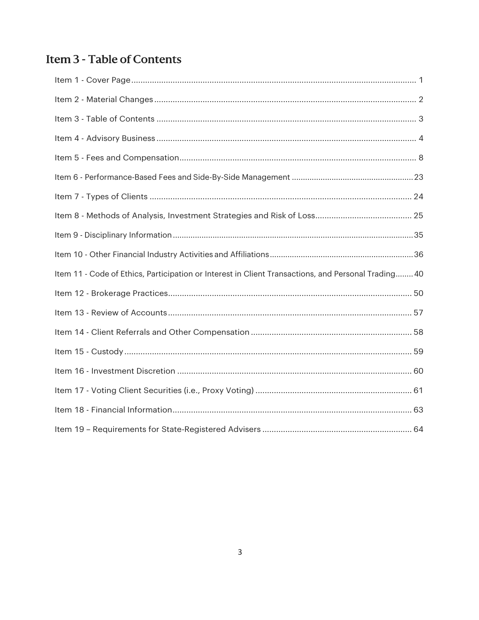## Item 3 - Table of Contents

| Item 11 - Code of Ethics, Participation or Interest in Client Transactions, and Personal Trading 40 |  |
|-----------------------------------------------------------------------------------------------------|--|
|                                                                                                     |  |
|                                                                                                     |  |
|                                                                                                     |  |
|                                                                                                     |  |
|                                                                                                     |  |
|                                                                                                     |  |
|                                                                                                     |  |
|                                                                                                     |  |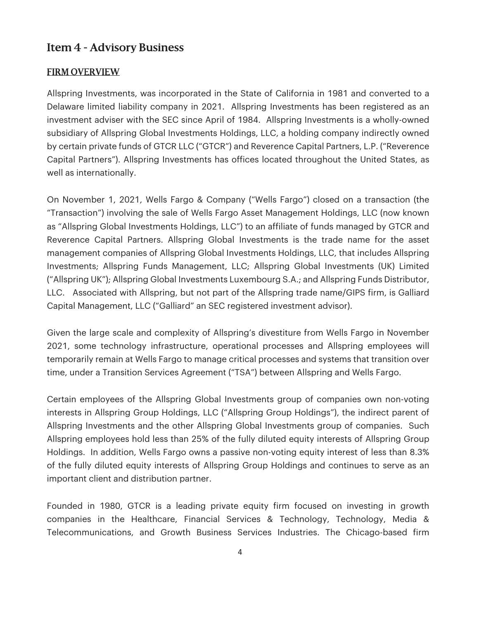### Item 4 - Advisory Business

#### FIRM OVERVIEW

Allspring Investments, was incorporated in the State of California in 1981 and converted to a Delaware limited liability company in 2021. Allspring Investments has been registered as an investment adviser with the SEC since April of 1984. Allspring Investments is a wholly-owned subsidiary of Allspring Global Investments Holdings, LLC, a holding company indirectly owned by certain private funds of GTCR LLC ("GTCR") and Reverence Capital Partners, L.P. ("Reverence Capital Partners"). Allspring Investments has offices located throughout the United States, as well as internationally.

On November 1, 2021, Wells Fargo & Company ("Wells Fargo") closed on a transaction (the "Transaction") involving the sale of Wells Fargo Asset Management Holdings, LLC (now known as "Allspring Global Investments Holdings, LLC") to an affiliate of funds managed by GTCR and Reverence Capital Partners. Allspring Global Investments is the trade name for the asset management companies of Allspring Global Investments Holdings, LLC, that includes Allspring Investments; Allspring Funds Management, LLC; Allspring Global Investments (UK) Limited ("Allspring UK"); Allspring Global Investments Luxembourg S.A.; and Allspring Funds Distributor, LLC. Associated with Allspring, but not part of the Allspring trade name/GIPS firm, is Galliard Capital Management, LLC ("Galliard" an SEC registered investment advisor).

Given the large scale and complexity of Allspring's divestiture from Wells Fargo in November 2021, some technology infrastructure, operational processes and Allspring employees will temporarily remain at Wells Fargo to manage critical processes and systems that transition over time, under a Transition Services Agreement ("TSA") between Allspring and Wells Fargo.

Certain employees of the Allspring Global Investments group of companies own non-voting interests in Allspring Group Holdings, LLC ("Allspring Group Holdings"), the indirect parent of Allspring Investments and the other Allspring Global Investments group of companies. Such Allspring employees hold less than 25% of the fully diluted equity interests of Allspring Group Holdings. In addition, Wells Fargo owns a passive non-voting equity interest of less than 8.3% of the fully diluted equity interests of Allspring Group Holdings and continues to serve as an important client and distribution partner.

Founded in 1980, GTCR is a leading private equity firm focused on investing in growth companies in the Healthcare, Financial Services & Technology, Technology, Media & Telecommunications, and Growth Business Services Industries. The Chicago-based firm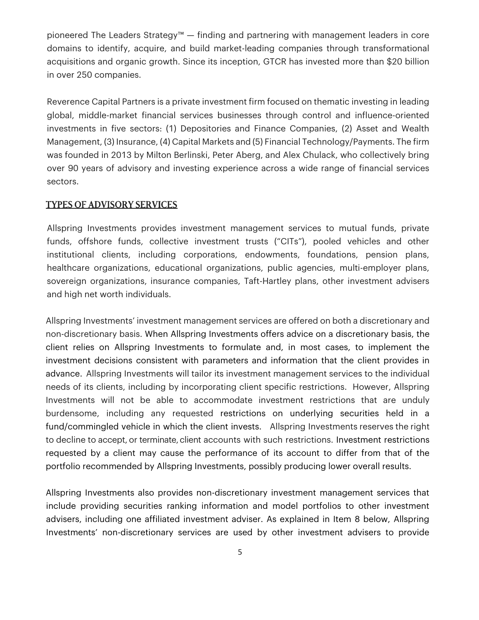pioneered The Leaders Strategy™ — finding and partnering with management leaders in core domains to identify, acquire, and build market-leading companies through transformational acquisitions and organic growth. Since its inception, GTCR has invested more than \$20 billion in over 250 companies.

Reverence Capital Partners is a private investment firm focused on thematic investing in leading global, middle-market financial services businesses through control and influence-oriented investments in five sectors: (1) Depositories and Finance Companies, (2) Asset and Wealth Management, (3) Insurance, (4) Capital Markets and (5) Financial Technology/Payments. The firm was founded in 2013 by Milton Berlinski, Peter Aberg, and Alex Chulack, who collectively bring over 90 years of advisory and investing experience across a wide range of financial services sectors.

#### TYPES OF ADVISORY SERVICES

Allspring Investments provides investment management services to mutual funds, private funds, offshore funds, collective investment trusts ("CITs"), pooled vehicles and other institutional clients, including corporations, endowments, foundations, pension plans, healthcare organizations, educational organizations, public agencies, multi-employer plans, sovereign organizations, insurance companies, Taft-Hartley plans, other investment advisers and high net worth individuals.

Allspring Investments' investment management services are offered on both a discretionary and non-discretionary basis. When Allspring Investments offers advice on a discretionary basis, the client relies on Allspring Investments to formulate and, in most cases, to implement the investment decisions consistent with parameters and information that the client provides in advance. Allspring Investments will tailor its investment management services to the individual needs of its clients, including by incorporating client specific restrictions. However, Allspring Investments will not be able to accommodate investment restrictions that are unduly burdensome, including any requested restrictions on underlying securities held in a fund/commingled vehicle in which the client invests. Allspring Investments reserves the right to decline to accept, or terminate, client accounts with such restrictions. Investment restrictions requested by a client may cause the performance of its account to differ from that of the portfolio recommended by Allspring Investments, possibly producing lower overall results.

Allspring Investments also provides non-discretionary investment management services that include providing securities ranking information and model portfolios to other investment advisers, including one affiliated investment adviser. As explained in Item 8 below, Allspring Investments' non-discretionary services are used by other investment advisers to provide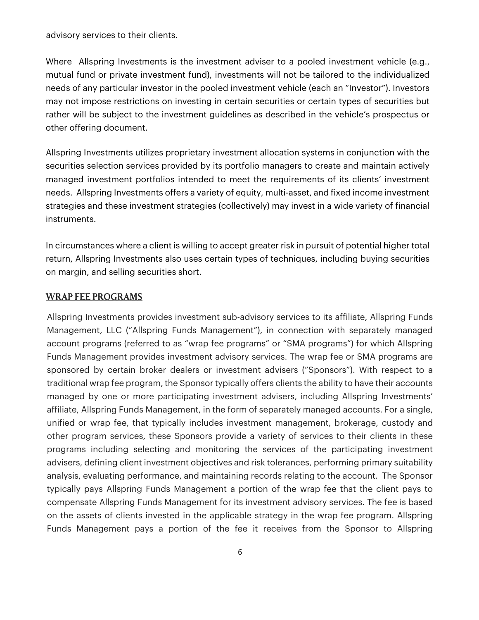advisory services to their clients.

Where Allspring Investments is the investment adviser to a pooled investment vehicle (e.g., mutual fund or private investment fund), investments will not be tailored to the individualized needs of any particular investor in the pooled investment vehicle (each an "Investor"). Investors may not impose restrictions on investing in certain securities or certain types of securities but rather will be subject to the investment guidelines as described in the vehicle's prospectus or other offering document.

Allspring Investments utilizes proprietary investment allocation systems in conjunction with the securities selection services provided by its portfolio managers to create and maintain actively managed investment portfolios intended to meet the requirements of its clients' investment needs. Allspring Investments offers a variety of equity, multi-asset, and fixed income investment strategies and these investment strategies (collectively) may invest in a wide variety of financial instruments.

In circumstances where a client is willing to accept greater risk in pursuit of potential higher total return, Allspring Investments also uses certain types of techniques, including buying securities on margin, and selling securities short.

#### WRAP FEE PROGRAMS

Allspring Investments provides investment sub-advisory services to its affiliate, Allspring Funds Management, LLC ("Allspring Funds Management"), in connection with separately managed account programs (referred to as "wrap fee programs" or "SMA programs") for which Allspring Funds Management provides investment advisory services. The wrap fee or SMA programs are sponsored by certain broker dealers or investment advisers ("Sponsors"). With respect to a traditional wrap fee program, the Sponsor typically offers clients the ability to have their accounts managed by one or more participating investment advisers, including Allspring Investments' affiliate, Allspring Funds Management, in the form of separately managed accounts. For a single, unified or wrap fee, that typically includes investment management, brokerage, custody and other program services, these Sponsors provide a variety of services to their clients in these programs including selecting and monitoring the services of the participating investment advisers, defining client investment objectives and risk tolerances, performing primary suitability analysis, evaluating performance, and maintaining records relating to the account. The Sponsor typically pays Allspring Funds Management a portion of the wrap fee that the client pays to compensate Allspring Funds Management for its investment advisory services. The fee is based on the assets of clients invested in the applicable strategy in the wrap fee program. Allspring Funds Management pays a portion of the fee it receives from the Sponsor to Allspring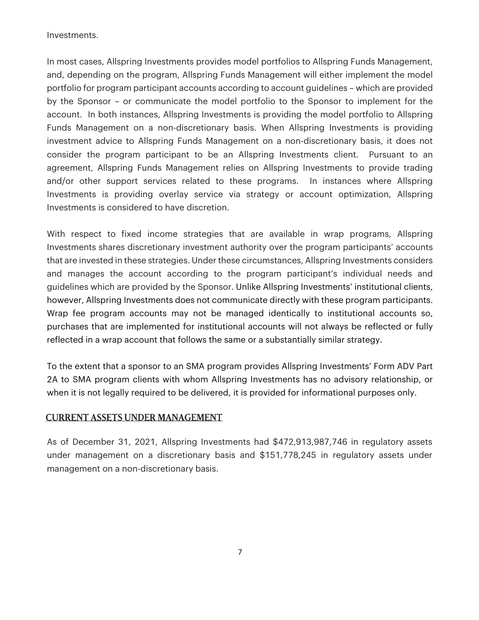Investments.

In most cases, Allspring Investments provides model portfolios to Allspring Funds Management, and, depending on the program, Allspring Funds Management will either implement the model portfolio for program participant accounts according to account guidelines – which are provided by the Sponsor – or communicate the model portfolio to the Sponsor to implement for the account. In both instances, Allspring Investments is providing the model portfolio to Allspring Funds Management on a non-discretionary basis. When Allspring Investments is providing investment advice to Allspring Funds Management on a non-discretionary basis, it does not consider the program participant to be an Allspring Investments client. Pursuant to an agreement, Allspring Funds Management relies on Allspring Investments to provide trading and/or other support services related to these programs. In instances where Allspring Investments is providing overlay service via strategy or account optimization, Allspring Investments is considered to have discretion.

With respect to fixed income strategies that are available in wrap programs, Allspring Investments shares discretionary investment authority over the program participants' accounts that are invested in these strategies. Under these circumstances, Allspring Investments considers and manages the account according to the program participant's individual needs and guidelines which are provided by the Sponsor. Unlike Allspring Investments' institutional clients, however, Allspring Investments does not communicate directly with these program participants. Wrap fee program accounts may not be managed identically to institutional accounts so, purchases that are implemented for institutional accounts will not always be reflected or fully reflected in a wrap account that follows the same or a substantially similar strategy.

To the extent that a sponsor to an SMA program provides Allspring Investments' Form ADV Part 2A to SMA program clients with whom Allspring Investments has no advisory relationship, or when it is not legally required to be delivered, it is provided for informational purposes only.

#### CURRENT ASSETS UNDER MANAGEMENT

As of December 31, 2021, Allspring Investments had \$472,913,987,746 in regulatory assets under management on a discretionary basis and \$151,778,245 in regulatory assets under management on a non-discretionary basis.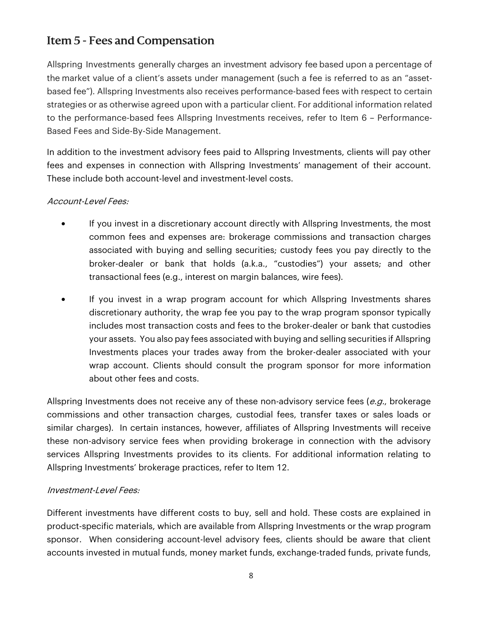## Item 5 - Fees and Compensation

Allspring Investments generally charges an investment advisory fee based upon a percentage of the market value of a client's assets under management (such a fee is referred to as an "assetbased fee"). Allspring Investments also receives performance-based fees with respect to certain strategies or as otherwise agreed upon with a particular client. For additional information related to the performance-based fees Allspring Investments receives, refer to Item 6 – Performance-Based Fees and Side-By-Side Management.

In addition to the investment advisory fees paid to Allspring Investments, clients will pay other fees and expenses in connection with Allspring Investments' management of their account. These include both account-level and investment-level costs.

#### Account-Level Fees:

- If you invest in a discretionary account directly with Allspring Investments, the most common fees and expenses are: brokerage commissions and transaction charges associated with buying and selling securities; custody fees you pay directly to the broker-dealer or bank that holds (a.k.a., "custodies") your assets; and other transactional fees (e.g., interest on margin balances, wire fees).
- If you invest in a wrap program account for which Allspring Investments shares discretionary authority, the wrap fee you pay to the wrap program sponsor typically includes most transaction costs and fees to the broker-dealer or bank that custodies your assets. You also pay fees associated with buying and selling securities if Allspring Investments places your trades away from the broker-dealer associated with your wrap account. Clients should consult the program sponsor for more information about other fees and costs.

Allspring Investments does not receive any of these non-advisory service fees  $(e.g.,)$  brokerage commissions and other transaction charges, custodial fees, transfer taxes or sales loads or similar charges). In certain instances, however, affiliates of Allspring Investments will receive these non-advisory service fees when providing brokerage in connection with the advisory services Allspring Investments provides to its clients. For additional information relating to Allspring Investments' brokerage practices, refer to Item 12.

#### Investment-Level Fees:

Different investments have different costs to buy, sell and hold. These costs are explained in product-specific materials, which are available from Allspring Investments or the wrap program sponsor. When considering account-level advisory fees, clients should be aware that client accounts invested in mutual funds, money market funds, exchange-traded funds, private funds,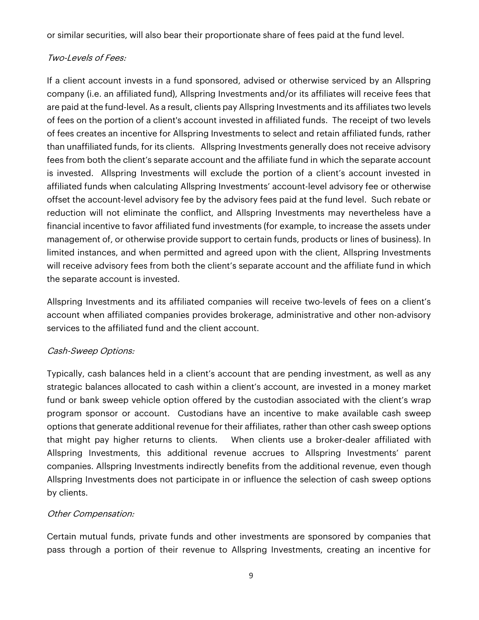or similar securities, will also bear their proportionate share of fees paid at the fund level.

#### Two-Levels of Fees:

If a client account invests in a fund sponsored, advised or otherwise serviced by an Allspring company (i.e. an affiliated fund), Allspring Investments and/or its affiliates will receive fees that are paid at the fund-level. As a result, clients pay Allspring Investments and its affiliates two levels of fees on the portion of a client's account invested in affiliated funds. The receipt of two levels of fees creates an incentive for Allspring Investments to select and retain affiliated funds, rather than unaffiliated funds, for its clients. Allspring Investments generally does not receive advisory fees from both the client's separate account and the affiliate fund in which the separate account is invested. Allspring Investments will exclude the portion of a client's account invested in affiliated funds when calculating Allspring Investments' account-level advisory fee or otherwise offset the account-level advisory fee by the advisory fees paid at the fund level. Such rebate or reduction will not eliminate the conflict, and Allspring Investments may nevertheless have a financial incentive to favor affiliated fund investments (for example, to increase the assets under management of, or otherwise provide support to certain funds, products or lines of business). In limited instances, and when permitted and agreed upon with the client, Allspring Investments will receive advisory fees from both the client's separate account and the affiliate fund in which the separate account is invested.

Allspring Investments and its affiliated companies will receive two-levels of fees on a client's account when affiliated companies provides brokerage, administrative and other non-advisory services to the affiliated fund and the client account.

#### Cash-Sweep Options:

Typically, cash balances held in a client's account that are pending investment, as well as any strategic balances allocated to cash within a client's account, are invested in a money market fund or bank sweep vehicle option offered by the custodian associated with the client's wrap program sponsor or account. Custodians have an incentive to make available cash sweep options that generate additional revenue for their affiliates, rather than other cash sweep options that might pay higher returns to clients. When clients use a broker-dealer affiliated with Allspring Investments, this additional revenue accrues to Allspring Investments' parent companies. Allspring Investments indirectly benefits from the additional revenue, even though Allspring Investments does not participate in or influence the selection of cash sweep options by clients.

#### Other Compensation:

Certain mutual funds, private funds and other investments are sponsored by companies that pass through a portion of their revenue to Allspring Investments, creating an incentive for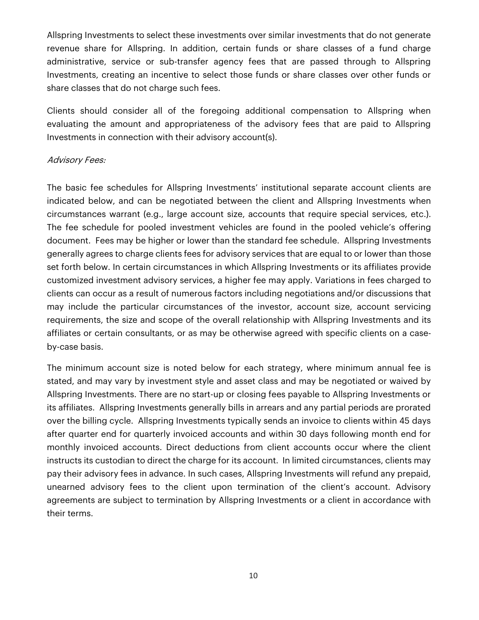Allspring Investments to select these investments over similar investments that do not generate revenue share for Allspring. In addition, certain funds or share classes of a fund charge administrative, service or sub-transfer agency fees that are passed through to Allspring Investments, creating an incentive to select those funds or share classes over other funds or share classes that do not charge such fees.

Clients should consider all of the foregoing additional compensation to Allspring when evaluating the amount and appropriateness of the advisory fees that are paid to Allspring Investments in connection with their advisory account(s).

#### Advisory Fees:

The basic fee schedules for Allspring Investments' institutional separate account clients are indicated below, and can be negotiated between the client and Allspring Investments when circumstances warrant (e.g., large account size, accounts that require special services, etc.). The fee schedule for pooled investment vehicles are found in the pooled vehicle's offering document. Fees may be higher or lower than the standard fee schedule. Allspring Investments generally agrees to charge clients fees for advisory services that are equal to or lower than those set forth below. In certain circumstances in which Allspring Investments or its affiliates provide customized investment advisory services, a higher fee may apply. Variations in fees charged to clients can occur as a result of numerous factors including negotiations and/or discussions that may include the particular circumstances of the investor, account size, account servicing requirements, the size and scope of the overall relationship with Allspring Investments and its affiliates or certain consultants, or as may be otherwise agreed with specific clients on a caseby-case basis.

The minimum account size is noted below for each strategy, where minimum annual fee is stated, and may vary by investment style and asset class and may be negotiated or waived by Allspring Investments. There are no start-up or closing fees payable to Allspring Investments or its affiliates. Allspring Investments generally bills in arrears and any partial periods are prorated over the billing cycle. Allspring Investments typically sends an invoice to clients within 45 days after quarter end for quarterly invoiced accounts and within 30 days following month end for monthly invoiced accounts. Direct deductions from client accounts occur where the client instructs its custodian to direct the charge for its account. In limited circumstances, clients may pay their advisory fees in advance. In such cases, Allspring Investments will refund any prepaid, unearned advisory fees to the client upon termination of the client's account. Advisory agreements are subject to termination by Allspring Investments or a client in accordance with their terms.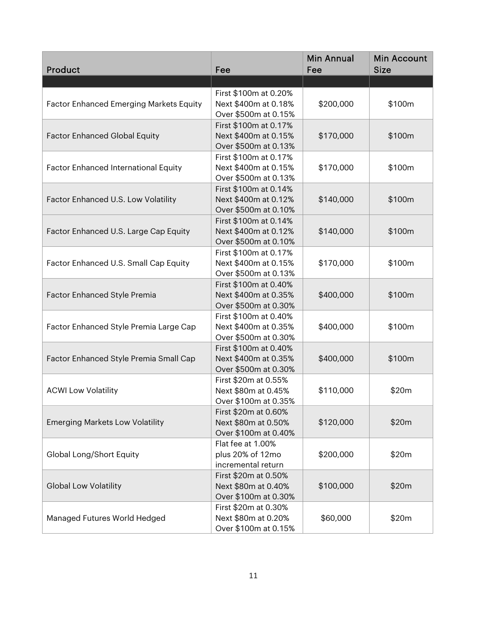| Product                                     | Fee                   | <b>Min Annual</b><br>Fee | <b>Min Account</b><br><b>Size</b> |
|---------------------------------------------|-----------------------|--------------------------|-----------------------------------|
|                                             |                       |                          |                                   |
|                                             | First \$100m at 0.20% |                          |                                   |
| Factor Enhanced Emerging Markets Equity     | Next \$400m at 0.18%  | \$200,000                | \$100m                            |
|                                             | Over \$500m at 0.15%  |                          |                                   |
|                                             | First \$100m at 0.17% |                          |                                   |
| <b>Factor Enhanced Global Equity</b>        | Next \$400m at 0.15%  | \$170,000                | \$100m                            |
|                                             | Over \$500m at 0.13%  |                          |                                   |
|                                             | First \$100m at 0.17% |                          |                                   |
| <b>Factor Enhanced International Equity</b> | Next \$400m at 0.15%  | \$170,000                | \$100m                            |
|                                             | Over \$500m at 0.13%  |                          |                                   |
|                                             | First \$100m at 0.14% |                          |                                   |
| Factor Enhanced U.S. Low Volatility         | Next \$400m at 0.12%  | \$140,000                | \$100m                            |
|                                             | Over \$500m at 0.10%  |                          |                                   |
|                                             | First \$100m at 0.14% |                          |                                   |
| Factor Enhanced U.S. Large Cap Equity       | Next \$400m at 0.12%  | \$140,000                | \$100m                            |
|                                             | Over \$500m at 0.10%  |                          |                                   |
|                                             | First \$100m at 0.17% |                          |                                   |
| Factor Enhanced U.S. Small Cap Equity       | Next \$400m at 0.15%  | \$170,000                | \$100m                            |
|                                             | Over \$500m at 0.13%  |                          |                                   |
|                                             | First \$100m at 0.40% |                          |                                   |
| Factor Enhanced Style Premia                | Next \$400m at 0.35%  | \$400,000                | \$100m                            |
|                                             | Over \$500m at 0.30%  |                          |                                   |
|                                             | First \$100m at 0.40% |                          |                                   |
| Factor Enhanced Style Premia Large Cap      | Next \$400m at 0.35%  | \$400,000                | \$100m                            |
|                                             | Over \$500m at 0.30%  |                          |                                   |
|                                             | First \$100m at 0.40% |                          |                                   |
| Factor Enhanced Style Premia Small Cap      | Next \$400m at 0.35%  | \$400,000                | \$100m                            |
|                                             | Over \$500m at 0.30%  |                          |                                   |
|                                             | First \$20m at 0.55%  |                          |                                   |
| <b>ACWI Low Volatility</b>                  | Next \$80m at 0.45%   | \$110,000                | \$20m                             |
|                                             | Over \$100m at 0.35%  |                          |                                   |
|                                             | First \$20m at 0.60%  |                          |                                   |
| <b>Emerging Markets Low Volatility</b>      | Next \$80m at 0.50%   | \$120,000                | \$20m                             |
|                                             | Over \$100m at 0.40%  |                          |                                   |
|                                             | Flat fee at 1.00%     |                          |                                   |
| Global Long/Short Equity                    | plus 20% of 12mo      | \$200,000                | \$20m                             |
|                                             | incremental return    |                          |                                   |
|                                             | First \$20m at 0.50%  |                          |                                   |
| <b>Global Low Volatility</b>                | Next \$80m at 0.40%   | \$100,000                | \$20m                             |
|                                             | Over \$100m at 0.30%  |                          |                                   |
|                                             | First \$20m at 0.30%  |                          |                                   |
| Managed Futures World Hedged                | Next \$80m at 0.20%   | \$60,000                 | \$20m                             |
|                                             | Over \$100m at 0.15%  |                          |                                   |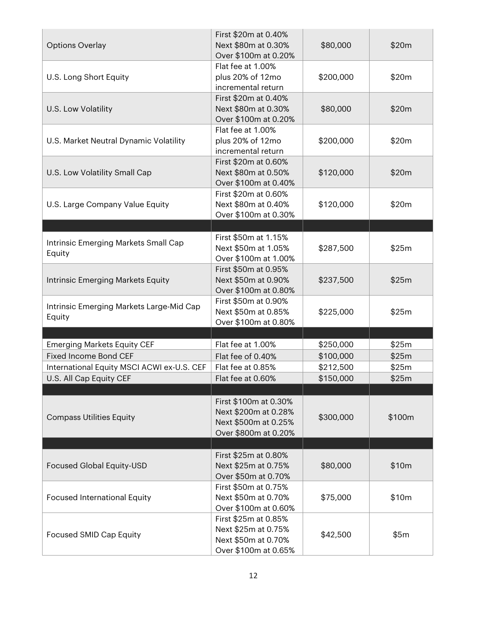| <b>Options Overlay</b>                             | First \$20m at 0.40%<br>Next \$80m at 0.30%<br>Over \$100m at 0.20%                           | \$80,000  | \$20m  |
|----------------------------------------------------|-----------------------------------------------------------------------------------------------|-----------|--------|
| U.S. Long Short Equity                             | Flat fee at 1.00%<br>plus 20% of 12mo<br>incremental return                                   | \$200,000 | \$20m  |
| U.S. Low Volatility                                | First \$20m at 0.40%<br>Next \$80m at 0.30%<br>Over \$100m at 0.20%                           | \$80,000  | \$20m  |
| U.S. Market Neutral Dynamic Volatility             | Flat fee at 1.00%<br>plus 20% of 12mo<br>incremental return                                   | \$200,000 | \$20m  |
| U.S. Low Volatility Small Cap                      | First \$20m at 0.60%<br>Next \$80m at 0.50%<br>Over \$100m at 0.40%                           | \$120,000 | \$20m  |
| U.S. Large Company Value Equity                    | First \$20m at 0.60%<br>Next \$80m at 0.40%<br>Over \$100m at 0.30%                           | \$120,000 | \$20m  |
|                                                    |                                                                                               |           |        |
| Intrinsic Emerging Markets Small Cap<br>Equity     | First \$50m at 1.15%<br>Next \$50m at 1.05%<br>Over \$100m at 1.00%                           | \$287,500 | \$25m  |
| Intrinsic Emerging Markets Equity                  | First \$50m at 0.95%<br>Next \$50m at 0.90%<br>Over \$100m at 0.80%                           | \$237,500 | \$25m  |
| Intrinsic Emerging Markets Large-Mid Cap<br>Equity | First \$50m at 0.90%<br>Next \$50m at 0.85%<br>Over \$100m at 0.80%                           | \$225,000 | \$25m  |
|                                                    |                                                                                               |           |        |
| <b>Emerging Markets Equity CEF</b>                 | Flat fee at 1.00%                                                                             | \$250,000 | \$25m  |
| <b>Fixed Income Bond CEF</b>                       | Flat fee of 0.40%                                                                             | \$100,000 | \$25m  |
| International Equity MSCI ACWI ex-U.S. CEF         | Flat fee at 0.85%                                                                             | \$212,500 | \$25m  |
| U.S. All Cap Equity CEF                            | Flat fee at 0.60%                                                                             | \$150,000 | \$25m  |
| <b>Compass Utilities Equity</b>                    | First \$100m at 0.30%<br>Next \$200m at 0.28%<br>Next \$500m at 0.25%<br>Over \$800m at 0.20% | \$300,000 | \$100m |
| Focused Global Equity-USD                          | First \$25m at 0.80%<br>Next \$25m at 0.75%                                                   | \$80,000  | \$10m  |
| <b>Focused International Equity</b>                | Over \$50m at 0.70%<br>First \$50m at 0.75%<br>Next \$50m at 0.70%<br>Over \$100m at 0.60%    | \$75,000  | \$10m  |
| <b>Focused SMID Cap Equity</b>                     | First \$25m at 0.85%<br>Next \$25m at 0.75%<br>Next \$50m at 0.70%<br>Over \$100m at 0.65%    | \$42,500  | \$5m   |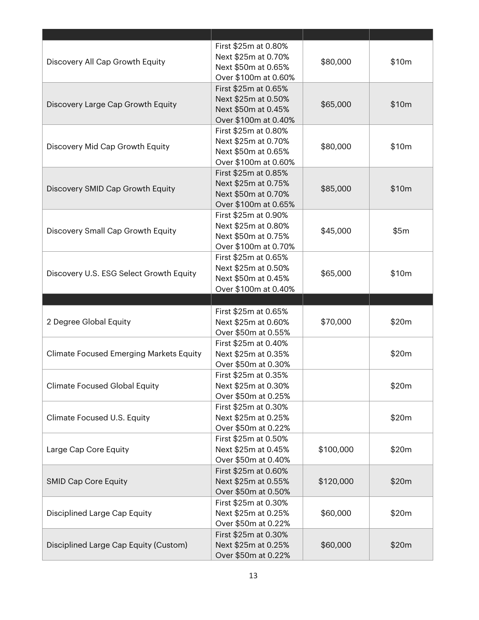|                                                | First \$25m at 0.80% |           |       |
|------------------------------------------------|----------------------|-----------|-------|
| Discovery All Cap Growth Equity                | Next \$25m at 0.70%  | \$80,000  | \$10m |
|                                                | Next \$50m at 0.65%  |           |       |
|                                                | Over \$100m at 0.60% |           |       |
|                                                | First \$25m at 0.65% |           |       |
| Discovery Large Cap Growth Equity              | Next \$25m at 0.50%  | \$65,000  | \$10m |
|                                                | Next \$50m at 0.45%  |           |       |
|                                                | Over \$100m at 0.40% |           |       |
|                                                | First \$25m at 0.80% |           |       |
|                                                | Next \$25m at 0.70%  |           |       |
| Discovery Mid Cap Growth Equity                | Next \$50m at 0.65%  | \$80,000  | \$10m |
|                                                | Over \$100m at 0.60% |           |       |
|                                                | First \$25m at 0.85% |           |       |
|                                                | Next \$25m at 0.75%  |           |       |
| Discovery SMID Cap Growth Equity               | Next \$50m at 0.70%  | \$85,000  | \$10m |
|                                                | Over \$100m at 0.65% |           |       |
|                                                | First \$25m at 0.90% |           |       |
|                                                | Next \$25m at 0.80%  |           |       |
| Discovery Small Cap Growth Equity              | Next \$50m at 0.75%  | \$45,000  | \$5m  |
|                                                | Over \$100m at 0.70% |           |       |
|                                                | First \$25m at 0.65% |           |       |
|                                                | Next \$25m at 0.50%  |           |       |
| Discovery U.S. ESG Select Growth Equity        | Next \$50m at 0.45%  | \$65,000  | \$10m |
|                                                | Over \$100m at 0.40% |           |       |
|                                                |                      |           |       |
|                                                |                      |           |       |
|                                                |                      |           |       |
|                                                | First \$25m at 0.65% |           |       |
| 2 Degree Global Equity                         | Next \$25m at 0.60%  | \$70,000  | \$20m |
|                                                | Over \$50m at 0.55%  |           |       |
|                                                | First \$25m at 0.40% |           |       |
| <b>Climate Focused Emerging Markets Equity</b> | Next \$25m at 0.35%  |           | \$20m |
|                                                | Over \$50m at 0.30%  |           |       |
|                                                | First \$25m at 0.35% |           |       |
| <b>Climate Focused Global Equity</b>           | Next \$25m at 0.30%  |           | \$20m |
|                                                | Over \$50m at 0.25%  |           |       |
|                                                | First \$25m at 0.30% |           |       |
| Climate Focused U.S. Equity                    | Next \$25m at 0.25%  |           | \$20m |
|                                                | Over \$50m at 0.22%  |           |       |
|                                                | First \$25m at 0.50% |           |       |
| Large Cap Core Equity                          | Next \$25m at 0.45%  | \$100,000 | \$20m |
|                                                | Over \$50m at 0.40%  |           |       |
|                                                | First \$25m at 0.60% |           |       |
| <b>SMID Cap Core Equity</b>                    | Next \$25m at 0.55%  | \$120,000 | \$20m |
|                                                | Over \$50m at 0.50%  |           |       |
|                                                | First \$25m at 0.30% |           |       |
| Disciplined Large Cap Equity                   | Next \$25m at 0.25%  | \$60,000  | \$20m |
|                                                | Over \$50m at 0.22%  |           |       |
|                                                | First \$25m at 0.30% |           |       |
| Disciplined Large Cap Equity (Custom)          | Next \$25m at 0.25%  | \$60,000  | \$20m |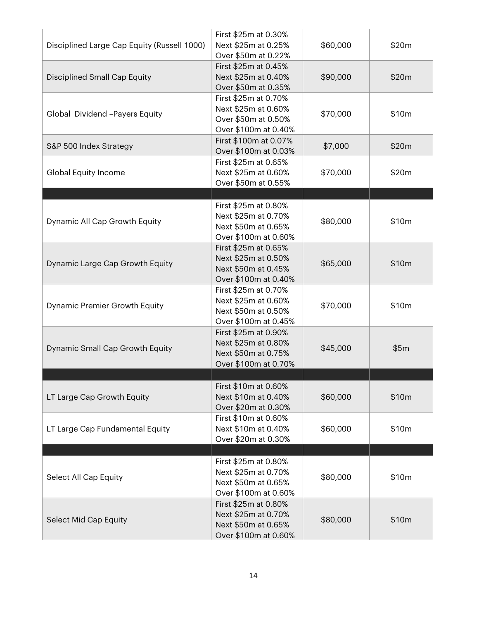| Disciplined Large Cap Equity (Russell 1000) | First \$25m at 0.30%<br>Next \$25m at 0.25%<br>Over \$50m at 0.22%                                                 | \$60,000 | \$20m |
|---------------------------------------------|--------------------------------------------------------------------------------------------------------------------|----------|-------|
| Disciplined Small Cap Equity                | First \$25m at 0.45%<br>Next \$25m at 0.40%<br>Over \$50m at 0.35%                                                 | \$90,000 | \$20m |
| Global Dividend -Payers Equity              | First \$25m at 0.70%<br>Next \$25m at 0.60%<br>Over \$50m at 0.50%<br>Over \$100m at 0.40%                         | \$70,000 | \$10m |
| S&P 500 Index Strategy                      | First \$100m at 0.07%<br>Over \$100m at 0.03%                                                                      | \$7,000  | \$20m |
| Global Equity Income                        | First \$25m at 0.65%<br>Next \$25m at 0.60%<br>Over \$50m at 0.55%                                                 | \$70,000 | \$20m |
| Dynamic All Cap Growth Equity               | First \$25m at 0.80%<br>Next \$25m at 0.70%<br>Next \$50m at 0.65%                                                 | \$80,000 | \$10m |
| Dynamic Large Cap Growth Equity             | Over \$100m at 0.60%<br>First \$25m at 0.65%<br>Next \$25m at 0.50%<br>Next \$50m at 0.45%<br>Over \$100m at 0.40% | \$65,000 | \$10m |
| Dynamic Premier Growth Equity               | First \$25m at 0.70%<br>Next \$25m at 0.60%<br>Next \$50m at 0.50%<br>Over \$100m at 0.45%                         | \$70,000 | \$10m |
| Dynamic Small Cap Growth Equity             | First \$25m at 0.90%<br>Next \$25m at 0.80%<br>Next \$50m at 0.75%<br>Over \$100m at 0.70%                         | \$45,000 | \$5m  |
| LT Large Cap Growth Equity                  | First \$10m at 0.60%<br>Next \$10m at 0.40%                                                                        | \$60,000 | \$10m |
| LT Large Cap Fundamental Equity             | Over \$20m at 0.30%<br>First \$10m at 0.60%<br>Next \$10m at 0.40%                                                 | \$60,000 | \$10m |
|                                             | Over \$20m at 0.30%                                                                                                |          |       |
| Select All Cap Equity                       | First \$25m at 0.80%<br>Next \$25m at 0.70%<br>Next \$50m at 0.65%<br>Over \$100m at 0.60%                         | \$80,000 | \$10m |
| Select Mid Cap Equity                       | First \$25m at 0.80%<br>Next \$25m at 0.70%<br>Next \$50m at 0.65%<br>Over \$100m at 0.60%                         | \$80,000 | \$10m |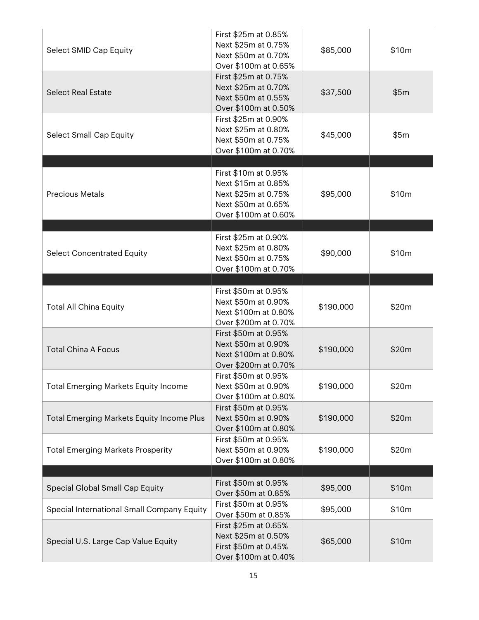| Select SMID Cap Equity                           | First \$25m at 0.85%<br>Next \$25m at 0.75%<br>Next \$50m at 0.70%<br>Over \$100m at 0.65%                        | \$85,000  | \$10m |
|--------------------------------------------------|-------------------------------------------------------------------------------------------------------------------|-----------|-------|
| <b>Select Real Estate</b>                        | First \$25m at 0.75%<br>Next \$25m at 0.70%<br>Next \$50m at 0.55%<br>Over \$100m at 0.50%                        | \$37,500  | \$5m  |
| <b>Select Small Cap Equity</b>                   | First \$25m at 0.90%<br>Next \$25m at 0.80%<br>Next \$50m at 0.75%<br>Over \$100m at 0.70%                        | \$45,000  | \$5m  |
|                                                  |                                                                                                                   |           |       |
| <b>Precious Metals</b>                           | First \$10m at 0.95%<br>Next \$15m at 0.85%<br>Next \$25m at 0.75%<br>Next \$50m at 0.65%<br>Over \$100m at 0.60% | \$95,000  | \$10m |
|                                                  |                                                                                                                   |           |       |
| <b>Select Concentrated Equity</b>                | First \$25m at 0.90%<br>Next \$25m at 0.80%<br>Next \$50m at 0.75%<br>Over \$100m at 0.70%                        | \$90,000  | \$10m |
|                                                  | First \$50m at 0.95%<br>Next \$50m at 0.90%                                                                       |           |       |
| <b>Total All China Equity</b>                    | Next \$100m at 0.80%<br>Over \$200m at 0.70%                                                                      | \$190,000 | \$20m |
| <b>Total China A Focus</b>                       | First \$50m at 0.95%<br>Next \$50m at 0.90%<br>Next \$100m at 0.80%<br>Over \$200m at 0.70%                       | \$190,000 | \$20m |
| <b>Total Emerging Markets Equity Income</b>      | First \$50m at 0.95%<br>Next \$50m at 0.90%<br>Over \$100m at 0.80%                                               | \$190,000 | \$20m |
| <b>Total Emerging Markets Equity Income Plus</b> | First \$50m at 0.95%<br>Next \$50m at 0.90%<br>Over \$100m at 0.80%                                               | \$190,000 | \$20m |
| <b>Total Emerging Markets Prosperity</b>         | First \$50m at 0.95%<br>Next \$50m at 0.90%<br>Over \$100m at 0.80%                                               | \$190,000 | \$20m |
|                                                  |                                                                                                                   |           |       |
| Special Global Small Cap Equity                  | First \$50m at 0.95%<br>Over \$50m at 0.85%                                                                       | \$95,000  | \$10m |
| Special International Small Company Equity       | First \$50m at 0.95%<br>Over \$50m at 0.85%                                                                       | \$95,000  | \$10m |
| Special U.S. Large Cap Value Equity              | First \$25m at 0.65%<br>Next \$25m at 0.50%<br>First \$50m at 0.45%<br>Over \$100m at 0.40%                       | \$65,000  | \$10m |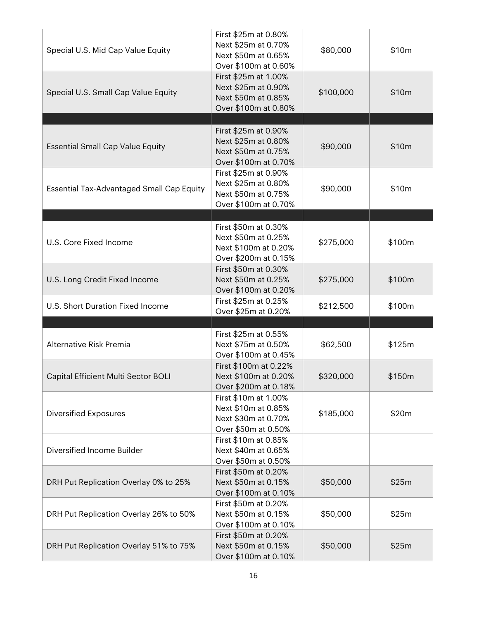| Special U.S. Mid Cap Value Equity                | First \$25m at 0.80%<br>Next \$25m at 0.70%<br>Next \$50m at 0.65%<br>Over \$100m at 0.60%  | \$80,000  | \$10m  |
|--------------------------------------------------|---------------------------------------------------------------------------------------------|-----------|--------|
| Special U.S. Small Cap Value Equity              | First \$25m at 1.00%<br>Next \$25m at 0.90%<br>Next \$50m at 0.85%<br>Over \$100m at 0.80%  | \$100,000 | \$10m  |
|                                                  |                                                                                             |           |        |
| <b>Essential Small Cap Value Equity</b>          | First \$25m at 0.90%<br>Next \$25m at 0.80%<br>Next \$50m at 0.75%<br>Over \$100m at 0.70%  | \$90,000  | \$10m  |
| <b>Essential Tax-Advantaged Small Cap Equity</b> | First \$25m at 0.90%<br>Next \$25m at 0.80%<br>Next \$50m at 0.75%<br>Over \$100m at 0.70%  | \$90,000  | \$10m  |
|                                                  |                                                                                             |           |        |
| U.S. Core Fixed Income                           | First \$50m at 0.30%<br>Next \$50m at 0.25%<br>Next \$100m at 0.20%<br>Over \$200m at 0.15% | \$275,000 | \$100m |
| U.S. Long Credit Fixed Income                    | First \$50m at 0.30%<br>Next \$50m at 0.25%<br>Over \$100m at 0.20%                         | \$275,000 | \$100m |
| U.S. Short Duration Fixed Income                 | First \$25m at 0.25%<br>Over \$25m at 0.20%                                                 | \$212,500 | \$100m |
|                                                  |                                                                                             |           |        |
| Alternative Risk Premia                          | First \$25m at 0.55%<br>Next \$75m at 0.50%<br>Over \$100m at 0.45%                         | \$62,500  | \$125m |
| Capital Efficient Multi Sector BOLI              | First \$100m at 0.22%<br>Next \$100m at 0.20%<br>Over \$200m at 0.18%                       | \$320,000 | \$150m |
| <b>Diversified Exposures</b>                     | First \$10m at 1.00%<br>Next \$10m at 0.85%<br>Next \$30m at 0.70%<br>Over \$50m at 0.50%   | \$185,000 | \$20m  |
| Diversified Income Builder                       | First \$10m at 0.85%<br>Next \$40m at 0.65%<br>Over \$50m at 0.50%                          |           |        |
| DRH Put Replication Overlay 0% to 25%            | First \$50m at 0.20%<br>Next \$50m at 0.15%<br>Over \$100m at 0.10%                         | \$50,000  | \$25m  |
| DRH Put Replication Overlay 26% to 50%           | First \$50m at 0.20%<br>Next \$50m at 0.15%<br>Over \$100m at 0.10%                         | \$50,000  | \$25m  |
| DRH Put Replication Overlay 51% to 75%           | First \$50m at 0.20%<br>Next \$50m at 0.15%<br>Over \$100m at 0.10%                         | \$50,000  | \$25m  |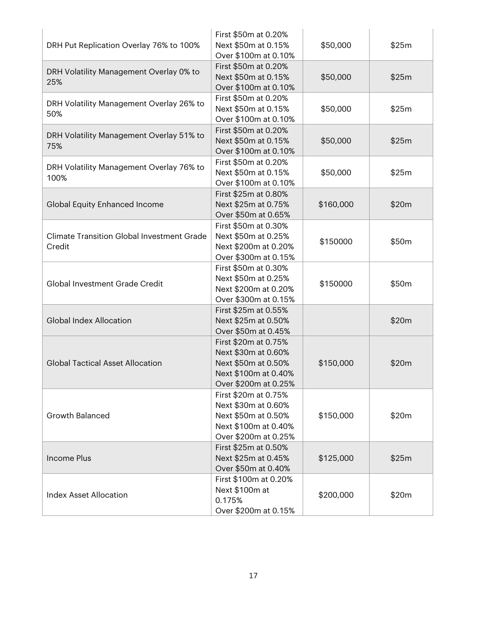| DRH Put Replication Overlay 76% to 100%                     | First \$50m at 0.20%<br>Next \$50m at 0.15%<br>Over \$100m at 0.10%                                                | \$50,000  | \$25m |
|-------------------------------------------------------------|--------------------------------------------------------------------------------------------------------------------|-----------|-------|
| DRH Volatility Management Overlay 0% to<br>25%              | First \$50m at 0.20%<br>Next \$50m at 0.15%<br>Over \$100m at 0.10%                                                | \$50,000  | \$25m |
| DRH Volatility Management Overlay 26% to<br>50%             | First \$50m at 0.20%<br>Next \$50m at 0.15%<br>Over \$100m at 0.10%                                                | \$50,000  | \$25m |
| DRH Volatility Management Overlay 51% to<br>75%             | First \$50m at 0.20%<br>Next \$50m at 0.15%<br>Over \$100m at 0.10%                                                | \$50,000  | \$25m |
| DRH Volatility Management Overlay 76% to<br>100%            | First \$50m at 0.20%<br>Next \$50m at 0.15%<br>Over \$100m at 0.10%                                                | \$50,000  | \$25m |
| Global Equity Enhanced Income                               | First \$25m at 0.80%<br>Next \$25m at 0.75%<br>Over \$50m at 0.65%                                                 | \$160,000 | \$20m |
| <b>Climate Transition Global Investment Grade</b><br>Credit | First \$50m at 0.30%<br>Next \$50m at 0.25%<br>Next \$200m at 0.20%<br>Over \$300m at 0.15%                        | \$150000  | \$50m |
| Global Investment Grade Credit                              | First \$50m at 0.30%<br>Next \$50m at 0.25%<br>Next \$200m at 0.20%<br>Over \$300m at 0.15%                        | \$150000  | \$50m |
| <b>Global Index Allocation</b>                              | First \$25m at 0.55%<br>Next \$25m at 0.50%<br>Over \$50m at 0.45%                                                 |           | \$20m |
| <b>Global Tactical Asset Allocation</b>                     | First \$20m at 0.75%<br>Next \$30m at 0.60%<br>Next \$50m at 0.50%<br>Next \$100m at 0.40%<br>Over \$200m at 0.25% | \$150,000 | \$20m |
| <b>Growth Balanced</b>                                      | First \$20m at 0.75%<br>Next \$30m at 0.60%<br>Next \$50m at 0.50%<br>Next \$100m at 0.40%<br>Over \$200m at 0.25% | \$150,000 | \$20m |
| <b>Income Plus</b>                                          | First \$25m at 0.50%<br>Next \$25m at 0.45%<br>Over \$50m at 0.40%                                                 | \$125,000 | \$25m |
| <b>Index Asset Allocation</b>                               | First \$100m at 0.20%<br>Next \$100m at<br>0.175%<br>Over \$200m at 0.15%                                          | \$200,000 | \$20m |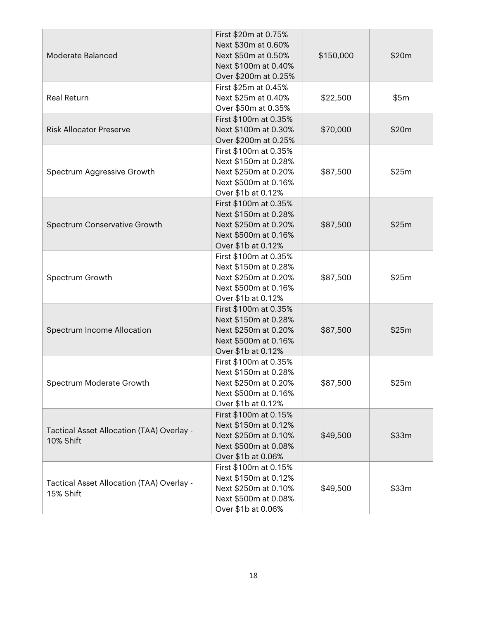|                                                        | First \$20m at 0.75%  |           |       |
|--------------------------------------------------------|-----------------------|-----------|-------|
|                                                        | Next \$30m at 0.60%   |           |       |
| Moderate Balanced                                      | Next \$50m at 0.50%   | \$150,000 | \$20m |
|                                                        | Next \$100m at 0.40%  |           |       |
|                                                        | Over \$200m at 0.25%  |           |       |
|                                                        | First \$25m at 0.45%  |           |       |
| <b>Real Return</b>                                     | Next \$25m at 0.40%   | \$22,500  | \$5m  |
|                                                        | Over \$50m at 0.35%   |           |       |
|                                                        | First \$100m at 0.35% |           |       |
| <b>Risk Allocator Preserve</b>                         | Next \$100m at 0.30%  | \$70,000  | \$20m |
|                                                        | Over \$200m at 0.25%  |           |       |
|                                                        | First \$100m at 0.35% |           |       |
|                                                        | Next \$150m at 0.28%  |           |       |
| Spectrum Aggressive Growth                             | Next \$250m at 0.20%  | \$87,500  | \$25m |
|                                                        | Next \$500m at 0.16%  |           |       |
|                                                        | Over \$1b at 0.12%    |           |       |
|                                                        | First \$100m at 0.35% |           |       |
|                                                        | Next \$150m at 0.28%  |           |       |
| Spectrum Conservative Growth                           | Next \$250m at 0.20%  | \$87,500  | \$25m |
|                                                        | Next \$500m at 0.16%  |           |       |
|                                                        | Over \$1b at 0.12%    |           |       |
|                                                        | First \$100m at 0.35% |           |       |
|                                                        | Next \$150m at 0.28%  |           |       |
| Spectrum Growth                                        | Next \$250m at 0.20%  | \$87,500  | \$25m |
|                                                        | Next \$500m at 0.16%  |           |       |
|                                                        | Over \$1b at 0.12%    |           |       |
|                                                        | First \$100m at 0.35% |           |       |
|                                                        | Next \$150m at 0.28%  |           |       |
| Spectrum Income Allocation                             | Next \$250m at 0.20%  | \$87,500  | \$25m |
|                                                        | Next \$500m at 0.16%  |           |       |
|                                                        | Over \$1b at 0.12%    |           |       |
|                                                        | First \$100m at 0.35% |           |       |
|                                                        | Next \$150m at 0.28%  |           |       |
| Spectrum Moderate Growth                               | Next \$250m at 0.20%  | \$87,500  | \$25m |
|                                                        | Next \$500m at 0.16%  |           |       |
|                                                        | Over \$1b at 0.12%    |           |       |
|                                                        | First \$100m at 0.15% |           |       |
|                                                        | Next \$150m at 0.12%  |           |       |
| Tactical Asset Allocation (TAA) Overlay -              | Next \$250m at 0.10%  | \$49,500  | \$33m |
| 10% Shift                                              | Next \$500m at 0.08%  |           |       |
|                                                        | Over \$1b at 0.06%    |           |       |
|                                                        | First \$100m at 0.15% |           |       |
|                                                        | Next \$150m at 0.12%  |           |       |
| Tactical Asset Allocation (TAA) Overlay -<br>15% Shift | Next \$250m at 0.10%  | \$49,500  | \$33m |
|                                                        | Next \$500m at 0.08%  |           |       |
|                                                        | Over \$1b at 0.06%    |           |       |
|                                                        |                       |           |       |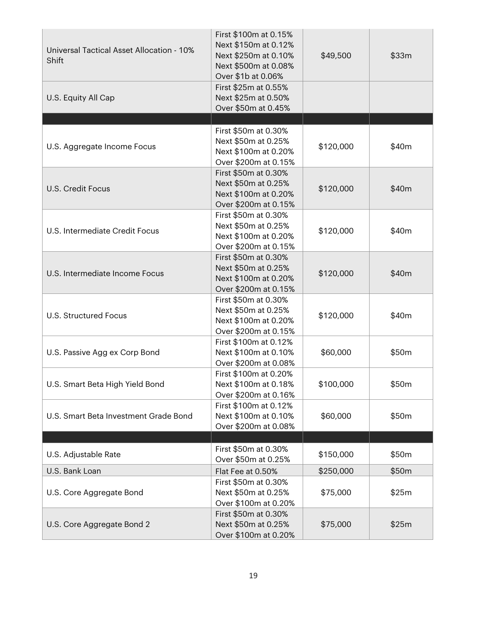| Universal Tactical Asset Allocation - 10%<br>Shift | First \$100m at 0.15%<br>Next \$150m at 0.12%<br>Next \$250m at 0.10%<br>Next \$500m at 0.08%<br>Over \$1b at 0.06% | \$49,500  | \$33m |
|----------------------------------------------------|---------------------------------------------------------------------------------------------------------------------|-----------|-------|
| U.S. Equity All Cap                                | First \$25m at 0.55%<br>Next \$25m at 0.50%<br>Over \$50m at 0.45%                                                  |           |       |
|                                                    | First \$50m at 0.30%                                                                                                |           |       |
| U.S. Aggregate Income Focus                        | Next \$50m at 0.25%<br>Next \$100m at 0.20%<br>Over \$200m at 0.15%                                                 | \$120,000 | \$40m |
| <b>U.S. Credit Focus</b>                           | First \$50m at 0.30%<br>Next \$50m at 0.25%<br>Next \$100m at 0.20%<br>Over \$200m at 0.15%                         | \$120,000 | \$40m |
| U.S. Intermediate Credit Focus                     | First \$50m at 0.30%<br>Next \$50m at 0.25%<br>Next \$100m at 0.20%<br>Over \$200m at 0.15%                         | \$120,000 | \$40m |
| U.S. Intermediate Income Focus                     | First \$50m at 0.30%<br>Next \$50m at 0.25%<br>Next \$100m at 0.20%<br>Over \$200m at 0.15%                         | \$120,000 | \$40m |
| <b>U.S. Structured Focus</b>                       | First \$50m at 0.30%<br>Next \$50m at 0.25%<br>Next \$100m at 0.20%<br>Over \$200m at 0.15%                         | \$120,000 | \$40m |
| U.S. Passive Agg ex Corp Bond                      | First \$100m at 0.12%<br>Next \$100m at 0.10%<br>Over \$200m at 0.08%                                               | \$60,000  | \$50m |
| U.S. Smart Beta High Yield Bond                    | First \$100m at 0.20%<br>Next \$100m at 0.18%<br>Over \$200m at 0.16%                                               | \$100,000 | \$50m |
| U.S. Smart Beta Investment Grade Bond              | First \$100m at 0.12%<br>Next \$100m at 0.10%<br>Over \$200m at 0.08%                                               | \$60,000  | \$50m |
|                                                    |                                                                                                                     |           |       |
| U.S. Adjustable Rate                               | First \$50m at 0.30%<br>Over \$50m at 0.25%                                                                         | \$150,000 | \$50m |
| U.S. Bank Loan                                     | Flat Fee at 0.50%                                                                                                   | \$250,000 | \$50m |
| U.S. Core Aggregate Bond                           | First \$50m at 0.30%<br>Next \$50m at 0.25%<br>Over \$100m at 0.20%                                                 | \$75,000  | \$25m |
| U.S. Core Aggregate Bond 2                         | First \$50m at 0.30%<br>Next \$50m at 0.25%<br>Over \$100m at 0.20%                                                 | \$75,000  | \$25m |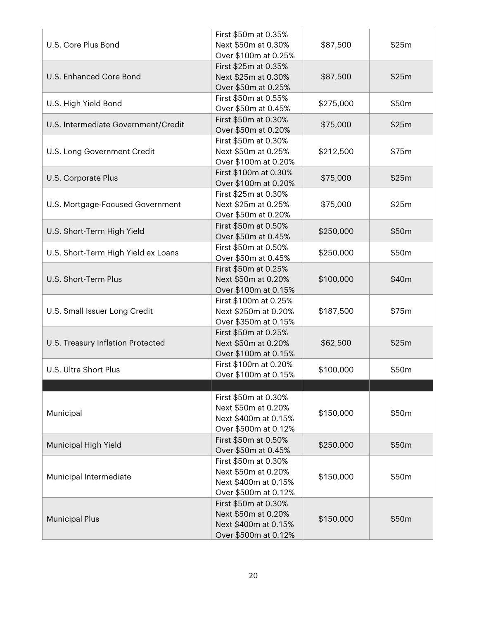| U.S. Core Plus Bond                 | First \$50m at 0.35%<br>Next \$50m at 0.30%<br>Over \$100m at 0.25%                         | \$87,500  | \$25m |
|-------------------------------------|---------------------------------------------------------------------------------------------|-----------|-------|
| U.S. Enhanced Core Bond             | First \$25m at 0.35%<br>Next \$25m at 0.30%<br>Over \$50m at 0.25%                          | \$87,500  | \$25m |
| U.S. High Yield Bond                | First \$50m at 0.55%<br>Over \$50m at 0.45%                                                 | \$275,000 | \$50m |
| U.S. Intermediate Government/Credit | First \$50m at 0.30%<br>Over \$50m at 0.20%                                                 | \$75,000  | \$25m |
| U.S. Long Government Credit         | First \$50m at 0.30%<br>Next \$50m at 0.25%<br>Over \$100m at 0.20%                         | \$212,500 | \$75m |
| U.S. Corporate Plus                 | First \$100m at 0.30%<br>Over \$100m at 0.20%                                               | \$75,000  | \$25m |
| U.S. Mortgage-Focused Government    | First \$25m at 0.30%<br>Next \$25m at 0.25%<br>Over \$50m at 0.20%                          | \$75,000  | \$25m |
| U.S. Short-Term High Yield          | First \$50m at 0.50%<br>Over \$50m at 0.45%                                                 | \$250,000 | \$50m |
| U.S. Short-Term High Yield ex Loans | First \$50m at 0.50%<br>Over \$50m at 0.45%                                                 | \$250,000 | \$50m |
| U.S. Short-Term Plus                | First \$50m at 0.25%<br>Next \$50m at 0.20%<br>Over \$100m at 0.15%                         | \$100,000 | \$40m |
| U.S. Small Issuer Long Credit       | First \$100m at 0.25%<br>Next \$250m at 0.20%<br>Over \$350m at 0.15%                       | \$187,500 | \$75m |
| U.S. Treasury Inflation Protected   | First \$50m at 0.25%<br>Next \$50m at 0.20%<br>Over \$100m at 0.15%                         | \$62,500  | \$25m |
| U.S. Ultra Short Plus               | First \$100m at 0.20%<br>Over \$100m at 0.15%                                               | \$100,000 | \$50m |
|                                     |                                                                                             |           |       |
| Municipal                           | First \$50m at 0.30%<br>Next \$50m at 0.20%<br>Next \$400m at 0.15%<br>Over \$500m at 0.12% | \$150,000 | \$50m |
| Municipal High Yield                | First \$50m at 0.50%<br>Over \$50m at 0.45%                                                 | \$250,000 | \$50m |
| Municipal Intermediate              | First \$50m at 0.30%<br>Next \$50m at 0.20%<br>Next \$400m at 0.15%<br>Over \$500m at 0.12% | \$150,000 | \$50m |
| <b>Municipal Plus</b>               | First \$50m at 0.30%<br>Next \$50m at 0.20%<br>Next \$400m at 0.15%<br>Over \$500m at 0.12% | \$150,000 | \$50m |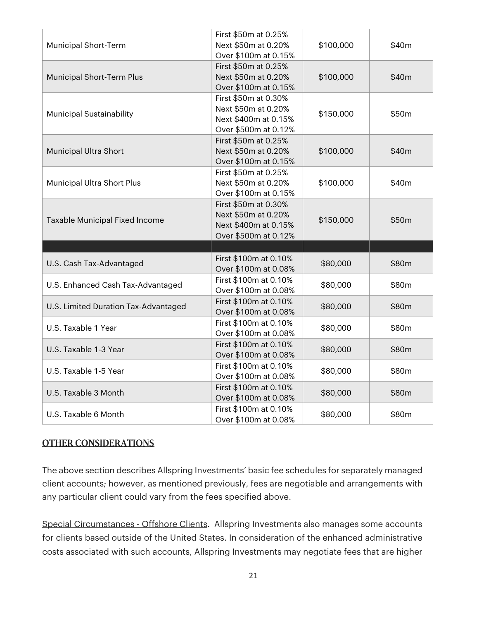| <b>Municipal Short-Term</b>          | First \$50m at 0.25%<br>Next \$50m at 0.20%<br>Over \$100m at 0.15%                         | \$100,000 | \$40m |
|--------------------------------------|---------------------------------------------------------------------------------------------|-----------|-------|
| Municipal Short-Term Plus            | First \$50m at 0.25%<br>Next \$50m at 0.20%<br>Over \$100m at 0.15%                         | \$100,000 | \$40m |
| <b>Municipal Sustainability</b>      | First \$50m at 0.30%<br>Next \$50m at 0.20%<br>Next \$400m at 0.15%<br>Over \$500m at 0.12% | \$150,000 | \$50m |
| Municipal Ultra Short                | First \$50m at 0.25%<br>Next \$50m at 0.20%<br>Over \$100m at 0.15%                         | \$100,000 | \$40m |
| Municipal Ultra Short Plus           | First \$50m at 0.25%<br>Next \$50m at 0.20%<br>Over \$100m at 0.15%                         | \$100,000 | \$40m |
| Taxable Municipal Fixed Income       | First \$50m at 0.30%<br>Next \$50m at 0.20%<br>Next \$400m at 0.15%<br>Over \$500m at 0.12% | \$150,000 | \$50m |
|                                      |                                                                                             |           |       |
| U.S. Cash Tax-Advantaged             | First \$100m at 0.10%<br>Over \$100m at 0.08%                                               | \$80,000  | \$80m |
| U.S. Enhanced Cash Tax-Advantaged    | First \$100m at 0.10%<br>Over \$100m at 0.08%                                               | \$80,000  | \$80m |
| U.S. Limited Duration Tax-Advantaged | First \$100m at 0.10%<br>Over \$100m at 0.08%                                               | \$80,000  | \$80m |
| U.S. Taxable 1 Year                  | First \$100m at 0.10%<br>Over \$100m at 0.08%                                               | \$80,000  | \$80m |
| U.S. Taxable 1-3 Year                | First \$100m at 0.10%<br>Over \$100m at 0.08%                                               | \$80,000  | \$80m |
| U.S. Taxable 1-5 Year                | First \$100m at 0.10%<br>Over \$100m at 0.08%                                               | \$80,000  | \$80m |
| U.S. Taxable 3 Month                 | First \$100m at 0.10%<br>Over \$100m at 0.08%                                               | \$80,000  | \$80m |
| U.S. Taxable 6 Month                 | First \$100m at 0.10%<br>Over \$100m at 0.08%                                               | \$80,000  | \$80m |

#### OTHER CONSIDERATIONS

The above section describes Allspring Investments' basic fee schedules for separately managed client accounts; however, as mentioned previously, fees are negotiable and arrangements with any particular client could vary from the fees specified above.

Special Circumstances - Offshore Clients. Allspring Investments also manages some accounts for clients based outside of the United States. In consideration of the enhanced administrative costs associated with such accounts, Allspring Investments may negotiate fees that are higher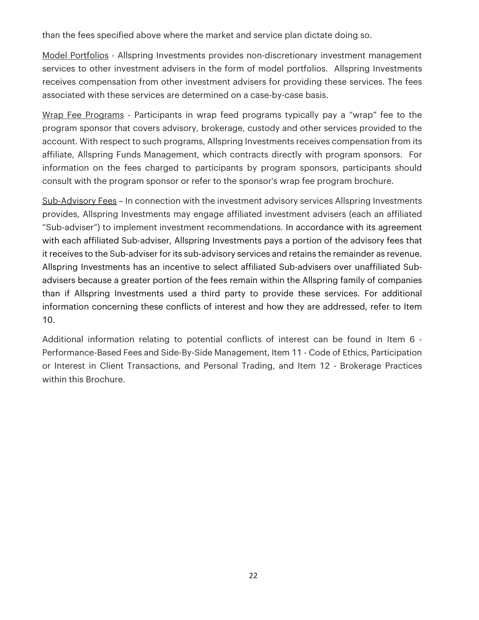than the fees specified above where the market and service plan dictate doing so.

Model Portfolios - Allspring Investments provides non-discretionary investment management services to other investment advisers in the form of model portfolios. Allspring Investments receives compensation from other investment advisers for providing these services. The fees associated with these services are determined on a case-by-case basis.

Wrap Fee Programs - Participants in wrap feed programs typically pay a "wrap" fee to the program sponsor that covers advisory, brokerage, custody and other services provided to the account. With respect to such programs, Allspring Investments receives compensation from its affiliate, Allspring Funds Management, which contracts directly with program sponsors. For information on the fees charged to participants by program sponsors, participants should consult with the program sponsor or refer to the sponsor's wrap fee program brochure.

Sub-Advisory Fees – In connection with the investment advisory services Allspring Investments provides, Allspring Investments may engage affiliated investment advisers (each an affiliated "Sub-adviser") to implement investment recommendations. In accordance with its agreement with each affiliated Sub-adviser, Allspring Investments pays a portion of the advisory fees that it receives to the Sub-adviser for its sub-advisory services and retains the remainder as revenue. Allspring Investments has an incentive to select affiliated Sub-advisers over unaffiliated Subadvisers because a greater portion of the fees remain within the Allspring family of companies than if Allspring Investments used a third party to provide these services. For additional information concerning these conflicts of interest and how they are addressed, refer to Item 10.

Additional information relating to potential conflicts of interest can be found in Item 6 - Performance-Based Fees and Side-By-Side Management, Item 11 - Code of Ethics, Participation or Interest in Client Transactions, and Personal Trading, and Item 12 - Brokerage Practices within this Brochure.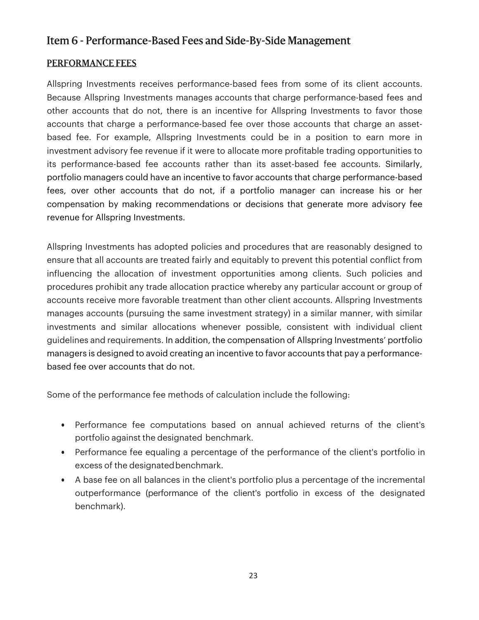### Item 6 - Performance-Based Fees and Side-By-Side Management

#### PERFORMANCE FEES

Allspring Investments receives performance-based fees from some of its client accounts. Because Allspring Investments manages accounts that charge performance-based fees and other accounts that do not, there is an incentive for Allspring Investments to favor those accounts that charge a performance-based fee over those accounts that charge an assetbased fee. For example, Allspring Investments could be in a position to earn more in investment advisory fee revenue if it were to allocate more profitable trading opportunities to its performance-based fee accounts rather than its asset-based fee accounts. Similarly, portfolio managers could have an incentive to favor accounts that charge performance-based fees, over other accounts that do not, if a portfolio manager can increase his or her compensation by making recommendations or decisions that generate more advisory fee revenue for Allspring Investments.

Allspring Investments has adopted policies and procedures that are reasonably designed to ensure that all accounts are treated fairly and equitably to prevent this potential conflict from influencing the allocation of investment opportunities among clients. Such policies and procedures prohibit any trade allocation practice whereby any particular account or group of accounts receive more favorable treatment than other client accounts. Allspring Investments manages accounts (pursuing the same investment strategy) in a similar manner, with similar investments and similar allocations whenever possible, consistent with individual client guidelines and requirements. In addition, the compensation of Allspring Investments' portfolio managers is designed to avoid creating an incentive to favor accounts that pay a performancebased fee over accounts that do not.

Some of the performance fee methods of calculation include the following:

- Performance fee computations based on annual achieved returns of the client's portfolio against the designated benchmark.
- Performance fee equaling a percentage of the performance of the client's portfolio in excess of the designated benchmark.
- A base fee on all balances in the client's portfolio plus a percentage of the incremental outperformance (performance of the client's portfolio in excess of the designated benchmark).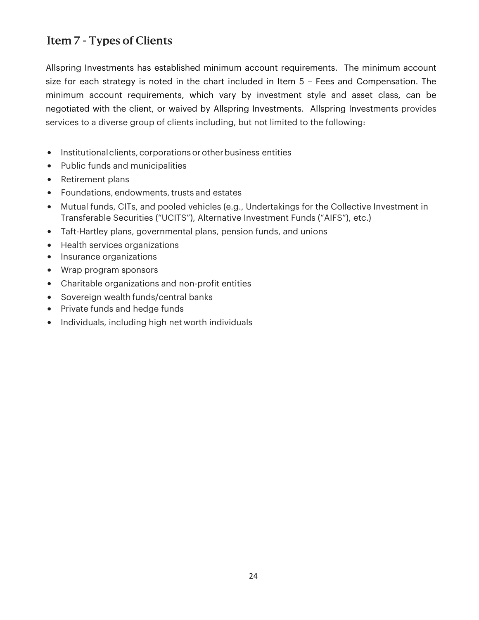## Item 7 - Types of Clients

Allspring Investments has established minimum account requirements. The minimum account size for each strategy is noted in the chart included in Item 5 – Fees and Compensation. The minimum account requirements, which vary by investment style and asset class, can be negotiated with the client, or waived by Allspring Investments. Allspring Investments provides services to a diverse group of clients including, but not limited to the following:

- Institutional clients, corporations or other business entities
- Public funds and municipalities
- Retirement plans
- Foundations, endowments, trusts and estates
- Mutual funds, CITs, and pooled vehicles (e.g., Undertakings for the Collective Investment in Transferable Securities ("UCITS"), Alternative Investment Funds ("AIFS"), etc.)
- Taft-Hartley plans, governmental plans, pension funds, and unions
- Health services organizations
- Insurance organizations
- Wrap program sponsors
- Charitable organizations and non-profit entities
- Sovereign wealth funds/central banks
- Private funds and hedge funds
- Individuals, including high net worth individuals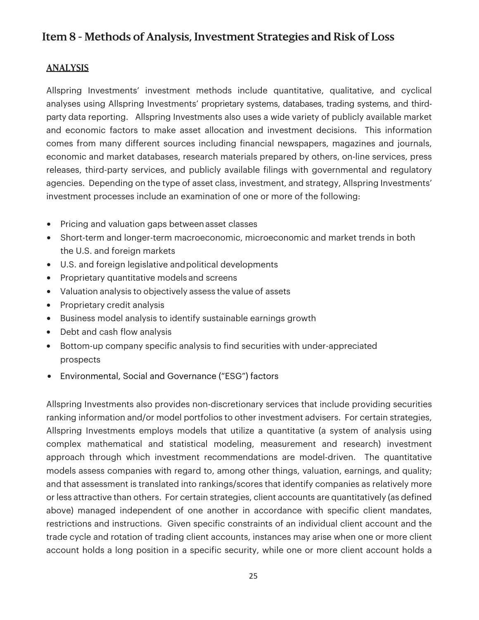## Item 8 - Methods of Analysis, Investment Strategies and Risk of Loss

#### ANALYSIS

Allspring Investments' investment methods include quantitative, qualitative, and cyclical analyses using Allspring Investments' proprietary systems, databases, trading systems, and thirdparty data reporting. Allspring Investments also uses a wide variety of publicly available market and economic factors to make asset allocation and investment decisions. This information comes from many different sources including financial newspapers, magazines and journals, economic and market databases, research materials prepared by others, on-line services, press releases, third-party services, and publicly available filings with governmental and regulatory agencies. Depending on the type of asset class, investment, and strategy, Allspring Investments' investment processes include an examination of one or more of the following:

- Pricing and valuation gaps between asset classes
- Short-term and longer-term macroeconomic, microeconomic and market trends in both the U.S. and foreign markets
- U.S. and foreign legislative and political developments
- Proprietary quantitative models and screens
- Valuation analysis to objectively assess the value of assets
- Proprietary credit analysis
- Business model analysis to identify sustainable earnings growth
- Debt and cash flow analysis
- Bottom-up company specific analysis to find securities with under-appreciated prospects
- Environmental, Social and Governance ("ESG") factors

Allspring Investments also provides non-discretionary services that include providing securities ranking information and/or model portfolios to other investment advisers. For certain strategies, Allspring Investments employs models that utilize a quantitative (a system of analysis using complex mathematical and statistical modeling, measurement and research) investment approach through which investment recommendations are model-driven. The quantitative models assess companies with regard to, among other things, valuation, earnings, and quality; and that assessment is translated into rankings/scores that identify companies as relatively more or less attractive than others. For certain strategies, client accounts are quantitatively (as defined above) managed independent of one another in accordance with specific client mandates, restrictions and instructions. Given specific constraints of an individual client account and the trade cycle and rotation of trading client accounts, instances may arise when one or more client account holds a long position in a specific security, while one or more client account holds a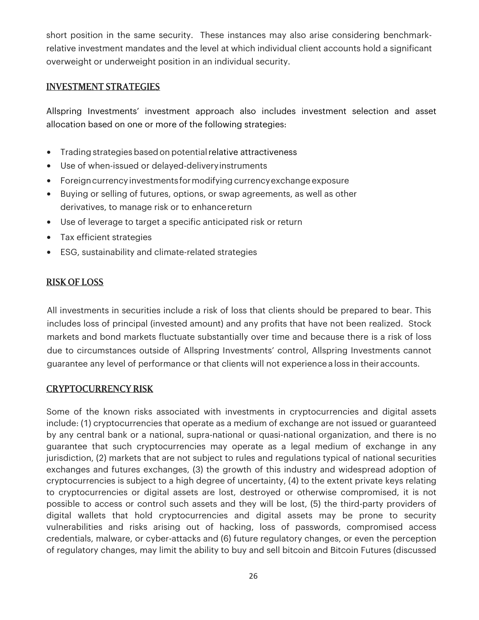short position in the same security. These instances may also arise considering benchmarkrelative investment mandates and the level at which individual client accounts hold a significant overweight or underweight position in an individual security.

#### INVESTMENT STRATEGIES

Allspring Investments' investment approach also includes investment selection and asset allocation based on one or more of the following strategies:

- Trading strategies based on potential relative attractiveness
- Use of when-issued or delayed-delivery instruments
- Foreign currency investments for modifying currency exchange exposure
- Buying or selling of futures, options, or swap agreements, as well as other derivatives, to manage risk or to enhance return
- Use of leverage to target a specific anticipated risk or return
- Tax efficient strategies
- ESG, sustainability and climate-related strategies

#### RISK OF LOSS

All investments in securities include a risk of loss that clients should be prepared to bear. This includes loss of principal (invested amount) and any profits that have not been realized. Stock markets and bond markets fluctuate substantially over time and because there is a risk of loss due to circumstances outside of Allspring Investments' control, Allspring Investments cannot guarantee any level of performance or that clients will not experience a loss in their accounts.

#### CRYPTOCURRENCY RISK

Some of the known risks associated with investments in cryptocurrencies and digital assets include: (1) cryptocurrencies that operate as a medium of exchange are not issued or guaranteed by any central bank or a national, supra-national or quasi-national organization, and there is no guarantee that such cryptocurrencies may operate as a legal medium of exchange in any jurisdiction, (2) markets that are not subject to rules and regulations typical of national securities exchanges and futures exchanges, (3) the growth of this industry and widespread adoption of cryptocurrencies is subject to a high degree of uncertainty, (4) to the extent private keys relating to cryptocurrencies or digital assets are lost, destroyed or otherwise compromised, it is not possible to access or control such assets and they will be lost, (5) the third-party providers of digital wallets that hold cryptocurrencies and digital assets may be prone to security vulnerabilities and risks arising out of hacking, loss of passwords, compromised access credentials, malware, or cyber-attacks and (6) future regulatory changes, or even the perception of regulatory changes, may limit the ability to buy and sell bitcoin and Bitcoin Futures (discussed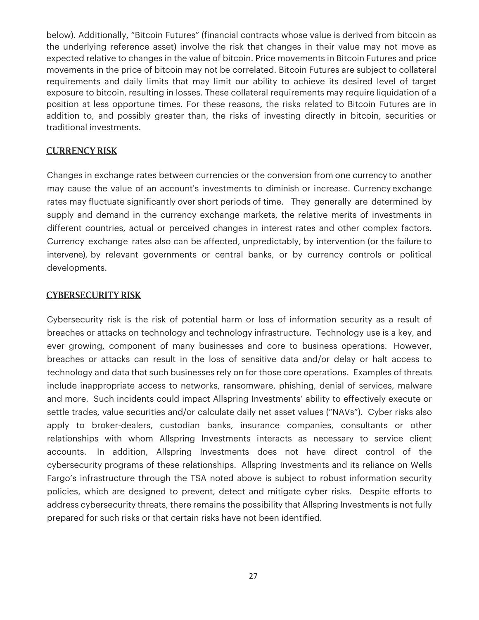below). Additionally, "Bitcoin Futures" (financial contracts whose value is derived from bitcoin as the underlying reference asset) involve the risk that changes in their value may not move as expected relative to changes in the value of bitcoin. Price movements in Bitcoin Futures and price movements in the price of bitcoin may not be correlated. Bitcoin Futures are subject to collateral requirements and daily limits that may limit our ability to achieve its desired level of target exposure to bitcoin, resulting in losses. These collateral requirements may require liquidation of a position at less opportune times. For these reasons, the risks related to Bitcoin Futures are in addition to, and possibly greater than, the risks of investing directly in bitcoin, securities or traditional investments.

#### CURRENCY RISK

Changes in exchange rates between currencies or the conversion from one currency to another may cause the value of an account's investments to diminish or increase. Currency exchange rates may fluctuate significantly over short periods of time. They generally are determined by supply and demand in the currency exchange markets, the relative merits of investments in different countries, actual or perceived changes in interest rates and other complex factors. Currency exchange rates also can be affected, unpredictably, by intervention (or the failure to intervene), by relevant governments or central banks, or by currency controls or political developments.

#### CYBERSECURITY RISK

Cybersecurity risk is the risk of potential harm or loss of information security as a result of breaches or attacks on technology and technology infrastructure. Technology use is a key, and ever growing, component of many businesses and core to business operations. However, breaches or attacks can result in the loss of sensitive data and/or delay or halt access to technology and data that such businesses rely on for those core operations. Examples of threats include inappropriate access to networks, ransomware, phishing, denial of services, malware and more. Such incidents could impact Allspring Investments' ability to effectively execute or settle trades, value securities and/or calculate daily net asset values ("NAVs"). Cyber risks also apply to broker-dealers, custodian banks, insurance companies, consultants or other relationships with whom Allspring Investments interacts as necessary to service client accounts. In addition, Allspring Investments does not have direct control of the cybersecurity programs of these relationships. Allspring Investments and its reliance on Wells Fargo's infrastructure through the TSA noted above is subject to robust information security policies, which are designed to prevent, detect and mitigate cyber risks. Despite efforts to address cybersecurity threats, there remains the possibility that Allspring Investments is not fully prepared for such risks or that certain risks have not been identified.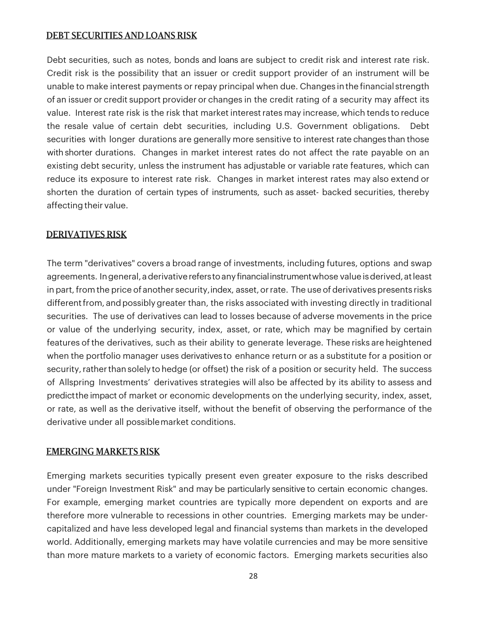#### DEBT SECURITIES AND LOANS RISK

Debt securities, such as notes, bonds and loans are subject to credit risk and interest rate risk. Credit risk is the possibility that an issuer or credit support provider of an instrument will be unable to make interest payments or repay principal when due. Changes in the financial strength of an issuer or credit support provider or changes in the credit rating of a security may affect its value. Interest rate risk is the risk that market interest rates may increase, which tends to reduce the resale value of certain debt securities, including U.S. Government obligations. Debt securities with longer durations are generally more sensitive to interest rate changes than those with shorter durations. Changes in market interest rates do not affect the rate payable on an existing debt security, unless the instrument has adjustable or variable rate features, which can reduce its exposure to interest rate risk. Changes in market interest rates may also extend or shorten the duration of certain types of instruments, such as asset- backed securities, thereby affecting their value.

#### DERIVATIVES RISK

The term "derivatives" covers a broad range of investments, including futures, options and swap agreements. In general, a derivative refers to any financial instrument whose value is derived, at least in part, from the price of another security, index, asset, or rate. The use of derivatives presents risks different from, and possibly greater than, the risks associated with investing directly in traditional securities. The use of derivatives can lead to losses because of adverse movements in the price or value of the underlying security, index, asset, or rate, which may be magnified by certain features of the derivatives, such as their ability to generate leverage. These risks are heightened when the portfolio manager uses derivatives to enhance return or as a substitute for a position or security, rather than solely to hedge (or offset) the risk of a position or security held. The success of Allspring Investments' derivatives strategies will also be affected by its ability to assess and predict the impact of market or economic developments on the underlying security, index, asset, or rate, as well as the derivative itself, without the benefit of observing the performance of the derivative under all possible market conditions.

#### EMERGING MARKETS RISK

Emerging markets securities typically present even greater exposure to the risks described under "Foreign Investment Risk" and may be particularly sensitive to certain economic changes. For example, emerging market countries are typically more dependent on exports and are therefore more vulnerable to recessions in other countries. Emerging markets may be undercapitalized and have less developed legal and financial systems than markets in the developed world. Additionally, emerging markets may have volatile currencies and may be more sensitive than more mature markets to a variety of economic factors. Emerging markets securities also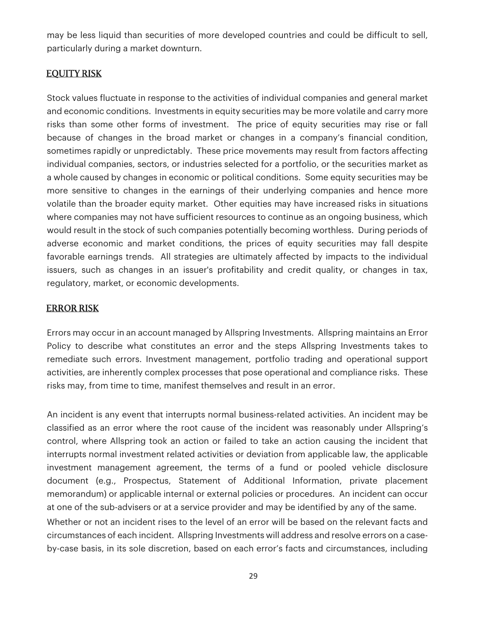may be less liquid than securities of more developed countries and could be difficult to sell, particularly during a market downturn.

### EQUITY RISK

Stock values fluctuate in response to the activities of individual companies and general market and economic conditions. Investments in equity securities may be more volatile and carry more risks than some other forms of investment. The price of equity securities may rise or fall because of changes in the broad market or changes in a company's financial condition, sometimes rapidly or unpredictably. These price movements may result from factors affecting individual companies, sectors, or industries selected for a portfolio, or the securities market as a whole caused by changes in economic or political conditions. Some equity securities may be more sensitive to changes in the earnings of their underlying companies and hence more volatile than the broader equity market. Other equities may have increased risks in situations where companies may not have sufficient resources to continue as an ongoing business, which would result in the stock of such companies potentially becoming worthless. During periods of adverse economic and market conditions, the prices of equity securities may fall despite favorable earnings trends. All strategies are ultimately affected by impacts to the individual issuers, such as changes in an issuer's profitability and credit quality, or changes in tax, regulatory, market, or economic developments.

#### ERROR RISK

Errors may occur in an account managed by Allspring Investments. Allspring maintains an Error Policy to describe what constitutes an error and the steps Allspring Investments takes to remediate such errors. Investment management, portfolio trading and operational support activities, are inherently complex processes that pose operational and compliance risks. These risks may, from time to time, manifest themselves and result in an error.

An incident is any event that interrupts normal business-related activities. An incident may be classified as an error where the root cause of the incident was reasonably under Allspring's control, where Allspring took an action or failed to take an action causing the incident that interrupts normal investment related activities or deviation from applicable law, the applicable investment management agreement, the terms of a fund or pooled vehicle disclosure document (e.g., Prospectus, Statement of Additional Information, private placement memorandum) or applicable internal or external policies or procedures. An incident can occur at one of the sub-advisers or at a service provider and may be identified by any of the same. Whether or not an incident rises to the level of an error will be based on the relevant facts and circumstances of each incident. Allspring Investments will address and resolve errors on a caseby-case basis, in its sole discretion, based on each error's facts and circumstances, including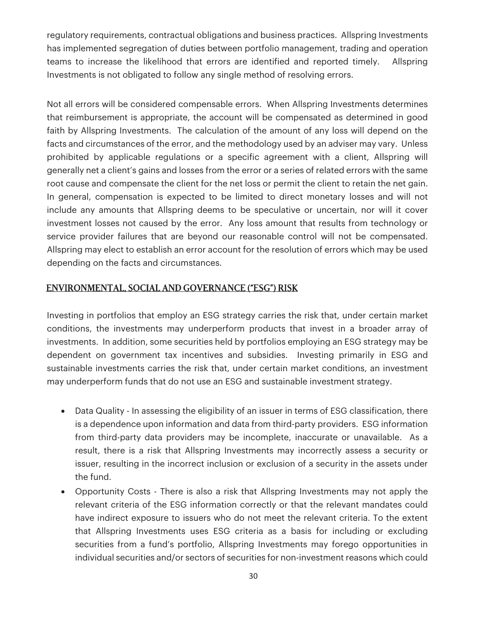regulatory requirements, contractual obligations and business practices. Allspring Investments has implemented segregation of duties between portfolio management, trading and operation teams to increase the likelihood that errors are identified and reported timely. Allspring Investments is not obligated to follow any single method of resolving errors.

Not all errors will be considered compensable errors. When Allspring Investments determines that reimbursement is appropriate, the account will be compensated as determined in good faith by Allspring Investments. The calculation of the amount of any loss will depend on the facts and circumstances of the error, and the methodology used by an adviser may vary. Unless prohibited by applicable regulations or a specific agreement with a client, Allspring will generally net a client's gains and losses from the error or a series of related errors with the same root cause and compensate the client for the net loss or permit the client to retain the net gain. In general, compensation is expected to be limited to direct monetary losses and will not include any amounts that Allspring deems to be speculative or uncertain, nor will it cover investment losses not caused by the error. Any loss amount that results from technology or service provider failures that are beyond our reasonable control will not be compensated. Allspring may elect to establish an error account for the resolution of errors which may be used depending on the facts and circumstances.

### ENVIRONMENTAL, SOCIAL AND GOVERNANCE ("ESG") RISK

Investing in portfolios that employ an ESG strategy carries the risk that, under certain market conditions, the investments may underperform products that invest in a broader array of investments. In addition, some securities held by portfolios employing an ESG strategy may be dependent on government tax incentives and subsidies. Investing primarily in ESG and sustainable investments carries the risk that, under certain market conditions, an investment may underperform funds that do not use an ESG and sustainable investment strategy.

- Data Quality In assessing the eligibility of an issuer in terms of ESG classification, there is a dependence upon information and data from third-party providers. ESG information from third-party data providers may be incomplete, inaccurate or unavailable. As a result, there is a risk that Allspring Investments may incorrectly assess a security or issuer, resulting in the incorrect inclusion or exclusion of a security in the assets under the fund.
- Opportunity Costs There is also a risk that Allspring Investments may not apply the relevant criteria of the ESG information correctly or that the relevant mandates could have indirect exposure to issuers who do not meet the relevant criteria. To the extent that Allspring Investments uses ESG criteria as a basis for including or excluding securities from a fund's portfolio, Allspring Investments may forego opportunities in individual securities and/or sectors of securities for non-investment reasons which could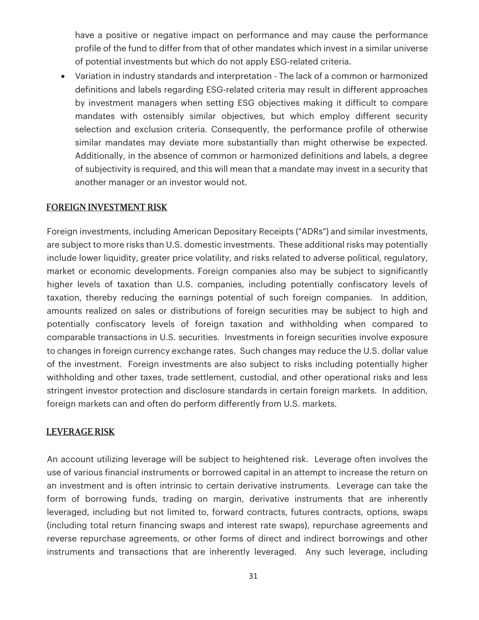have a positive or negative impact on performance and may cause the performance profile of the fund to differ from that of other mandates which invest in a similar universe of potential investments but which do not apply ESG-related criteria.

• Variation in industry standards and interpretation - The lack of a common or harmonized definitions and labels regarding ESG-related criteria may result in different approaches by investment managers when setting ESG objectives making it difficult to compare mandates with ostensibly similar objectives, but which employ different security selection and exclusion criteria. Consequently, the performance profile of otherwise similar mandates may deviate more substantially than might otherwise be expected. Additionally, in the absence of common or harmonized definitions and labels, a degree of subjectivity is required, and this will mean that a mandate may invest in a security that another manager or an investor would not.

#### FOREIGN INVESTMENT RISK

Foreign investments, including American Depositary Receipts ("ADRs") and similar investments, are subject to more risks than U.S. domestic investments. These additional risks may potentially include lower liquidity, greater price volatility, and risks related to adverse political, regulatory, market or economic developments. Foreign companies also may be subject to significantly higher levels of taxation than U.S. companies, including potentially confiscatory levels of taxation, thereby reducing the earnings potential of such foreign companies. In addition, amounts realized on sales or distributions of foreign securities may be subject to high and potentially confiscatory levels of foreign taxation and withholding when compared to comparable transactions in U.S. securities. Investments in foreign securities involve exposure to changes in foreign currency exchange rates. Such changes may reduce the U.S. dollar value of the investment. Foreign investments are also subject to risks including potentially higher withholding and other taxes, trade settlement, custodial, and other operational risks and less stringent investor protection and disclosure standards in certain foreign markets. In addition, foreign markets can and often do perform differently from U.S. markets.

#### LEVERAGE RISK

An account utilizing leverage will be subject to heightened risk. Leverage often involves the use of various financial instruments or borrowed capital in an attempt to increase the return on an investment and is often intrinsic to certain derivative instruments. Leverage can take the form of borrowing funds, trading on margin, derivative instruments that are inherently leveraged, including but not limited to, forward contracts, futures contracts, options, swaps (including total return financing swaps and interest rate swaps), repurchase agreements and reverse repurchase agreements, or other forms of direct and indirect borrowings and other instruments and transactions that are inherently leveraged. Any such leverage, including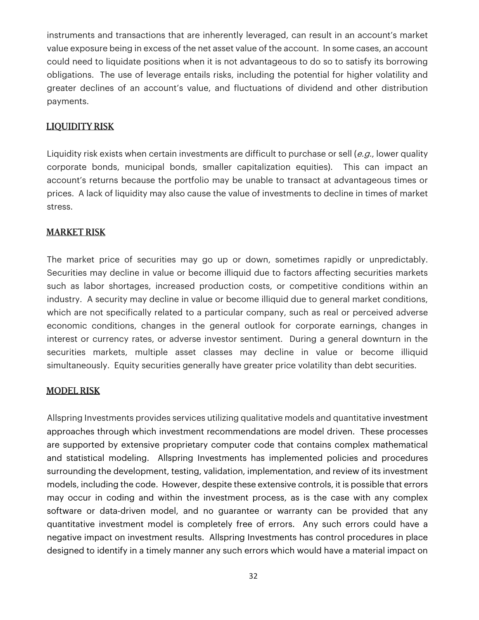instruments and transactions that are inherently leveraged, can result in an account's market value exposure being in excess of the net asset value of the account. In some cases, an account could need to liquidate positions when it is not advantageous to do so to satisfy its borrowing obligations. The use of leverage entails risks, including the potential for higher volatility and greater declines of an account's value, and fluctuations of dividend and other distribution payments.

#### LIQUIDITY RISK

Liquidity risk exists when certain investments are difficult to purchase or sell (e.g., lower quality corporate bonds, municipal bonds, smaller capitalization equities). This can impact an account's returns because the portfolio may be unable to transact at advantageous times or prices. A lack of liquidity may also cause the value of investments to decline in times of market stress.

#### MARKET RISK

The market price of securities may go up or down, sometimes rapidly or unpredictably. Securities may decline in value or become illiquid due to factors affecting securities markets such as labor shortages, increased production costs, or competitive conditions within an industry. A security may decline in value or become illiquid due to general market conditions, which are not specifically related to a particular company, such as real or perceived adverse economic conditions, changes in the general outlook for corporate earnings, changes in interest or currency rates, or adverse investor sentiment. During a general downturn in the securities markets, multiple asset classes may decline in value or become illiquid simultaneously. Equity securities generally have greater price volatility than debt securities.

#### MODEL RISK

Allspring Investments provides services utilizing qualitative models and quantitative investment approaches through which investment recommendations are model driven. These processes are supported by extensive proprietary computer code that contains complex mathematical and statistical modeling. Allspring Investments has implemented policies and procedures surrounding the development, testing, validation, implementation, and review of its investment models, including the code. However, despite these extensive controls, it is possible that errors may occur in coding and within the investment process, as is the case with any complex software or data-driven model, and no guarantee or warranty can be provided that any quantitative investment model is completely free of errors. Any such errors could have a negative impact on investment results. Allspring Investments has control procedures in place designed to identify in a timely manner any such errors which would have a material impact on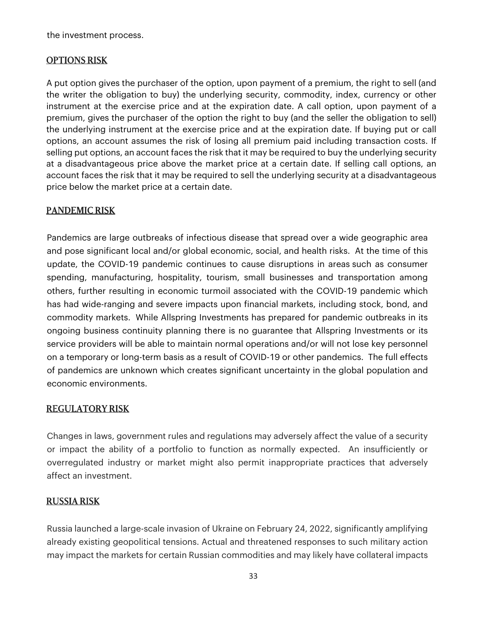the investment process.

### OPTIONS RISK

A put option gives the purchaser of the option, upon payment of a premium, the right to sell (and the writer the obligation to buy) the underlying security, commodity, index, currency or other instrument at the exercise price and at the expiration date. A call option, upon payment of a premium, gives the purchaser of the option the right to buy (and the seller the obligation to sell) the underlying instrument at the exercise price and at the expiration date. If buying put or call options, an account assumes the risk of losing all premium paid including transaction costs. If selling put options, an account faces the risk that it may be required to buy the underlying security at a disadvantageous price above the market price at a certain date. If selling call options, an account faces the risk that it may be required to sell the underlying security at a disadvantageous price below the market price at a certain date.

## PANDEMIC RISK

Pandemics are large outbreaks of infectious disease that spread over a wide geographic area and pose significant local and/or global economic, social, and health risks. At the time of this update, the COVID-19 pandemic continues to cause disruptions in areas such as consumer spending, manufacturing, hospitality, tourism, small businesses and transportation among others, further resulting in economic turmoil associated with the COVID-19 pandemic which has had wide-ranging and severe impacts upon financial markets, including stock, bond, and commodity markets. While Allspring Investments has prepared for pandemic outbreaks in its ongoing business continuity planning there is no guarantee that Allspring Investments or its service providers will be able to maintain normal operations and/or will not lose key personnel on a temporary or long-term basis as a result of COVID-19 or other pandemics. The full effects of pandemics are unknown which creates significant uncertainty in the global population and economic environments.

## REGULATORY RISK

Changes in laws, government rules and regulations may adversely affect the value of a security or impact the ability of a portfolio to function as normally expected. An insufficiently or overregulated industry or market might also permit inappropriate practices that adversely affect an investment.

### RUSSIA RISK

Russia launched a large-scale invasion of Ukraine on February 24, 2022, significantly amplifying already existing geopolitical tensions. Actual and threatened responses to such military action may impact the markets for certain Russian commodities and may likely have collateral impacts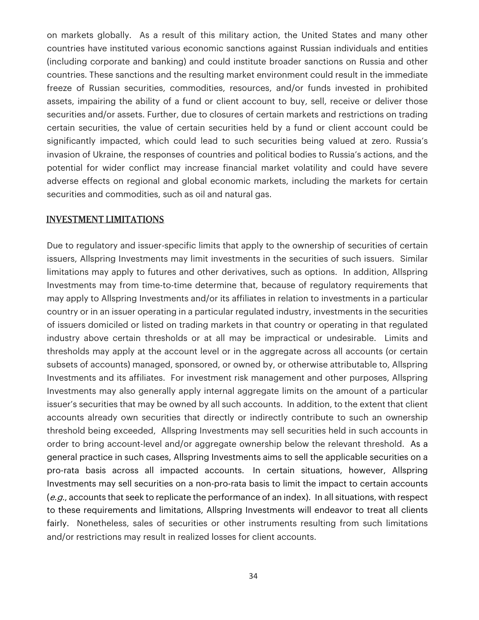on markets globally. As a result of this military action, the United States and many other countries have instituted various economic sanctions against Russian individuals and entities (including corporate and banking) and could institute broader sanctions on Russia and other countries. These sanctions and the resulting market environment could result in the immediate freeze of Russian securities, commodities, resources, and/or funds invested in prohibited assets, impairing the ability of a fund or client account to buy, sell, receive or deliver those securities and/or assets. Further, due to closures of certain markets and restrictions on trading certain securities, the value of certain securities held by a fund or client account could be significantly impacted, which could lead to such securities being valued at zero. Russia's invasion of Ukraine, the responses of countries and political bodies to Russia's actions, and the potential for wider conflict may increase financial market volatility and could have severe adverse effects on regional and global economic markets, including the markets for certain securities and commodities, such as oil and natural gas.

#### INVESTMENT LIMITATIONS

Due to regulatory and issuer-specific limits that apply to the ownership of securities of certain issuers, Allspring Investments may limit investments in the securities of such issuers. Similar limitations may apply to futures and other derivatives, such as options. In addition, Allspring Investments may from time-to-time determine that, because of regulatory requirements that may apply to Allspring Investments and/or its affiliates in relation to investments in a particular country or in an issuer operating in a particular regulated industry, investments in the securities of issuers domiciled or listed on trading markets in that country or operating in that regulated industry above certain thresholds or at all may be impractical or undesirable. Limits and thresholds may apply at the account level or in the aggregate across all accounts (or certain subsets of accounts) managed, sponsored, or owned by, or otherwise attributable to, Allspring Investments and its affiliates. For investment risk management and other purposes, Allspring Investments may also generally apply internal aggregate limits on the amount of a particular issuer's securities that may be owned by all such accounts. In addition, to the extent that client accounts already own securities that directly or indirectly contribute to such an ownership threshold being exceeded, Allspring Investments may sell securities held in such accounts in order to bring account-level and/or aggregate ownership below the relevant threshold. As a general practice in such cases, Allspring Investments aims to sell the applicable securities on a pro-rata basis across all impacted accounts. In certain situations, however, Allspring Investments may sell securities on a non-pro-rata basis to limit the impact to certain accounts  $(e.g.,$  accounts that seek to replicate the performance of an index). In all situations, with respect to these requirements and limitations, Allspring Investments will endeavor to treat all clients fairly. Nonetheless, sales of securities or other instruments resulting from such limitations and/or restrictions may result in realized losses for client accounts.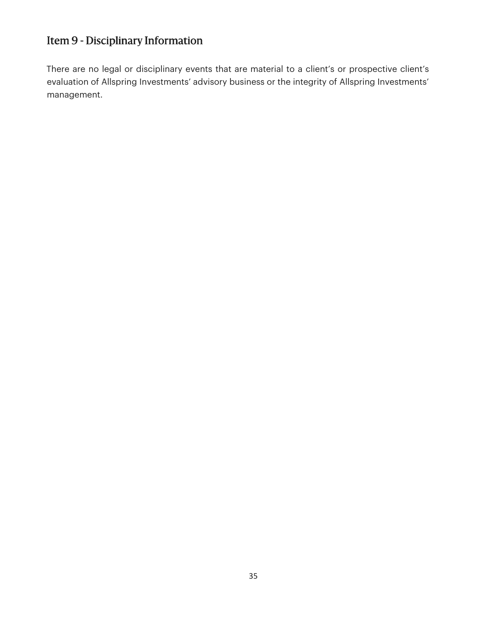# Item 9 - Disciplinary Information

There are no legal or disciplinary events that are material to a client's or prospective client's evaluation of Allspring Investments' advisory business or the integrity of Allspring Investments' management.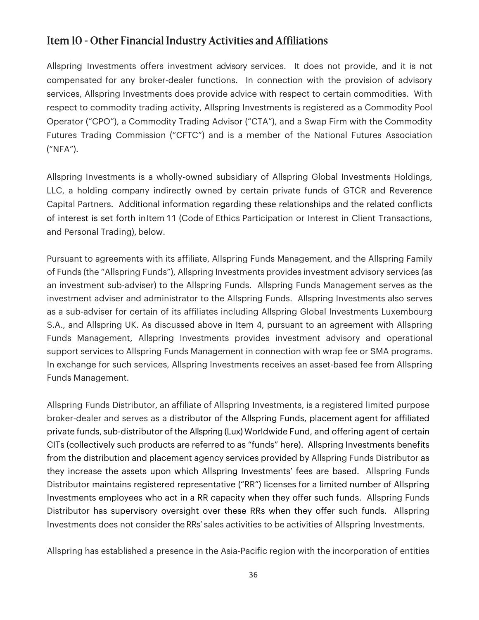## Item 10 - Other Financial Industry Activities and Affiliations

Allspring Investments offers investment advisory services. It does not provide, and it is not compensated for any broker-dealer functions. In connection with the provision of advisory services, Allspring Investments does provide advice with respect to certain commodities. With respect to commodity trading activity, Allspring Investments is registered as a Commodity Pool Operator ("CPO"), a Commodity Trading Advisor ("CTA"), and a Swap Firm with the Commodity Futures Trading Commission ("CFTC") and is a member of the National Futures Association ("NFA").

Allspring Investments is a wholly-owned subsidiary of Allspring Global Investments Holdings, LLC, a holding company indirectly owned by certain private funds of GTCR and Reverence Capital Partners. Additional information regarding these relationships and the related conflicts of interest is set forth in Item 11 (Code of Ethics Participation or Interest in Client Transactions, and Personal Trading), below.

Pursuant to agreements with its affiliate, Allspring Funds Management, and the Allspring Family of Funds (the "Allspring Funds"), Allspring Investments provides investment advisory services (as an investment sub-adviser) to the Allspring Funds. Allspring Funds Management serves as the investment adviser and administrator to the Allspring Funds. Allspring Investments also serves as a sub-adviser for certain of its affiliates including Allspring Global Investments Luxembourg S.A., and Allspring UK. As discussed above in Item 4, pursuant to an agreement with Allspring Funds Management, Allspring Investments provides investment advisory and operational support services to Allspring Funds Management in connection with wrap fee or SMA programs. In exchange for such services, Allspring Investments receives an asset-based fee from Allspring Funds Management.

Allspring Funds Distributor, an affiliate of Allspring Investments, is a registered limited purpose broker-dealer and serves as a distributor of the Allspring Funds, placement agent for affiliated private funds, sub-distributor of the Allspring (Lux) Worldwide Fund, and offering agent of certain CITs (collectively such products are referred to as "funds" here). Allspring Investments benefits from the distribution and placement agency services provided by Allspring Funds Distributor as they increase the assets upon which Allspring Investments' fees are based. Allspring Funds Distributor maintains registered representative ("RR") licenses for a limited number of Allspring Investments employees who act in a RR capacity when they offer such funds. Allspring Funds Distributor has supervisory oversight over these RRs when they offer such funds. Allspring Investments does not consider the RRs' sales activities to be activities of Allspring Investments.

Allspring has established a presence in the Asia-Pacific region with the incorporation of entities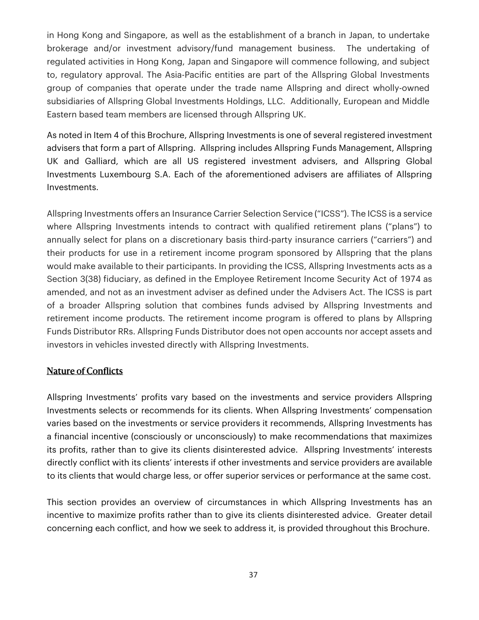in Hong Kong and Singapore, as well as the establishment of a branch in Japan, to undertake brokerage and/or investment advisory/fund management business. The undertaking of regulated activities in Hong Kong, Japan and Singapore will commence following, and subject to, regulatory approval. The Asia-Pacific entities are part of the Allspring Global Investments group of companies that operate under the trade name Allspring and direct wholly-owned subsidiaries of Allspring Global Investments Holdings, LLC. Additionally, European and Middle Eastern based team members are licensed through Allspring UK.

As noted in Item 4 of this Brochure, Allspring Investments is one of several registered investment advisers that form a part of Allspring. Allspring includes Allspring Funds Management, Allspring UK and Galliard, which are all US registered investment advisers, and Allspring Global Investments Luxembourg S.A. Each of the aforementioned advisers are affiliates of Allspring Investments.

Allspring Investments offers an Insurance Carrier Selection Service ("ICSS"). The ICSS is a service where Allspring Investments intends to contract with qualified retirement plans ("plans") to annually select for plans on a discretionary basis third-party insurance carriers ("carriers") and their products for use in a retirement income program sponsored by Allspring that the plans would make available to their participants. In providing the ICSS, Allspring Investments acts as a Section 3(38) fiduciary, as defined in the Employee Retirement Income Security Act of 1974 as amended, and not as an investment adviser as defined under the Advisers Act. The ICSS is part of a broader Allspring solution that combines funds advised by Allspring Investments and retirement income products. The retirement income program is offered to plans by Allspring Funds Distributor RRs. Allspring Funds Distributor does not open accounts nor accept assets and investors in vehicles invested directly with Allspring Investments.

### Nature of Conflicts

Allspring Investments' profits vary based on the investments and service providers Allspring Investments selects or recommends for its clients. When Allspring Investments' compensation varies based on the investments or service providers it recommends, Allspring Investments has a financial incentive (consciously or unconsciously) to make recommendations that maximizes its profits, rather than to give its clients disinterested advice. Allspring Investments' interests directly conflict with its clients' interests if other investments and service providers are available to its clients that would charge less, or offer superior services or performance at the same cost.

This section provides an overview of circumstances in which Allspring Investments has an incentive to maximize profits rather than to give its clients disinterested advice. Greater detail concerning each conflict, and how we seek to address it, is provided throughout this Brochure.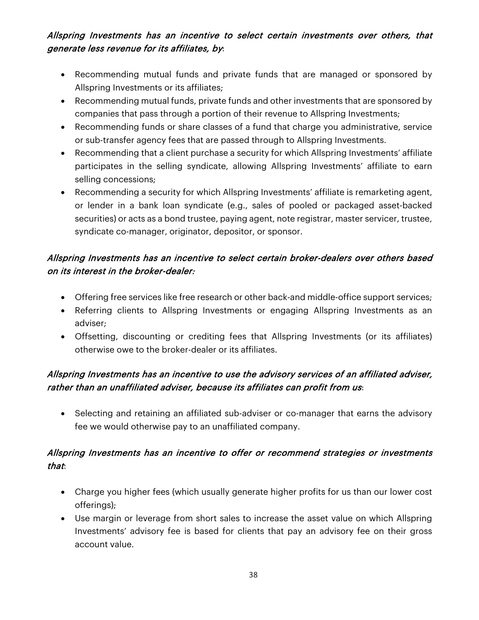## Allspring Investments has an incentive to select certain investments over others, that generate less revenue for its affiliates, by:

- Recommending mutual funds and private funds that are managed or sponsored by Allspring Investments or its affiliates;
- Recommending mutual funds, private funds and other investments that are sponsored by companies that pass through a portion of their revenue to Allspring Investments;
- Recommending funds or share classes of a fund that charge you administrative, service or sub-transfer agency fees that are passed through to Allspring Investments.
- Recommending that a client purchase a security for which Allspring Investments' affiliate participates in the selling syndicate, allowing Allspring Investments' affiliate to earn selling concessions;
- Recommending a security for which Allspring Investments' affiliate is remarketing agent, or lender in a bank loan syndicate (e.g., sales of pooled or packaged asset-backed securities) or acts as a bond trustee, paying agent, note registrar, master servicer, trustee, syndicate co-manager, originator, depositor, or sponsor.

## Allspring Investments has an incentive to select certain broker-dealers over others based on its interest in the broker-dealer:

- Offering free services like free research or other back-and middle-office support services;
- Referring clients to Allspring Investments or engaging Allspring Investments as an adviser;
- Offsetting, discounting or crediting fees that Allspring Investments (or its affiliates) otherwise owe to the broker-dealer or its affiliates.

## Allspring Investments has an incentive to use the advisory services of an affiliated adviser, rather than an unaffiliated adviser, because its affiliates can profit from us:

• Selecting and retaining an affiliated sub-adviser or co-manager that earns the advisory fee we would otherwise pay to an unaffiliated company.

## Allspring Investments has an incentive to offer or recommend strategies or investments that:

- Charge you higher fees (which usually generate higher profits for us than our lower cost offerings);
- Use margin or leverage from short sales to increase the asset value on which Allspring Investments' advisory fee is based for clients that pay an advisory fee on their gross account value.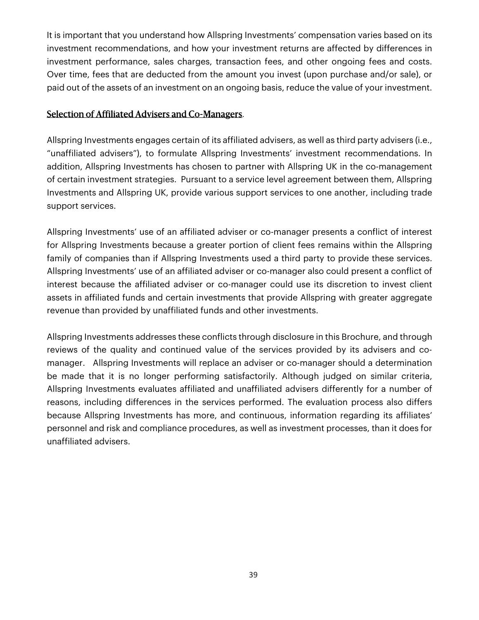It is important that you understand how Allspring Investments' compensation varies based on its investment recommendations, and how your investment returns are affected by differences in investment performance, sales charges, transaction fees, and other ongoing fees and costs. Over time, fees that are deducted from the amount you invest (upon purchase and/or sale), or paid out of the assets of an investment on an ongoing basis, reduce the value of your investment.

#### Selection of Affiliated Advisers and Co-Managers.

Allspring Investments engages certain of its affiliated advisers, as well as third party advisers (i.e., "unaffiliated advisers"), to formulate Allspring Investments' investment recommendations. In addition, Allspring Investments has chosen to partner with Allspring UK in the co-management of certain investment strategies. Pursuant to a service level agreement between them, Allspring Investments and Allspring UK, provide various support services to one another, including trade support services.

Allspring Investments' use of an affiliated adviser or co-manager presents a conflict of interest for Allspring Investments because a greater portion of client fees remains within the Allspring family of companies than if Allspring Investments used a third party to provide these services. Allspring Investments' use of an affiliated adviser or co-manager also could present a conflict of interest because the affiliated adviser or co-manager could use its discretion to invest client assets in affiliated funds and certain investments that provide Allspring with greater aggregate revenue than provided by unaffiliated funds and other investments.

Allspring Investments addresses these conflicts through disclosure in this Brochure, and through reviews of the quality and continued value of the services provided by its advisers and comanager. Allspring Investments will replace an adviser or co-manager should a determination be made that it is no longer performing satisfactorily. Although judged on similar criteria, Allspring Investments evaluates affiliated and unaffiliated advisers differently for a number of reasons, including differences in the services performed. The evaluation process also differs because Allspring Investments has more, and continuous, information regarding its affiliates' personnel and risk and compliance procedures, as well as investment processes, than it does for unaffiliated advisers.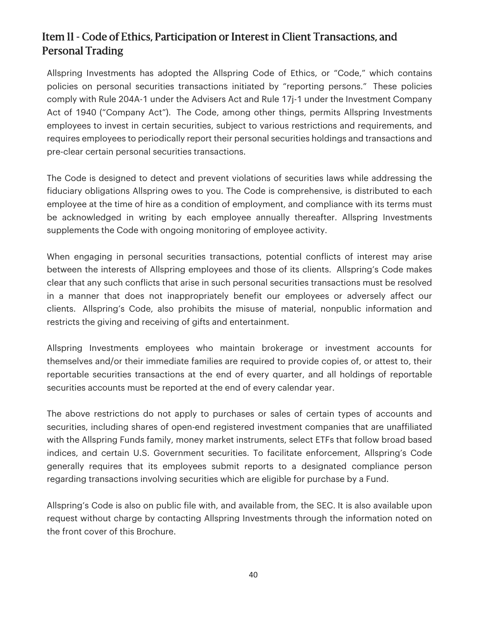## Item 11 - Code of Ethics, Participation or Interest in Client Transactions, and Personal Trading

Allspring Investments has adopted the Allspring Code of Ethics, or "Code," which contains policies on personal securities transactions initiated by "reporting persons." These policies comply with Rule 204A-1 under the Advisers Act and Rule 17j-1 under the Investment Company Act of 1940 ("Company Act"). The Code, among other things, permits Allspring Investments employees to invest in certain securities, subject to various restrictions and requirements, and requires employees to periodically report their personal securities holdings and transactions and pre-clear certain personal securities transactions.

The Code is designed to detect and prevent violations of securities laws while addressing the fiduciary obligations Allspring owes to you. The Code is comprehensive, is distributed to each employee at the time of hire as a condition of employment, and compliance with its terms must be acknowledged in writing by each employee annually thereafter. Allspring Investments supplements the Code with ongoing monitoring of employee activity.

When engaging in personal securities transactions, potential conflicts of interest may arise between the interests of Allspring employees and those of its clients. Allspring's Code makes clear that any such conflicts that arise in such personal securities transactions must be resolved in a manner that does not inappropriately benefit our employees or adversely affect our clients. Allspring's Code, also prohibits the misuse of material, nonpublic information and restricts the giving and receiving of gifts and entertainment.

Allspring Investments employees who maintain brokerage or investment accounts for themselves and/or their immediate families are required to provide copies of, or attest to, their reportable securities transactions at the end of every quarter, and all holdings of reportable securities accounts must be reported at the end of every calendar year.

The above restrictions do not apply to purchases or sales of certain types of accounts and securities, including shares of open-end registered investment companies that are unaffiliated with the Allspring Funds family, money market instruments, select ETFs that follow broad based indices, and certain U.S. Government securities. To facilitate enforcement, Allspring's Code generally requires that its employees submit reports to a designated compliance person regarding transactions involving securities which are eligible for purchase by a Fund.

Allspring's Code is also on public file with, and available from, the SEC. It is also available upon request without charge by contacting Allspring Investments through the information noted on the front cover of this Brochure.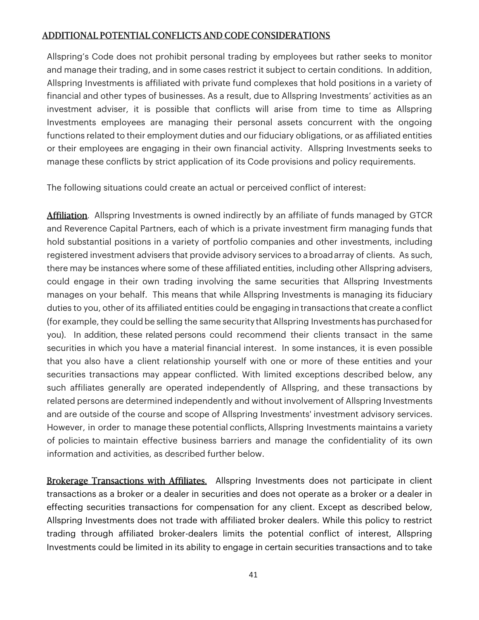## ADDITIONAL POTENTIAL CONFLICTS AND CODE CONSIDERATIONS

Allspring's Code does not prohibit personal trading by employees but rather seeks to monitor and manage their trading, and in some cases restrict it subject to certain conditions. In addition, Allspring Investments is affiliated with private fund complexes that hold positions in a variety of financial and other types of businesses. As a result, due to Allspring Investments' activities as an investment adviser, it is possible that conflicts will arise from time to time as Allspring Investments employees are managing their personal assets concurrent with the ongoing functions related to their employment duties and our fiduciary obligations, or as affiliated entities or their employees are engaging in their own financial activity. Allspring Investments seeks to manage these conflicts by strict application of its Code provisions and policy requirements.

The following situations could create an actual or perceived conflict of interest:

**Affiliation**. Allspring Investments is owned indirectly by an affiliate of funds managed by GTCR and Reverence Capital Partners, each of which is a private investment firm managing funds that hold substantial positions in a variety of portfolio companies and other investments, including registered investment advisers that provide advisory services to a broad array of clients. As such, there may be instances where some of these affiliated entities, including other Allspring advisers, could engage in their own trading involving the same securities that Allspring Investments manages on your behalf. This means that while Allspring Investments is managing its fiduciary duties to you, other of its affiliated entities could be engaging in transactions that create a conflict (for example, they could be selling the same security that Allspring Investments has purchased for you). In addition, these related persons could recommend their clients transact in the same securities in which you have a material financial interest. In some instances, it is even possible that you also have a client relationship yourself with one or more of these entities and your securities transactions may appear conflicted. With limited exceptions described below, any such affiliates generally are operated independently of Allspring, and these transactions by related persons are determined independently and without involvement of Allspring Investments and are outside of the course and scope of Allspring Investments' investment advisory services. However, in order to manage these potential conflicts, Allspring Investments maintains a variety of policies to maintain effective business barriers and manage the confidentiality of its own information and activities, as described further below.

Brokerage Transactions with Affiliates. Allspring Investments does not participate in client transactions as a broker or a dealer in securities and does not operate as a broker or a dealer in effecting securities transactions for compensation for any client. Except as described below, Allspring Investments does not trade with affiliated broker dealers. While this policy to restrict trading through affiliated broker-dealers limits the potential conflict of interest, Allspring Investments could be limited in its ability to engage in certain securities transactions and to take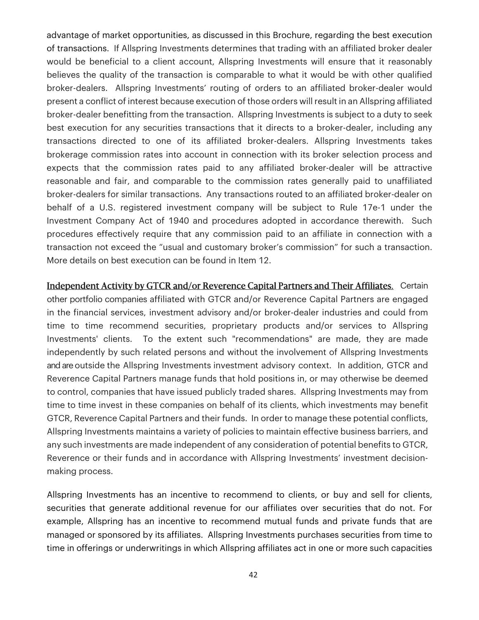advantage of market opportunities, as discussed in this Brochure, regarding the best execution of transactions. If Allspring Investments determines that trading with an affiliated broker dealer would be beneficial to a client account, Allspring Investments will ensure that it reasonably believes the quality of the transaction is comparable to what it would be with other qualified broker-dealers. Allspring Investments' routing of orders to an affiliated broker-dealer would present a conflict of interest because execution of those orders will result in an Allspring affiliated broker-dealer benefitting from the transaction. Allspring Investments is subject to a duty to seek best execution for any securities transactions that it directs to a broker-dealer, including any transactions directed to one of its affiliated broker-dealers. Allspring Investments takes brokerage commission rates into account in connection with its broker selection process and expects that the commission rates paid to any affiliated broker-dealer will be attractive reasonable and fair, and comparable to the commission rates generally paid to unaffiliated broker-dealers for similar transactions. Any transactions routed to an affiliated broker-dealer on behalf of a U.S. registered investment company will be subject to Rule 17e-1 under the Investment Company Act of 1940 and procedures adopted in accordance therewith. Such procedures effectively require that any commission paid to an affiliate in connection with a transaction not exceed the "usual and customary broker's commission" for such a transaction. More details on best execution can be found in Item 12.

Independent Activity by GTCR and/or Reverence Capital Partners and Their Affiliates. Certain other portfolio companies affiliated with GTCR and/or Reverence Capital Partners are engaged in the financial services, investment advisory and/or broker-dealer industries and could from time to time recommend securities, proprietary products and/or services to Allspring Investments' clients. To the extent such "recommendations" are made, they are made independently by such related persons and without the involvement of Allspring Investments and are outside the Allspring Investments investment advisory context. In addition, GTCR and Reverence Capital Partners manage funds that hold positions in, or may otherwise be deemed to control, companies that have issued publicly traded shares. Allspring Investments may from time to time invest in these companies on behalf of its clients, which investments may benefit GTCR, Reverence Capital Partners and their funds. In order to manage these potential conflicts, Allspring Investments maintains a variety of policies to maintain effective business barriers, and any such investments are made independent of any consideration of potential benefits to GTCR, Reverence or their funds and in accordance with Allspring Investments' investment decisionmaking process.

Allspring Investments has an incentive to recommend to clients, or buy and sell for clients, securities that generate additional revenue for our affiliates over securities that do not. For example, Allspring has an incentive to recommend mutual funds and private funds that are managed or sponsored by its affiliates. Allspring Investments purchases securities from time to time in offerings or underwritings in which Allspring affiliates act in one or more such capacities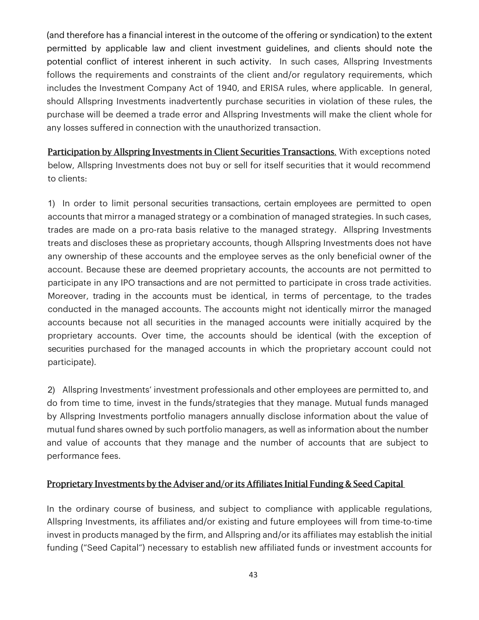(and therefore has a financial interest in the outcome of the offering or syndication) to the extent permitted by applicable law and client investment guidelines, and clients should note the potential conflict of interest inherent in such activity. In such cases, Allspring Investments follows the requirements and constraints of the client and/or regulatory requirements, which includes the Investment Company Act of 1940, and ERISA rules, where applicable. In general, should Allspring Investments inadvertently purchase securities in violation of these rules, the purchase will be deemed a trade error and Allspring Investments will make the client whole for any losses suffered in connection with the unauthorized transaction.

Participation by Allspring Investments in Client Securities Transactions. With exceptions noted below, Allspring Investments does not buy or sell for itself securities that it would recommend to clients:

1) In order to limit personal securities transactions, certain employees are permitted to open accounts that mirror a managed strategy or a combination of managed strategies. In such cases, trades are made on a pro-rata basis relative to the managed strategy. Allspring Investments treats and discloses these as proprietary accounts, though Allspring Investments does not have any ownership of these accounts and the employee serves as the only beneficial owner of the account. Because these are deemed proprietary accounts, the accounts are not permitted to participate in any IPO transactions and are not permitted to participate in cross trade activities. Moreover, trading in the accounts must be identical, in terms of percentage, to the trades conducted in the managed accounts. The accounts might not identically mirror the managed accounts because not all securities in the managed accounts were initially acquired by the proprietary accounts. Over time, the accounts should be identical (with the exception of securities purchased for the managed accounts in which the proprietary account could not participate).

2) Allspring Investments' investment professionals and other employees are permitted to, and do from time to time, invest in the funds/strategies that they manage. Mutual funds managed by Allspring Investments portfolio managers annually disclose information about the value of mutual fund shares owned by such portfolio managers, as well as information about the number and value of accounts that they manage and the number of accounts that are subject to performance fees.

### Proprietary Investments by the Adviser and/or its Affiliates Initial Funding & Seed Capital

In the ordinary course of business, and subject to compliance with applicable regulations, Allspring Investments, its affiliates and/or existing and future employees will from time-to-time invest in products managed by the firm, and Allspring and/or its affiliates may establish the initial funding ("Seed Capital") necessary to establish new affiliated funds or investment accounts for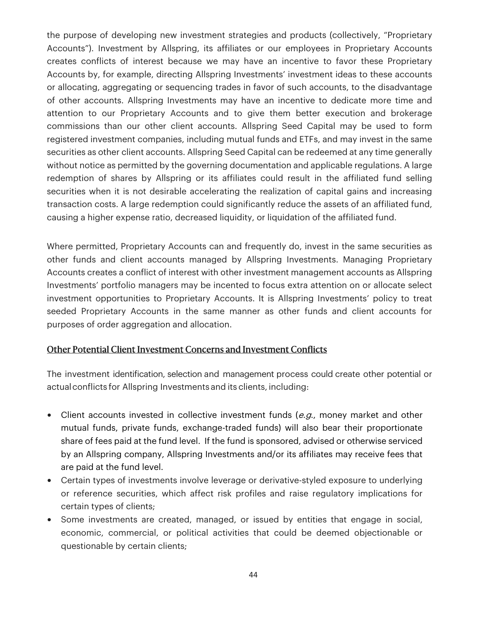the purpose of developing new investment strategies and products (collectively, "Proprietary Accounts"). Investment by Allspring, its affiliates or our employees in Proprietary Accounts creates conflicts of interest because we may have an incentive to favor these Proprietary Accounts by, for example, directing Allspring Investments' investment ideas to these accounts or allocating, aggregating or sequencing trades in favor of such accounts, to the disadvantage of other accounts. Allspring Investments may have an incentive to dedicate more time and attention to our Proprietary Accounts and to give them better execution and brokerage commissions than our other client accounts. Allspring Seed Capital may be used to form registered investment companies, including mutual funds and ETFs, and may invest in the same securities as other client accounts. Allspring Seed Capital can be redeemed at any time generally without notice as permitted by the governing documentation and applicable regulations. A large redemption of shares by Allspring or its affiliates could result in the affiliated fund selling securities when it is not desirable accelerating the realization of capital gains and increasing transaction costs. A large redemption could significantly reduce the assets of an affiliated fund, causing a higher expense ratio, decreased liquidity, or liquidation of the affiliated fund.

Where permitted, Proprietary Accounts can and frequently do, invest in the same securities as other funds and client accounts managed by Allspring Investments. Managing Proprietary Accounts creates a conflict of interest with other investment management accounts as Allspring Investments' portfolio managers may be incented to focus extra attention on or allocate select investment opportunities to Proprietary Accounts. It is Allspring Investments' policy to treat seeded Proprietary Accounts in the same manner as other funds and client accounts for purposes of order aggregation and allocation.

### Other Potential Client Investment Concerns and Investment Conflicts

The investment identification, selection and management process could create other potential or actual conflicts for Allspring Investments and its clients, including:

- Client accounts invested in collective investment funds  $(e.g.,$  money market and other mutual funds, private funds, exchange-traded funds) will also bear their proportionate share of fees paid at the fund level. If the fund is sponsored, advised or otherwise serviced by an Allspring company, Allspring Investments and/or its affiliates may receive fees that are paid at the fund level.
- Certain types of investments involve leverage or derivative-styled exposure to underlying or reference securities, which affect risk profiles and raise regulatory implications for certain types of clients;
- Some investments are created, managed, or issued by entities that engage in social, economic, commercial, or political activities that could be deemed objectionable or questionable by certain clients;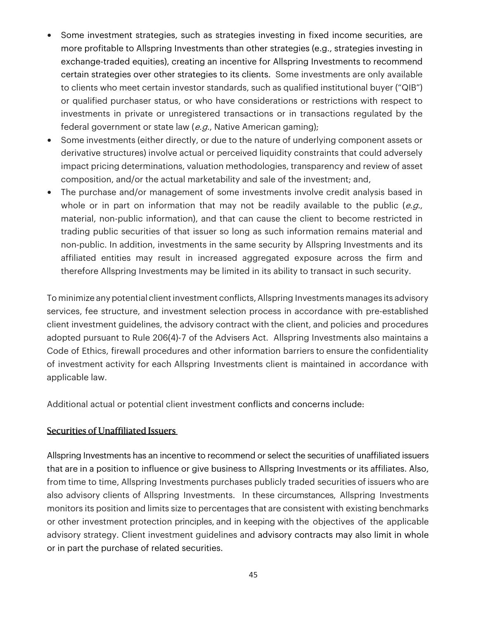- Some investment strategies, such as strategies investing in fixed income securities, are more profitable to Allspring Investments than other strategies (e.g., strategies investing in exchange-traded equities), creating an incentive for Allspring Investments to recommend certain strategies over other strategies to its clients. Some investments are only available to clients who meet certain investor standards, such as qualified institutional buyer ("QIB") or qualified purchaser status, or who have considerations or restrictions with respect to investments in private or unregistered transactions or in transactions regulated by the federal government or state law (e.g., Native American gaming);
- Some investments (either directly, or due to the nature of underlying component assets or derivative structures) involve actual or perceived liquidity constraints that could adversely impact pricing determinations, valuation methodologies, transparency and review of asset composition, and/or the actual marketability and sale of the investment; and,
- The purchase and/or management of some investments involve credit analysis based in whole or in part on information that may not be readily available to the public  $(e.g.,)$ material, non-public information), and that can cause the client to become restricted in trading public securities of that issuer so long as such information remains material and non-public. In addition, investments in the same security by Allspring Investments and its affiliated entities may result in increased aggregated exposure across the firm and therefore Allspring Investments may be limited in its ability to transact in such security.

To minimize any potential client investment conflicts, Allspring Investments manages its advisory services, fee structure, and investment selection process in accordance with pre-established client investment guidelines, the advisory contract with the client, and policies and procedures adopted pursuant to Rule 206(4)-7 of the Advisers Act. Allspring Investments also maintains a Code of Ethics, firewall procedures and other information barriers to ensure the confidentiality of investment activity for each Allspring Investments client is maintained in accordance with applicable law.

Additional actual or potential client investment conflicts and concerns include:

#### Securities of Unaffiliated Issuers

Allspring Investments has an incentive to recommend or select the securities of unaffiliated issuers that are in a position to influence or give business to Allspring Investments or its affiliates. Also, from time to time, Allspring Investments purchases publicly traded securities of issuers who are also advisory clients of Allspring Investments. In these circumstances, Allspring Investments monitors its position and limits size to percentages that are consistent with existing benchmarks or other investment protection principles, and in keeping with the objectives of the applicable advisory strategy. Client investment guidelines and advisory contracts may also limit in whole or in part the purchase of related securities.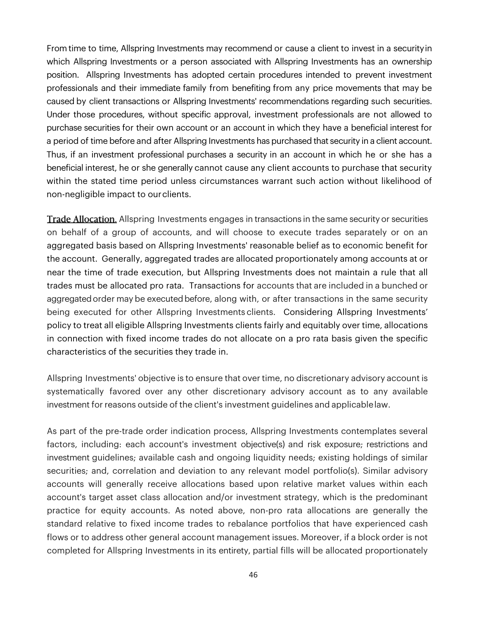From time to time, Allspring Investments may recommend or cause a client to invest in a security in which Allspring Investments or a person associated with Allspring Investments has an ownership position. Allspring Investments has adopted certain procedures intended to prevent investment professionals and their immediate family from benefiting from any price movements that may be caused by client transactions or Allspring Investments' recommendations regarding such securities. Under those procedures, without specific approval, investment professionals are not allowed to purchase securities for their own account or an account in which they have a beneficial interest for a period of time before and after Allspring Investments has purchased that security in a client account. Thus, if an investment professional purchases a security in an account in which he or she has a beneficial interest, he or she generally cannot cause any client accounts to purchase that security within the stated time period unless circumstances warrant such action without likelihood of non-negligible impact to our clients.

**Trade Allocation.** Allspring Investments engages in transactions in the same security or securities on behalf of a group of accounts, and will choose to execute trades separately or on an aggregated basis based on Allspring Investments' reasonable belief as to economic benefit for the account. Generally, aggregated trades are allocated proportionately among accounts at or near the time of trade execution, but Allspring Investments does not maintain a rule that all trades must be allocated pro rata. Transactions for accounts that are included in a bunched or aggregated order may be executed before, along with, or after transactions in the same security being executed for other Allspring Investments clients. Considering Allspring Investments' policy to treat all eligible Allspring Investments clients fairly and equitably over time, allocations in connection with fixed income trades do not allocate on a pro rata basis given the specific characteristics of the securities they trade in.

Allspring Investments' objective is to ensure that over time, no discretionary advisory account is systematically favored over any other discretionary advisory account as to any available investment for reasons outside of the client's investment guidelines and applicable law.

As part of the pre-trade order indication process, Allspring Investments contemplates several factors, including: each account's investment objective(s) and risk exposure; restrictions and investment guidelines; available cash and ongoing liquidity needs; existing holdings of similar securities; and, correlation and deviation to any relevant model portfolio(s). Similar advisory accounts will generally receive allocations based upon relative market values within each account's target asset class allocation and/or investment strategy, which is the predominant practice for equity accounts. As noted above, non-pro rata allocations are generally the standard relative to fixed income trades to rebalance portfolios that have experienced cash flows or to address other general account management issues. Moreover, if a block order is not completed for Allspring Investments in its entirety, partial fills will be allocated proportionately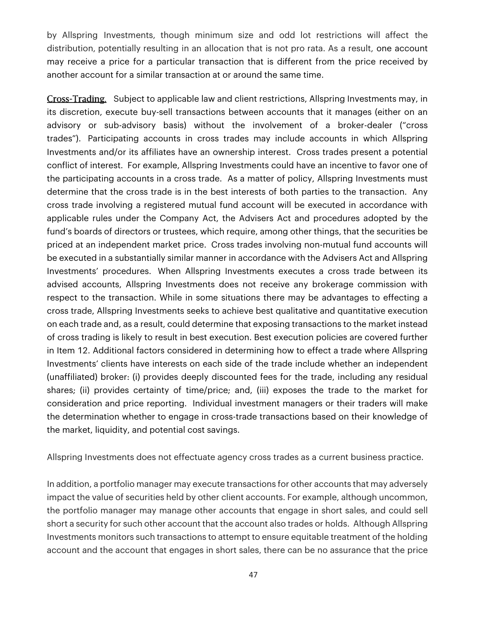by Allspring Investments, though minimum size and odd lot restrictions will affect the distribution, potentially resulting in an allocation that is not pro rata. As a result, one account may receive a price for a particular transaction that is different from the price received by another account for a similar transaction at or around the same time.

Cross-Trading. Subject to applicable law and client restrictions, Allspring Investments may, in its discretion, execute buy-sell transactions between accounts that it manages (either on an advisory or sub-advisory basis) without the involvement of a broker-dealer ("cross trades"). Participating accounts in cross trades may include accounts in which Allspring Investments and/or its affiliates have an ownership interest. Cross trades present a potential conflict of interest. For example, Allspring Investments could have an incentive to favor one of the participating accounts in a cross trade. As a matter of policy, Allspring Investments must determine that the cross trade is in the best interests of both parties to the transaction. Any cross trade involving a registered mutual fund account will be executed in accordance with applicable rules under the Company Act, the Advisers Act and procedures adopted by the fund's boards of directors or trustees, which require, among other things, that the securities be priced at an independent market price. Cross trades involving non-mutual fund accounts will be executed in a substantially similar manner in accordance with the Advisers Act and Allspring Investments' procedures. When Allspring Investments executes a cross trade between its advised accounts, Allspring Investments does not receive any brokerage commission with respect to the transaction. While in some situations there may be advantages to effecting a cross trade, Allspring Investments seeks to achieve best qualitative and quantitative execution on each trade and, as a result, could determine that exposing transactions to the market instead of cross trading is likely to result in best execution. Best execution policies are covered further in Item 12. Additional factors considered in determining how to effect a trade where Allspring Investments' clients have interests on each side of the trade include whether an independent (unaffiliated) broker: (i) provides deeply discounted fees for the trade, including any residual shares; (ii) provides certainty of time/price; and, (iii) exposes the trade to the market for consideration and price reporting. Individual investment managers or their traders will make the determination whether to engage in cross-trade transactions based on their knowledge of the market, liquidity, and potential cost savings.

Allspring Investments does not effectuate agency cross trades as a current business practice.

In addition, a portfolio manager may execute transactions for other accounts that may adversely impact the value of securities held by other client accounts. For example, although uncommon, the portfolio manager may manage other accounts that engage in short sales, and could sell short a security for such other account that the account also trades or holds. Although Allspring Investments monitors such transactions to attempt to ensure equitable treatment of the holding account and the account that engages in short sales, there can be no assurance that the price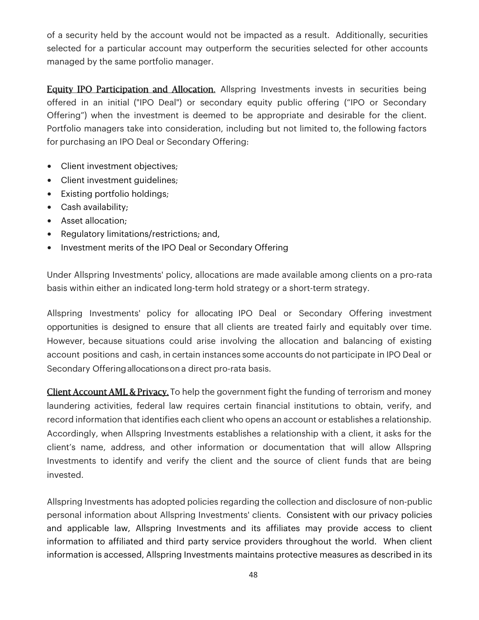of a security held by the account would not be impacted as a result. Additionally, securities selected for a particular account may outperform the securities selected for other accounts managed by the same portfolio manager.

**Equity IPO Participation and Allocation.** Allspring Investments invests in securities being offered in an initial ("IPO Deal") or secondary equity public offering ("IPO or Secondary Offering") when the investment is deemed to be appropriate and desirable for the client. Portfolio managers take into consideration, including but not limited to, the following factors for purchasing an IPO Deal or Secondary Offering:

- Client investment objectives;
- Client investment guidelines;
- Existing portfolio holdings;
- Cash availability;
- Asset allocation;
- Regulatory limitations/restrictions; and,
- Investment merits of the IPO Deal or Secondary Offering

Under Allspring Investments' policy, allocations are made available among clients on a pro-rata basis within either an indicated long-term hold strategy or a short-term strategy.

Allspring Investments' policy for allocating IPO Deal or Secondary Offering investment opportunities is designed to ensure that all clients are treated fairly and equitably over time. However, because situations could arise involving the allocation and balancing of existing account positions and cash, in certain instances some accounts do not participate in IPO Deal or Secondary Offering allocations on a direct pro-rata basis.

Client Account AML & Privacy. To help the government fight the funding of terrorism and money laundering activities, federal law requires certain financial institutions to obtain, verify, and record information that identifies each client who opens an account or establishes a relationship. Accordingly, when Allspring Investments establishes a relationship with a client, it asks for the client's name, address, and other information or documentation that will allow Allspring Investments to identify and verify the client and the source of client funds that are being invested.

Allspring Investments has adopted policies regarding the collection and disclosure of non-public personal information about Allspring Investments' clients. Consistent with our privacy policies and applicable law, Allspring Investments and its affiliates may provide access to client information to affiliated and third party service providers throughout the world. When client information is accessed, Allspring Investments maintains protective measures as described in its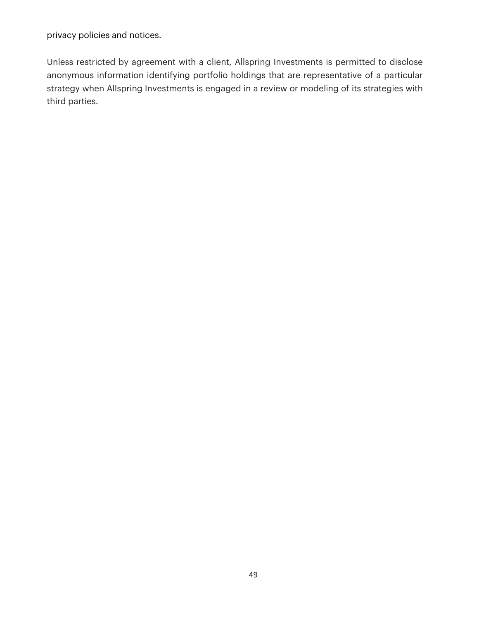privacy policies and notices.

Unless restricted by agreement with a client, Allspring Investments is permitted to disclose anonymous information identifying portfolio holdings that are representative of a particular strategy when Allspring Investments is engaged in a review or modeling of its strategies with third parties.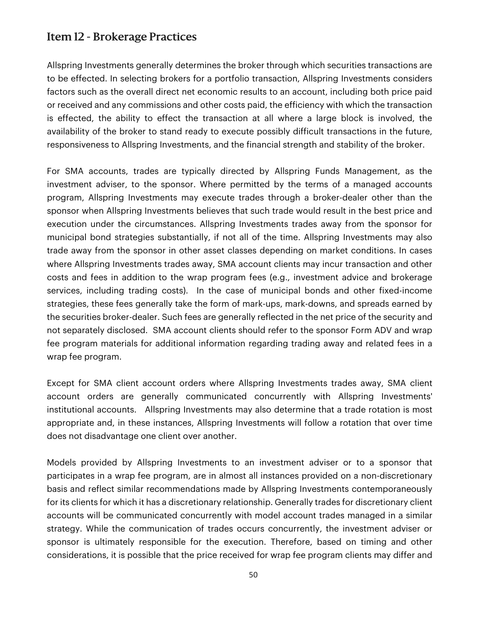## Item 12 - Brokerage Practices

Allspring Investments generally determines the broker through which securities transactions are to be effected. In selecting brokers for a portfolio transaction, Allspring Investments considers factors such as the overall direct net economic results to an account, including both price paid or received and any commissions and other costs paid, the efficiency with which the transaction is effected, the ability to effect the transaction at all where a large block is involved, the availability of the broker to stand ready to execute possibly difficult transactions in the future, responsiveness to Allspring Investments, and the financial strength and stability of the broker.

For SMA accounts, trades are typically directed by Allspring Funds Management, as the investment adviser, to the sponsor. Where permitted by the terms of a managed accounts program, Allspring Investments may execute trades through a broker-dealer other than the sponsor when Allspring Investments believes that such trade would result in the best price and execution under the circumstances. Allspring Investments trades away from the sponsor for municipal bond strategies substantially, if not all of the time. Allspring Investments may also trade away from the sponsor in other asset classes depending on market conditions. In cases where Allspring Investments trades away, SMA account clients may incur transaction and other costs and fees in addition to the wrap program fees (e.g., investment advice and brokerage services, including trading costs). In the case of municipal bonds and other fixed-income strategies, these fees generally take the form of mark-ups, mark-downs, and spreads earned by the securities broker-dealer. Such fees are generally reflected in the net price of the security and not separately disclosed. SMA account clients should refer to the sponsor Form ADV and wrap fee program materials for additional information regarding trading away and related fees in a wrap fee program.

Except for SMA client account orders where Allspring Investments trades away, SMA client account orders are generally communicated concurrently with Allspring Investments' institutional accounts. Allspring Investments may also determine that a trade rotation is most appropriate and, in these instances, Allspring Investments will follow a rotation that over time does not disadvantage one client over another.

Models provided by Allspring Investments to an investment adviser or to a sponsor that participates in a wrap fee program, are in almost all instances provided on a non-discretionary basis and reflect similar recommendations made by Allspring Investments contemporaneously for its clients for which it has a discretionary relationship. Generally trades for discretionary client accounts will be communicated concurrently with model account trades managed in a similar strategy. While the communication of trades occurs concurrently, the investment adviser or sponsor is ultimately responsible for the execution. Therefore, based on timing and other considerations, it is possible that the price received for wrap fee program clients may differ and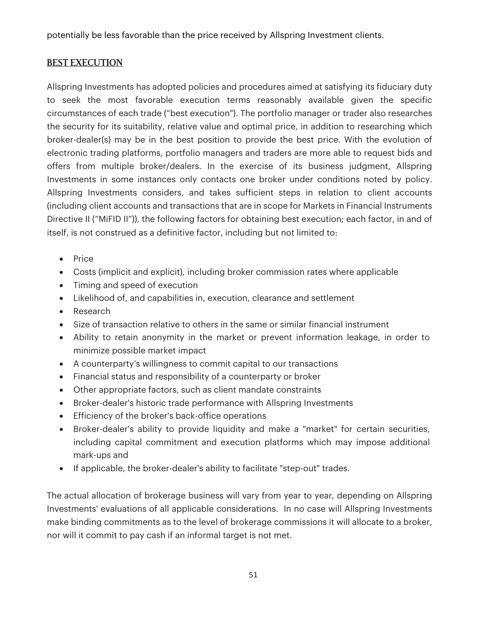potentially be less favorable than the price received by Allspring Investment clients.

## BEST EXECUTION

Allspring Investments has adopted policies and procedures aimed at satisfying its fiduciary duty to seek the most favorable execution terms reasonably available given the specific circumstances of each trade ("best execution"). The portfolio manager or trader also researches the security for its suitability, relative value and optimal price, in addition to researching which broker-dealer(s) may be in the best position to provide the best price. With the evolution of electronic trading platforms, portfolio managers and traders are more able to request bids and offers from multiple broker/dealers. In the exercise of its business judgment, Allspring Investments in some instances only contacts one broker under conditions noted by policy. Allspring Investments considers, and takes sufficient steps in relation to client accounts (including client accounts and transactions that are in scope for Markets in Financial Instruments Directive II ("MiFID II")), the following factors for obtaining best execution; each factor, in and of itself, is not construed as a definitive factor, including but not limited to:

- Price
- Costs (implicit and explicit), including broker commission rates where applicable
- Timing and speed of execution
- Likelihood of, and capabilities in, execution, clearance and settlement
- Research
- Size of transaction relative to others in the same or similar financial instrument
- Ability to retain anonymity in the market or prevent information leakage, in order to minimize possible market impact
- A counterparty's willingness to commit capital to our transactions
- Financial status and responsibility of a counterparty or broker
- Other appropriate factors, such as client mandate constraints
- Broker-dealer's historic trade performance with Allspring Investments
- Efficiency of the broker's back-office operations
- Broker-dealer's ability to provide liquidity and make a "market" for certain securities, including capital commitment and execution platforms which may impose additional mark-ups and
- If applicable, the broker-dealer's ability to facilitate "step-out" trades.

The actual allocation of brokerage business will vary from year to year, depending on Allspring Investments' evaluations of all applicable considerations. In no case will Allspring Investments make binding commitments as to the level of brokerage commissions it will allocate to a broker, nor will it commit to pay cash if an informal target is not met.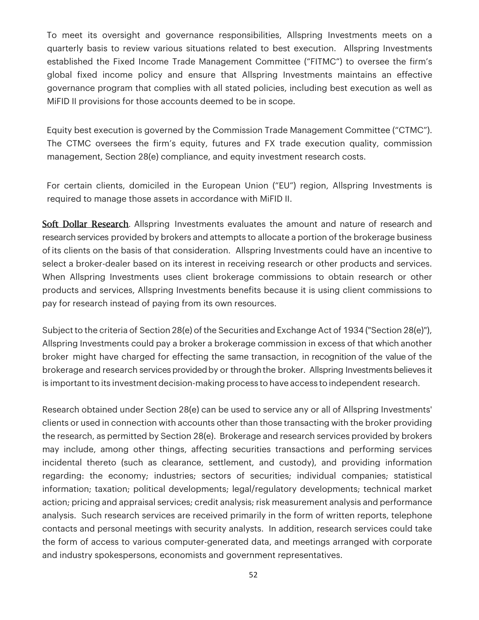To meet its oversight and governance responsibilities, Allspring Investments meets on a quarterly basis to review various situations related to best execution. Allspring Investments established the Fixed Income Trade Management Committee ("FITMC") to oversee the firm's global fixed income policy and ensure that Allspring Investments maintains an effective governance program that complies with all stated policies, including best execution as well as MiFID II provisions for those accounts deemed to be in scope.

Equity best execution is governed by the Commission Trade Management Committee ("CTMC"). The CTMC oversees the firm's equity, futures and FX trade execution quality, commission management, Section 28(e) compliance, and equity investment research costs.

For certain clients, domiciled in the European Union ("EU") region, Allspring Investments is required to manage those assets in accordance with MiFID II.

Soft Dollar Research. Allspring Investments evaluates the amount and nature of research and research services provided by brokers and attempts to allocate a portion of the brokerage business of its clients on the basis of that consideration. Allspring Investments could have an incentive to select a broker-dealer based on its interest in receiving research or other products and services. When Allspring Investments uses client brokerage commissions to obtain research or other products and services, Allspring Investments benefits because it is using client commissions to pay for research instead of paying from its own resources.

Subject to the criteria of Section 28(e) of the Securities and Exchange Act of 1934 ("Section 28(e)"), Allspring Investments could pay a broker a brokerage commission in excess of that which another broker might have charged for effecting the same transaction, in recognition of the value of the brokerage and research services provided by or through the broker. Allspring Investments believes it is important to its investment decision-making process to have access to independent research.

Research obtained under Section 28(e) can be used to service any or all of Allspring Investments' clients or used in connection with accounts other than those transacting with the broker providing the research, as permitted by Section 28(e). Brokerage and research services provided by brokers may include, among other things, affecting securities transactions and performing services incidental thereto (such as clearance, settlement, and custody), and providing information regarding: the economy; industries; sectors of securities; individual companies; statistical information; taxation; political developments; legal/regulatory developments; technical market action; pricing and appraisal services; credit analysis; risk measurement analysis and performance analysis. Such research services are received primarily in the form of written reports, telephone contacts and personal meetings with security analysts. In addition, research services could take the form of access to various computer-generated data, and meetings arranged with corporate and industry spokespersons, economists and government representatives.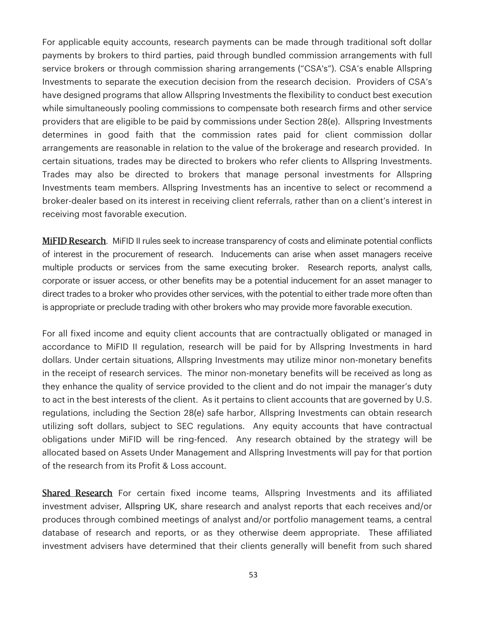For applicable equity accounts, research payments can be made through traditional soft dollar payments by brokers to third parties, paid through bundled commission arrangements with full service brokers or through commission sharing arrangements ("CSA's"). CSA's enable Allspring Investments to separate the execution decision from the research decision. Providers of CSA's have designed programs that allow Allspring Investments the flexibility to conduct best execution while simultaneously pooling commissions to compensate both research firms and other service providers that are eligible to be paid by commissions under Section 28(e). Allspring Investments determines in good faith that the commission rates paid for client commission dollar arrangements are reasonable in relation to the value of the brokerage and research provided. In certain situations, trades may be directed to brokers who refer clients to Allspring Investments. Trades may also be directed to brokers that manage personal investments for Allspring Investments team members. Allspring Investments has an incentive to select or recommend a broker-dealer based on its interest in receiving client referrals, rather than on a client's interest in receiving most favorable execution.

MiFID Research. MiFID II rules seek to increase transparency of costs and eliminate potential conflicts of interest in the procurement of research. Inducements can arise when asset managers receive multiple products or services from the same executing broker. Research reports, analyst calls, corporate or issuer access, or other benefits may be a potential inducement for an asset manager to direct trades to a broker who provides other services, with the potential to either trade more often than is appropriate or preclude trading with other brokers who may provide more favorable execution.

For all fixed income and equity client accounts that are contractually obligated or managed in accordance to MiFID II regulation, research will be paid for by Allspring Investments in hard dollars. Under certain situations, Allspring Investments may utilize minor non-monetary benefits in the receipt of research services. The minor non-monetary benefits will be received as long as they enhance the quality of service provided to the client and do not impair the manager's duty to act in the best interests of the client. As it pertains to client accounts that are governed by U.S. regulations, including the Section 28(e) safe harbor, Allspring Investments can obtain research utilizing soft dollars, subject to SEC regulations. Any equity accounts that have contractual obligations under MiFID will be ring-fenced. Any research obtained by the strategy will be allocated based on Assets Under Management and Allspring Investments will pay for that portion of the research from its Profit & Loss account.

**Shared Research** For certain fixed income teams, Allspring Investments and its affiliated investment adviser, Allspring UK, share research and analyst reports that each receives and/or produces through combined meetings of analyst and/or portfolio management teams, a central database of research and reports, or as they otherwise deem appropriate. These affiliated investment advisers have determined that their clients generally will benefit from such shared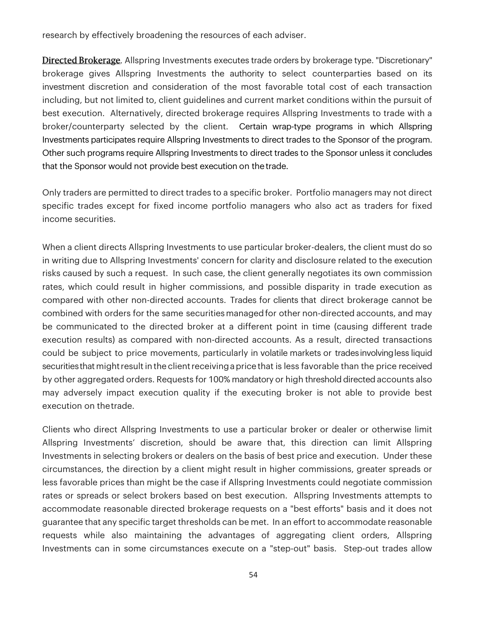research by effectively broadening the resources of each adviser.

Directed Brokerage. Allspring Investments executes trade orders by brokerage type. "Discretionary" brokerage gives Allspring Investments the authority to select counterparties based on its investment discretion and consideration of the most favorable total cost of each transaction including, but not limited to, client guidelines and current market conditions within the pursuit of best execution. Alternatively, directed brokerage requires Allspring Investments to trade with a broker/counterparty selected by the client. Certain wrap-type programs in which Allspring Investments participates require Allspring Investments to direct trades to the Sponsor of the program. Other such programs require Allspring Investments to direct trades to the Sponsor unless it concludes that the Sponsor would not provide best execution on the trade.

Only traders are permitted to direct trades to a specific broker. Portfolio managers may not direct specific trades except for fixed income portfolio managers who also act as traders for fixed income securities.

When a client directs Allspring Investments to use particular broker-dealers, the client must do so in writing due to Allspring Investments' concern for clarity and disclosure related to the execution risks caused by such a request. In such case, the client generally negotiates its own commission rates, which could result in higher commissions, and possible disparity in trade execution as compared with other non-directed accounts. Trades for clients that direct brokerage cannot be combined with orders for the same securities managed for other non-directed accounts, and may be communicated to the directed broker at a different point in time (causing different trade execution results) as compared with non-directed accounts. As a result, directed transactions could be subject to price movements, particularly in volatile markets or trades involving less liquid securities that might result in the client receiving a price that is less favorable than the price received by other aggregated orders. Requests for 100% mandatory or high threshold directed accounts also may adversely impact execution quality if the executing broker is not able to provide best execution on the trade.

Clients who direct Allspring Investments to use a particular broker or dealer or otherwise limit Allspring Investments' discretion, should be aware that, this direction can limit Allspring Investments in selecting brokers or dealers on the basis of best price and execution. Under these circumstances, the direction by a client might result in higher commissions, greater spreads or less favorable prices than might be the case if Allspring Investments could negotiate commission rates or spreads or select brokers based on best execution. Allspring Investments attempts to accommodate reasonable directed brokerage requests on a "best efforts" basis and it does not guarantee that any specific target thresholds can be met. In an effort to accommodate reasonable requests while also maintaining the advantages of aggregating client orders, Allspring Investments can in some circumstances execute on a "step-out" basis. Step-out trades allow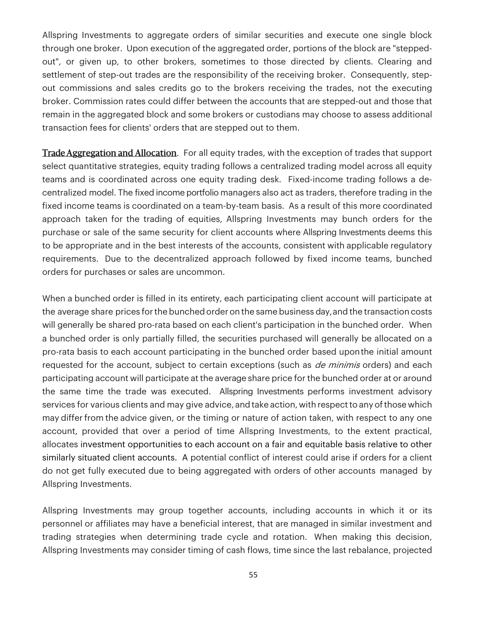Allspring Investments to aggregate orders of similar securities and execute one single block through one broker. Upon execution of the aggregated order, portions of the block are "steppedout", or given up, to other brokers, sometimes to those directed by clients. Clearing and settlement of step-out trades are the responsibility of the receiving broker. Consequently, stepout commissions and sales credits go to the brokers receiving the trades, not the executing broker. Commission rates could differ between the accounts that are stepped-out and those that remain in the aggregated block and some brokers or custodians may choose to assess additional transaction fees for clients' orders that are stepped out to them.

**Trade Aggregation and Allocation.** For all equity trades, with the exception of trades that support select quantitative strategies, equity trading follows a centralized trading model across all equity teams and is coordinated across one equity trading desk. Fixed-income trading follows a decentralized model. The fixed income portfolio managers also act as traders, therefore trading in the fixed income teams is coordinated on a team-by-team basis. As a result of this more coordinated approach taken for the trading of equities, Allspring Investments may bunch orders for the purchase or sale of the same security for client accounts where Allspring Investments deems this to be appropriate and in the best interests of the accounts, consistent with applicable regulatory requirements. Due to the decentralized approach followed by fixed income teams, bunched orders for purchases or sales are uncommon.

When a bunched order is filled in its entirety, each participating client account will participate at the average share prices for the bunched order on the same business day, and the transaction costs will generally be shared pro-rata based on each client's participation in the bunched order. When a bunched order is only partially filled, the securities purchased will generally be allocated on a pro-rata basis to each account participating in the bunched order based upon the initial amount requested for the account, subject to certain exceptions (such as *de minimis* orders) and each participating account will participate at the average share price for the bunched order at or around the same time the trade was executed. Allspring Investments performs investment advisory services for various clients and may give advice, and take action, with respect to any of those which may differ from the advice given, or the timing or nature of action taken, with respect to any one account, provided that over a period of time Allspring Investments, to the extent practical, allocates investment opportunities to each account on a fair and equitable basis relative to other similarly situated client accounts. A potential conflict of interest could arise if orders for a client do not get fully executed due to being aggregated with orders of other accounts managed by Allspring Investments.

Allspring Investments may group together accounts, including accounts in which it or its personnel or affiliates may have a beneficial interest, that are managed in similar investment and trading strategies when determining trade cycle and rotation. When making this decision, Allspring Investments may consider timing of cash flows, time since the last rebalance, projected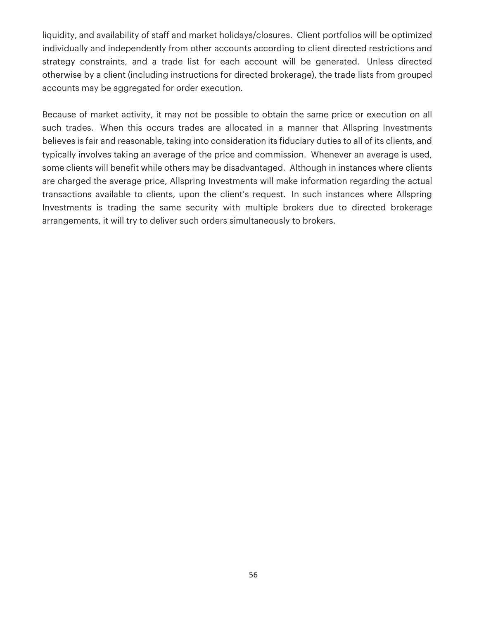liquidity, and availability of staff and market holidays/closures. Client portfolios will be optimized individually and independently from other accounts according to client directed restrictions and strategy constraints, and a trade list for each account will be generated. Unless directed otherwise by a client (including instructions for directed brokerage), the trade lists from grouped accounts may be aggregated for order execution.

Because of market activity, it may not be possible to obtain the same price or execution on all such trades. When this occurs trades are allocated in a manner that Allspring Investments believes is fair and reasonable, taking into consideration its fiduciary duties to all of its clients, and typically involves taking an average of the price and commission. Whenever an average is used, some clients will benefit while others may be disadvantaged. Although in instances where clients are charged the average price, Allspring Investments will make information regarding the actual transactions available to clients, upon the client's request. In such instances where Allspring Investments is trading the same security with multiple brokers due to directed brokerage arrangements, it will try to deliver such orders simultaneously to brokers.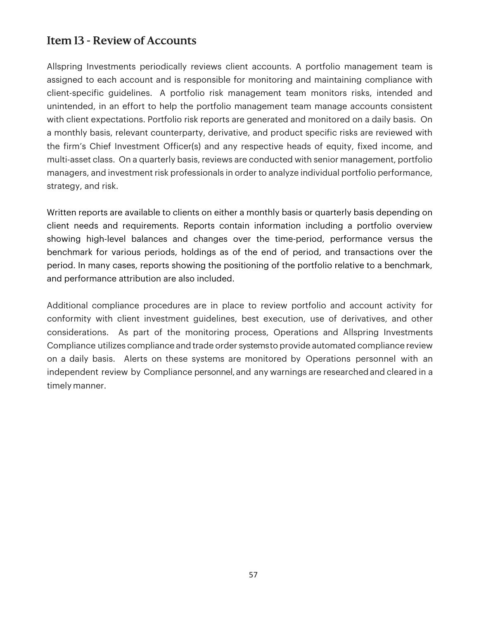## Item 13 - Review of Accounts

Allspring Investments periodically reviews client accounts. A portfolio management team is assigned to each account and is responsible for monitoring and maintaining compliance with client-specific guidelines. A portfolio risk management team monitors risks, intended and unintended, in an effort to help the portfolio management team manage accounts consistent with client expectations. Portfolio risk reports are generated and monitored on a daily basis. On a monthly basis, relevant counterparty, derivative, and product specific risks are reviewed with the firm's Chief Investment Officer(s) and any respective heads of equity, fixed income, and multi-asset class. On a quarterly basis, reviews are conducted with senior management, portfolio managers, and investment risk professionals in order to analyze individual portfolio performance, strategy, and risk.

Written reports are available to clients on either a monthly basis or quarterly basis depending on client needs and requirements. Reports contain information including a portfolio overview showing high-level balances and changes over the time-period, performance versus the benchmark for various periods, holdings as of the end of period, and transactions over the period. In many cases, reports showing the positioning of the portfolio relative to a benchmark, and performance attribution are also included.

Additional compliance procedures are in place to review portfolio and account activity for conformity with client investment guidelines, best execution, use of derivatives, and other considerations. As part of the monitoring process, Operations and Allspring Investments Compliance utilizes compliance and trade order systems to provide automated compliance review on a daily basis. Alerts on these systems are monitored by Operations personnel with an independent review by Compliance personnel, and any warnings are researched and cleared in a timely manner.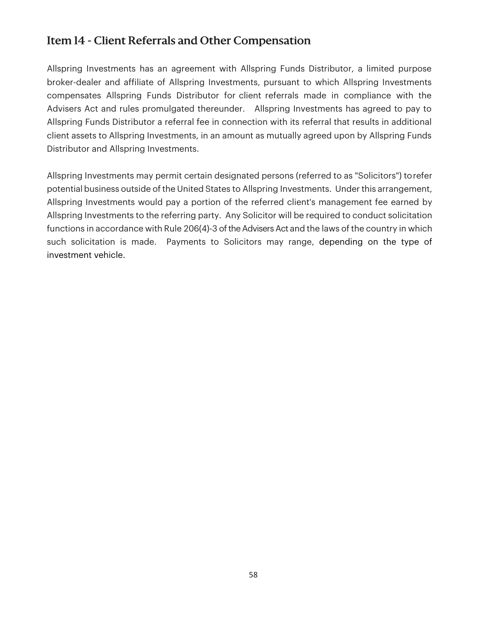## Item 14 - Client Referrals and Other Compensation

Allspring Investments has an agreement with Allspring Funds Distributor, a limited purpose broker-dealer and affiliate of Allspring Investments, pursuant to which Allspring Investments compensates Allspring Funds Distributor for client referrals made in compliance with the Advisers Act and rules promulgated thereunder. Allspring Investments has agreed to pay to Allspring Funds Distributor a referral fee in connection with its referral that results in additional client assets to Allspring Investments, in an amount as mutually agreed upon by Allspring Funds Distributor and Allspring Investments.

Allspring Investments may permit certain designated persons (referred to as "Solicitors") to refer potential business outside of the United States to Allspring Investments. Under this arrangement, Allspring Investments would pay a portion of the referred client's management fee earned by Allspring Investments to the referring party. Any Solicitor will be required to conduct solicitation functions in accordance with Rule 206(4)-3 of the Advisers Act and the laws of the country in which such solicitation is made. Payments to Solicitors may range, depending on the type of investment vehicle.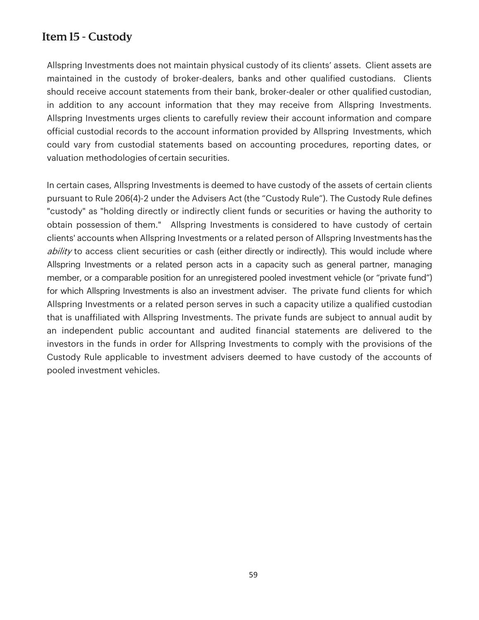## Item 15 - Custody

Allspring Investments does not maintain physical custody of its clients' assets. Client assets are maintained in the custody of broker-dealers, banks and other qualified custodians. Clients should receive account statements from their bank, broker-dealer or other qualified custodian, in addition to any account information that they may receive from Allspring Investments. Allspring Investments urges clients to carefully review their account information and compare official custodial records to the account information provided by Allspring Investments, which could vary from custodial statements based on accounting procedures, reporting dates, or valuation methodologies of certain securities.

In certain cases, Allspring Investments is deemed to have custody of the assets of certain clients pursuant to Rule 206(4)-2 under the Advisers Act (the "Custody Rule"). The Custody Rule defines "custody" as "holding directly or indirectly client funds or securities or having the authority to obtain possession of them." Allspring Investments is considered to have custody of certain clients' accounts when Allspring Investments or a related person of Allspring Investments has the ability to access client securities or cash (either directly or indirectly). This would include where Allspring Investments or a related person acts in a capacity such as general partner, managing member, or a comparable position for an unregistered pooled investment vehicle (or "private fund") for which Allspring Investments is also an investment adviser. The private fund clients for which Allspring Investments or a related person serves in such a capacity utilize a qualified custodian that is unaffiliated with Allspring Investments. The private funds are subject to annual audit by an independent public accountant and audited financial statements are delivered to the investors in the funds in order for Allspring Investments to comply with the provisions of the Custody Rule applicable to investment advisers deemed to have custody of the accounts of pooled investment vehicles.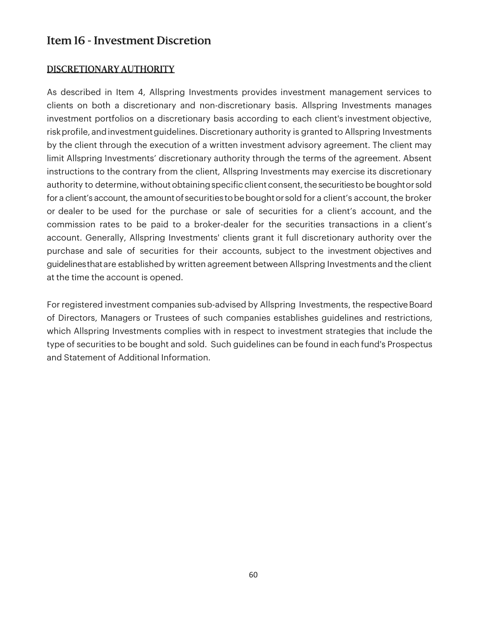## Item 16 - Investment Discretion

## DISCRETIONARY AUTHORITY

As described in Item 4, Allspring Investments provides investment management services to clients on both a discretionary and non-discretionary basis. Allspring Investments manages investment portfolios on a discretionary basis according to each client's investment objective, risk profile, and investment guidelines. Discretionary authority is granted to Allspring Investments by the client through the execution of a written investment advisory agreement. The client may limit Allspring Investments' discretionary authority through the terms of the agreement. Absent instructions to the contrary from the client, Allspring Investments may exercise its discretionary authority to determine, without obtaining specific client consent, the securities to be bought or sold for a client's account, the amount of securities to be bought or sold for a client's account, the broker or dealer to be used for the purchase or sale of securities for a client's account, and the commission rates to be paid to a broker-dealer for the securities transactions in a client's account. Generally, Allspring Investments' clients grant it full discretionary authority over the purchase and sale of securities for their accounts, subject to the investment objectives and guidelines that are established by written agreement between Allspring Investments and the client at the time the account is opened.

For registered investment companies sub-advised by Allspring Investments, the respective Board of Directors, Managers or Trustees of such companies establishes guidelines and restrictions, which Allspring Investments complies with in respect to investment strategies that include the type of securities to be bought and sold. Such guidelines can be found in each fund's Prospectus and Statement of Additional Information.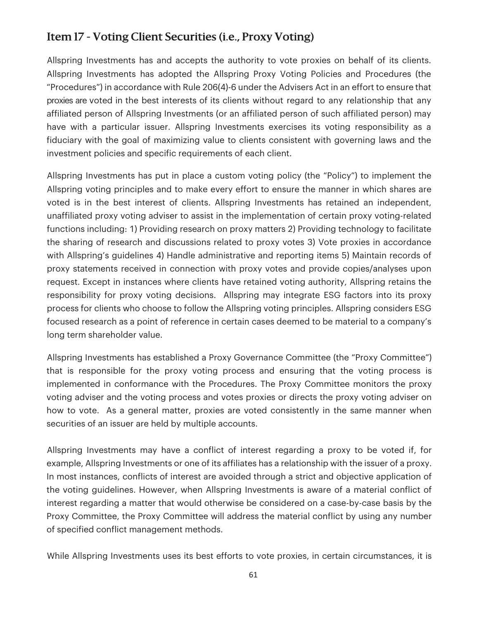## Item 17 - Voting Client Securities (i.e., Proxy Voting)

Allspring Investments has and accepts the authority to vote proxies on behalf of its clients. Allspring Investments has adopted the Allspring Proxy Voting Policies and Procedures (the "Procedures") in accordance with Rule 206(4)-6 under the Advisers Act in an effort to ensure that proxies are voted in the best interests of its clients without regard to any relationship that any affiliated person of Allspring Investments (or an affiliated person of such affiliated person) may have with a particular issuer. Allspring Investments exercises its voting responsibility as a fiduciary with the goal of maximizing value to clients consistent with governing laws and the investment policies and specific requirements of each client.

Allspring Investments has put in place a custom voting policy (the "Policy") to implement the Allspring voting principles and to make every effort to ensure the manner in which shares are voted is in the best interest of clients. Allspring Investments has retained an independent, unaffiliated proxy voting adviser to assist in the implementation of certain proxy voting-related functions including: 1) Providing research on proxy matters 2) Providing technology to facilitate the sharing of research and discussions related to proxy votes 3) Vote proxies in accordance with Allspring's guidelines 4) Handle administrative and reporting items 5) Maintain records of proxy statements received in connection with proxy votes and provide copies/analyses upon request. Except in instances where clients have retained voting authority, Allspring retains the responsibility for proxy voting decisions. Allspring may integrate ESG factors into its proxy process for clients who choose to follow the Allspring voting principles. Allspring considers ESG focused research as a point of reference in certain cases deemed to be material to a company's long term shareholder value.

Allspring Investments has established a Proxy Governance Committee (the "Proxy Committee") that is responsible for the proxy voting process and ensuring that the voting process is implemented in conformance with the Procedures. The Proxy Committee monitors the proxy voting adviser and the voting process and votes proxies or directs the proxy voting adviser on how to vote. As a general matter, proxies are voted consistently in the same manner when securities of an issuer are held by multiple accounts.

Allspring Investments may have a conflict of interest regarding a proxy to be voted if, for example, Allspring Investments or one of its affiliates has a relationship with the issuer of a proxy. In most instances, conflicts of interest are avoided through a strict and objective application of the voting guidelines. However, when Allspring Investments is aware of a material conflict of interest regarding a matter that would otherwise be considered on a case-by-case basis by the Proxy Committee, the Proxy Committee will address the material conflict by using any number of specified conflict management methods.

While Allspring Investments uses its best efforts to vote proxies, in certain circumstances, it is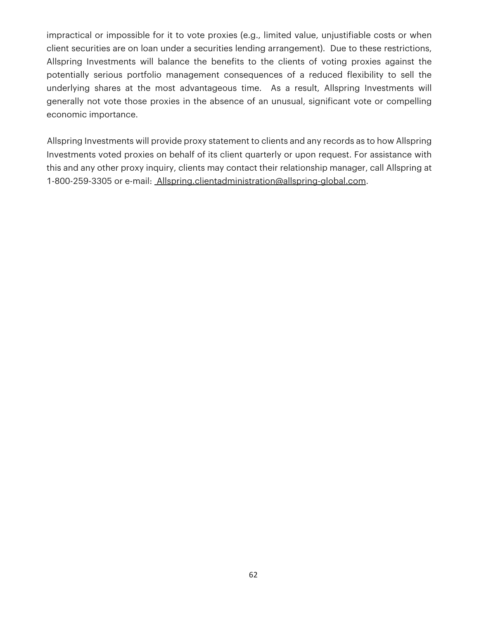impractical or impossible for it to vote proxies (e.g., limited value, unjustifiable costs or when client securities are on loan under a securities lending arrangement). Due to these restrictions, Allspring Investments will balance the benefits to the clients of voting proxies against the potentially serious portfolio management consequences of a reduced flexibility to sell the underlying shares at the most advantageous time. As a result, Allspring Investments will generally not vote those proxies in the absence of an unusual, significant vote or compelling economic importance.

Allspring Investments will provide proxy statement to clients and any records as to how Allspring Investments voted proxies on behalf of its client quarterly or upon request. For assistance with this and any other proxy inquiry, clients may contact their relationship manager, call Allspring at 1-800-259-3305 or e-mail: Allspring.clientadministration@allspring-global.com.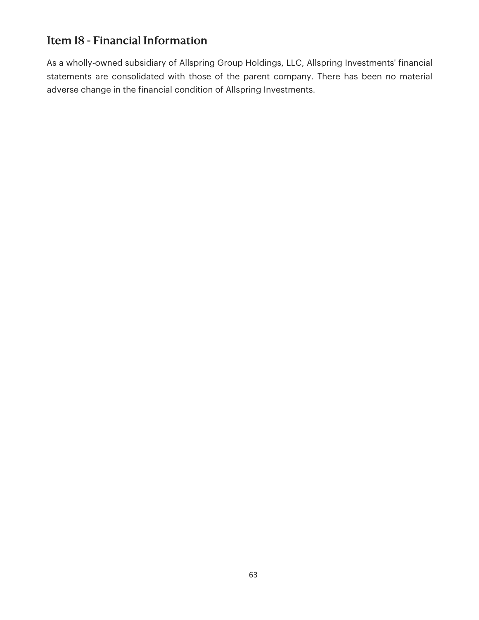## Item 18 - Financial Information

As a wholly-owned subsidiary of Allspring Group Holdings, LLC, Allspring Investments' financial statements are consolidated with those of the parent company. There has been no material adverse change in the financial condition of Allspring Investments.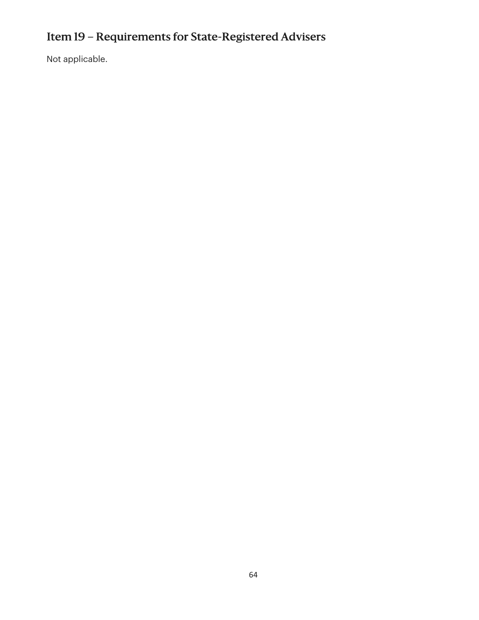# Item 19 – Requirements for State-Registered Advisers

Not applicable.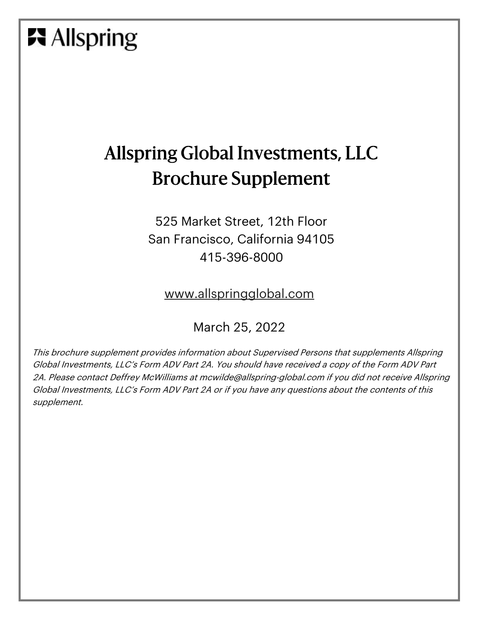# **Allspring**

## Allspring Global Investments, LLC Brochure Supplement

525 Market Street, 12th Floor San Francisco, California 94105 415-396-8000

www.allspringglobal.com

### March 25, 2022

This brochure supplement provides information about Supervised Persons that supplements Allspring Global Investments, LLC's Form ADV Part 2A. You should have received a copy of the Form ADV Part 2A. Please contact Deffrey McWilliams at mcwilde@allspring-global.com if you did not receive Allspring Global Investments, LLC's Form ADV Part 2A or if you have any questions about the contents of this supplement.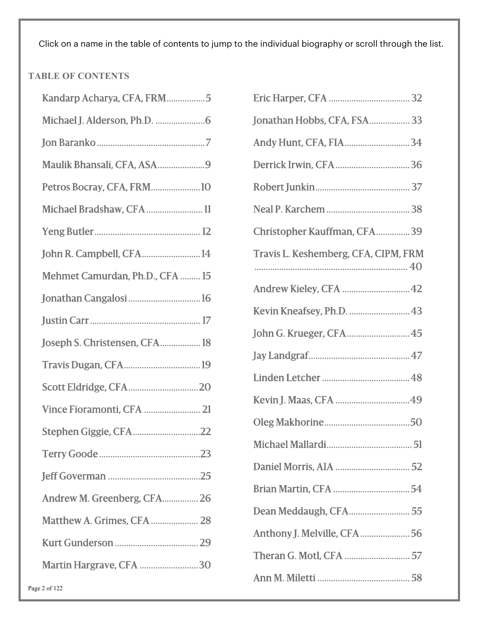Click on a name in the table of contents to jump to the individual biography or scroll through the list.

#### **TABLE OF CONTENTS**

| Kandarp Acharya, CFA, FRM5      |  |
|---------------------------------|--|
|                                 |  |
|                                 |  |
| Maulik Bhansali, CFA, ASA9      |  |
| Petros Bocray, CFA, FRM10       |  |
| Michael Bradshaw, CFA 11        |  |
|                                 |  |
| John R. Campbell, CFA 14        |  |
| Mehmet Camurdan, Ph.D., CFA  15 |  |
|                                 |  |
|                                 |  |
| Joseph S. Christensen, CFA 18   |  |
|                                 |  |
|                                 |  |
| Vince Fioramonti, CFA  21       |  |
| Stephen Giggie, CFA22           |  |
|                                 |  |
|                                 |  |
| Andrew M. Greenberg, CFA 26     |  |
| Matthew A. Grimes, CFA  28      |  |
|                                 |  |
| Martin Hargrave, CFA 30         |  |
|                                 |  |

| Jonathan Hobbs, CFA, FSA 33          |
|--------------------------------------|
| Andy Hunt, CFA, FIA34                |
|                                      |
|                                      |
|                                      |
| Christopher Kauffman, CFA39          |
| Travis L. Keshemberg, CFA, CIPM, FRM |
| Andrew Kieley, CFA  42               |
|                                      |
| John G. Krueger, CFA 45              |
|                                      |
|                                      |
|                                      |
|                                      |
|                                      |
|                                      |
|                                      |
| Dean Meddaugh, CFA 55                |
| Anthony J. Melville, CFA56           |
|                                      |
|                                      |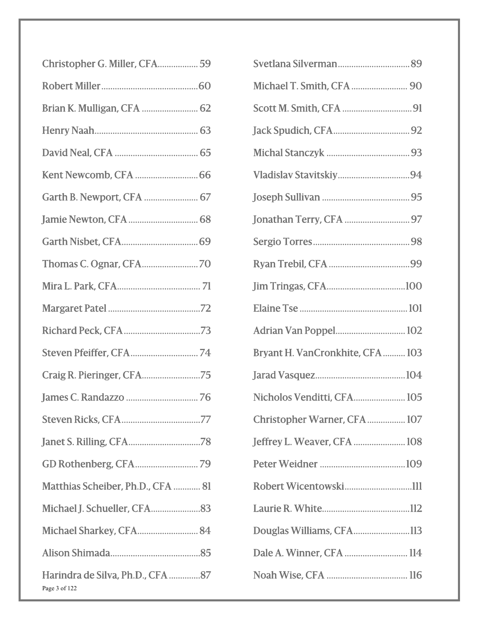| Christopher G. Miller, CFA 59                     |
|---------------------------------------------------|
|                                                   |
| Brian K. Mulligan, CFA  62                        |
|                                                   |
|                                                   |
|                                                   |
| Garth B. Newport, CFA  67                         |
|                                                   |
|                                                   |
|                                                   |
|                                                   |
|                                                   |
|                                                   |
|                                                   |
| Craig R. Pieringer, CFA75                         |
|                                                   |
|                                                   |
|                                                   |
|                                                   |
| Matthias Scheiber, Ph.D., CFA  81                 |
|                                                   |
| Michael Sharkey, CFA 84                           |
|                                                   |
| Harindra de Silva, Ph.D., CFA 87<br>Page 3 of 122 |

| Michael T. Smith, CFA  90       |
|---------------------------------|
|                                 |
|                                 |
|                                 |
|                                 |
|                                 |
|                                 |
|                                 |
|                                 |
|                                 |
|                                 |
| Adrian Van Poppel 102           |
| Bryant H. VanCronkhite, CFA 103 |
|                                 |
| Nicholos Venditti, CFA 105      |
| Christopher Warner, CFA 107     |
| Jeffrey L. Weaver, CFA  108     |
|                                 |
|                                 |
|                                 |
| Douglas Williams, CFA113        |
| Dale A. Winner, CFA  114        |
|                                 |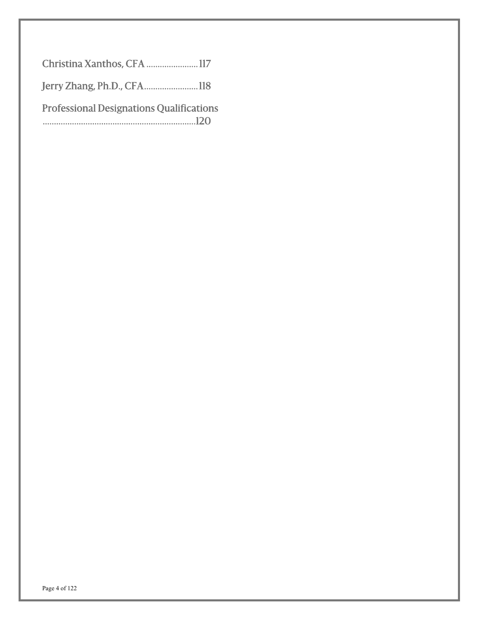| Christina Xanthos, CFA 117                      |  |
|-------------------------------------------------|--|
| Jerry Zhang, Ph.D., CFA118                      |  |
| <b>Professional Designations Qualifications</b> |  |
|                                                 |  |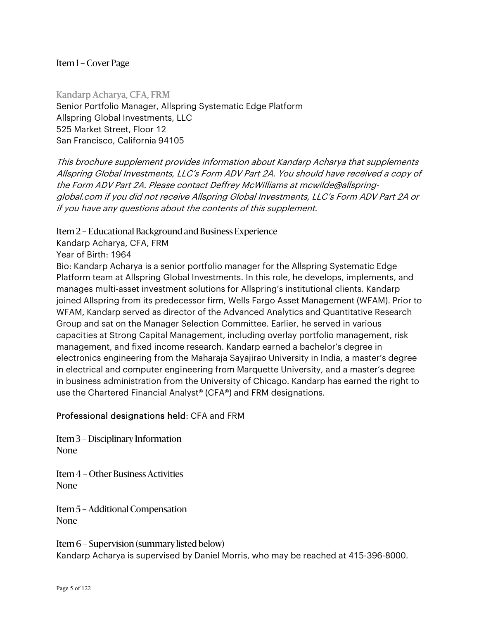Kandarp Acharya, CFA, FRM Senior Portfolio Manager, Allspring Systematic Edge Platform Allspring Global Investments, LLC 525 Market Street, Floor 12 San Francisco, California 94105

This brochure supplement provides information about Kandarp Acharya that supplements Allspring Global Investments, LLC's Form ADV Part 2A. You should have received a copy of the Form ADV Part 2A. Please contact Deffrey McWilliams at mcwilde@allspringglobal.com if you did not receive Allspring Global Investments, LLC's Form ADV Part 2A or if you have any questions about the contents of this supplement.

Item 2 – Educational Background and Business Experience

Kandarp Acharya, CFA, FRM

Year of Birth: 1964

Bio: Kandarp Acharya is a senior portfolio manager for the Allspring Systematic Edge Platform team at Allspring Global Investments. In this role, he develops, implements, and manages multi-asset investment solutions for Allspring's institutional clients. Kandarp joined Allspring from its predecessor firm, Wells Fargo Asset Management (WFAM). Prior to WFAM, Kandarp served as director of the Advanced Analytics and Quantitative Research Group and sat on the Manager Selection Committee. Earlier, he served in various capacities at Strong Capital Management, including overlay portfolio management, risk management, and fixed income research. Kandarp earned a bachelor's degree in electronics engineering from the Maharaja Sayajirao University in India, a master's degree in electrical and computer engineering from Marquette University, and a master's degree in business administration from the University of Chicago. Kandarp has earned the right to use the Chartered Financial Analyst® (CFA®) and FRM designations.

#### Professional designations held: CFA and FRM

Item 3 – Disciplinary Information None

Item 4 – Other Business Activities None

Item 5 – Additional Compensation None

Item 6 – Supervision (summary listed below) Kandarp Acharya is supervised by Daniel Morris, who may be reached at 415-396-8000.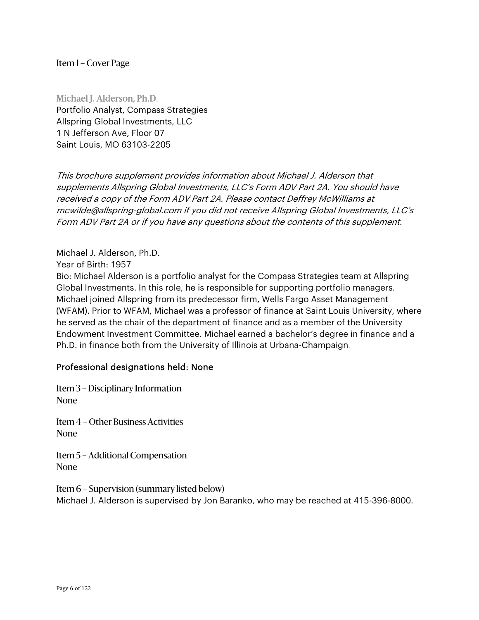Michael J. Alderson, Ph.D. Portfolio Analyst, Compass Strategies Allspring Global Investments, LLC 1 N Jefferson Ave, Floor 07 Saint Louis, MO 63103-2205

This brochure supplement provides information about Michael J. Alderson that supplements Allspring Global Investments, LLC's Form ADV Part 2A. You should have received a copy of the Form ADV Part 2A. Please contact Deffrey McWilliams at mcwilde@allspring-global.com if you did not receive Allspring Global Investments, LLC's Form ADV Part 2A or if you have any questions about the contents of this supplement.

Michael J. Alderson, Ph.D.

Year of Birth: 1957

Bio: Michael Alderson is a portfolio analyst for the Compass Strategies team at Allspring Global Investments. In this role, he is responsible for supporting portfolio managers. Michael joined Allspring from its predecessor firm, Wells Fargo Asset Management (WFAM). Prior to WFAM, Michael was a professor of finance at Saint Louis University, where he served as the chair of the department of finance and as a member of the University Endowment Investment Committee. Michael earned a bachelor's degree in finance and a Ph.D. in finance both from the University of Illinois at Urbana-Champaign.

#### Professional designations held: None

Item 3 – Disciplinary Information None

Item 4 – Other Business Activities None

Item 5 – Additional Compensation None

Item 6 – Supervision (summary listed below) Michael J. Alderson is supervised by Jon Baranko, who may be reached at 415-396-8000.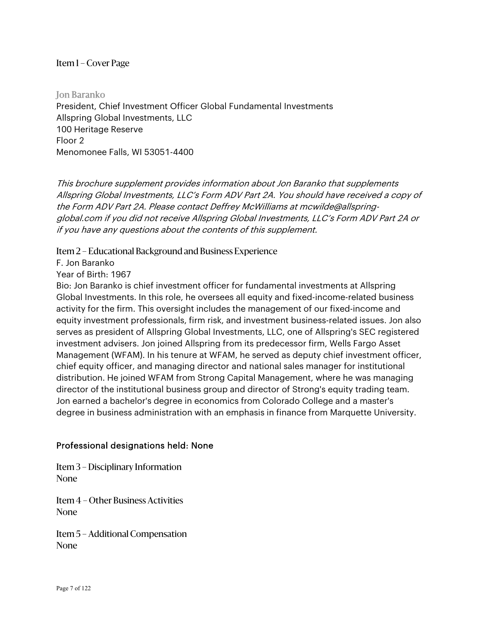Jon Baranko President, Chief Investment Officer Global Fundamental Investments Allspring Global Investments, LLC 100 Heritage Reserve Floor 2 Menomonee Falls, WI 53051-4400

This brochure supplement provides information about Jon Baranko that supplements Allspring Global Investments, LLC's Form ADV Part 2A. You should have received a copy of the Form ADV Part 2A. Please contact Deffrey McWilliams at mcwilde@allspringglobal.com if you did not receive Allspring Global Investments, LLC's Form ADV Part 2A or if you have any questions about the contents of this supplement.

Item 2 – Educational Background and Business Experience

F. Jon Baranko

Year of Birth: 1967

Bio: Jon Baranko is chief investment officer for fundamental investments at Allspring Global Investments. In this role, he oversees all equity and fixed-income-related business activity for the firm. This oversight includes the management of our fixed-income and equity investment professionals, firm risk, and investment business-related issues. Jon also serves as president of Allspring Global Investments, LLC, one of Allspring's SEC registered investment advisers. Jon joined Allspring from its predecessor firm, Wells Fargo Asset Management (WFAM). In his tenure at WFAM, he served as deputy chief investment officer, chief equity officer, and managing director and national sales manager for institutional distribution. He joined WFAM from Strong Capital Management, where he was managing director of the institutional business group and director of Strong's equity trading team. Jon earned a bachelor's degree in economics from Colorado College and a master's degree in business administration with an emphasis in finance from Marquette University.

#### Professional designations held: None

Item 3 – Disciplinary Information None

Item 4 – Other Business Activities None

Item 5 – Additional Compensation None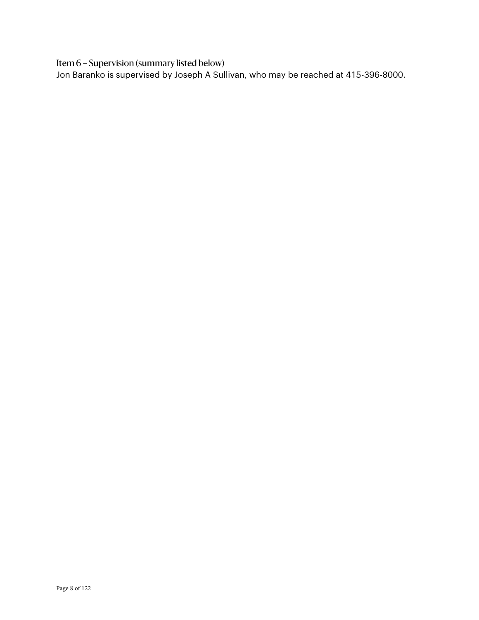Item 6 – Supervision (summary listed below)

Jon Baranko is supervised by Joseph A Sullivan, who may be reached at 415-396-8000.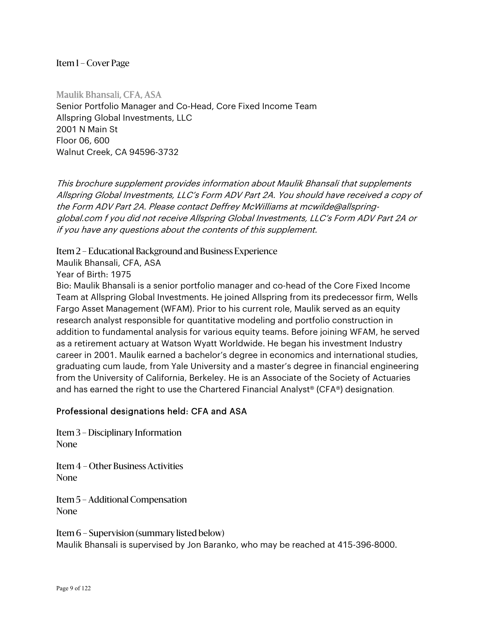Maulik Bhansali, CFA, ASA Senior Portfolio Manager and Co-Head, Core Fixed Income Team Allspring Global Investments, LLC 2001 N Main St Floor 06, 600 Walnut Creek, CA 94596-3732

This brochure supplement provides information about Maulik Bhansali that supplements Allspring Global Investments, LLC's Form ADV Part 2A. You should have received a copy of the Form ADV Part 2A. Please contact Deffrey McWilliams at mcwilde@allspringglobal.com f you did not receive Allspring Global Investments, LLC's Form ADV Part 2A or if you have any questions about the contents of this supplement.

Item 2 – Educational Background and Business Experience

Maulik Bhansali, CFA, ASA

Year of Birth: 1975

Bio: Maulik Bhansali is a senior portfolio manager and co-head of the Core Fixed Income Team at Allspring Global Investments. He joined Allspring from its predecessor firm, Wells Fargo Asset Management (WFAM). Prior to his current role, Maulik served as an equity research analyst responsible for quantitative modeling and portfolio construction in addition to fundamental analysis for various equity teams. Before joining WFAM, he served as a retirement actuary at Watson Wyatt Worldwide. He began his investment Industry career in 2001. Maulik earned a bachelor's degree in economics and international studies, graduating cum laude, from Yale University and a master's degree in financial engineering from the University of California, Berkeley. He is an Associate of the Society of Actuaries and has earned the right to use the Chartered Financial Analyst® (CFA®) designation.

#### Professional designations held: CFA and ASA

Item 3 – Disciplinary Information None

Item 4 – Other Business Activities None

Item 5 – Additional Compensation None

Item 6 – Supervision (summary listed below) Maulik Bhansali is supervised by Jon Baranko, who may be reached at 415-396-8000.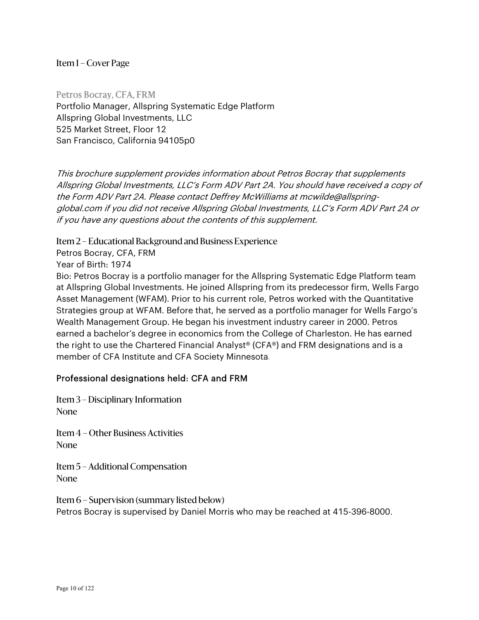Petros Bocray, CFA, FRM Portfolio Manager, Allspring Systematic Edge Platform Allspring Global Investments, LLC 525 Market Street, Floor 12 San Francisco, California 94105p0

This brochure supplement provides information about Petros Bocray that supplements Allspring Global Investments, LLC's Form ADV Part 2A. You should have received a copy of the Form ADV Part 2A. Please contact Deffrey McWilliams at mcwilde@allspringglobal.com if you did not receive Allspring Global Investments, LLC's Form ADV Part 2A or if you have any questions about the contents of this supplement.

Item 2 – Educational Background and Business Experience

Petros Bocray, CFA, FRM

Year of Birth: 1974

Bio: Petros Bocray is a portfolio manager for the Allspring Systematic Edge Platform team at Allspring Global Investments. He joined Allspring from its predecessor firm, Wells Fargo Asset Management (WFAM). Prior to his current role, Petros worked with the Quantitative Strategies group at WFAM. Before that, he served as a portfolio manager for Wells Fargo's Wealth Management Group. He began his investment industry career in 2000. Petros earned a bachelor's degree in economics from the College of Charleston. He has earned the right to use the Chartered Financial Analyst® (CFA®) and FRM designations and is a member of CFA Institute and CFA Society Minnesota.

#### Professional designations held: CFA and FRM

Item 3 – Disciplinary Information None

Item 4 – Other Business Activities None

Item 5 – Additional Compensation None

Item 6 – Supervision (summary listed below) Petros Bocray is supervised by Daniel Morris who may be reached at 415-396-8000.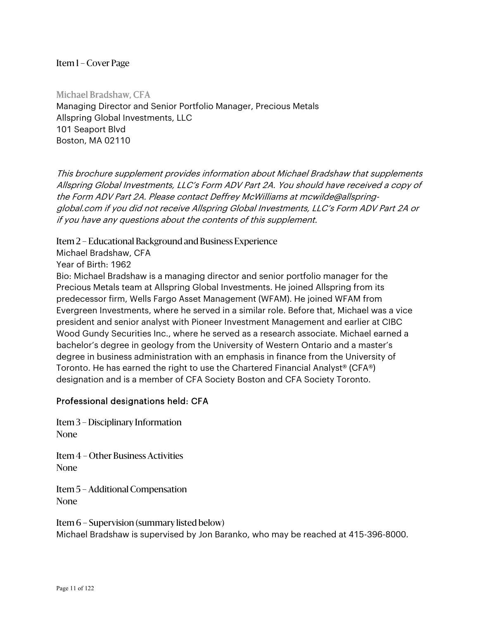Michael Bradshaw, CFA Managing Director and Senior Portfolio Manager, Precious Metals Allspring Global Investments, LLC 101 Seaport Blvd Boston, MA 02110

This brochure supplement provides information about Michael Bradshaw that supplements Allspring Global Investments, LLC's Form ADV Part 2A. You should have received a copy of the Form ADV Part 2A. Please contact Deffrey McWilliams at mcwilde@allspringglobal.com if you did not receive Allspring Global Investments, LLC's Form ADV Part 2A or if you have any questions about the contents of this supplement.

Item 2 – Educational Background and Business Experience

Michael Bradshaw, CFA

Year of Birth: 1962

Bio: Michael Bradshaw is a managing director and senior portfolio manager for the Precious Metals team at Allspring Global Investments. He joined Allspring from its predecessor firm, Wells Fargo Asset Management (WFAM). He joined WFAM from Evergreen Investments, where he served in a similar role. Before that, Michael was a vice president and senior analyst with Pioneer Investment Management and earlier at CIBC Wood Gundy Securities Inc., where he served as a research associate. Michael earned a bachelor's degree in geology from the University of Western Ontario and a master's degree in business administration with an emphasis in finance from the University of Toronto. He has earned the right to use the Chartered Financial Analyst® (CFA®) designation and is a member of CFA Society Boston and CFA Society Toronto.

#### Professional designations held: CFA

Item 3 – Disciplinary Information None

Item 4 – Other Business Activities None

Item 5 – Additional Compensation None

Item 6 – Supervision (summary listed below) Michael Bradshaw is supervised by Jon Baranko, who may be reached at 415-396-8000.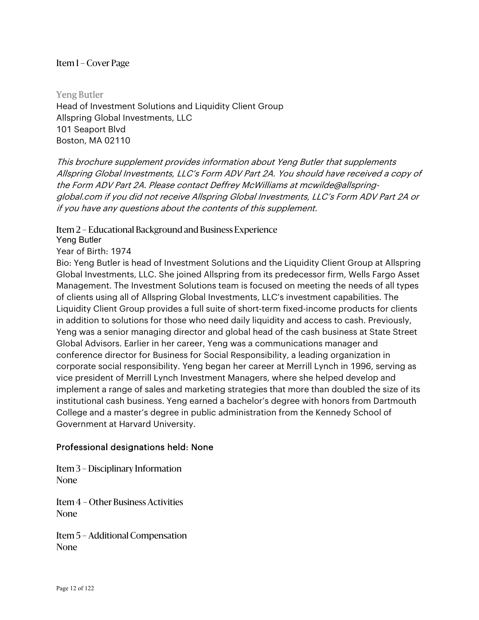Yeng Butler Head of Investment Solutions and Liquidity Client Group Allspring Global Investments, LLC 101 Seaport Blvd Boston, MA 02110

This brochure supplement provides information about Yeng Butler that supplements Allspring Global Investments, LLC's Form ADV Part 2A. You should have received a copy of the Form ADV Part 2A. Please contact Deffrey McWilliams at mcwilde@allspringglobal.com if you did not receive Allspring Global Investments, LLC's Form ADV Part 2A or if you have any questions about the contents of this supplement.

#### Item 2 – Educational Background and Business Experience

Yeng Butler

Year of Birth: 1974

Bio: Yeng Butler is head of Investment Solutions and the Liquidity Client Group at Allspring Global Investments, LLC. She joined Allspring from its predecessor firm, Wells Fargo Asset Management. The Investment Solutions team is focused on meeting the needs of all types of clients using all of Allspring Global Investments, LLC's investment capabilities. The Liquidity Client Group provides a full suite of short-term fixed-income products for clients in addition to solutions for those who need daily liquidity and access to cash. Previously, Yeng was a senior managing director and global head of the cash business at State Street Global Advisors. Earlier in her career, Yeng was a communications manager and conference director for Business for Social Responsibility, a leading organization in corporate social responsibility. Yeng began her career at Merrill Lynch in 1996, serving as vice president of Merrill Lynch Investment Managers, where she helped develop and implement a range of sales and marketing strategies that more than doubled the size of its institutional cash business. Yeng earned a bachelor's degree with honors from Dartmouth College and a master's degree in public administration from the Kennedy School of Government at Harvard University.

#### Professional designations held: None

Item 3 – Disciplinary Information None

Item 4 – Other Business Activities None

Item 5 – Additional Compensation None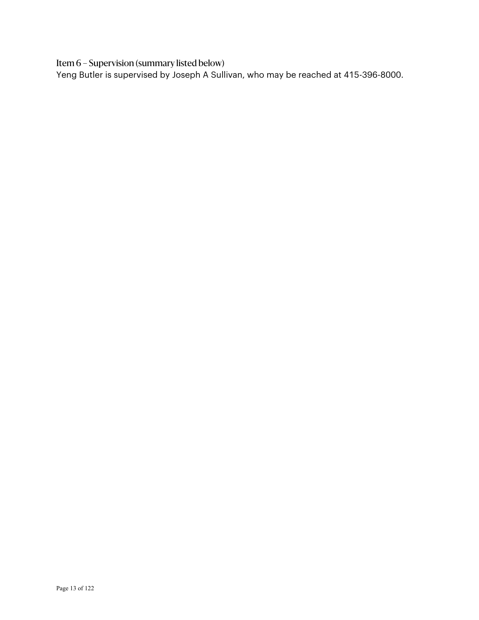Item 6 – Supervision (summary listed below)

Yeng Butler is supervised by Joseph A Sullivan, who may be reached at 415-396-8000.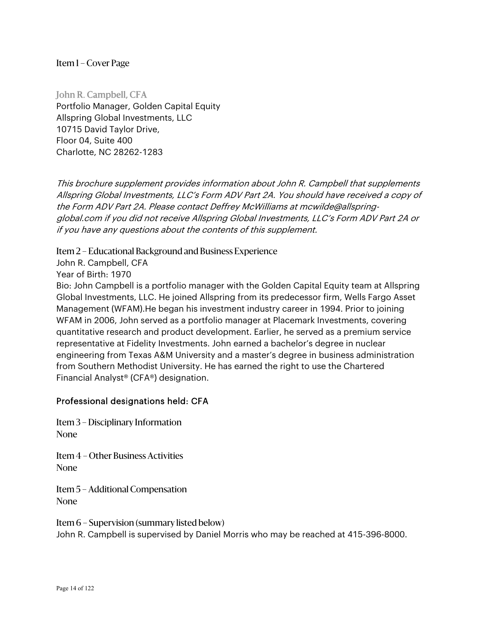John R. Campbell, CFA Portfolio Manager, Golden Capital Equity Allspring Global Investments, LLC 10715 David Taylor Drive, Floor 04, Suite 400 Charlotte, NC 28262-1283

This brochure supplement provides information about John R. Campbell that supplements Allspring Global Investments, LLC's Form ADV Part 2A. You should have received a copy of the Form ADV Part 2A. Please contact Deffrey McWilliams at mcwilde@allspringglobal.com if you did not receive Allspring Global Investments, LLC's Form ADV Part 2A or if you have any questions about the contents of this supplement.

Item 2 – Educational Background and Business Experience

John R. Campbell, CFA

Year of Birth: 1970

Bio: John Campbell is a portfolio manager with the Golden Capital Equity team at Allspring Global Investments, LLC. He joined Allspring from its predecessor firm, Wells Fargo Asset Management (WFAM).He began his investment industry career in 1994. Prior to joining WFAM in 2006, John served as a portfolio manager at Placemark Investments, covering quantitative research and product development. Earlier, he served as a premium service representative at Fidelity Investments. John earned a bachelor's degree in nuclear engineering from Texas A&M University and a master's degree in business administration from Southern Methodist University. He has earned the right to use the Chartered Financial Analyst® (CFA®) designation.

#### Professional designations held: CFA

Item 3 – Disciplinary Information None

Item 4 – Other Business Activities None

Item 5 – Additional Compensation None

Item 6 – Supervision (summary listed below) John R. Campbell is supervised by Daniel Morris who may be reached at 415-396-8000.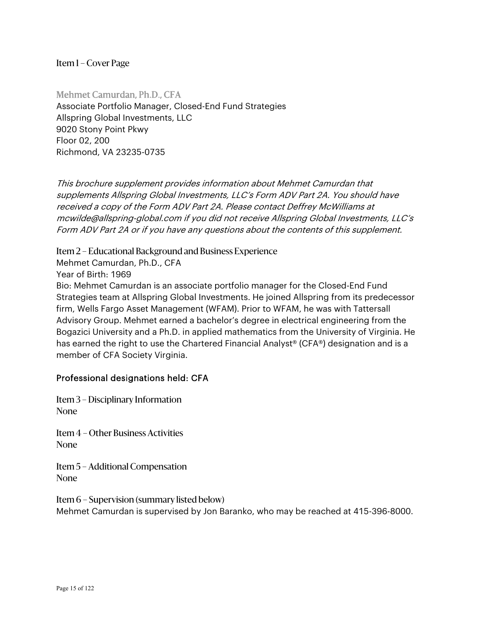Mehmet Camurdan, Ph.D., CFA Associate Portfolio Manager, Closed-End Fund Strategies Allspring Global Investments, LLC 9020 Stony Point Pkwy Floor 02, 200 Richmond, VA 23235-0735

This brochure supplement provides information about Mehmet Camurdan that supplements Allspring Global Investments, LLC's Form ADV Part 2A. You should have received a copy of the Form ADV Part 2A. Please contact Deffrey McWilliams at mcwilde@allspring-global.com if you did not receive Allspring Global Investments, LLC's Form ADV Part 2A or if you have any questions about the contents of this supplement.

Item 2 – Educational Background and Business Experience

Mehmet Camurdan, Ph.D., CFA Year of Birth: 1969

Bio: Mehmet Camurdan is an associate portfolio manager for the Closed-End Fund Strategies team at Allspring Global Investments. He joined Allspring from its predecessor firm, Wells Fargo Asset Management (WFAM). Prior to WFAM, he was with Tattersall Advisory Group. Mehmet earned a bachelor's degree in electrical engineering from the Bogazici University and a Ph.D. in applied mathematics from the University of Virginia. He has earned the right to use the Chartered Financial Analyst® (CFA®) designation and is a member of CFA Society Virginia.

#### Professional designations held: CFA

Item 3 – Disciplinary Information None

Item 4 – Other Business Activities None

Item 5 – Additional Compensation None

Item 6 – Supervision (summary listed below) Mehmet Camurdan is supervised by Jon Baranko, who may be reached at 415-396-8000.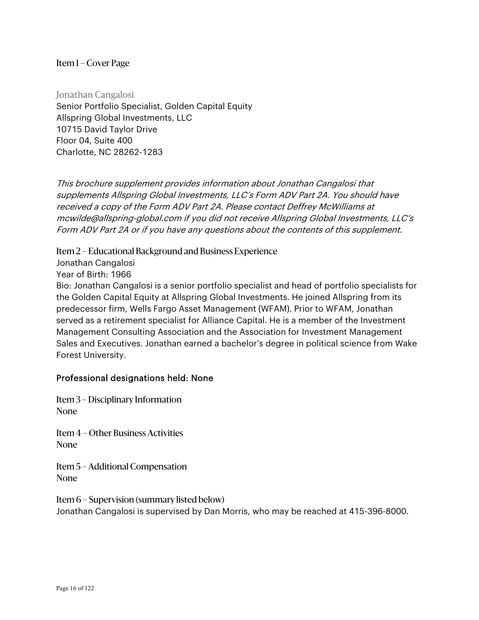Jonathan Cangalosi Senior Portfolio Specialist, Golden Capital Equity Allspring Global Investments, LLC 10715 David Taylor Drive Floor 04, Suite 400 Charlotte, NC 28262-1283

This brochure supplement provides information about Jonathan Cangalosi that supplements Allspring Global Investments, LLC's Form ADV Part 2A. You should have received a copy of the Form ADV Part 2A. Please contact Deffrey McWilliams at mcwilde@allspring-global.com if you did not receive Allspring Global Investments, LLC's Form ADV Part 2A or if you have any questions about the contents of this supplement.

Item 2 – Educational Background and Business Experience

Jonathan Cangalosi

Year of Birth: 1966

Bio: Jonathan Cangalosi is a senior portfolio specialist and head of portfolio specialists for the Golden Capital Equity at Allspring Global Investments. He joined Allspring from its predecessor firm, Wells Fargo Asset Management (WFAM). Prior to WFAM, Jonathan served as a retirement specialist for Alliance Capital. He is a member of the Investment Management Consulting Association and the Association for Investment Management Sales and Executives. Jonathan earned a bachelor's degree in political science from Wake Forest University.

#### Professional designations held: None

Item 3 – Disciplinary Information None

Item 4 – Other Business Activities None

Item 5 – Additional Compensation None

Item 6 – Supervision (summary listed below) Jonathan Cangalosi is supervised by Dan Morris, who may be reached at 415-396-8000.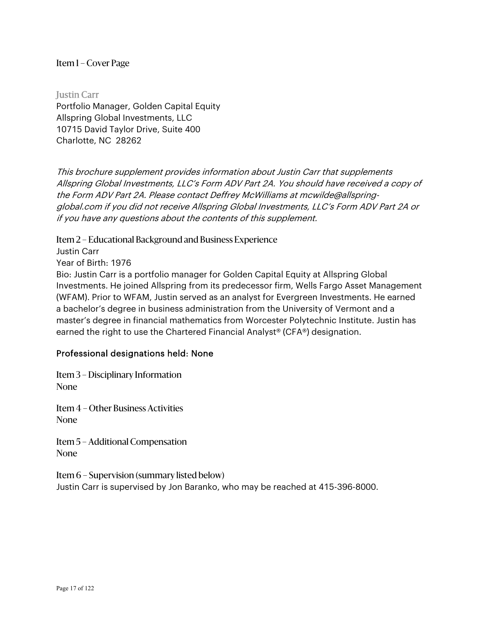**Justin Carr** Portfolio Manager, Golden Capital Equity Allspring Global Investments, LLC 10715 David Taylor Drive, Suite 400 Charlotte, NC 28262

This brochure supplement provides information about Justin Carr that supplements Allspring Global Investments, LLC's Form ADV Part 2A. You should have received a copy of the Form ADV Part 2A. Please contact Deffrey McWilliams at mcwilde@allspringglobal.com if you did not receive Allspring Global Investments, LLC's Form ADV Part 2A or if you have any questions about the contents of this supplement.

Item 2 – Educational Background and Business Experience

Justin Carr

Year of Birth: 1976

Bio: Justin Carr is a portfolio manager for Golden Capital Equity at Allspring Global Investments. He joined Allspring from its predecessor firm, Wells Fargo Asset Management (WFAM). Prior to WFAM, Justin served as an analyst for Evergreen Investments. He earned a bachelor's degree in business administration from the University of Vermont and a master's degree in financial mathematics from Worcester Polytechnic Institute. Justin has earned the right to use the Chartered Financial Analyst® (CFA®) designation.

#### Professional designations held: None

Item 3 – Disciplinary Information None

Item 4 – Other Business Activities None

Item 5 – Additional Compensation None

Item 6 – Supervision (summary listed below)

Justin Carr is supervised by Jon Baranko, who may be reached at 415-396-8000.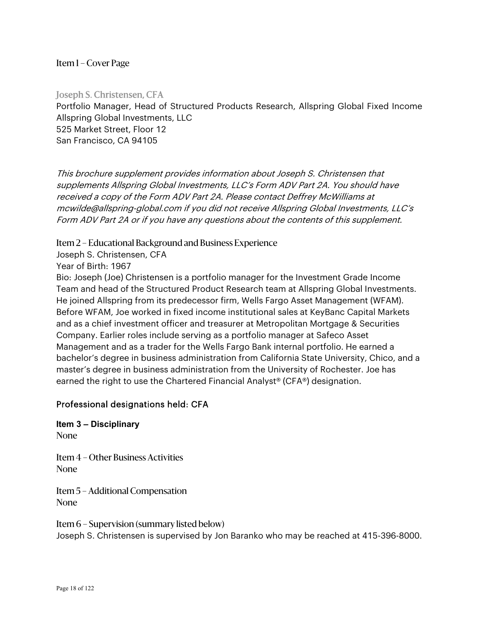Joseph S. Christensen, CFA Portfolio Manager, Head of Structured Products Research, Allspring Global Fixed Income Allspring Global Investments, LLC 525 Market Street, Floor 12 San Francisco, CA 94105

This brochure supplement provides information about Joseph S. Christensen that supplements Allspring Global Investments, LLC's Form ADV Part 2A. You should have received a copy of the Form ADV Part 2A. Please contact Deffrey McWilliams at mcwilde@allspring-global.com if you did not receive Allspring Global Investments, LLC's Form ADV Part 2A or if you have any questions about the contents of this supplement.

Item 2 – Educational Background and Business Experience

Joseph S. Christensen, CFA

Year of Birth: 1967

Bio: Joseph (Joe) Christensen is a portfolio manager for the Investment Grade Income Team and head of the Structured Product Research team at Allspring Global Investments. He joined Allspring from its predecessor firm, Wells Fargo Asset Management (WFAM). Before WFAM, Joe worked in fixed income institutional sales at KeyBanc Capital Markets and as a chief investment officer and treasurer at Metropolitan Mortgage & Securities Company. Earlier roles include serving as a portfolio manager at Safeco Asset Management and as a trader for the Wells Fargo Bank internal portfolio. He earned a bachelor's degree in business administration from California State University, Chico, and a master's degree in business administration from the University of Rochester. Joe has earned the right to use the Chartered Financial Analyst® (CFA®) designation.

#### Professional designations held: CFA

**Item 3 – Disciplinary**  None

Item 4 – Other Business Activities None

Item 5 – Additional Compensation None

Item 6 – Supervision (summary listed below) Joseph S. Christensen is supervised by Jon Baranko who may be reached at 415-396-8000.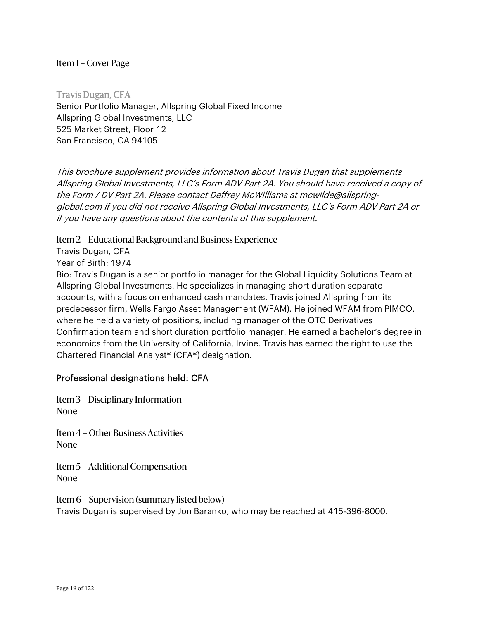Travis Dugan, CFA Senior Portfolio Manager, Allspring Global Fixed Income Allspring Global Investments, LLC 525 Market Street, Floor 12 San Francisco, CA 94105

This brochure supplement provides information about Travis Dugan that supplements Allspring Global Investments, LLC's Form ADV Part 2A. You should have received a copy of the Form ADV Part 2A. Please contact Deffrey McWilliams at mcwilde@allspringglobal.com if you did not receive Allspring Global Investments, LLC's Form ADV Part 2A or if you have any questions about the contents of this supplement.

Item 2 – Educational Background and Business Experience

Travis Dugan, CFA

Year of Birth: 1974

Bio: Travis Dugan is a senior portfolio manager for the Global Liquidity Solutions Team at Allspring Global Investments. He specializes in managing short duration separate accounts, with a focus on enhanced cash mandates. Travis joined Allspring from its predecessor firm, Wells Fargo Asset Management (WFAM). He joined WFAM from PIMCO, where he held a variety of positions, including manager of the OTC Derivatives Confirmation team and short duration portfolio manager. He earned a bachelor's degree in economics from the University of California, Irvine. Travis has earned the right to use the Chartered Financial Analyst® (CFA®) designation.

#### Professional designations held: CFA

Item 3 – Disciplinary Information None

Item 4 – Other Business Activities None

Item 5 – Additional Compensation None

Item 6 – Supervision (summary listed below) Travis Dugan is supervised by Jon Baranko, who may be reached at 415-396-8000.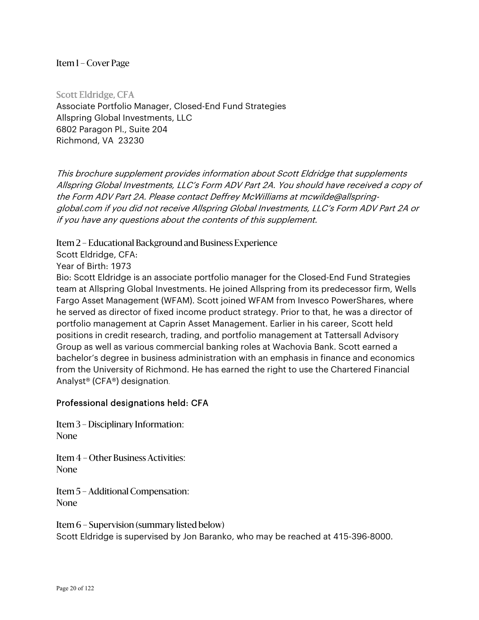Scott Eldridge, CFA Associate Portfolio Manager, Closed-End Fund Strategies Allspring Global Investments, LLC 6802 Paragon Pl., Suite 204 Richmond, VA 23230

This brochure supplement provides information about Scott Eldridge that supplements Allspring Global Investments, LLC's Form ADV Part 2A. You should have received a copy of the Form ADV Part 2A. Please contact Deffrey McWilliams at mcwilde@allspringglobal.com if you did not receive Allspring Global Investments, LLC's Form ADV Part 2A or if you have any questions about the contents of this supplement.

Item 2 – Educational Background and Business Experience

Scott Eldridge, CFA:

Year of Birth: 1973

Bio: Scott Eldridge is an associate portfolio manager for the Closed-End Fund Strategies team at Allspring Global Investments. He joined Allspring from its predecessor firm, Wells Fargo Asset Management (WFAM). Scott joined WFAM from Invesco PowerShares, where he served as director of fixed income product strategy. Prior to that, he was a director of portfolio management at Caprin Asset Management. Earlier in his career, Scott held positions in credit research, trading, and portfolio management at Tattersall Advisory Group as well as various commercial banking roles at Wachovia Bank. Scott earned a bachelor's degree in business administration with an emphasis in finance and economics from the University of Richmond. He has earned the right to use the Chartered Financial Analyst® (CFA®) designation.

#### Professional designations held: CFA

Item 3 – Disciplinary Information: None

Item 4 – Other Business Activities: None

Item 5 – Additional Compensation: None

Item 6 – Supervision (summary listed below) Scott Eldridge is supervised by Jon Baranko, who may be reached at 415-396-8000.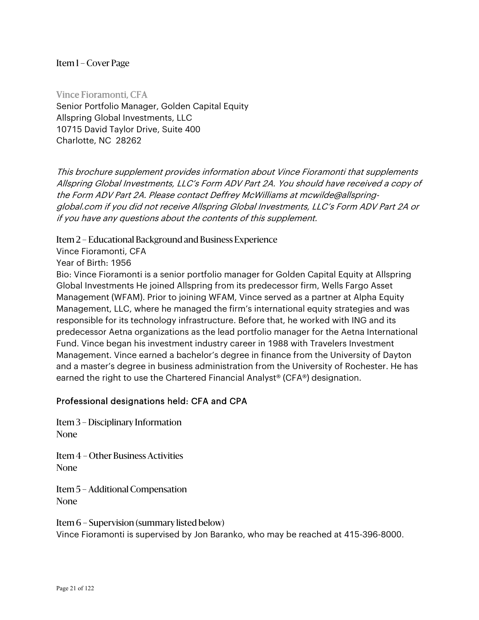Vince Fioramonti, CFA Senior Portfolio Manager, Golden Capital Equity Allspring Global Investments, LLC 10715 David Taylor Drive, Suite 400 Charlotte, NC 28262

This brochure supplement provides information about Vince Fioramonti that supplements Allspring Global Investments, LLC's Form ADV Part 2A. You should have received a copy of the Form ADV Part 2A. Please contact Deffrey McWilliams at mcwilde@allspringglobal.com if you did not receive Allspring Global Investments, LLC's Form ADV Part 2A or if you have any questions about the contents of this supplement.

Item 2 – Educational Background and Business Experience

Vince Fioramonti, CFA

Year of Birth: 1956

Bio: Vince Fioramonti is a senior portfolio manager for Golden Capital Equity at Allspring Global Investments He joined Allspring from its predecessor firm, Wells Fargo Asset Management (WFAM). Prior to joining WFAM, Vince served as a partner at Alpha Equity Management, LLC, where he managed the firm's international equity strategies and was responsible for its technology infrastructure. Before that, he worked with ING and its predecessor Aetna organizations as the lead portfolio manager for the Aetna International Fund. Vince began his investment industry career in 1988 with Travelers Investment Management. Vince earned a bachelor's degree in finance from the University of Dayton and a master's degree in business administration from the University of Rochester. He has earned the right to use the Chartered Financial Analyst® (CFA®) designation.

#### Professional designations held: CFA and CPA

Item 3 – Disciplinary Information None

Item 4 – Other Business Activities None

Item 5 – Additional Compensation None

Item 6 – Supervision (summary listed below) Vince Fioramonti is supervised by Jon Baranko, who may be reached at 415-396-8000.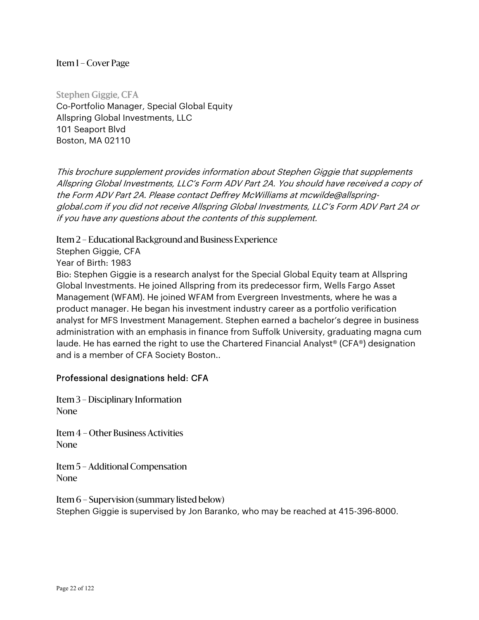Stephen Giggie, CFA Co-Portfolio Manager, Special Global Equity Allspring Global Investments, LLC 101 Seaport Blvd Boston, MA 02110

This brochure supplement provides information about Stephen Giggie that supplements Allspring Global Investments, LLC's Form ADV Part 2A. You should have received a copy of the Form ADV Part 2A. Please contact Deffrey McWilliams at mcwilde@allspringglobal.com if you did not receive Allspring Global Investments, LLC's Form ADV Part 2A or if you have any questions about the contents of this supplement.

Item 2 – Educational Background and Business Experience

Stephen Giggie, CFA

Year of Birth: 1983

Bio: Stephen Giggie is a research analyst for the Special Global Equity team at Allspring Global Investments. He joined Allspring from its predecessor firm, Wells Fargo Asset Management (WFAM). He joined WFAM from Evergreen Investments, where he was a product manager. He began his investment industry career as a portfolio verification analyst for MFS Investment Management. Stephen earned a bachelor's degree in business administration with an emphasis in finance from Suffolk University, graduating magna cum laude. He has earned the right to use the Chartered Financial Analyst® (CFA®) designation and is a member of CFA Society Boston..

#### Professional designations held: CFA

Item 3 – Disciplinary Information None

Item 4 – Other Business Activities None

Item 5 – Additional Compensation None

Item 6 – Supervision (summary listed below) Stephen Giggie is supervised by Jon Baranko, who may be reached at 415-396-8000.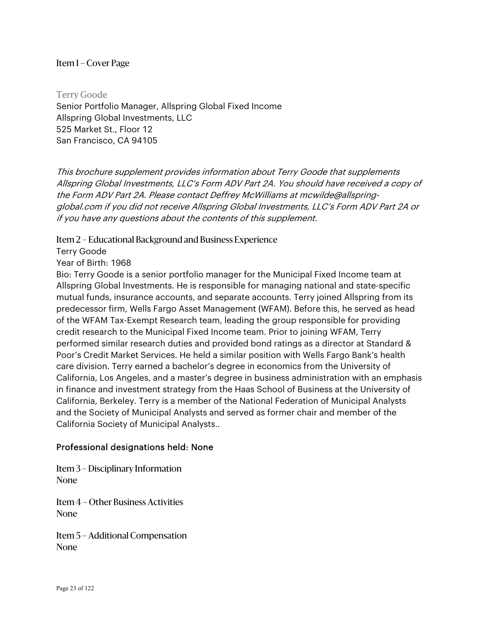Terry Goode Senior Portfolio Manager, Allspring Global Fixed Income Allspring Global Investments, LLC 525 Market St., Floor 12 San Francisco, CA 94105

This brochure supplement provides information about Terry Goode that supplements Allspring Global Investments, LLC's Form ADV Part 2A. You should have received a copy of the Form ADV Part 2A. Please contact Deffrey McWilliams at mcwilde@allspringglobal.com if you did not receive Allspring Global Investments, LLC's Form ADV Part 2A or if you have any questions about the contents of this supplement.

Item 2 – Educational Background and Business Experience

Terry Goode

Year of Birth: 1968

Bio: Terry Goode is a senior portfolio manager for the Municipal Fixed Income team at Allspring Global Investments. He is responsible for managing national and state-specific mutual funds, insurance accounts, and separate accounts. Terry joined Allspring from its predecessor firm, Wells Fargo Asset Management (WFAM). Before this, he served as head of the WFAM Tax-Exempt Research team, leading the group responsible for providing credit research to the Municipal Fixed Income team. Prior to joining WFAM, Terry performed similar research duties and provided bond ratings as a director at Standard & Poor's Credit Market Services. He held a similar position with Wells Fargo Bank's health care division. Terry earned a bachelor's degree in economics from the University of California, Los Angeles, and a master's degree in business administration with an emphasis in finance and investment strategy from the Haas School of Business at the University of California, Berkeley. Terry is a member of the National Federation of Municipal Analysts and the Society of Municipal Analysts and served as former chair and member of the California Society of Municipal Analysts..

#### Professional designations held: None

Item 3 – Disciplinary Information None

Item 4 – Other Business Activities None

Item 5 – Additional Compensation None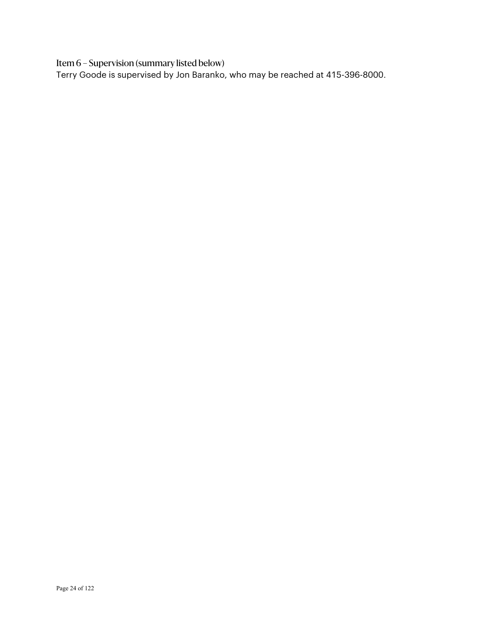Item 6 – Supervision (summary listed below)

Terry Goode is supervised by Jon Baranko, who may be reached at 415-396-8000.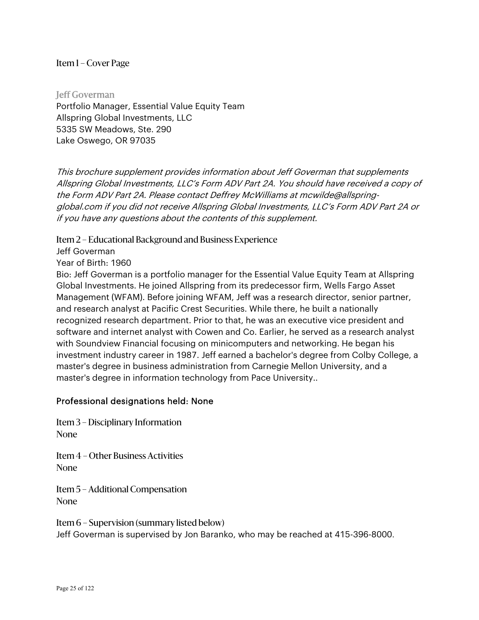Jeff Goverman Portfolio Manager, Essential Value Equity Team Allspring Global Investments, LLC 5335 SW Meadows, Ste. 290 Lake Oswego, OR 97035

This brochure supplement provides information about Jeff Goverman that supplements Allspring Global Investments, LLC's Form ADV Part 2A. You should have received a copy of the Form ADV Part 2A. Please contact Deffrey McWilliams at mcwilde@allspringglobal.com if you did not receive Allspring Global Investments, LLC's Form ADV Part 2A or if you have any questions about the contents of this supplement.

Item 2 – Educational Background and Business Experience

Jeff Goverman

Year of Birth: 1960

Bio: Jeff Goverman is a portfolio manager for the Essential Value Equity Team at Allspring Global Investments. He joined Allspring from its predecessor firm, Wells Fargo Asset Management (WFAM). Before joining WFAM, Jeff was a research director, senior partner, and research analyst at Pacific Crest Securities. While there, he built a nationally recognized research department. Prior to that, he was an executive vice president and software and internet analyst with Cowen and Co. Earlier, he served as a research analyst with Soundview Financial focusing on minicomputers and networking. He began his investment industry career in 1987. Jeff earned a bachelor's degree from Colby College, a master's degree in business administration from Carnegie Mellon University, and a master's degree in information technology from Pace University..

#### Professional designations held: None

Item 3 – Disciplinary Information None

Item 4 – Other Business Activities None

Item 5 – Additional Compensation None

Item 6 – Supervision (summary listed below) Jeff Goverman is supervised by Jon Baranko, who may be reached at 415-396-8000.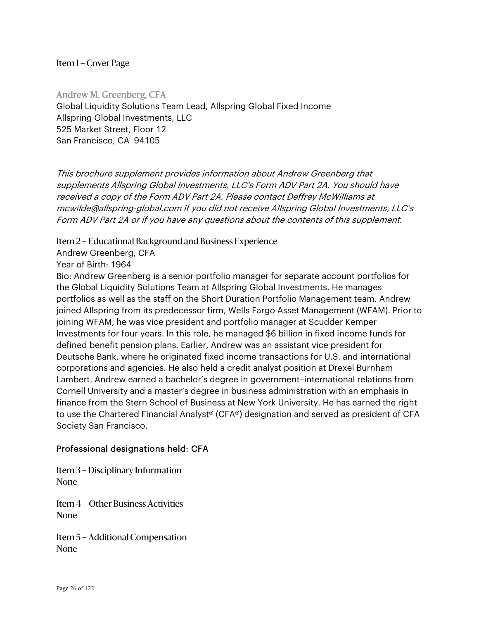Andrew M. Greenberg, CFA Global Liquidity Solutions Team Lead, Allspring Global Fixed Income Allspring Global Investments, LLC 525 Market Street, Floor 12 San Francisco, CA 94105

This brochure supplement provides information about Andrew Greenberg that supplements Allspring Global Investments, LLC's Form ADV Part 2A. You should have received a copy of the Form ADV Part 2A. Please contact Deffrey McWilliams at mcwilde@allspring-global.com if you did not receive Allspring Global Investments, LLC's Form ADV Part 2A or if you have any questions about the contents of this supplement.

Item 2 – Educational Background and Business Experience

Andrew Greenberg, CFA

Year of Birth: 1964

Bio: Andrew Greenberg is a senior portfolio manager for separate account portfolios for the Global Liquidity Solutions Team at Allspring Global Investments. He manages portfolios as well as the staff on the Short Duration Portfolio Management team. Andrew joined Allspring from its predecessor firm, Wells Fargo Asset Management (WFAM). Prior to joining WFAM, he was vice president and portfolio manager at Scudder Kemper Investments for four years. In this role, he managed \$6 billion in fixed income funds for defined benefit pension plans. Earlier, Andrew was an assistant vice president for Deutsche Bank, where he originated fixed income transactions for U.S. and international corporations and agencies. He also held a credit analyst position at Drexel Burnham Lambert. Andrew earned a bachelor's degree in government–international relations from Cornell University and a master's degree in business administration with an emphasis in finance from the Stern School of Business at New York University. He has earned the right to use the Chartered Financial Analyst® (CFA®) designation and served as president of CFA Society San Francisco.

#### Professional designations held: CFA

Item 3 – Disciplinary Information None

Item 4 – Other Business Activities None

Item 5 – Additional Compensation None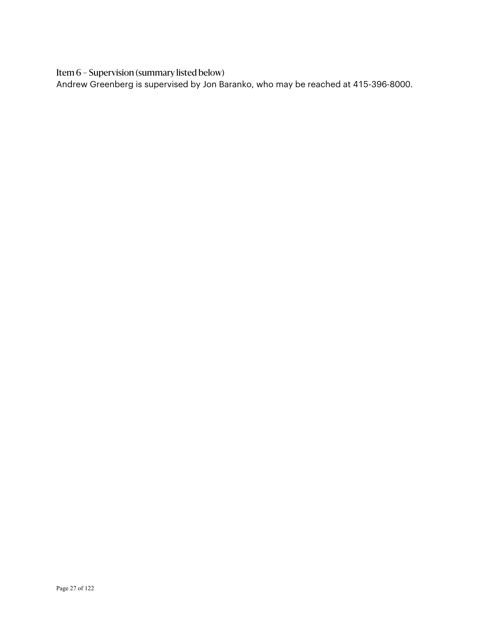Item 6 – Supervision (summary listed below)

Andrew Greenberg is supervised by Jon Baranko, who may be reached at 415-396-8000.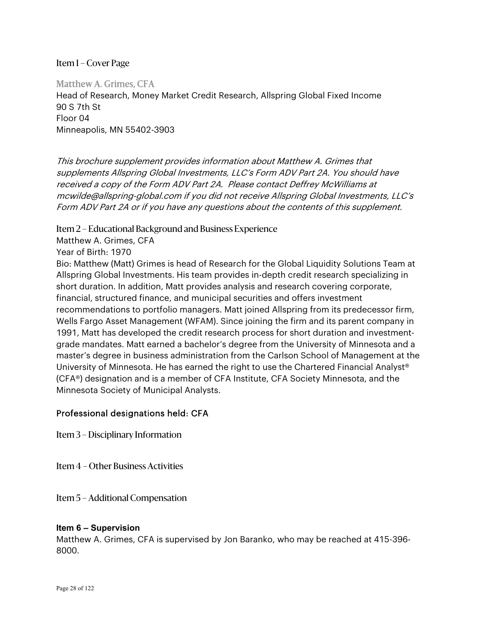Matthew A. Grimes, CFA Head of Research, Money Market Credit Research, Allspring Global Fixed Income 90 S 7th St Floor 04 Minneapolis, MN 55402-3903

This brochure supplement provides information about Matthew A. Grimes that supplements Allspring Global Investments, LLC's Form ADV Part 2A. You should have received a copy of the Form ADV Part 2A. Please contact Deffrey McWilliams at mcwilde@allspring-global.com if you did not receive Allspring Global Investments, LLC's Form ADV Part 2A or if you have any questions about the contents of this supplement.

Item 2 – Educational Background and Business Experience

Matthew A. Grimes, CFA

Year of Birth: 1970

Bio: Matthew (Matt) Grimes is head of Research for the Global Liquidity Solutions Team at Allspring Global Investments. His team provides in-depth credit research specializing in short duration. In addition, Matt provides analysis and research covering corporate, financial, structured finance, and municipal securities and offers investment recommendations to portfolio managers. Matt joined Allspring from its predecessor firm, Wells Fargo Asset Management (WFAM). Since joining the firm and its parent company in 1991, Matt has developed the credit research process for short duration and investmentgrade mandates. Matt earned a bachelor's degree from the University of Minnesota and a master's degree in business administration from the Carlson School of Management at the University of Minnesota. He has earned the right to use the Chartered Financial Analyst® (CFA®) designation and is a member of CFA Institute, CFA Society Minnesota, and the Minnesota Society of Municipal Analysts.

#### Professional designations held: CFA

Item 3 – Disciplinary Information

Item 4 – Other Business Activities

Item 5 – Additional Compensation

#### **Item 6 – Supervision**

Matthew A. Grimes, CFA is supervised by Jon Baranko, who may be reached at 415-396- 8000.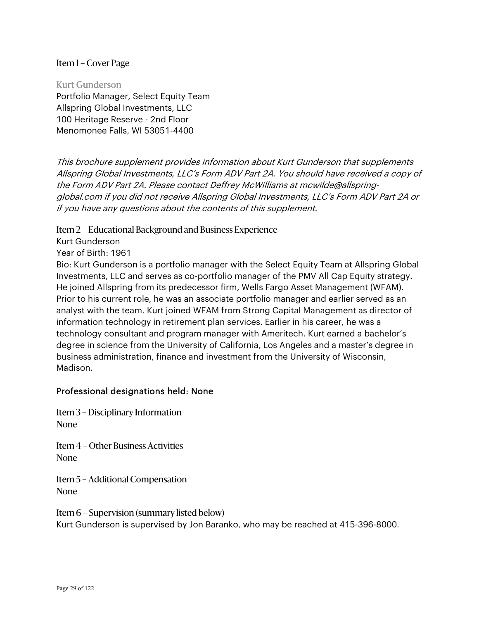Kurt Gunderson Portfolio Manager, Select Equity Team Allspring Global Investments, LLC 100 Heritage Reserve - 2nd Floor Menomonee Falls, WI 53051-4400

This brochure supplement provides information about Kurt Gunderson that supplements Allspring Global Investments, LLC's Form ADV Part 2A. You should have received a copy of the Form ADV Part 2A. Please contact Deffrey McWilliams at mcwilde@allspringglobal.com if you did not receive Allspring Global Investments, LLC's Form ADV Part 2A or if you have any questions about the contents of this supplement.

Item 2 – Educational Background and Business Experience

Kurt Gunderson

Year of Birth: 1961

Bio: Kurt Gunderson is a portfolio manager with the Select Equity Team at Allspring Global Investments, LLC and serves as co-portfolio manager of the PMV All Cap Equity strategy. He joined Allspring from its predecessor firm, Wells Fargo Asset Management (WFAM). Prior to his current role, he was an associate portfolio manager and earlier served as an analyst with the team. Kurt joined WFAM from Strong Capital Management as director of information technology in retirement plan services. Earlier in his career, he was a technology consultant and program manager with Ameritech. Kurt earned a bachelor's degree in science from the University of California, Los Angeles and a master's degree in business administration, finance and investment from the University of Wisconsin, Madison.

#### Professional designations held: None

Item 3 – Disciplinary Information None

Item 4 – Other Business Activities None

Item 5 – Additional Compensation None

Item 6 – Supervision (summary listed below) Kurt Gunderson is supervised by Jon Baranko, who may be reached at 415-396-8000.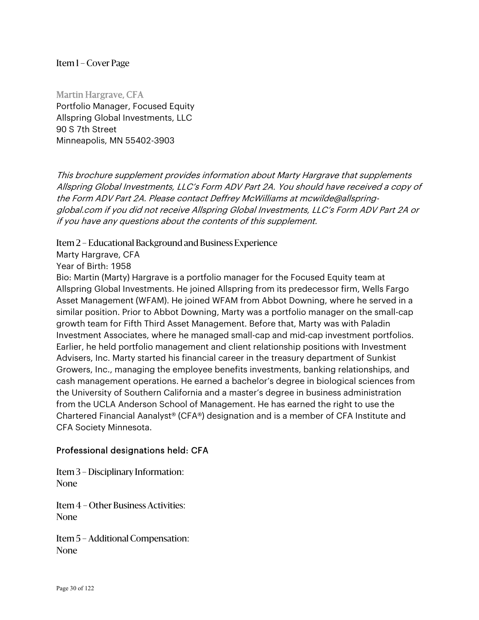Martin Hargrave, CFA Portfolio Manager, Focused Equity Allspring Global Investments, LLC 90 S 7th Street Minneapolis, MN 55402-3903

This brochure supplement provides information about Marty Hargrave that supplements Allspring Global Investments, LLC's Form ADV Part 2A. You should have received a copy of the Form ADV Part 2A. Please contact Deffrey McWilliams at mcwilde@allspringglobal.com if you did not receive Allspring Global Investments, LLC's Form ADV Part 2A or if you have any questions about the contents of this supplement.

Item 2 – Educational Background and Business Experience

Marty Hargrave, CFA

Year of Birth: 1958

Bio: Martin (Marty) Hargrave is a portfolio manager for the Focused Equity team at Allspring Global Investments. He joined Allspring from its predecessor firm, Wells Fargo Asset Management (WFAM). He joined WFAM from Abbot Downing, where he served in a similar position. Prior to Abbot Downing, Marty was a portfolio manager on the small-cap growth team for Fifth Third Asset Management. Before that, Marty was with Paladin Investment Associates, where he managed small-cap and mid-cap investment portfolios. Earlier, he held portfolio management and client relationship positions with Investment Advisers, Inc. Marty started his financial career in the treasury department of Sunkist Growers, Inc., managing the employee benefits investments, banking relationships, and cash management operations. He earned a bachelor's degree in biological sciences from the University of Southern California and a master's degree in business administration from the UCLA Anderson School of Management. He has earned the right to use the Chartered Financial Aanalyst® (CFA®) designation and is a member of CFA Institute and CFA Society Minnesota.

#### Professional designations held: CFA

Item 3 – Disciplinary Information: None

Item 4 – Other Business Activities: None

Item 5 – Additional Compensation: None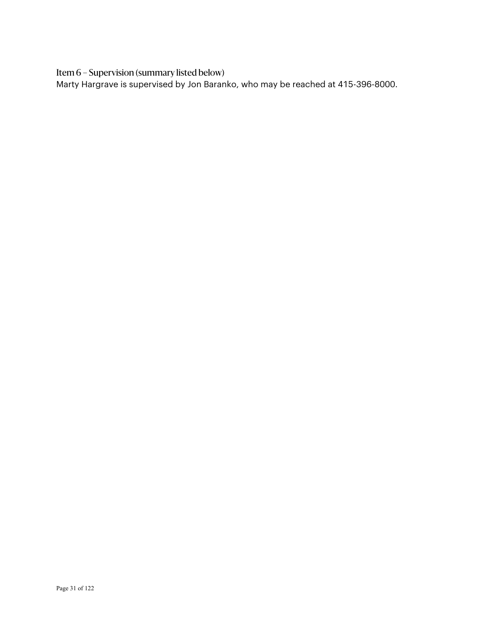Item 6 – Supervision (summary listed below)

Marty Hargrave is supervised by Jon Baranko, who may be reached at 415-396-8000.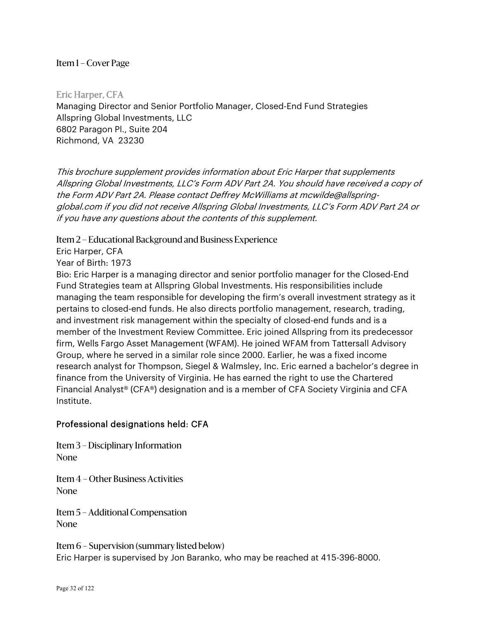Eric Harper, CFA Managing Director and Senior Portfolio Manager, Closed-End Fund Strategies Allspring Global Investments, LLC 6802 Paragon Pl., Suite 204 Richmond, VA 23230

This brochure supplement provides information about Eric Harper that supplements Allspring Global Investments, LLC's Form ADV Part 2A. You should have received a copy of the Form ADV Part 2A. Please contact Deffrey McWilliams at mcwilde@allspringglobal.com if you did not receive Allspring Global Investments, LLC's Form ADV Part 2A or if you have any questions about the contents of this supplement.

Item 2 – Educational Background and Business Experience

Eric Harper, CFA

Year of Birth: 1973

Bio: Eric Harper is a managing director and senior portfolio manager for the Closed-End Fund Strategies team at Allspring Global Investments. His responsibilities include managing the team responsible for developing the firm's overall investment strategy as it pertains to closed-end funds. He also directs portfolio management, research, trading, and investment risk management within the specialty of closed-end funds and is a member of the Investment Review Committee. Eric joined Allspring from its predecessor firm, Wells Fargo Asset Management (WFAM). He joined WFAM from Tattersall Advisory Group, where he served in a similar role since 2000. Earlier, he was a fixed income research analyst for Thompson, Siegel & Walmsley, Inc. Eric earned a bachelor's degree in finance from the University of Virginia. He has earned the right to use the Chartered Financial Analyst® (CFA®) designation and is a member of CFA Society Virginia and CFA Institute.

#### Professional designations held: CFA

Item 3 – Disciplinary Information None

Item 4 – Other Business Activities None

Item 5 – Additional Compensation None

Item 6 – Supervision (summary listed below) Eric Harper is supervised by Jon Baranko, who may be reached at 415-396-8000.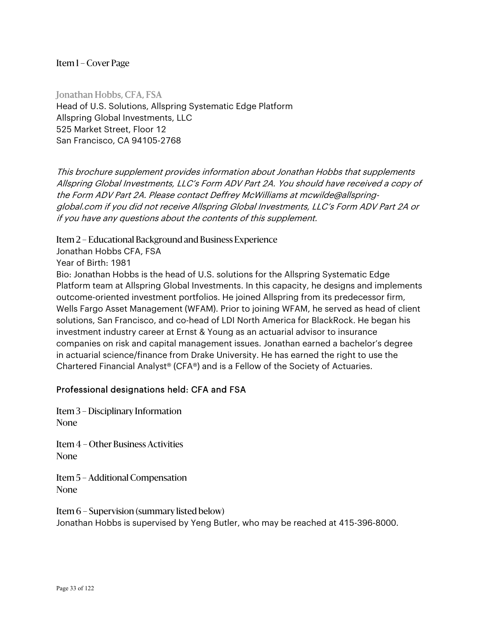Jonathan Hobbs, CFA, FSA Head of U.S. Solutions, Allspring Systematic Edge Platform Allspring Global Investments, LLC 525 Market Street, Floor 12 San Francisco, CA 94105-2768

This brochure supplement provides information about Jonathan Hobbs that supplements Allspring Global Investments, LLC's Form ADV Part 2A. You should have received a copy of the Form ADV Part 2A. Please contact Deffrey McWilliams at mcwilde@allspringglobal.com if you did not receive Allspring Global Investments, LLC's Form ADV Part 2A or if you have any questions about the contents of this supplement.

Item 2 – Educational Background and Business Experience

Jonathan Hobbs CFA, FSA

Year of Birth: 1981

Bio: Jonathan Hobbs is the head of U.S. solutions for the Allspring Systematic Edge Platform team at Allspring Global Investments. In this capacity, he designs and implements outcome-oriented investment portfolios. He joined Allspring from its predecessor firm, Wells Fargo Asset Management (WFAM). Prior to joining WFAM, he served as head of client solutions, San Francisco, and co-head of LDI North America for BlackRock. He began his investment industry career at Ernst & Young as an actuarial advisor to insurance companies on risk and capital management issues. Jonathan earned a bachelor's degree in actuarial science/finance from Drake University. He has earned the right to use the Chartered Financial Analyst® (CFA®) and is a Fellow of the Society of Actuaries.

#### Professional designations held: CFA and FSA

Item 3 – Disciplinary Information None

Item 4 – Other Business Activities None

Item 5 – Additional Compensation None

Item 6 – Supervision (summary listed below) Jonathan Hobbs is supervised by Yeng Butler, who may be reached at 415-396-8000.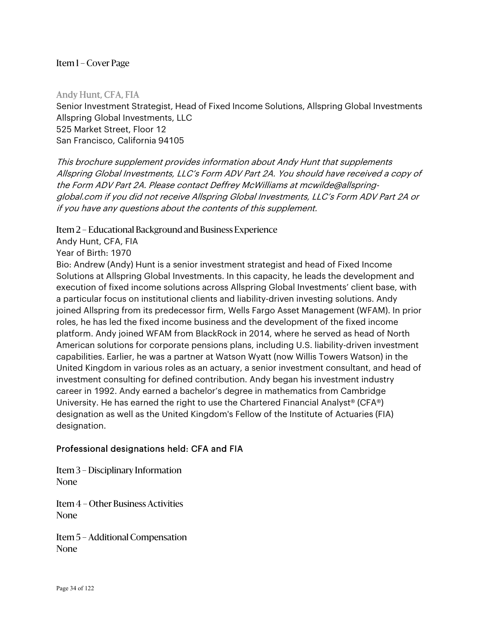Andy Hunt, CFA, FIA Senior Investment Strategist, Head of Fixed Income Solutions, Allspring Global Investments Allspring Global Investments, LLC 525 Market Street, Floor 12 San Francisco, California 94105

This brochure supplement provides information about Andy Hunt that supplements Allspring Global Investments, LLC's Form ADV Part 2A. You should have received a copy of the Form ADV Part 2A. Please contact Deffrey McWilliams at mcwilde@allspringglobal.com if you did not receive Allspring Global Investments, LLC's Form ADV Part 2A or if you have any questions about the contents of this supplement.

Item 2 – Educational Background and Business Experience

Andy Hunt, CFA, FIA

Year of Birth: 1970

Bio: Andrew (Andy) Hunt is a senior investment strategist and head of Fixed Income Solutions at Allspring Global Investments. In this capacity, he leads the development and execution of fixed income solutions across Allspring Global Investments' client base, with a particular focus on institutional clients and liability-driven investing solutions. Andy joined Allspring from its predecessor firm, Wells Fargo Asset Management (WFAM). In prior roles, he has led the fixed income business and the development of the fixed income platform. Andy joined WFAM from BlackRock in 2014, where he served as head of North American solutions for corporate pensions plans, including U.S. liability-driven investment capabilities. Earlier, he was a partner at Watson Wyatt (now Willis Towers Watson) in the United Kingdom in various roles as an actuary, a senior investment consultant, and head of investment consulting for defined contribution. Andy began his investment industry career in 1992. Andy earned a bachelor's degree in mathematics from Cambridge University. He has earned the right to use the Chartered Financial Analyst® (CFA®) designation as well as the United Kingdom's Fellow of the Institute of Actuaries (FIA) designation.

#### Professional designations held: CFA and FIA

Item 3 – Disciplinary Information None

Item 4 – Other Business Activities None

Item 5 – Additional Compensation None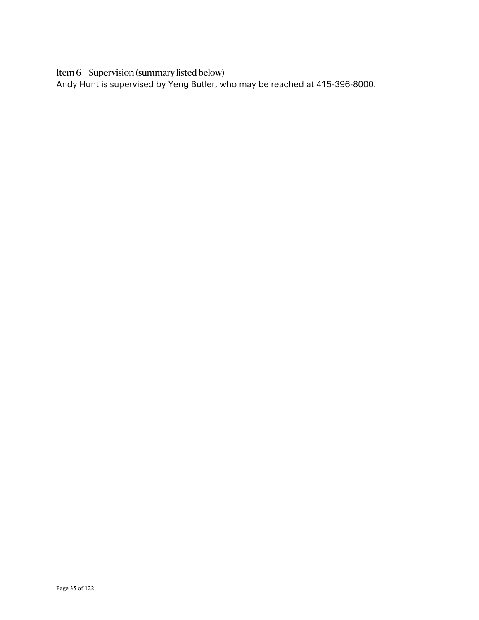Item 6 – Supervision (summary listed below)

Andy Hunt is supervised by Yeng Butler, who may be reached at 415-396-8000.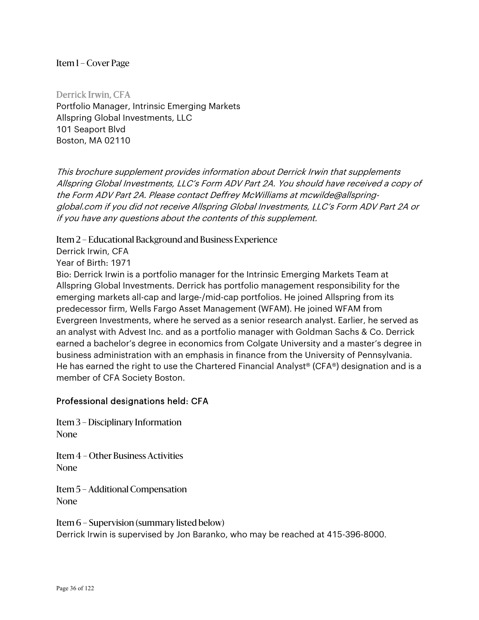Derrick Irwin, CFA Portfolio Manager, Intrinsic Emerging Markets Allspring Global Investments, LLC 101 Seaport Blvd Boston, MA 02110

This brochure supplement provides information about Derrick Irwin that supplements Allspring Global Investments, LLC's Form ADV Part 2A. You should have received a copy of the Form ADV Part 2A. Please contact Deffrey McWilliams at mcwilde@allspringglobal.com if you did not receive Allspring Global Investments, LLC's Form ADV Part 2A or if you have any questions about the contents of this supplement.

Item 2 – Educational Background and Business Experience

Derrick Irwin, CFA

Year of Birth: 1971

Bio: Derrick Irwin is a portfolio manager for the Intrinsic Emerging Markets Team at Allspring Global Investments. Derrick has portfolio management responsibility for the emerging markets all-cap and large-/mid-cap portfolios. He joined Allspring from its predecessor firm, Wells Fargo Asset Management (WFAM). He joined WFAM from Evergreen Investments, where he served as a senior research analyst. Earlier, he served as an analyst with Advest Inc. and as a portfolio manager with Goldman Sachs & Co. Derrick earned a bachelor's degree in economics from Colgate University and a master's degree in business administration with an emphasis in finance from the University of Pennsylvania. He has earned the right to use the Chartered Financial Analyst<sup>®</sup> (CFA®) designation and is a member of CFA Society Boston.

#### Professional designations held: CFA

Item 3 – Disciplinary Information None

Item 4 – Other Business Activities None

Item 5 – Additional Compensation None

Item 6 – Supervision (summary listed below) Derrick Irwin is supervised by Jon Baranko, who may be reached at 415-396-8000.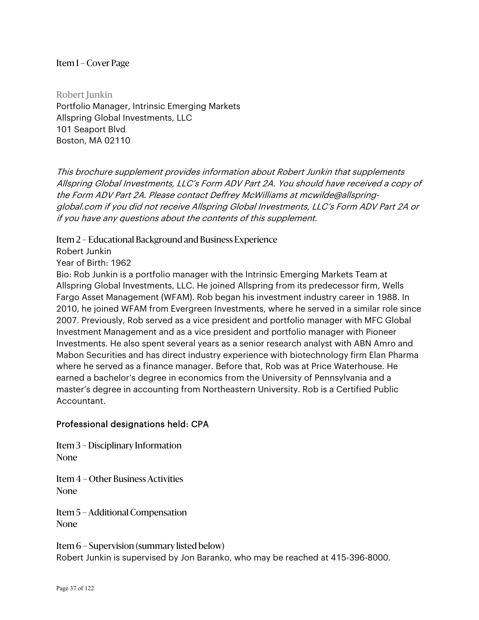Robert Junkin Portfolio Manager, Intrinsic Emerging Markets Allspring Global Investments, LLC 101 Seaport Blvd Boston, MA 02110

This brochure supplement provides information about Robert Junkin that supplements Allspring Global Investments, LLC's Form ADV Part 2A. You should have received a copy of the Form ADV Part 2A. Please contact Deffrey McWilliams at mcwilde@allspringglobal.com if you did not receive Allspring Global Investments, LLC's Form ADV Part 2A or if you have any questions about the contents of this supplement.

Item 2 – Educational Background and Business Experience

Robert Junkin

Year of Birth: 1962

Bio: Rob Junkin is a portfolio manager with the Intrinsic Emerging Markets Team at Allspring Global Investments, LLC. He joined Allspring from its predecessor firm, Wells Fargo Asset Management (WFAM). Rob began his investment industry career in 1988. In 2010, he joined WFAM from Evergreen Investments, where he served in a similar role since 2007. Previously, Rob served as a vice president and portfolio manager with MFC Global Investment Management and as a vice president and portfolio manager with Pioneer Investments. He also spent several years as a senior research analyst with ABN Amro and Mabon Securities and has direct industry experience with biotechnology firm Elan Pharma where he served as a finance manager. Before that, Rob was at Price Waterhouse. He earned a bachelor's degree in economics from the University of Pennsylvania and a master's degree in accounting from Northeastern University. Rob is a Certified Public Accountant.

### Professional designations held: CPA

Item 3 – Disciplinary Information None

Item 4 – Other Business Activities None

Item 5 – Additional Compensation None

Item 6 – Supervision (summary listed below) Robert Junkin is supervised by Jon Baranko, who may be reached at 415-396-8000.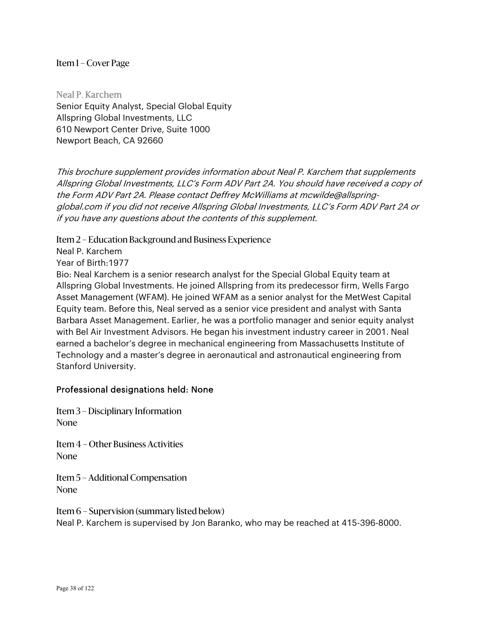Neal P. Karchem Senior Equity Analyst, Special Global Equity Allspring Global Investments, LLC 610 Newport Center Drive, Suite 1000 Newport Beach, CA 92660

This brochure supplement provides information about Neal P. Karchem that supplements Allspring Global Investments, LLC's Form ADV Part 2A. You should have received a copy of the Form ADV Part 2A. Please contact Deffrey McWilliams at mcwilde@allspringglobal.com if you did not receive Allspring Global Investments, LLC's Form ADV Part 2A or if you have any questions about the contents of this supplement.

Item 2 – Education Background and Business Experience

Neal P. Karchem

Year of Birth:1977

Bio: Neal Karchem is a senior research analyst for the Special Global Equity team at Allspring Global Investments. He joined Allspring from its predecessor firm, Wells Fargo Asset Management (WFAM). He joined WFAM as a senior analyst for the MetWest Capital Equity team. Before this, Neal served as a senior vice president and analyst with Santa Barbara Asset Management. Earlier, he was a portfolio manager and senior equity analyst with Bel Air Investment Advisors. He began his investment industry career in 2001. Neal earned a bachelor's degree in mechanical engineering from Massachusetts Institute of Technology and a master's degree in aeronautical and astronautical engineering from Stanford University.

### Professional designations held: None

Item 3 – Disciplinary Information None

Item 4 – Other Business Activities None

Item 5 – Additional Compensation None

Item 6 – Supervision (summary listed below) Neal P. Karchem is supervised by Jon Baranko, who may be reached at 415-396-8000.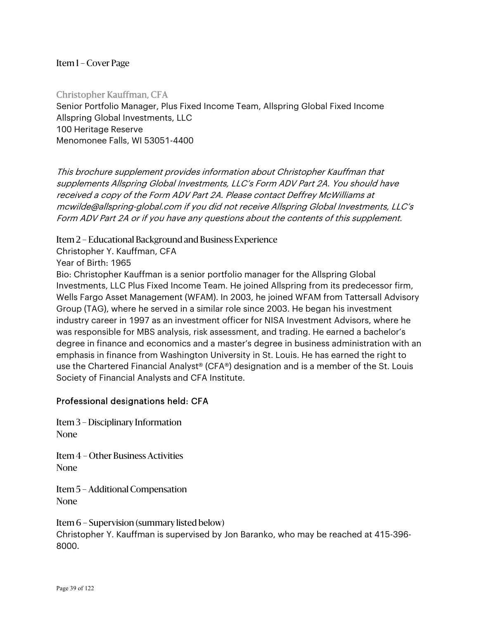Christopher Kauffman, CFA Senior Portfolio Manager, Plus Fixed Income Team, Allspring Global Fixed Income Allspring Global Investments, LLC 100 Heritage Reserve Menomonee Falls, WI 53051-4400

This brochure supplement provides information about Christopher Kauffman that supplements Allspring Global Investments, LLC's Form ADV Part 2A. You should have received a copy of the Form ADV Part 2A. Please contact Deffrey McWilliams at mcwilde@allspring-global.com if you did not receive Allspring Global Investments, LLC's Form ADV Part 2A or if you have any questions about the contents of this supplement.

Item 2 – Educational Background and Business Experience

Christopher Y. Kauffman, CFA

Year of Birth: 1965

Bio: Christopher Kauffman is a senior portfolio manager for the Allspring Global Investments, LLC Plus Fixed Income Team. He joined Allspring from its predecessor firm, Wells Fargo Asset Management (WFAM). In 2003, he joined WFAM from Tattersall Advisory Group (TAG), where he served in a similar role since 2003. He began his investment industry career in 1997 as an investment officer for NISA Investment Advisors, where he was responsible for MBS analysis, risk assessment, and trading. He earned a bachelor's degree in finance and economics and a master's degree in business administration with an emphasis in finance from Washington University in St. Louis. He has earned the right to use the Chartered Financial Analyst® (CFA®) designation and is a member of the St. Louis Society of Financial Analysts and CFA Institute.

# Professional designations held: CFA

Item 3 – Disciplinary Information None

Item 4 – Other Business Activities None

Item 5 – Additional Compensation None

Item 6 – Supervision (summary listed below) Christopher Y. Kauffman is supervised by Jon Baranko, who may be reached at 415-396- 8000.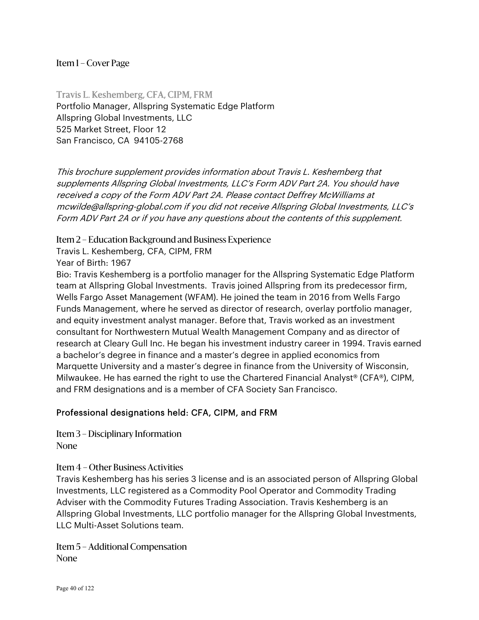Travis L. Keshemberg, CFA, CIPM, FRM Portfolio Manager, Allspring Systematic Edge Platform Allspring Global Investments, LLC 525 Market Street, Floor 12 San Francisco, CA 94105-2768

This brochure supplement provides information about Travis L. Keshemberg that supplements Allspring Global Investments, LLC's Form ADV Part 2A. You should have received a copy of the Form ADV Part 2A. Please contact Deffrey McWilliams at mcwilde@allspring-global.com if you did not receive Allspring Global Investments, LLC's Form ADV Part 2A or if you have any questions about the contents of this supplement.

Item 2 – Education Background and Business Experience

Travis L. Keshemberg, CFA, CIPM, FRM

Year of Birth: 1967

Bio: Travis Keshemberg is a portfolio manager for the Allspring Systematic Edge Platform team at Allspring Global Investments. Travis joined Allspring from its predecessor firm, Wells Fargo Asset Management (WFAM). He joined the team in 2016 from Wells Fargo Funds Management, where he served as director of research, overlay portfolio manager, and equity investment analyst manager. Before that, Travis worked as an investment consultant for Northwestern Mutual Wealth Management Company and as director of research at Cleary Gull Inc. He began his investment industry career in 1994. Travis earned a bachelor's degree in finance and a master's degree in applied economics from Marquette University and a master's degree in finance from the University of Wisconsin, Milwaukee. He has earned the right to use the Chartered Financial Analyst® (CFA®), CIPM, and FRM designations and is a member of CFA Society San Francisco.

# Professional designations held: CFA, CIPM, and FRM

Item 3 – Disciplinary Information None

Item 4 – Other Business Activities

Travis Keshemberg has his series 3 license and is an associated person of Allspring Global Investments, LLC registered as a Commodity Pool Operator and Commodity Trading Adviser with the Commodity Futures Trading Association. Travis Keshemberg is an Allspring Global Investments, LLC portfolio manager for the Allspring Global Investments, LLC Multi-Asset Solutions team.

Item 5 – Additional Compensation None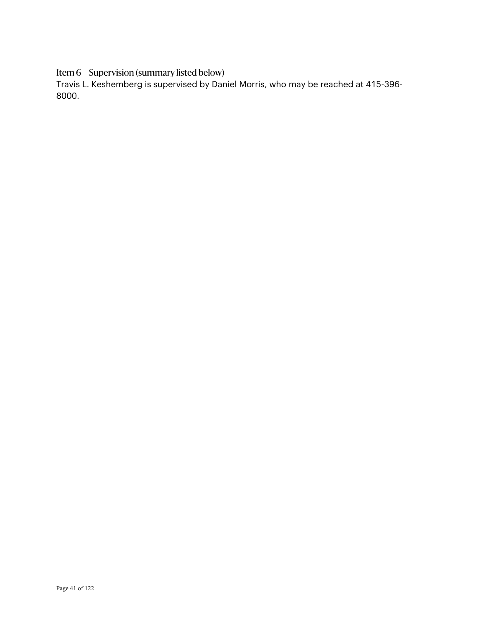Item 6 – Supervision (summary listed below)

Travis L. Keshemberg is supervised by Daniel Morris, who may be reached at 415-396- 8000.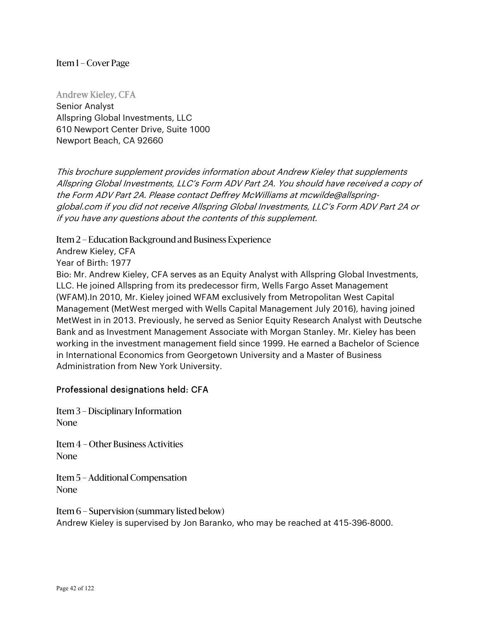Andrew Kieley, CFA Senior Analyst Allspring Global Investments, LLC 610 Newport Center Drive, Suite 1000 Newport Beach, CA 92660

This brochure supplement provides information about Andrew Kieley that supplements Allspring Global Investments, LLC's Form ADV Part 2A. You should have received a copy of the Form ADV Part 2A. Please contact Deffrey McWilliams at mcwilde@allspringglobal.com if you did not receive Allspring Global Investments, LLC's Form ADV Part 2A or if you have any questions about the contents of this supplement.

Item 2 – Education Background and Business Experience

Andrew Kieley, CFA

Year of Birth: 1977

Bio: Mr. Andrew Kieley, CFA serves as an Equity Analyst with Allspring Global Investments, LLC. He joined Allspring from its predecessor firm, Wells Fargo Asset Management (WFAM).In 2010, Mr. Kieley joined WFAM exclusively from Metropolitan West Capital Management (MetWest merged with Wells Capital Management July 2016), having joined MetWest in in 2013. Previously, he served as Senior Equity Research Analyst with Deutsche Bank and as Investment Management Associate with Morgan Stanley. Mr. Kieley has been working in the investment management field since 1999. He earned a Bachelor of Science in International Economics from Georgetown University and a Master of Business Administration from New York University.

### Professional designations held: CFA

Item 3 – Disciplinary Information None

Item 4 – Other Business Activities None

Item 5 – Additional Compensation None

Item 6 – Supervision (summary listed below) Andrew Kieley is supervised by Jon Baranko, who may be reached at 415-396-8000.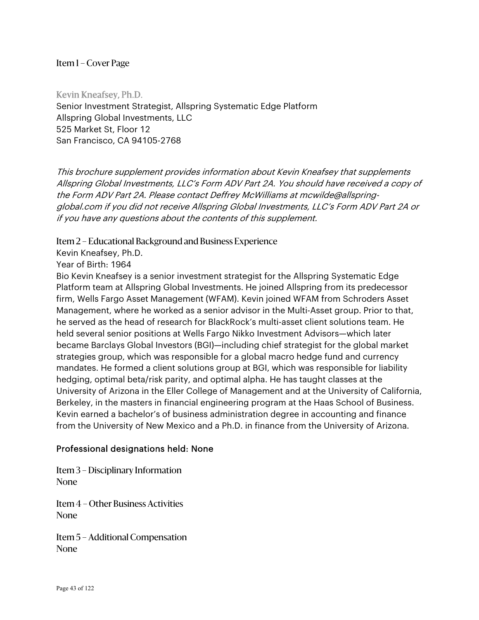Kevin Kneafsey, Ph.D. Senior Investment Strategist, Allspring Systematic Edge Platform Allspring Global Investments, LLC 525 Market St, Floor 12 San Francisco, CA 94105-2768

This brochure supplement provides information about Kevin Kneafsey that supplements Allspring Global Investments, LLC's Form ADV Part 2A. You should have received a copy of the Form ADV Part 2A. Please contact Deffrey McWilliams at mcwilde@allspringglobal.com if you did not receive Allspring Global Investments, LLC's Form ADV Part 2A or if you have any questions about the contents of this supplement.

Item 2 – Educational Background and Business Experience

Kevin Kneafsey, Ph.D.

Year of Birth: 1964

Bio Kevin Kneafsey is a senior investment strategist for the Allspring Systematic Edge Platform team at Allspring Global Investments. He joined Allspring from its predecessor firm, Wells Fargo Asset Management (WFAM). Kevin joined WFAM from Schroders Asset Management, where he worked as a senior advisor in the Multi-Asset group. Prior to that, he served as the head of research for BlackRock's multi-asset client solutions team. He held several senior positions at Wells Fargo Nikko Investment Advisors—which later became Barclays Global Investors (BGI)—including chief strategist for the global market strategies group, which was responsible for a global macro hedge fund and currency mandates. He formed a client solutions group at BGI, which was responsible for liability hedging, optimal beta/risk parity, and optimal alpha. He has taught classes at the University of Arizona in the Eller College of Management and at the University of California, Berkeley, in the masters in financial engineering program at the Haas School of Business. Kevin earned a bachelor's of business administration degree in accounting and finance from the University of New Mexico and a Ph.D. in finance from the University of Arizona.

# Professional designations held: None

Item 3 – Disciplinary Information None

Item 4 – Other Business Activities None

Item 5 – Additional Compensation None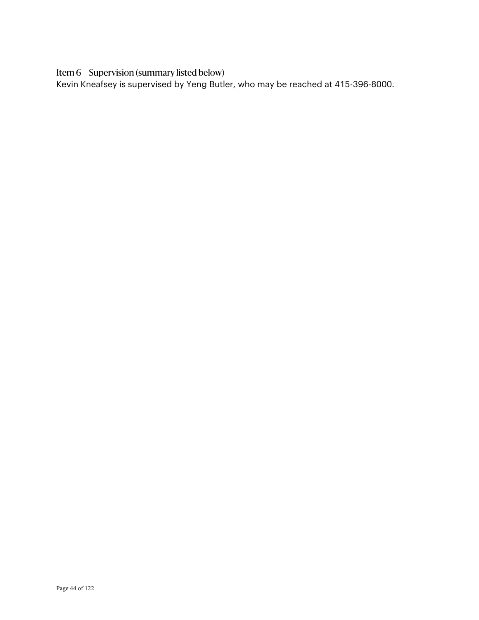Item 6 – Supervision (summary listed below)

Kevin Kneafsey is supervised by Yeng Butler, who may be reached at 415-396-8000.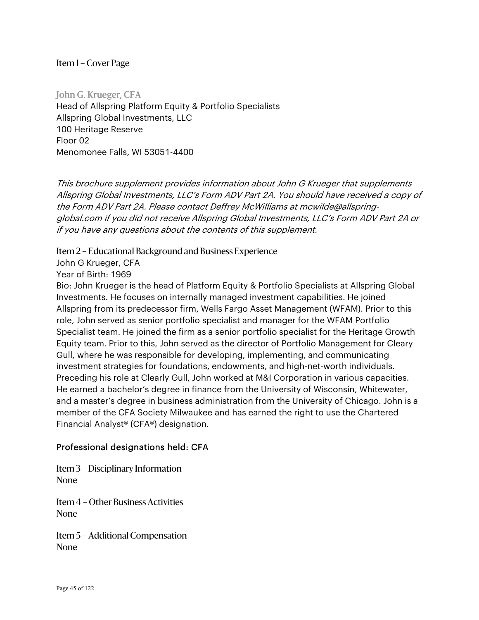John G. Krueger, CFA Head of Allspring Platform Equity & Portfolio Specialists Allspring Global Investments, LLC 100 Heritage Reserve Floor 02 Menomonee Falls, WI 53051-4400

This brochure supplement provides information about John G Krueger that supplements Allspring Global Investments, LLC's Form ADV Part 2A. You should have received a copy of the Form ADV Part 2A. Please contact Deffrey McWilliams at mcwilde@allspringglobal.com if you did not receive Allspring Global Investments, LLC's Form ADV Part 2A or if you have any questions about the contents of this supplement.

Item 2 – Educational Background and Business Experience

John G Krueger, CFA

Year of Birth: 1969

Bio: John Krueger is the head of Platform Equity & Portfolio Specialists at Allspring Global Investments. He focuses on internally managed investment capabilities. He joined Allspring from its predecessor firm, Wells Fargo Asset Management (WFAM). Prior to this role, John served as senior portfolio specialist and manager for the WFAM Portfolio Specialist team. He joined the firm as a senior portfolio specialist for the Heritage Growth Equity team. Prior to this, John served as the director of Portfolio Management for Cleary Gull, where he was responsible for developing, implementing, and communicating investment strategies for foundations, endowments, and high-net-worth individuals. Preceding his role at Clearly Gull, John worked at M&I Corporation in various capacities. He earned a bachelor's degree in finance from the University of Wisconsin, Whitewater, and a master's degree in business administration from the University of Chicago. John is a member of the CFA Society Milwaukee and has earned the right to use the Chartered Financial Analyst® (CFA®) designation.

# Professional designations held: CFA

Item 3 – Disciplinary Information None

Item 4 – Other Business Activities None

Item 5 – Additional Compensation None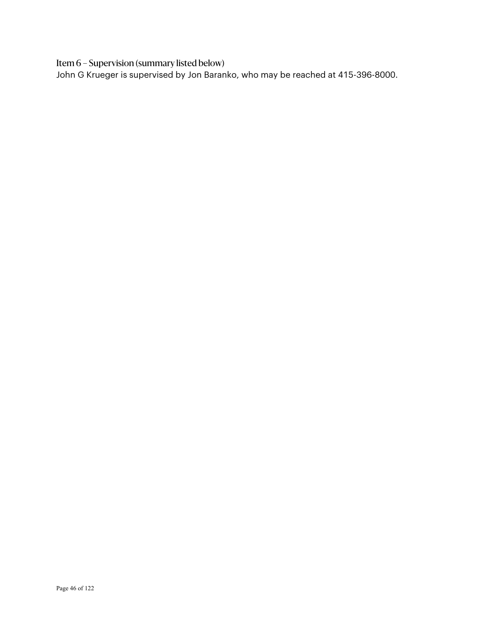Item 6 – Supervision (summary listed below)

John G Krueger is supervised by Jon Baranko, who may be reached at 415-396-8000.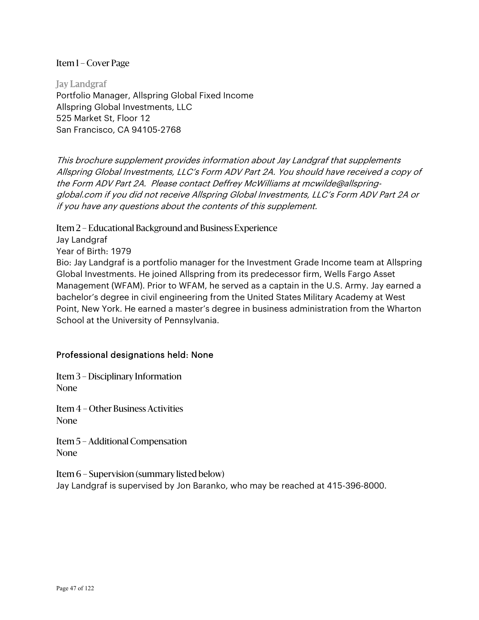Jay Landgraf Portfolio Manager, Allspring Global Fixed Income Allspring Global Investments, LLC 525 Market St, Floor 12 San Francisco, CA 94105-2768

This brochure supplement provides information about Jay Landgraf that supplements Allspring Global Investments, LLC's Form ADV Part 2A. You should have received a copy of the Form ADV Part 2A. Please contact Deffrey McWilliams at mcwilde@allspringglobal.com if you did not receive Allspring Global Investments, LLC's Form ADV Part 2A or if you have any questions about the contents of this supplement.

Item 2 – Educational Background and Business Experience Jay Landgraf Year of Birth: 1979 Bio: Jay Landgraf is a portfolio manager for the Investment Grade Income team at Allspring Global Investments. He joined Allspring from its predecessor firm, Wells Fargo Asset Management (WFAM). Prior to WFAM, he served as a captain in the U.S. Army. Jay earned a bachelor's degree in civil engineering from the United States Military Academy at West Point, New York. He earned a master's degree in business administration from the Wharton School at the University of Pennsylvania.

### Professional designations held: None

Item 3 – Disciplinary Information None

Item 4 – Other Business Activities None

Item 5 – Additional Compensation None

Item 6 – Supervision (summary listed below) Jay Landgraf is supervised by Jon Baranko, who may be reached at 415-396-8000.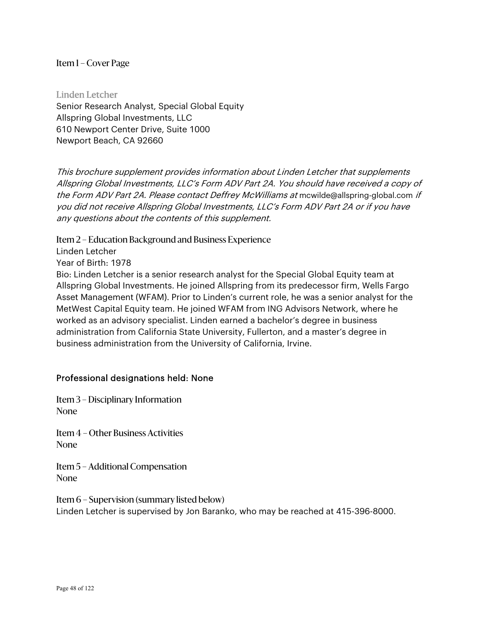Linden Letcher Senior Research Analyst, Special Global Equity Allspring Global Investments, LLC 610 Newport Center Drive, Suite 1000 Newport Beach, CA 92660

This brochure supplement provides information about Linden Letcher that supplements Allspring Global Investments, LLC's Form ADV Part 2A. You should have received a copy of the Form ADV Part 2A. Please contact Deffrey McWilliams at mowilde@allspring-global.com if you did not receive Allspring Global Investments, LLC's Form ADV Part 2A or if you have any questions about the contents of this supplement.

Item 2 – Education Background and Business Experience

Linden Letcher

Year of Birth: 1978

Bio: Linden Letcher is a senior research analyst for the Special Global Equity team at Allspring Global Investments. He joined Allspring from its predecessor firm, Wells Fargo Asset Management (WFAM). Prior to Linden's current role, he was a senior analyst for the MetWest Capital Equity team. He joined WFAM from ING Advisors Network, where he worked as an advisory specialist. Linden earned a bachelor's degree in business administration from California State University, Fullerton, and a master's degree in business administration from the University of California, Irvine.

### Professional designations held: None

Item 3 – Disciplinary Information None

Item 4 – Other Business Activities None

Item 5 – Additional Compensation None

Item 6 – Supervision (summary listed below) Linden Letcher is supervised by Jon Baranko, who may be reached at 415-396-8000.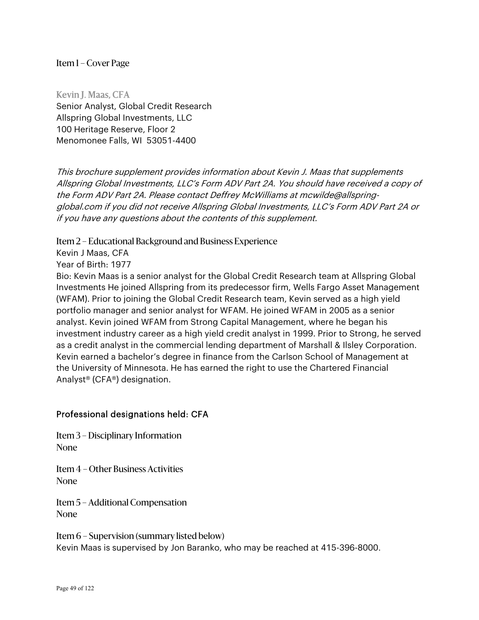Kevin J. Maas, CFA Senior Analyst, Global Credit Research Allspring Global Investments, LLC 100 Heritage Reserve, Floor 2 Menomonee Falls, WI 53051-4400

This brochure supplement provides information about Kevin J. Maas that supplements Allspring Global Investments, LLC's Form ADV Part 2A. You should have received a copy of the Form ADV Part 2A. Please contact Deffrey McWilliams at mcwilde@allspringglobal.com if you did not receive Allspring Global Investments, LLC's Form ADV Part 2A or if you have any questions about the contents of this supplement.

Item 2 – Educational Background and Business Experience

Kevin J Maas, CFA

Year of Birth: 1977

Bio: Kevin Maas is a senior analyst for the Global Credit Research team at Allspring Global Investments He joined Allspring from its predecessor firm, Wells Fargo Asset Management (WFAM). Prior to joining the Global Credit Research team, Kevin served as a high yield portfolio manager and senior analyst for WFAM. He joined WFAM in 2005 as a senior analyst. Kevin joined WFAM from Strong Capital Management, where he began his investment industry career as a high yield credit analyst in 1999. Prior to Strong, he served as a credit analyst in the commercial lending department of Marshall & Ilsley Corporation. Kevin earned a bachelor's degree in finance from the Carlson School of Management at the University of Minnesota. He has earned the right to use the Chartered Financial Analyst® (CFA®) designation.

### Professional designations held: CFA

Item 3 – Disciplinary Information None

Item 4 – Other Business Activities None

Item 5 – Additional Compensation None

Item 6 – Supervision (summary listed below) Kevin Maas is supervised by Jon Baranko, who may be reached at 415-396-8000.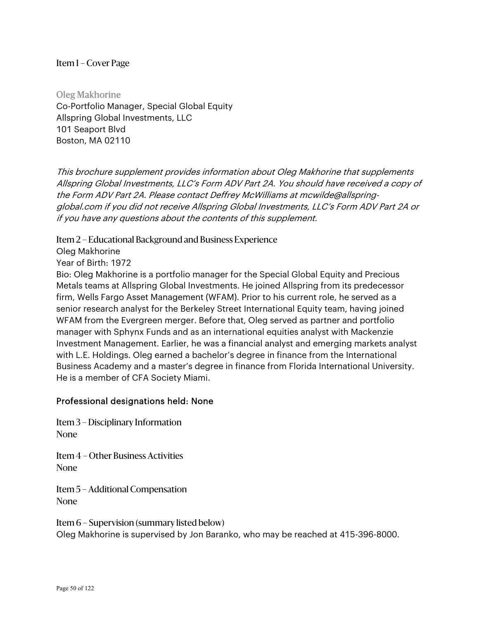Oleg Makhorine Co-Portfolio Manager, Special Global Equity Allspring Global Investments, LLC 101 Seaport Blvd Boston, MA 02110

This brochure supplement provides information about Oleg Makhorine that supplements Allspring Global Investments, LLC's Form ADV Part 2A. You should have received a copy of the Form ADV Part 2A. Please contact Deffrey McWilliams at mcwilde@allspringglobal.com if you did not receive Allspring Global Investments, LLC's Form ADV Part 2A or if you have any questions about the contents of this supplement.

Item 2 – Educational Background and Business Experience

Oleg Makhorine

Year of Birth: 1972

Bio: Oleg Makhorine is a portfolio manager for the Special Global Equity and Precious Metals teams at Allspring Global Investments. He joined Allspring from its predecessor firm, Wells Fargo Asset Management (WFAM). Prior to his current role, he served as a senior research analyst for the Berkeley Street International Equity team, having joined WFAM from the Evergreen merger. Before that, Oleg served as partner and portfolio manager with Sphynx Funds and as an international equities analyst with Mackenzie Investment Management. Earlier, he was a financial analyst and emerging markets analyst with L.E. Holdings. Oleg earned a bachelor's degree in finance from the International Business Academy and a master's degree in finance from Florida International University. He is a member of CFA Society Miami.

### Professional designations held: None

Item 3 – Disciplinary Information None

Item 4 – Other Business Activities None

Item 5 – Additional Compensation None

Item 6 – Supervision (summary listed below) Oleg Makhorine is supervised by Jon Baranko, who may be reached at 415-396-8000.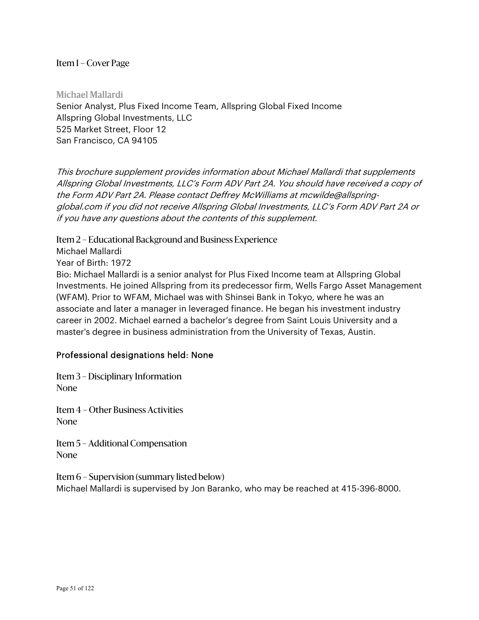Michael Mallardi Senior Analyst, Plus Fixed Income Team, Allspring Global Fixed Income Allspring Global Investments, LLC 525 Market Street, Floor 12 San Francisco, CA 94105

This brochure supplement provides information about Michael Mallardi that supplements Allspring Global Investments, LLC's Form ADV Part 2A. You should have received a copy of the Form ADV Part 2A. Please contact Deffrey McWilliams at mcwilde@allspringglobal.com if you did not receive Allspring Global Investments, LLC's Form ADV Part 2A or if you have any questions about the contents of this supplement.

Item 2 – Educational Background and Business Experience

Michael Mallardi

Year of Birth: 1972

Bio: Michael Mallardi is a senior analyst for Plus Fixed Income team at Allspring Global Investments. He joined Allspring from its predecessor firm, Wells Fargo Asset Management (WFAM). Prior to WFAM, Michael was with Shinsei Bank in Tokyo, where he was an associate and later a manager in leveraged finance. He began his investment industry career in 2002. Michael earned a bachelor's degree from Saint Louis University and a master's degree in business administration from the University of Texas, Austin.

# Professional designations held: None

Item 3 – Disciplinary Information None

Item 4 – Other Business Activities None

Item 5 – Additional Compensation None

Item 6 – Supervision (summary listed below) Michael Mallardi is supervised by Jon Baranko, who may be reached at 415-396-8000.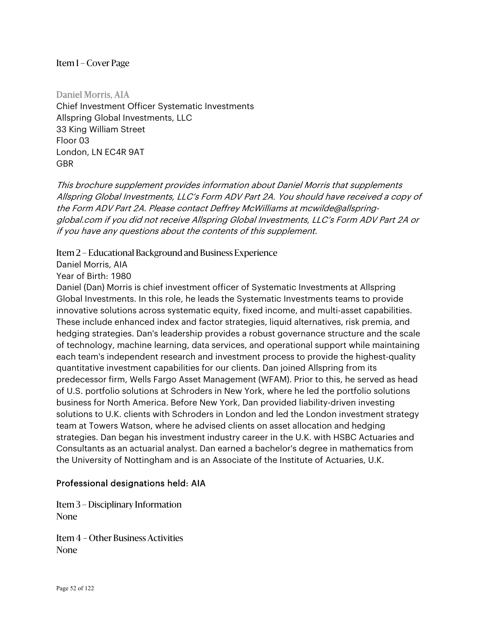Daniel Morris, AIA Chief Investment Officer Systematic Investments Allspring Global Investments, LLC 33 King William Street Floor 03 London, LN EC4R 9AT GBR

This brochure supplement provides information about Daniel Morris that supplements Allspring Global Investments, LLC's Form ADV Part 2A. You should have received a copy of the Form ADV Part 2A. Please contact Deffrey McWilliams at mcwilde@allspringglobal.com if you did not receive Allspring Global Investments, LLC's Form ADV Part 2A or if you have any questions about the contents of this supplement.

## Item 2 – Educational Background and Business Experience

Daniel Morris, AIA

Year of Birth: 1980

Daniel (Dan) Morris is chief investment officer of Systematic Investments at Allspring Global Investments. In this role, he leads the Systematic Investments teams to provide innovative solutions across systematic equity, fixed income, and multi-asset capabilities. These include enhanced index and factor strategies, liquid alternatives, risk premia, and hedging strategies. Dan's leadership provides a robust governance structure and the scale of technology, machine learning, data services, and operational support while maintaining each team's independent research and investment process to provide the highest-quality quantitative investment capabilities for our clients. Dan joined Allspring from its predecessor firm, Wells Fargo Asset Management (WFAM). Prior to this, he served as head of U.S. portfolio solutions at Schroders in New York, where he led the portfolio solutions business for North America. Before New York, Dan provided liability-driven investing solutions to U.K. clients with Schroders in London and led the London investment strategy team at Towers Watson, where he advised clients on asset allocation and hedging strategies. Dan began his investment industry career in the U.K. with HSBC Actuaries and Consultants as an actuarial analyst. Dan earned a bachelor's degree in mathematics from the University of Nottingham and is an Associate of the Institute of Actuaries, U.K.

# Professional designations held: AIA

Item 3 – Disciplinary Information None

Item 4 – Other Business Activities None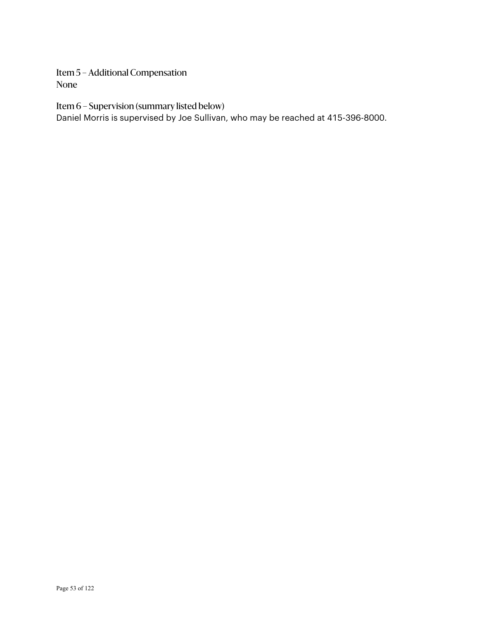Item 5 – Additional Compensation None

Item 6 – Supervision (summary listed below)

Daniel Morris is supervised by Joe Sullivan, who may be reached at 415-396-8000.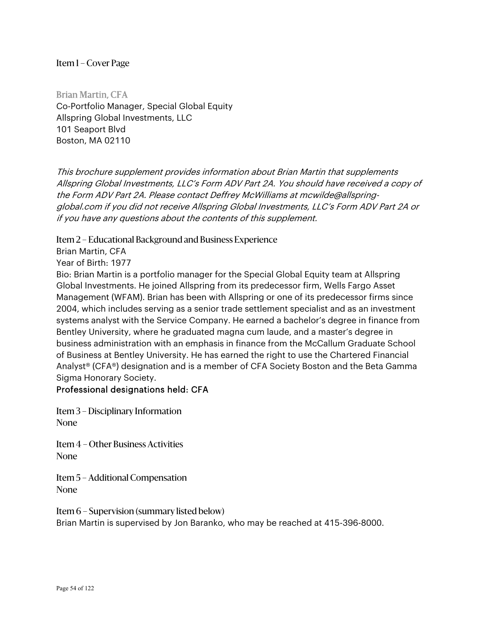Brian Martin, CFA Co-Portfolio Manager, Special Global Equity Allspring Global Investments, LLC 101 Seaport Blvd Boston, MA 02110

This brochure supplement provides information about Brian Martin that supplements Allspring Global Investments, LLC's Form ADV Part 2A. You should have received a copy of the Form ADV Part 2A. Please contact Deffrey McWilliams at mcwilde@allspringglobal.com if you did not receive Allspring Global Investments, LLC's Form ADV Part 2A or if you have any questions about the contents of this supplement.

Item 2 – Educational Background and Business Experience

Brian Martin, CFA

Year of Birth: 1977

Bio: Brian Martin is a portfolio manager for the Special Global Equity team at Allspring Global Investments. He joined Allspring from its predecessor firm, Wells Fargo Asset Management (WFAM). Brian has been with Allspring or one of its predecessor firms since 2004, which includes serving as a senior trade settlement specialist and as an investment systems analyst with the Service Company. He earned a bachelor's degree in finance from Bentley University, where he graduated magna cum laude, and a master's degree in business administration with an emphasis in finance from the McCallum Graduate School of Business at Bentley University. He has earned the right to use the Chartered Financial Analyst® (CFA®) designation and is a member of CFA Society Boston and the Beta Gamma Sigma Honorary Society.

# Professional designations held: CFA

Item 3 – Disciplinary Information None

Item 4 – Other Business Activities None

Item 5 – Additional Compensation None

Item 6 – Supervision (summary listed below) Brian Martin is supervised by Jon Baranko, who may be reached at 415-396-8000.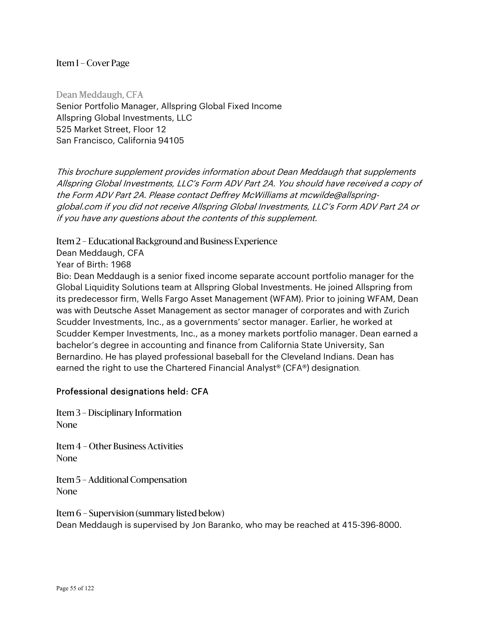Dean Meddaugh, CFA Senior Portfolio Manager, Allspring Global Fixed Income Allspring Global Investments, LLC 525 Market Street, Floor 12 San Francisco, California 94105

This brochure supplement provides information about Dean Meddaugh that supplements Allspring Global Investments, LLC's Form ADV Part 2A. You should have received a copy of the Form ADV Part 2A. Please contact Deffrey McWilliams at mcwilde@allspringglobal.com if you did not receive Allspring Global Investments, LLC's Form ADV Part 2A or if you have any questions about the contents of this supplement.

Item 2 – Educational Background and Business Experience

Dean Meddaugh, CFA

Year of Birth: 1968

Bio: Dean Meddaugh is a senior fixed income separate account portfolio manager for the Global Liquidity Solutions team at Allspring Global Investments. He joined Allspring from its predecessor firm, Wells Fargo Asset Management (WFAM). Prior to joining WFAM, Dean was with Deutsche Asset Management as sector manager of corporates and with Zurich Scudder Investments, Inc., as a governments' sector manager. Earlier, he worked at Scudder Kemper Investments, Inc., as a money markets portfolio manager. Dean earned a bachelor's degree in accounting and finance from California State University, San Bernardino. He has played professional baseball for the Cleveland Indians. Dean has earned the right to use the Chartered Financial Analyst® (CFA®) designation.

# Professional designations held: CFA

Item 3 – Disciplinary Information None

Item 4 – Other Business Activities None

Item 5 – Additional Compensation None

Item 6 – Supervision (summary listed below) Dean Meddaugh is supervised by Jon Baranko, who may be reached at 415-396-8000.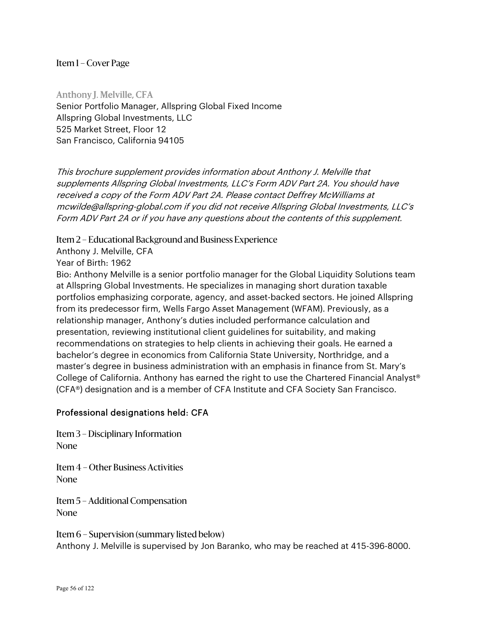Anthony J. Melville, CFA Senior Portfolio Manager, Allspring Global Fixed Income Allspring Global Investments, LLC 525 Market Street, Floor 12 San Francisco, California 94105

This brochure supplement provides information about Anthony J. Melville that supplements Allspring Global Investments, LLC's Form ADV Part 2A. You should have received a copy of the Form ADV Part 2A. Please contact Deffrey McWilliams at mcwilde@allspring-global.com if you did not receive Allspring Global Investments, LLC's Form ADV Part 2A or if you have any questions about the contents of this supplement.

Item 2 – Educational Background and Business Experience

Anthony J. Melville, CFA

Year of Birth: 1962

Bio: Anthony Melville is a senior portfolio manager for the Global Liquidity Solutions team at Allspring Global Investments. He specializes in managing short duration taxable portfolios emphasizing corporate, agency, and asset-backed sectors. He joined Allspring from its predecessor firm, Wells Fargo Asset Management (WFAM). Previously, as a relationship manager, Anthony's duties included performance calculation and presentation, reviewing institutional client guidelines for suitability, and making recommendations on strategies to help clients in achieving their goals. He earned a bachelor's degree in economics from California State University, Northridge, and a master's degree in business administration with an emphasis in finance from St. Mary's College of California. Anthony has earned the right to use the Chartered Financial Analyst® (CFA®) designation and is a member of CFA Institute and CFA Society San Francisco.

# Professional designations held: CFA

Item 3 – Disciplinary Information None

Item 4 – Other Business Activities None

Item 5 – Additional Compensation None

Item 6 – Supervision (summary listed below) Anthony J. Melville is supervised by Jon Baranko, who may be reached at 415-396-8000.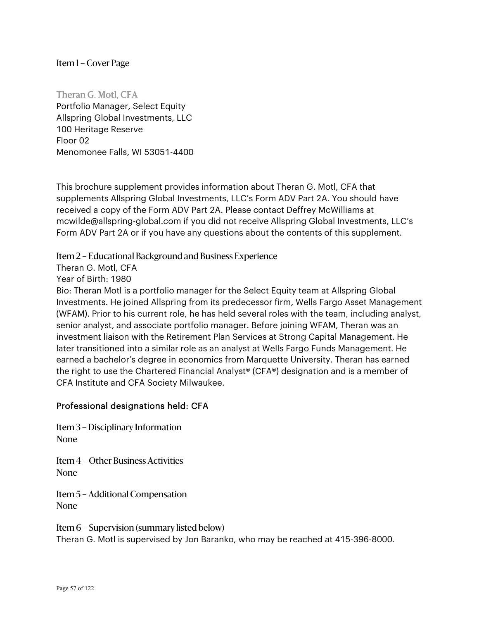Theran G. Motl, CFA Portfolio Manager, Select Equity Allspring Global Investments, LLC 100 Heritage Reserve Floor 02 Menomonee Falls, WI 53051-4400

This brochure supplement provides information about Theran G. Motl, CFA that supplements Allspring Global Investments, LLC's Form ADV Part 2A. You should have received a copy of the Form ADV Part 2A. Please contact Deffrey McWilliams at mcwilde@allspring-global.com if you did not receive Allspring Global Investments, LLC's Form ADV Part 2A or if you have any questions about the contents of this supplement.

## Item 2 – Educational Background and Business Experience

Theran G. Motl, CFA

Year of Birth: 1980

Bio: Theran Motl is a portfolio manager for the Select Equity team at Allspring Global Investments. He joined Allspring from its predecessor firm, Wells Fargo Asset Management (WFAM). Prior to his current role, he has held several roles with the team, including analyst, senior analyst, and associate portfolio manager. Before joining WFAM, Theran was an investment liaison with the Retirement Plan Services at Strong Capital Management. He later transitioned into a similar role as an analyst at Wells Fargo Funds Management. He earned a bachelor's degree in economics from Marquette University. Theran has earned the right to use the Chartered Financial Analyst® (CFA®) designation and is a member of CFA Institute and CFA Society Milwaukee.

# Professional designations held: CFA

Item 3 – Disciplinary Information None

Item 4 – Other Business Activities None

Item 5 – Additional Compensation None

Item 6 – Supervision (summary listed below) Theran G. Motl is supervised by Jon Baranko, who may be reached at 415-396-8000.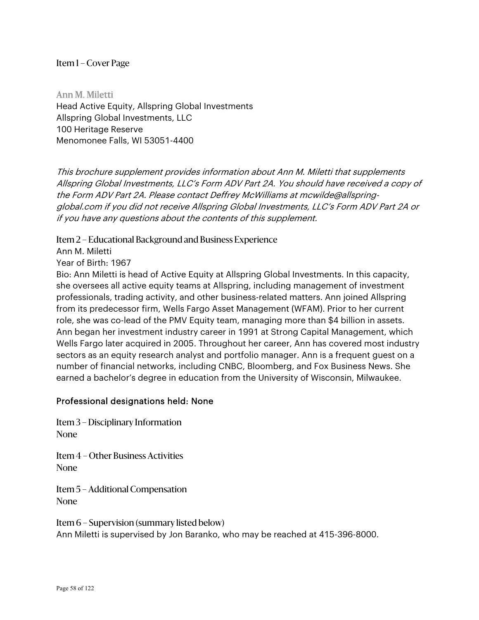Ann M. Miletti Head Active Equity, Allspring Global Investments Allspring Global Investments, LLC 100 Heritage Reserve Menomonee Falls, WI 53051-4400

This brochure supplement provides information about Ann M. Miletti that supplements Allspring Global Investments, LLC's Form ADV Part 2A. You should have received a copy of the Form ADV Part 2A. Please contact Deffrey McWilliams at mcwilde@allspringglobal.com if you did not receive Allspring Global Investments, LLC's Form ADV Part 2A or if you have any questions about the contents of this supplement.

Item 2 – Educational Background and Business Experience

Ann M. Miletti

Year of Birth: 1967

Bio: Ann Miletti is head of Active Equity at Allspring Global Investments. In this capacity, she oversees all active equity teams at Allspring, including management of investment professionals, trading activity, and other business-related matters. Ann joined Allspring from its predecessor firm, Wells Fargo Asset Management (WFAM). Prior to her current role, she was co-lead of the PMV Equity team, managing more than \$4 billion in assets. Ann began her investment industry career in 1991 at Strong Capital Management, which Wells Fargo later acquired in 2005. Throughout her career, Ann has covered most industry sectors as an equity research analyst and portfolio manager. Ann is a frequent guest on a number of financial networks, including CNBC, Bloomberg, and Fox Business News. She earned a bachelor's degree in education from the University of Wisconsin, Milwaukee.

### Professional designations held: None

Item 3 – Disciplinary Information None

Item 4 – Other Business Activities None

Item 5 – Additional Compensation None

Item 6 – Supervision (summary listed below) Ann Miletti is supervised by Jon Baranko, who may be reached at 415-396-8000.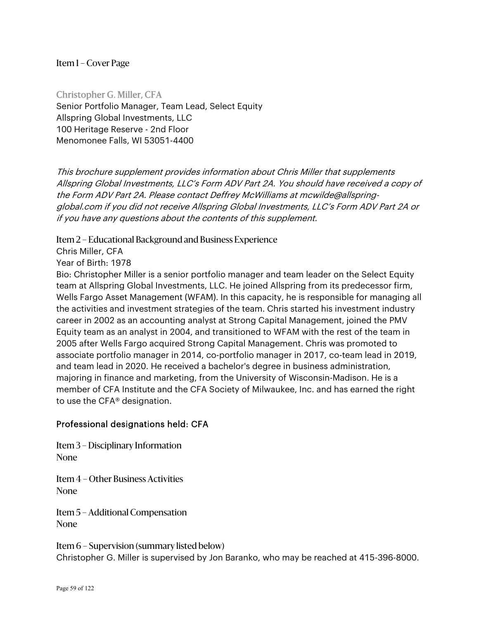Christopher G. Miller, CFA Senior Portfolio Manager, Team Lead, Select Equity Allspring Global Investments, LLC 100 Heritage Reserve - 2nd Floor Menomonee Falls, WI 53051-4400

This brochure supplement provides information about Chris Miller that supplements Allspring Global Investments, LLC's Form ADV Part 2A. You should have received a copy of the Form ADV Part 2A. Please contact Deffrey McWilliams at mcwilde@allspringglobal.com if you did not receive Allspring Global Investments, LLC's Form ADV Part 2A or if you have any questions about the contents of this supplement.

Item 2 – Educational Background and Business Experience

Chris Miller, CFA

Year of Birth: 1978

Bio: Christopher Miller is a senior portfolio manager and team leader on the Select Equity team at Allspring Global Investments, LLC. He joined Allspring from its predecessor firm, Wells Fargo Asset Management (WFAM). In this capacity, he is responsible for managing all the activities and investment strategies of the team. Chris started his investment industry career in 2002 as an accounting analyst at Strong Capital Management, joined the PMV Equity team as an analyst in 2004, and transitioned to WFAM with the rest of the team in 2005 after Wells Fargo acquired Strong Capital Management. Chris was promoted to associate portfolio manager in 2014, co-portfolio manager in 2017, co-team lead in 2019, and team lead in 2020. He received a bachelor's degree in business administration, majoring in finance and marketing, from the University of Wisconsin-Madison. He is a member of CFA Institute and the CFA Society of Milwaukee, Inc. and has earned the right to use the CFA® designation.

### Professional designations held: CFA

Item 3 – Disciplinary Information None

Item 4 – Other Business Activities None

Item 5 – Additional Compensation None

Item 6 – Supervision (summary listed below) Christopher G. Miller is supervised by Jon Baranko, who may be reached at 415-396-8000.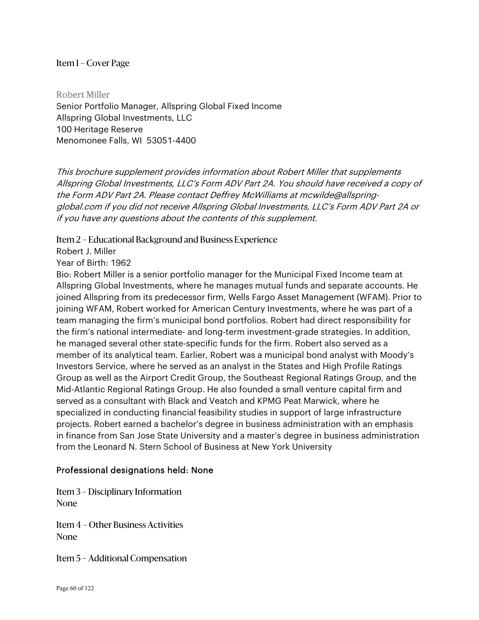Robert Miller Senior Portfolio Manager, Allspring Global Fixed Income Allspring Global Investments, LLC 100 Heritage Reserve Menomonee Falls, WI 53051-4400

This brochure supplement provides information about Robert Miller that supplements Allspring Global Investments, LLC's Form ADV Part 2A. You should have received a copy of the Form ADV Part 2A. Please contact Deffrey McWilliams at mcwilde@allspringglobal.com if you did not receive Allspring Global Investments, LLC's Form ADV Part 2A or if you have any questions about the contents of this supplement.

Item 2 – Educational Background and Business Experience

Robert J. Miller

Year of Birth: 1962

Bio: Robert Miller is a senior portfolio manager for the Municipal Fixed Income team at Allspring Global Investments, where he manages mutual funds and separate accounts. He joined Allspring from its predecessor firm, Wells Fargo Asset Management (WFAM). Prior to joining WFAM, Robert worked for American Century Investments, where he was part of a team managing the firm's municipal bond portfolios. Robert had direct responsibility for the firm's national intermediate- and long-term investment-grade strategies. In addition, he managed several other state-specific funds for the firm. Robert also served as a member of its analytical team. Earlier, Robert was a municipal bond analyst with Moody's Investors Service, where he served as an analyst in the States and High Profile Ratings Group as well as the Airport Credit Group, the Southeast Regional Ratings Group, and the Mid-Atlantic Regional Ratings Group. He also founded a small venture capital firm and served as a consultant with Black and Veatch and KPMG Peat Marwick, where he specialized in conducting financial feasibility studies in support of large infrastructure projects. Robert earned a bachelor's degree in business administration with an emphasis in finance from San Jose State University and a master's degree in business administration from the Leonard N. Stern School of Business at New York University

### Professional designations held: None

Item 3 – Disciplinary Information None

Item 4 – Other Business Activities None

Item 5 – Additional Compensation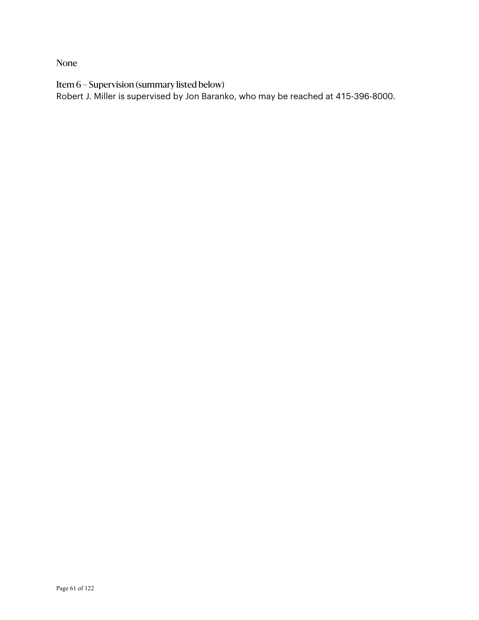None

Item 6 – Supervision (summary listed below)

Robert J. Miller is supervised by Jon Baranko, who may be reached at 415-396-8000.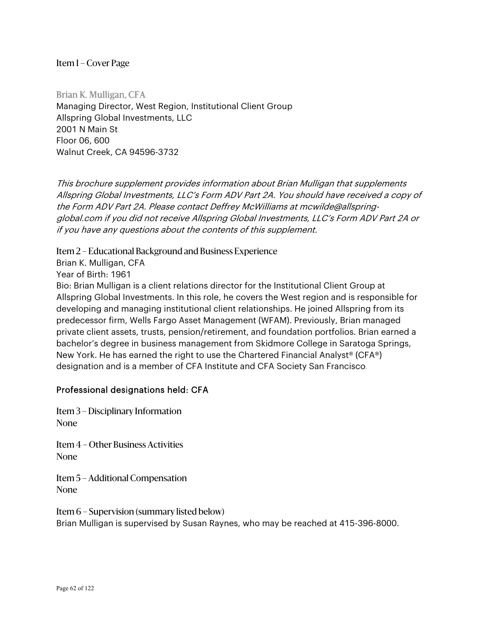Brian K. Mulligan, CFA Managing Director, West Region, Institutional Client Group Allspring Global Investments, LLC 2001 N Main St Floor 06, 600 Walnut Creek, CA 94596-3732

This brochure supplement provides information about Brian Mulligan that supplements Allspring Global Investments, LLC's Form ADV Part 2A. You should have received a copy of the Form ADV Part 2A. Please contact Deffrey McWilliams at mcwilde@allspringglobal.com if you did not receive Allspring Global Investments, LLC's Form ADV Part 2A or if you have any questions about the contents of this supplement.

Item 2 – Educational Background and Business Experience

Brian K. Mulligan, CFA

Year of Birth: 1961

Bio: Brian Mulligan is a client relations director for the Institutional Client Group at Allspring Global Investments. In this role, he covers the West region and is responsible for developing and managing institutional client relationships. He joined Allspring from its predecessor firm, Wells Fargo Asset Management (WFAM). Previously, Brian managed private client assets, trusts, pension/retirement, and foundation portfolios. Brian earned a bachelor's degree in business management from Skidmore College in Saratoga Springs, New York. He has earned the right to use the Chartered Financial Analyst® (CFA®) designation and is a member of CFA Institute and CFA Society San Francisco.

# Professional designations held: CFA

Item 3 – Disciplinary Information None

Item 4 – Other Business Activities None

Item 5 – Additional Compensation None

Item 6 – Supervision (summary listed below) Brian Mulligan is supervised by Susan Raynes, who may be reached at 415-396-8000.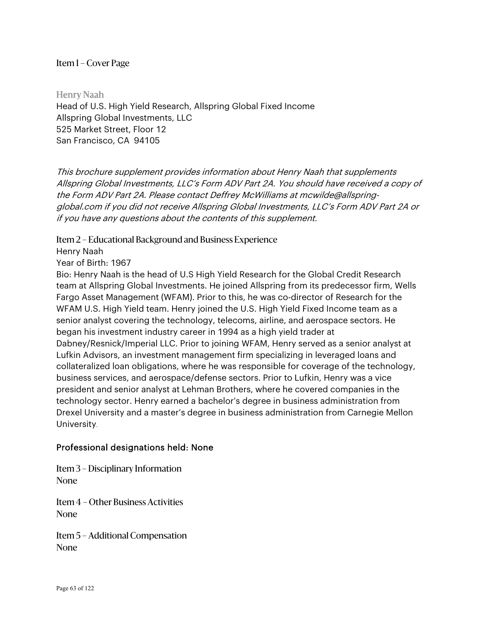Henry Naah Head of U.S. High Yield Research, Allspring Global Fixed Income Allspring Global Investments, LLC 525 Market Street, Floor 12 San Francisco, CA 94105

This brochure supplement provides information about Henry Naah that supplements Allspring Global Investments, LLC's Form ADV Part 2A. You should have received a copy of the Form ADV Part 2A. Please contact Deffrey McWilliams at mcwilde@allspringglobal.com if you did not receive Allspring Global Investments, LLC's Form ADV Part 2A or if you have any questions about the contents of this supplement.

Item 2 – Educational Background and Business Experience

Henry Naah

Year of Birth: 1967

Bio: Henry Naah is the head of U.S High Yield Research for the Global Credit Research team at Allspring Global Investments. He joined Allspring from its predecessor firm, Wells Fargo Asset Management (WFAM). Prior to this, he was co-director of Research for the WFAM U.S. High Yield team. Henry joined the U.S. High Yield Fixed Income team as a senior analyst covering the technology, telecoms, airline, and aerospace sectors. He began his investment industry career in 1994 as a high yield trader at Dabney/Resnick/Imperial LLC. Prior to joining WFAM, Henry served as a senior analyst at Lufkin Advisors, an investment management firm specializing in leveraged loans and collateralized loan obligations, where he was responsible for coverage of the technology, business services, and aerospace/defense sectors. Prior to Lufkin, Henry was a vice president and senior analyst at Lehman Brothers, where he covered companies in the technology sector. Henry earned a bachelor's degree in business administration from Drexel University and a master's degree in business administration from Carnegie Mellon University.

# Professional designations held: None

Item 3 – Disciplinary Information None

Item 4 – Other Business Activities None

Item 5 – Additional Compensation None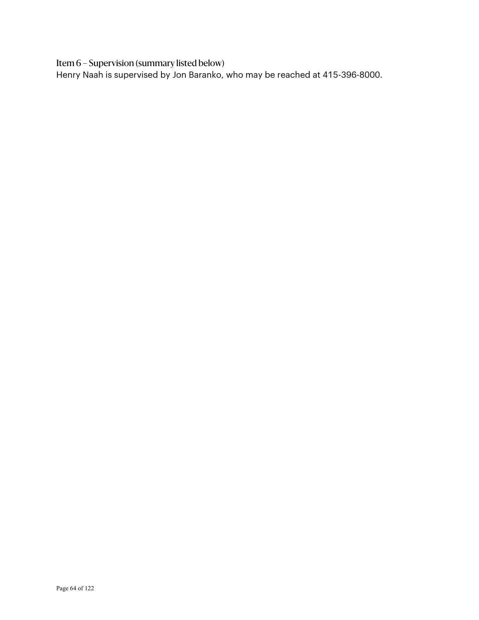Item 6 – Supervision (summary listed below)

Henry Naah is supervised by Jon Baranko, who may be reached at 415-396-8000.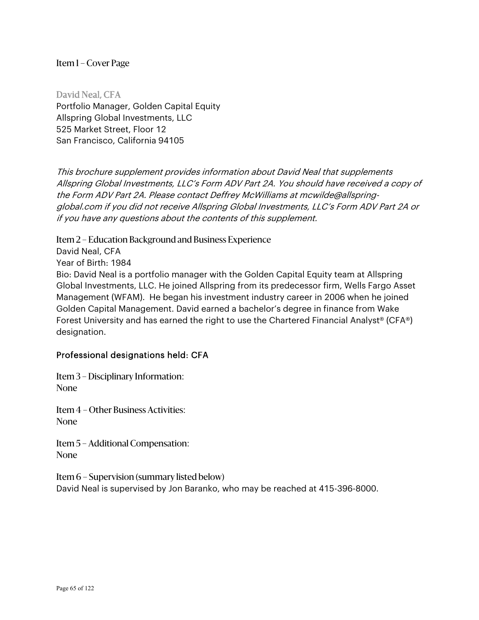David Neal, CFA Portfolio Manager, Golden Capital Equity Allspring Global Investments, LLC 525 Market Street, Floor 12 San Francisco, California 94105

This brochure supplement provides information about David Neal that supplements Allspring Global Investments, LLC's Form ADV Part 2A. You should have received a copy of the Form ADV Part 2A. Please contact Deffrey McWilliams at mcwilde@allspringglobal.com if you did not receive Allspring Global Investments, LLC's Form ADV Part 2A or if you have any questions about the contents of this supplement.

Item 2 – Education Background and Business Experience

David Neal, CFA

Year of Birth: 1984

Bio: David Neal is a portfolio manager with the Golden Capital Equity team at Allspring Global Investments, LLC. He joined Allspring from its predecessor firm, Wells Fargo Asset Management (WFAM). He began his investment industry career in 2006 when he joined Golden Capital Management. David earned a bachelor's degree in finance from Wake Forest University and has earned the right to use the Chartered Financial Analyst® (CFA®) designation.

# Professional designations held: CFA

Item 3 – Disciplinary Information: None

Item 4 – Other Business Activities: None

Item 5 – Additional Compensation: None

Item 6 – Supervision (summary listed below) David Neal is supervised by Jon Baranko, who may be reached at 415-396-8000.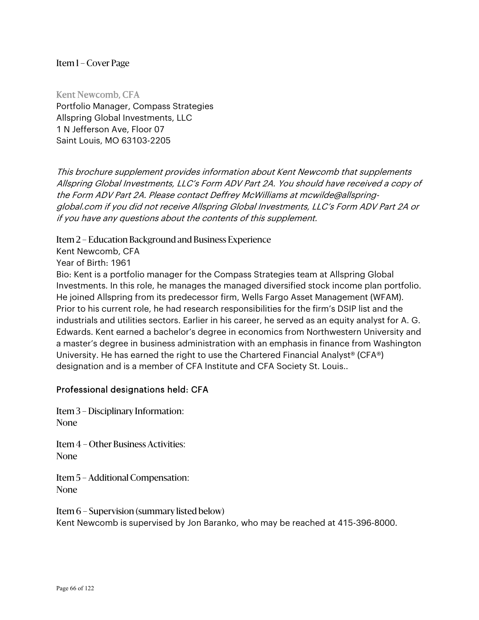Kent Newcomb, CFA Portfolio Manager, Compass Strategies Allspring Global Investments, LLC 1 N Jefferson Ave, Floor 07 Saint Louis, MO 63103-2205

This brochure supplement provides information about Kent Newcomb that supplements Allspring Global Investments, LLC's Form ADV Part 2A. You should have received a copy of the Form ADV Part 2A. Please contact Deffrey McWilliams at mcwilde@allspringglobal.com if you did not receive Allspring Global Investments, LLC's Form ADV Part 2A or if you have any questions about the contents of this supplement.

Item 2 – Education Background and Business Experience

Kent Newcomb, CFA

Year of Birth: 1961

Bio: Kent is a portfolio manager for the Compass Strategies team at Allspring Global Investments. In this role, he manages the managed diversified stock income plan portfolio. He joined Allspring from its predecessor firm, Wells Fargo Asset Management (WFAM). Prior to his current role, he had research responsibilities for the firm's DSIP list and the industrials and utilities sectors. Earlier in his career, he served as an equity analyst for A. G. Edwards. Kent earned a bachelor's degree in economics from Northwestern University and a master's degree in business administration with an emphasis in finance from Washington University. He has earned the right to use the Chartered Financial Analyst® (CFA®) designation and is a member of CFA Institute and CFA Society St. Louis..

# Professional designations held: CFA

Item 3 – Disciplinary Information: None

Item 4 – Other Business Activities: None

Item 5 – Additional Compensation: None

Item 6 – Supervision (summary listed below) Kent Newcomb is supervised by Jon Baranko, who may be reached at 415-396-8000.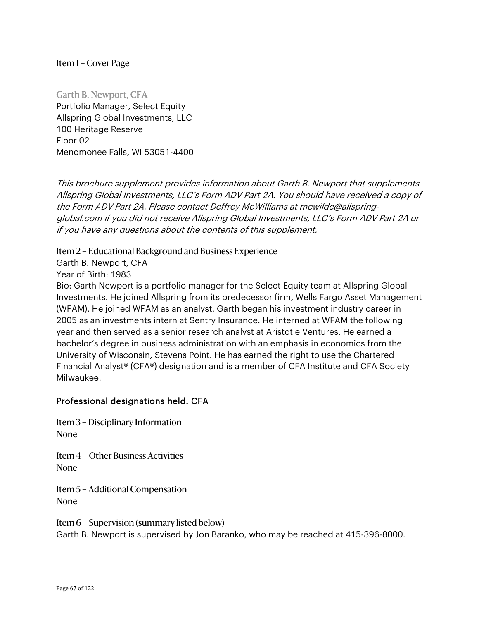Garth B. Newport, CFA Portfolio Manager, Select Equity Allspring Global Investments, LLC 100 Heritage Reserve Floor 02 Menomonee Falls, WI 53051-4400

This brochure supplement provides information about Garth B. Newport that supplements Allspring Global Investments, LLC's Form ADV Part 2A. You should have received a copy of the Form ADV Part 2A. Please contact Deffrey McWilliams at mcwilde@allspringglobal.com if you did not receive Allspring Global Investments, LLC's Form ADV Part 2A or if you have any questions about the contents of this supplement.

Item 2 – Educational Background and Business Experience

Garth B. Newport, CFA

Year of Birth: 1983

Bio: Garth Newport is a portfolio manager for the Select Equity team at Allspring Global Investments. He joined Allspring from its predecessor firm, Wells Fargo Asset Management (WFAM). He joined WFAM as an analyst. Garth began his investment industry career in 2005 as an investments intern at Sentry Insurance. He interned at WFAM the following year and then served as a senior research analyst at Aristotle Ventures. He earned a bachelor's degree in business administration with an emphasis in economics from the University of Wisconsin, Stevens Point. He has earned the right to use the Chartered Financial Analyst® (CFA®) designation and is a member of CFA Institute and CFA Society Milwaukee.

# Professional designations held: CFA

Item 3 – Disciplinary Information None

Item 4 – Other Business Activities None

Item 5 – Additional Compensation None

Item 6 – Supervision (summary listed below) Garth B. Newport is supervised by Jon Baranko, who may be reached at 415-396-8000.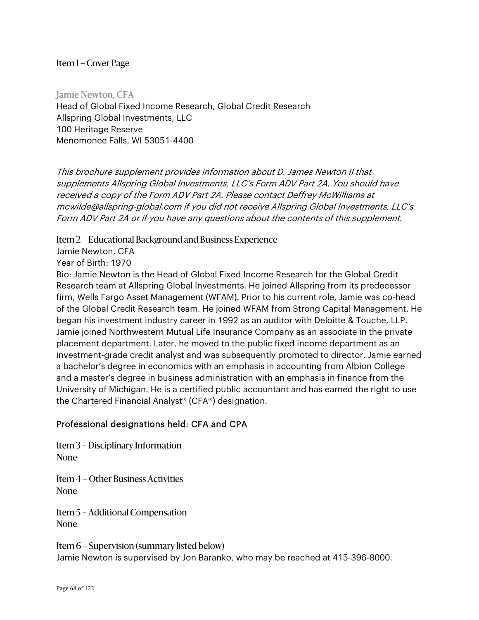Jamie Newton, CFA Head of Global Fixed Income Research, Global Credit Research Allspring Global Investments, LLC 100 Heritage Reserve Menomonee Falls, WI 53051-4400

This brochure supplement provides information about D. James Newton II that supplements Allspring Global Investments, LLC's Form ADV Part 2A. You should have received a copy of the Form ADV Part 2A. Please contact Deffrey McWilliams at mcwilde@allspring-global.com if you did not receive Allspring Global Investments, LLC's Form ADV Part 2A or if you have any questions about the contents of this supplement.

Item 2 – Educational Background and Business Experience

Jamie Newton, CFA

Year of Birth: 1970

Bio: Jamie Newton is the Head of Global Fixed Income Research for the Global Credit Research team at Allspring Global Investments. He joined Allspring from its predecessor firm, Wells Fargo Asset Management (WFAM). Prior to his current role, Jamie was co-head of the Global Credit Research team. He joined WFAM from Strong Capital Management. He began his investment industry career in 1992 as an auditor with Deloitte & Touche, LLP. Jamie joined Northwestern Mutual Life Insurance Company as an associate in the private placement department. Later, he moved to the public fixed income department as an investment-grade credit analyst and was subsequently promoted to director. Jamie earned a bachelor's degree in economics with an emphasis in accounting from Albion College and a master's degree in business administration with an emphasis in finance from the University of Michigan. He is a certified public accountant and has earned the right to use the Chartered Financial Analyst® (CFA®) designation.

### Professional designations held: CFA and CPA

Item 3 – Disciplinary Information None

Item 4 – Other Business Activities None

Item 5 – Additional Compensation None

Item 6 – Supervision (summary listed below) Jamie Newton is supervised by Jon Baranko, who may be reached at 415-396-8000.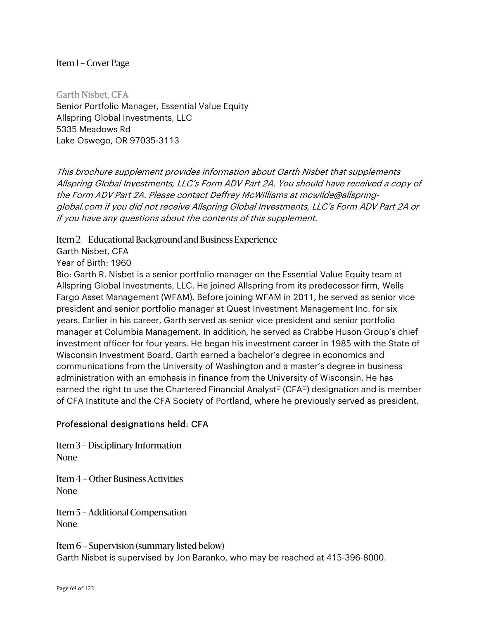Garth Nisbet, CFA Senior Portfolio Manager, Essential Value Equity Allspring Global Investments, LLC 5335 Meadows Rd Lake Oswego, OR 97035-3113

This brochure supplement provides information about Garth Nisbet that supplements Allspring Global Investments, LLC's Form ADV Part 2A. You should have received a copy of the Form ADV Part 2A. Please contact Deffrey McWilliams at mcwilde@allspringglobal.com if you did not receive Allspring Global Investments, LLC's Form ADV Part 2A or if you have any questions about the contents of this supplement.

Item 2 – Educational Background and Business Experience

Garth Nisbet, CFA

Year of Birth: 1960

Bio: Garth R. Nisbet is a senior portfolio manager on the Essential Value Equity team at Allspring Global Investments, LLC. He joined Allspring from its predecessor firm, Wells Fargo Asset Management (WFAM). Before joining WFAM in 2011, he served as senior vice president and senior portfolio manager at Quest Investment Management Inc. for six years. Earlier in his career, Garth served as senior vice president and senior portfolio manager at Columbia Management. In addition, he served as Crabbe Huson Group's chief investment officer for four years. He began his investment career in 1985 with the State of Wisconsin Investment Board. Garth earned a bachelor's degree in economics and communications from the University of Washington and a master's degree in business administration with an emphasis in finance from the University of Wisconsin. He has earned the right to use the Chartered Financial Analyst® (CFA®) designation and is member of CFA Institute and the CFA Society of Portland, where he previously served as president.

# Professional designations held: CFA

Item 3 – Disciplinary Information None

Item 4 – Other Business Activities None

Item 5 – Additional Compensation None

Item 6 – Supervision (summary listed below) Garth Nisbet is supervised by Jon Baranko, who may be reached at 415-396-8000.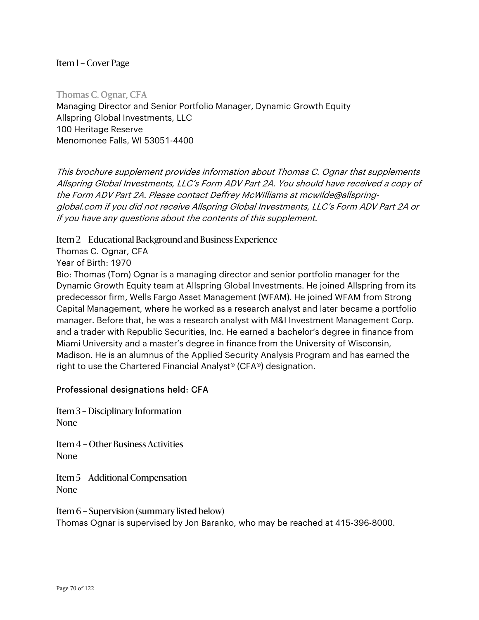Thomas C. Ognar, CFA Managing Director and Senior Portfolio Manager, Dynamic Growth Equity Allspring Global Investments, LLC 100 Heritage Reserve Menomonee Falls, WI 53051-4400

This brochure supplement provides information about Thomas C. Ognar that supplements Allspring Global Investments, LLC's Form ADV Part 2A. You should have received a copy of the Form ADV Part 2A. Please contact Deffrey McWilliams at mcwilde@allspringglobal.com if you did not receive Allspring Global Investments, LLC's Form ADV Part 2A or if you have any questions about the contents of this supplement.

Item 2 – Educational Background and Business Experience

Thomas C. Ognar, CFA

Year of Birth: 1970

Bio: Thomas (Tom) Ognar is a managing director and senior portfolio manager for the Dynamic Growth Equity team at Allspring Global Investments. He joined Allspring from its predecessor firm, Wells Fargo Asset Management (WFAM). He joined WFAM from Strong Capital Management, where he worked as a research analyst and later became a portfolio manager. Before that, he was a research analyst with M&I Investment Management Corp. and a trader with Republic Securities, Inc. He earned a bachelor's degree in finance from Miami University and a master's degree in finance from the University of Wisconsin, Madison. He is an alumnus of the Applied Security Analysis Program and has earned the right to use the Chartered Financial Analyst® (CFA®) designation.

### Professional designations held: CFA

Item 3 – Disciplinary Information None

Item 4 – Other Business Activities None

Item 5 – Additional Compensation None

Item 6 – Supervision (summary listed below) Thomas Ognar is supervised by Jon Baranko, who may be reached at 415-396-8000.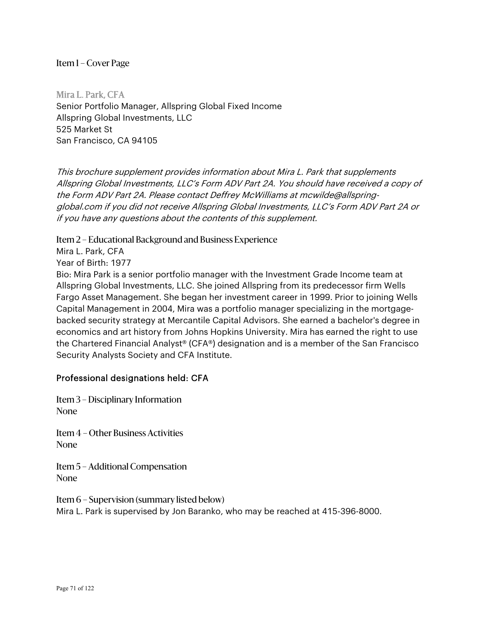Mira L. Park, CFA Senior Portfolio Manager, Allspring Global Fixed Income Allspring Global Investments, LLC 525 Market St San Francisco, CA 94105

This brochure supplement provides information about Mira L. Park that supplements Allspring Global Investments, LLC's Form ADV Part 2A. You should have received a copy of the Form ADV Part 2A. Please contact Deffrey McWilliams at mcwilde@allspringglobal.com if you did not receive Allspring Global Investments, LLC's Form ADV Part 2A or if you have any questions about the contents of this supplement.

Item 2 – Educational Background and Business Experience

Mira L. Park, CFA

Year of Birth: 1977

Bio: Mira Park is a senior portfolio manager with the Investment Grade Income team at Allspring Global Investments, LLC. She joined Allspring from its predecessor firm Wells Fargo Asset Management. She began her investment career in 1999. Prior to joining Wells Capital Management in 2004, Mira was a portfolio manager specializing in the mortgagebacked security strategy at Mercantile Capital Advisors. She earned a bachelor's degree in economics and art history from Johns Hopkins University. Mira has earned the right to use the Chartered Financial Analyst® (CFA®) designation and is a member of the San Francisco Security Analysts Society and CFA Institute.

# Professional designations held: CFA

Item 3 – Disciplinary Information None

Item 4 – Other Business Activities None

Item 5 – Additional Compensation None

Item 6 – Supervision (summary listed below) Mira L. Park is supervised by Jon Baranko, who may be reached at 415-396-8000.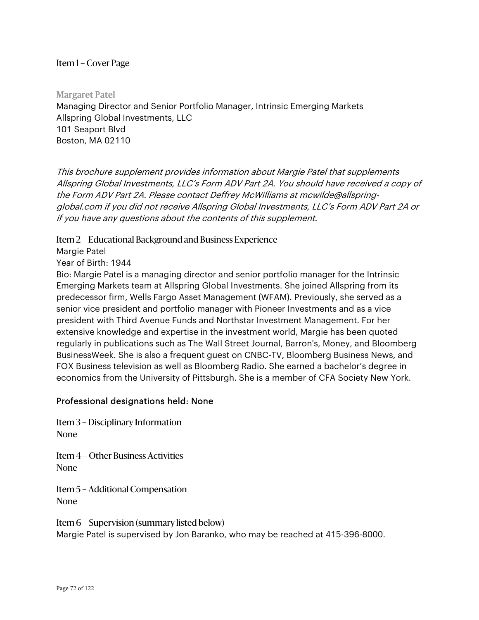Margaret Patel Managing Director and Senior Portfolio Manager, Intrinsic Emerging Markets Allspring Global Investments, LLC 101 Seaport Blvd Boston, MA 02110

This brochure supplement provides information about Margie Patel that supplements Allspring Global Investments, LLC's Form ADV Part 2A. You should have received a copy of the Form ADV Part 2A. Please contact Deffrey McWilliams at mcwilde@allspringglobal.com if you did not receive Allspring Global Investments, LLC's Form ADV Part 2A or if you have any questions about the contents of this supplement.

Item 2 – Educational Background and Business Experience

Margie Patel

Year of Birth: 1944

Bio: Margie Patel is a managing director and senior portfolio manager for the Intrinsic Emerging Markets team at Allspring Global Investments. She joined Allspring from its predecessor firm, Wells Fargo Asset Management (WFAM). Previously, she served as a senior vice president and portfolio manager with Pioneer Investments and as a vice president with Third Avenue Funds and Northstar Investment Management. For her extensive knowledge and expertise in the investment world, Margie has been quoted regularly in publications such as The Wall Street Journal, Barron's, Money, and Bloomberg BusinessWeek. She is also a frequent guest on CNBC-TV, Bloomberg Business News, and FOX Business television as well as Bloomberg Radio. She earned a bachelor's degree in economics from the University of Pittsburgh. She is a member of CFA Society New York.

### Professional designations held: None

Item 3 – Disciplinary Information None

Item 4 – Other Business Activities None

Item 5 – Additional Compensation None

Item 6 – Supervision (summary listed below) Margie Patel is supervised by Jon Baranko, who may be reached at 415-396-8000.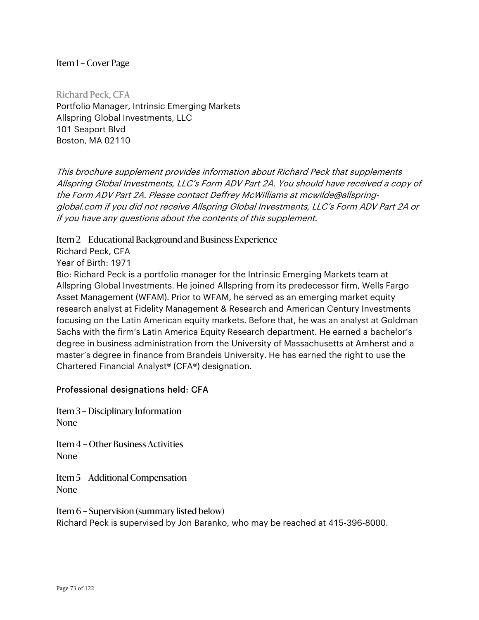Richard Peck, CFA Portfolio Manager, Intrinsic Emerging Markets Allspring Global Investments, LLC 101 Seaport Blvd Boston, MA 02110

This brochure supplement provides information about Richard Peck that supplements Allspring Global Investments, LLC's Form ADV Part 2A. You should have received a copy of the Form ADV Part 2A. Please contact Deffrey McWilliams at mcwilde@allspringglobal.com if you did not receive Allspring Global Investments, LLC's Form ADV Part 2A or if you have any questions about the contents of this supplement.

Item 2 – Educational Background and Business Experience

Richard Peck, CFA

Year of Birth: 1971

Bio: Richard Peck is a portfolio manager for the Intrinsic Emerging Markets team at Allspring Global Investments. He joined Allspring from its predecessor firm, Wells Fargo Asset Management (WFAM). Prior to WFAM, he served as an emerging market equity research analyst at Fidelity Management & Research and American Century Investments focusing on the Latin American equity markets. Before that, he was an analyst at Goldman Sachs with the firm's Latin America Equity Research department. He earned a bachelor's degree in business administration from the University of Massachusetts at Amherst and a master's degree in finance from Brandeis University. He has earned the right to use the Chartered Financial Analyst® (CFA®) designation.

# Professional designations held: CFA

Item 3 – Disciplinary Information None

Item 4 – Other Business Activities None

Item 5 – Additional Compensation None

Item 6 – Supervision (summary listed below) Richard Peck is supervised by Jon Baranko, who may be reached at 415-396-8000.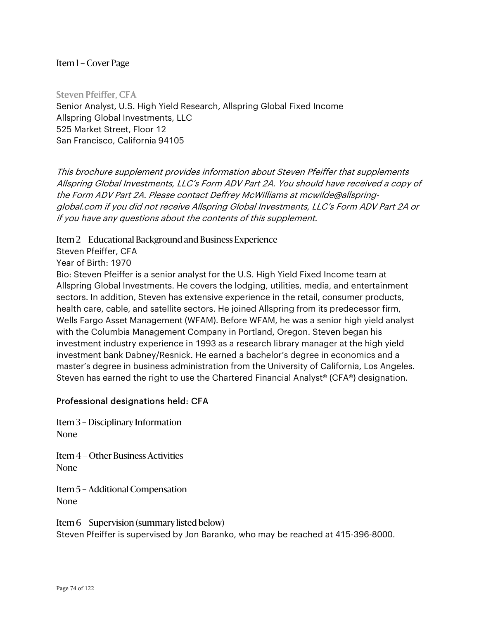Steven Pfeiffer, CFA Senior Analyst, U.S. High Yield Research, Allspring Global Fixed Income Allspring Global Investments, LLC 525 Market Street, Floor 12 San Francisco, California 94105

This brochure supplement provides information about Steven Pfeiffer that supplements Allspring Global Investments, LLC's Form ADV Part 2A. You should have received a copy of the Form ADV Part 2A. Please contact Deffrey McWilliams at mcwilde@allspringglobal.com if you did not receive Allspring Global Investments, LLC's Form ADV Part 2A or if you have any questions about the contents of this supplement.

Item 2 – Educational Background and Business Experience

Steven Pfeiffer, CFA

Year of Birth: 1970

Bio: Steven Pfeiffer is a senior analyst for the U.S. High Yield Fixed Income team at Allspring Global Investments. He covers the lodging, utilities, media, and entertainment sectors. In addition, Steven has extensive experience in the retail, consumer products, health care, cable, and satellite sectors. He joined Allspring from its predecessor firm, Wells Fargo Asset Management (WFAM). Before WFAM, he was a senior high yield analyst with the Columbia Management Company in Portland, Oregon. Steven began his investment industry experience in 1993 as a research library manager at the high yield investment bank Dabney/Resnick. He earned a bachelor's degree in economics and a master's degree in business administration from the University of California, Los Angeles. Steven has earned the right to use the Chartered Financial Analyst® (CFA®) designation.

#### Professional designations held: CFA

Item 3 – Disciplinary Information None

Item 4 – Other Business Activities None

Item 5 – Additional Compensation None

Item 6 – Supervision (summary listed below) Steven Pfeiffer is supervised by Jon Baranko, who may be reached at 415-396-8000.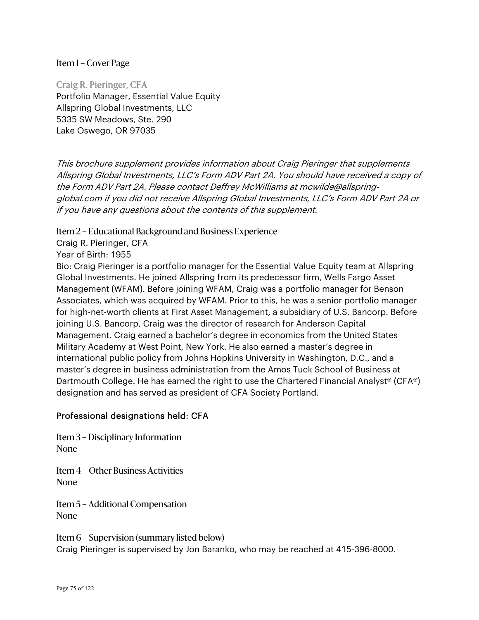Craig R. Pieringer, CFA Portfolio Manager, Essential Value Equity Allspring Global Investments, LLC 5335 SW Meadows, Ste. 290 Lake Oswego, OR 97035

This brochure supplement provides information about Craig Pieringer that supplements Allspring Global Investments, LLC's Form ADV Part 2A. You should have received a copy of the Form ADV Part 2A. Please contact Deffrey McWilliams at mcwilde@allspringglobal.com if you did not receive Allspring Global Investments, LLC's Form ADV Part 2A or if you have any questions about the contents of this supplement.

Item 2 – Educational Background and Business Experience

Craig R. Pieringer, CFA

Year of Birth: 1955

Bio: Craig Pieringer is a portfolio manager for the Essential Value Equity team at Allspring Global Investments. He joined Allspring from its predecessor firm, Wells Fargo Asset Management (WFAM). Before joining WFAM, Craig was a portfolio manager for Benson Associates, which was acquired by WFAM. Prior to this, he was a senior portfolio manager for high-net-worth clients at First Asset Management, a subsidiary of U.S. Bancorp. Before joining U.S. Bancorp, Craig was the director of research for Anderson Capital Management. Craig earned a bachelor's degree in economics from the United States Military Academy at West Point, New York. He also earned a master's degree in international public policy from Johns Hopkins University in Washington, D.C., and a master's degree in business administration from the Amos Tuck School of Business at Dartmouth College. He has earned the right to use the Chartered Financial Analyst<sup>®</sup> (CFA®) designation and has served as president of CFA Society Portland.

#### Professional designations held: CFA

Item 3 – Disciplinary Information None

Item 4 – Other Business Activities None

Item 5 – Additional Compensation None

Item 6 – Supervision (summary listed below) Craig Pieringer is supervised by Jon Baranko, who may be reached at 415-396-8000.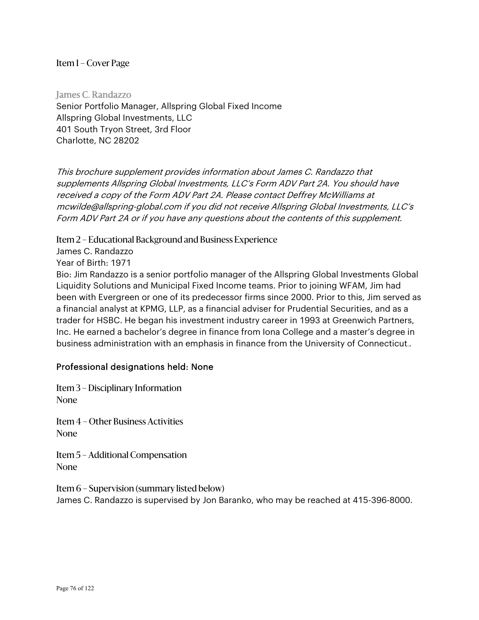James C. Randazzo Senior Portfolio Manager, Allspring Global Fixed Income Allspring Global Investments, LLC 401 South Tryon Street, 3rd Floor Charlotte, NC 28202

This brochure supplement provides information about James C. Randazzo that supplements Allspring Global Investments, LLC's Form ADV Part 2A. You should have received a copy of the Form ADV Part 2A. Please contact Deffrey McWilliams at mcwilde@allspring-global.com if you did not receive Allspring Global Investments, LLC's Form ADV Part 2A or if you have any questions about the contents of this supplement.

Item 2 – Educational Background and Business Experience

James C. Randazzo

Year of Birth: 1971

Bio: Jim Randazzo is a senior portfolio manager of the Allspring Global Investments Global Liquidity Solutions and Municipal Fixed Income teams. Prior to joining WFAM, Jim had been with Evergreen or one of its predecessor firms since 2000. Prior to this, Jim served as a financial analyst at KPMG, LLP, as a financial adviser for Prudential Securities, and as a trader for HSBC. He began his investment industry career in 1993 at Greenwich Partners, Inc. He earned a bachelor's degree in finance from Iona College and a master's degree in business administration with an emphasis in finance from the University of Connecticut..

# Professional designations held: None

Item 3 – Disciplinary Information None

Item 4 – Other Business Activities None

Item 5 – Additional Compensation None

Item 6 – Supervision (summary listed below) James C. Randazzo is supervised by Jon Baranko, who may be reached at 415-396-8000.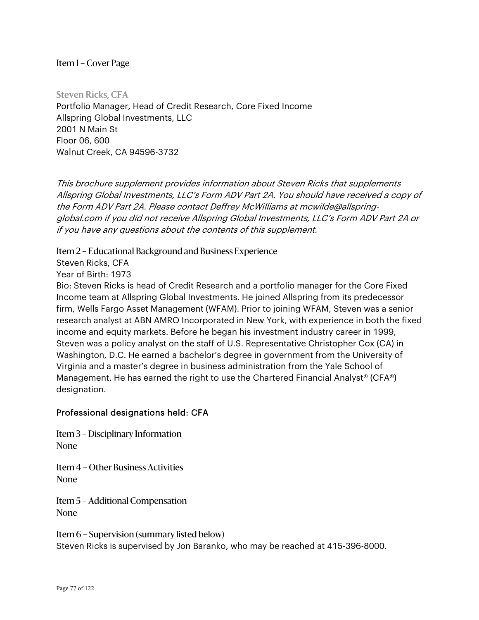Steven Ricks, CFA Portfolio Manager, Head of Credit Research, Core Fixed Income Allspring Global Investments, LLC 2001 N Main St Floor 06, 600 Walnut Creek, CA 94596-3732

This brochure supplement provides information about Steven Ricks that supplements Allspring Global Investments, LLC's Form ADV Part 2A. You should have received a copy of the Form ADV Part 2A. Please contact Deffrey McWilliams at mcwilde@allspringglobal.com if you did not receive Allspring Global Investments, LLC's Form ADV Part 2A or if you have any questions about the contents of this supplement.

Item 2 – Educational Background and Business Experience

Steven Ricks, CFA

Year of Birth: 1973

Bio: Steven Ricks is head of Credit Research and a portfolio manager for the Core Fixed Income team at Allspring Global Investments. He joined Allspring from its predecessor firm, Wells Fargo Asset Management (WFAM). Prior to joining WFAM, Steven was a senior research analyst at ABN AMRO Incorporated in New York, with experience in both the fixed income and equity markets. Before he began his investment industry career in 1999, Steven was a policy analyst on the staff of U.S. Representative Christopher Cox (CA) in Washington, D.C. He earned a bachelor's degree in government from the University of Virginia and a master's degree in business administration from the Yale School of Management. He has earned the right to use the Chartered Financial Analyst® (CFA®) designation.

# Professional designations held: CFA

Item 3 – Disciplinary Information None

Item 4 – Other Business Activities None

Item 5 – Additional Compensation None

Item 6 – Supervision (summary listed below) Steven Ricks is supervised by Jon Baranko, who may be reached at 415-396-8000.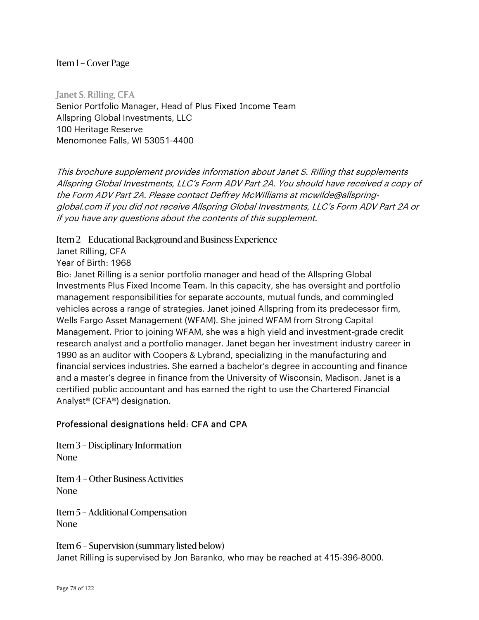Janet S. Rilling, CFA Senior Portfolio Manager, Head of Plus Fixed Income Team Allspring Global Investments, LLC 100 Heritage Reserve Menomonee Falls, WI 53051-4400

This brochure supplement provides information about Janet S. Rilling that supplements Allspring Global Investments, LLC's Form ADV Part 2A. You should have received a copy of the Form ADV Part 2A. Please contact Deffrey McWilliams at mcwilde@allspringglobal.com if you did not receive Allspring Global Investments, LLC's Form ADV Part 2A or if you have any questions about the contents of this supplement.

Item 2 – Educational Background and Business Experience

Janet Rilling, CFA

Year of Birth: 1968

Bio: Janet Rilling is a senior portfolio manager and head of the Allspring Global Investments Plus Fixed Income Team. In this capacity, she has oversight and portfolio management responsibilities for separate accounts, mutual funds, and commingled vehicles across a range of strategies. Janet joined Allspring from its predecessor firm, Wells Fargo Asset Management (WFAM). She joined WFAM from Strong Capital Management. Prior to joining WFAM, she was a high yield and investment-grade credit research analyst and a portfolio manager. Janet began her investment industry career in 1990 as an auditor with Coopers & Lybrand, specializing in the manufacturing and financial services industries. She earned a bachelor's degree in accounting and finance and a master's degree in finance from the University of Wisconsin, Madison. Janet is a certified public accountant and has earned the right to use the Chartered Financial Analyst® (CFA®) designation.

#### Professional designations held: CFA and CPA

Item 3 – Disciplinary Information None

Item 4 – Other Business Activities None

Item 5 – Additional Compensation None

Item 6 – Supervision (summary listed below) Janet Rilling is supervised by Jon Baranko, who may be reached at 415-396-8000.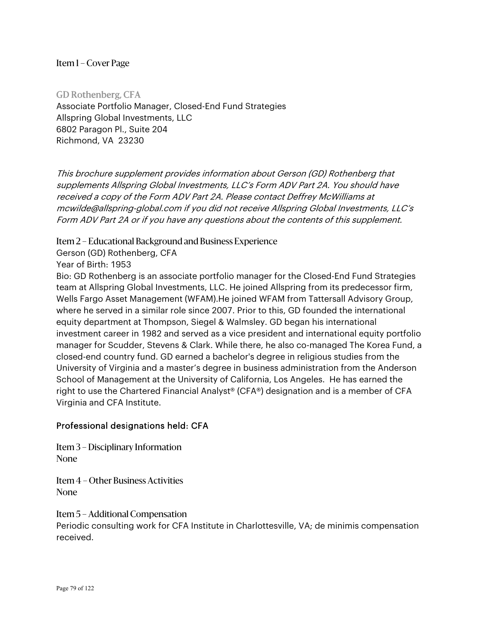GD Rothenberg, CFA Associate Portfolio Manager, Closed-End Fund Strategies Allspring Global Investments, LLC 6802 Paragon Pl., Suite 204 Richmond, VA 23230

This brochure supplement provides information about Gerson (GD) Rothenberg that supplements Allspring Global Investments, LLC's Form ADV Part 2A. You should have received a copy of the Form ADV Part 2A. Please contact Deffrey McWilliams at mcwilde@allspring-global.com if you did not receive Allspring Global Investments, LLC's Form ADV Part 2A or if you have any questions about the contents of this supplement.

Item 2 – Educational Background and Business Experience

Gerson (GD) Rothenberg, CFA

Year of Birth: 1953

Bio: GD Rothenberg is an associate portfolio manager for the Closed-End Fund Strategies team at Allspring Global Investments, LLC. He joined Allspring from its predecessor firm, Wells Fargo Asset Management (WFAM).He joined WFAM from Tattersall Advisory Group, where he served in a similar role since 2007. Prior to this, GD founded the international equity department at Thompson, Siegel & Walmsley. GD began his international investment career in 1982 and served as a vice president and international equity portfolio manager for Scudder, Stevens & Clark. While there, he also co-managed The Korea Fund, a closed-end country fund. GD earned a bachelor's degree in religious studies from the University of Virginia and a master's degree in business administration from the Anderson School of Management at the University of California, Los Angeles. He has earned the right to use the Chartered Financial Analyst® (CFA®) designation and is a member of CFA Virginia and CFA Institute.

# Professional designations held: CFA

Item 3 – Disciplinary Information None

Item 4 – Other Business Activities None

Item 5 – Additional Compensation

Periodic consulting work for CFA Institute in Charlottesville, VA; de minimis compensation received.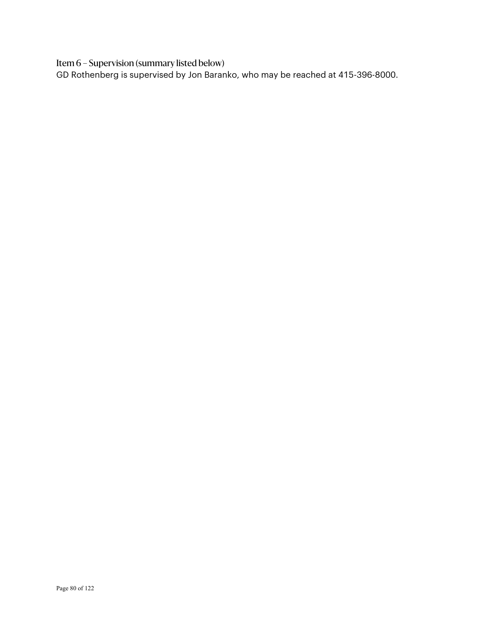Item 6 – Supervision (summary listed below)

GD Rothenberg is supervised by Jon Baranko, who may be reached at 415-396-8000.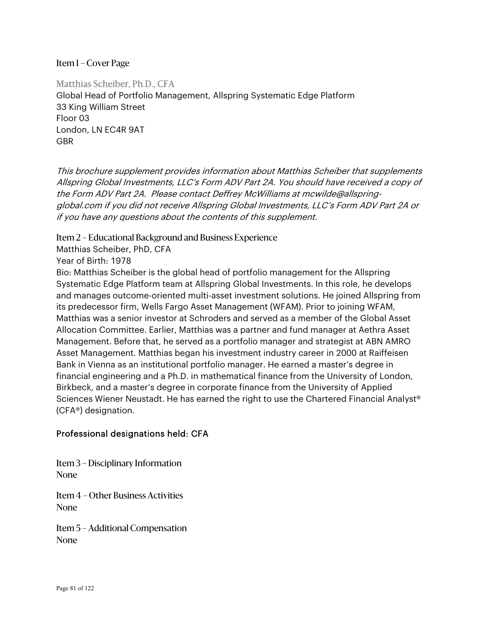Matthias Scheiber, Ph.D., CFA Global Head of Portfolio Management, Allspring Systematic Edge Platform 33 King William Street Floor 03 London, LN EC4R 9AT GBR

This brochure supplement provides information about Matthias Scheiber that supplements Allspring Global Investments, LLC's Form ADV Part 2A. You should have received a copy of the Form ADV Part 2A. Please contact Deffrey McWilliams at mcwilde@allspringglobal.com if you did not receive Allspring Global Investments, LLC's Form ADV Part 2A or if you have any questions about the contents of this supplement.

Item 2 – Educational Background and Business Experience

Matthias Scheiber, PhD, CFA

Year of Birth: 1978

Bio: Matthias Scheiber is the global head of portfolio management for the Allspring Systematic Edge Platform team at Allspring Global Investments. In this role, he develops and manages outcome-oriented multi-asset investment solutions. He joined Allspring from its predecessor firm, Wells Fargo Asset Management (WFAM). Prior to joining WFAM, Matthias was a senior investor at Schroders and served as a member of the Global Asset Allocation Committee. Earlier, Matthias was a partner and fund manager at Aethra Asset Management. Before that, he served as a portfolio manager and strategist at ABN AMRO Asset Management. Matthias began his investment industry career in 2000 at Raiffeisen Bank in Vienna as an institutional portfolio manager. He earned a master's degree in financial engineering and a Ph.D. in mathematical finance from the University of London, Birkbeck, and a master's degree in corporate finance from the University of Applied Sciences Wiener Neustadt. He has earned the right to use the Chartered Financial Analyst® (CFA®) designation.

# Professional designations held: CFA

Item 3 – Disciplinary Information None

Item 4 – Other Business Activities None

Item 5 – Additional Compensation None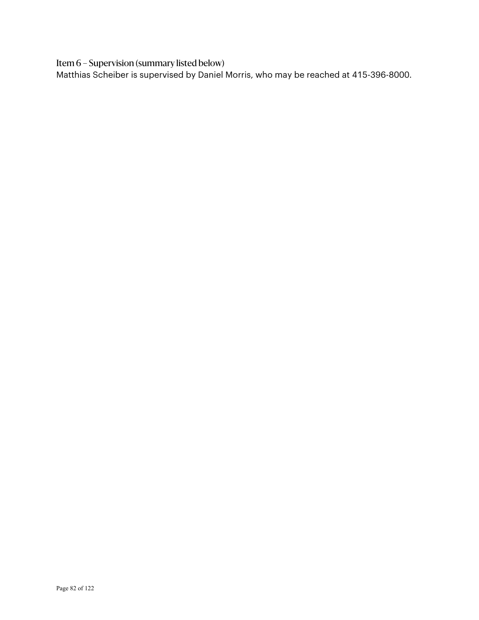Item 6 – Supervision (summary listed below)

Matthias Scheiber is supervised by Daniel Morris, who may be reached at 415-396-8000.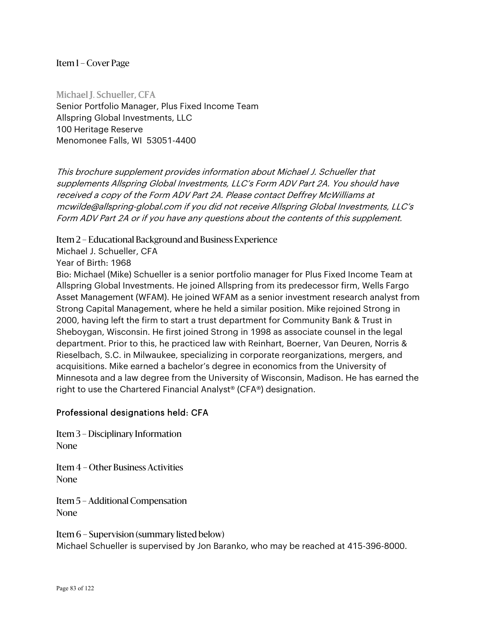Michael J. Schueller, CFA Senior Portfolio Manager, Plus Fixed Income Team Allspring Global Investments, LLC 100 Heritage Reserve Menomonee Falls, WI 53051-4400

This brochure supplement provides information about Michael J. Schueller that supplements Allspring Global Investments, LLC's Form ADV Part 2A. You should have received a copy of the Form ADV Part 2A. Please contact Deffrey McWilliams at mcwilde@allspring-global.com if you did not receive Allspring Global Investments, LLC's Form ADV Part 2A or if you have any questions about the contents of this supplement.

Item 2 – Educational Background and Business Experience

Michael J. Schueller, CFA

Year of Birth: 1968

Bio: Michael (Mike) Schueller is a senior portfolio manager for Plus Fixed Income Team at Allspring Global Investments. He joined Allspring from its predecessor firm, Wells Fargo Asset Management (WFAM). He joined WFAM as a senior investment research analyst from Strong Capital Management, where he held a similar position. Mike rejoined Strong in 2000, having left the firm to start a trust department for Community Bank & Trust in Sheboygan, Wisconsin. He first joined Strong in 1998 as associate counsel in the legal department. Prior to this, he practiced law with Reinhart, Boerner, Van Deuren, Norris & Rieselbach, S.C. in Milwaukee, specializing in corporate reorganizations, mergers, and acquisitions. Mike earned a bachelor's degree in economics from the University of Minnesota and a law degree from the University of Wisconsin, Madison. He has earned the right to use the Chartered Financial Analyst® (CFA®) designation.

#### Professional designations held: CFA

Item 3 – Disciplinary Information None

Item 4 – Other Business Activities None

Item 5 – Additional Compensation None

Item 6 – Supervision (summary listed below) Michael Schueller is supervised by Jon Baranko, who may be reached at 415-396-8000.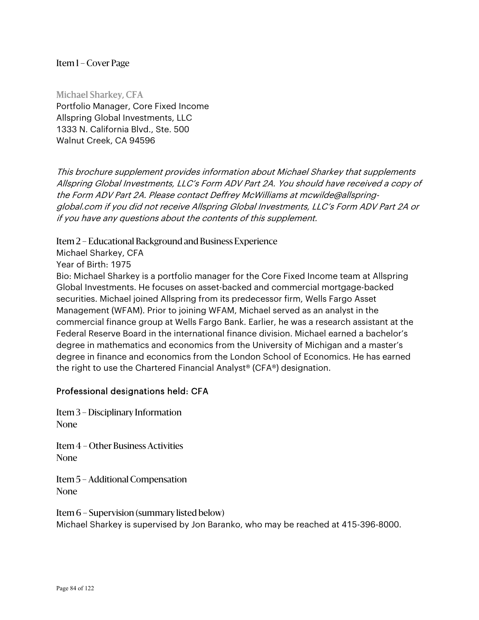Michael Sharkey, CFA Portfolio Manager, Core Fixed Income Allspring Global Investments, LLC 1333 N. California Blvd., Ste. 500 Walnut Creek, CA 94596

This brochure supplement provides information about Michael Sharkey that supplements Allspring Global Investments, LLC's Form ADV Part 2A. You should have received a copy of the Form ADV Part 2A. Please contact Deffrey McWilliams at mcwilde@allspringglobal.com if you did not receive Allspring Global Investments, LLC's Form ADV Part 2A or if you have any questions about the contents of this supplement.

Item 2 – Educational Background and Business Experience

Michael Sharkey, CFA

Year of Birth: 1975

Bio: Michael Sharkey is a portfolio manager for the Core Fixed Income team at Allspring Global Investments. He focuses on asset-backed and commercial mortgage-backed securities. Michael joined Allspring from its predecessor firm, Wells Fargo Asset Management (WFAM). Prior to joining WFAM, Michael served as an analyst in the commercial finance group at Wells Fargo Bank. Earlier, he was a research assistant at the Federal Reserve Board in the international finance division. Michael earned a bachelor's degree in mathematics and economics from the University of Michigan and a master's degree in finance and economics from the London School of Economics. He has earned the right to use the Chartered Financial Analyst® (CFA®) designation.

#### Professional designations held: CFA

Item 3 – Disciplinary Information None

Item 4 – Other Business Activities None

Item 5 – Additional Compensation None

Item 6 – Supervision (summary listed below) Michael Sharkey is supervised by Jon Baranko, who may be reached at 415-396-8000.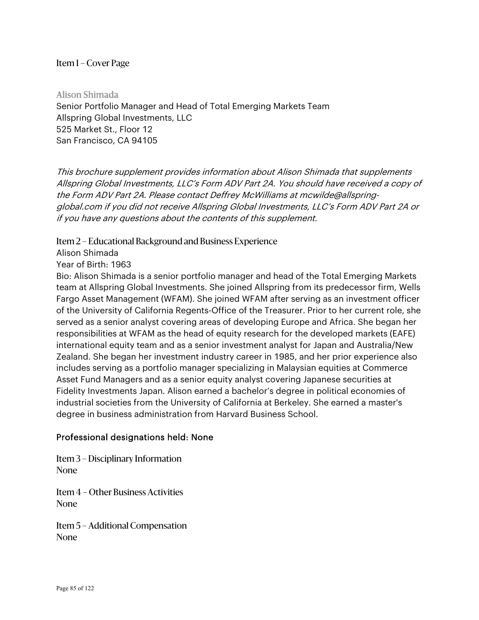Alison Shimada Senior Portfolio Manager and Head of Total Emerging Markets Team Allspring Global Investments, LLC 525 Market St., Floor 12 San Francisco, CA 94105

This brochure supplement provides information about Alison Shimada that supplements Allspring Global Investments, LLC's Form ADV Part 2A. You should have received a copy of the Form ADV Part 2A. Please contact Deffrey McWilliams at mcwilde@allspringglobal.com if you did not receive Allspring Global Investments, LLC's Form ADV Part 2A or if you have any questions about the contents of this supplement.

Item 2 – Educational Background and Business Experience

Alison Shimada

Year of Birth: 1963

Bio: Alison Shimada is a senior portfolio manager and head of the Total Emerging Markets team at Allspring Global Investments. She joined Allspring from its predecessor firm, Wells Fargo Asset Management (WFAM). She joined WFAM after serving as an investment officer of the University of California Regents-Office of the Treasurer. Prior to her current role, she served as a senior analyst covering areas of developing Europe and Africa. She began her responsibilities at WFAM as the head of equity research for the developed markets (EAFE) international equity team and as a senior investment analyst for Japan and Australia/New Zealand. She began her investment industry career in 1985, and her prior experience also includes serving as a portfolio manager specializing in Malaysian equities at Commerce Asset Fund Managers and as a senior equity analyst covering Japanese securities at Fidelity Investments Japan. Alison earned a bachelor's degree in political economies of industrial societies from the University of California at Berkeley. She earned a master's degree in business administration from Harvard Business School.

# Professional designations held: None

Item 3 – Disciplinary Information None

Item 4 – Other Business Activities None

Item 5 – Additional Compensation None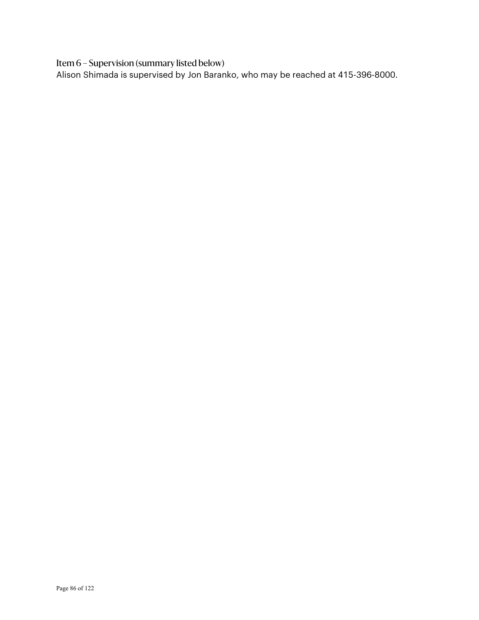Item 6 – Supervision (summary listed below)

Alison Shimada is supervised by Jon Baranko, who may be reached at 415-396-8000.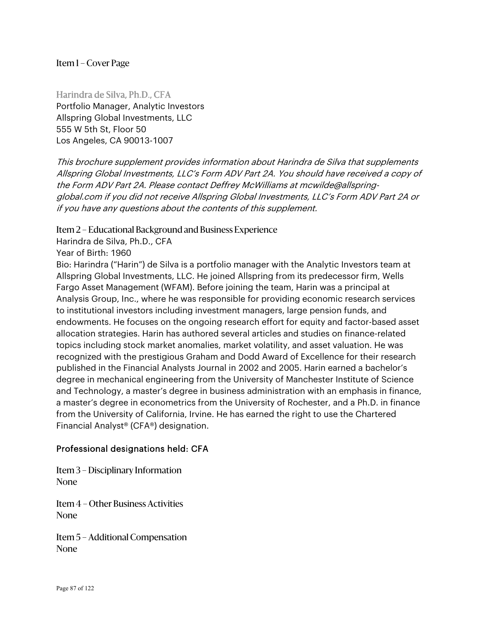Harindra de Silva, Ph.D., CFA Portfolio Manager, Analytic Investors Allspring Global Investments, LLC 555 W 5th St, Floor 50 Los Angeles, CA 90013-1007

This brochure supplement provides information about Harindra de Silva that supplements Allspring Global Investments, LLC's Form ADV Part 2A. You should have received a copy of the Form ADV Part 2A. Please contact Deffrey McWilliams at mcwilde@allspringglobal.com if you did not receive Allspring Global Investments, LLC's Form ADV Part 2A or if you have any questions about the contents of this supplement.

## Item 2 – Educational Background and Business Experience

Harindra de Silva, Ph.D., CFA

Year of Birth: 1960

Bio: Harindra ("Harin") de Silva is a portfolio manager with the Analytic Investors team at Allspring Global Investments, LLC. He joined Allspring from its predecessor firm, Wells Fargo Asset Management (WFAM). Before joining the team, Harin was a principal at Analysis Group, Inc., where he was responsible for providing economic research services to institutional investors including investment managers, large pension funds, and endowments. He focuses on the ongoing research effort for equity and factor-based asset allocation strategies. Harin has authored several articles and studies on finance-related topics including stock market anomalies, market volatility, and asset valuation. He was recognized with the prestigious Graham and Dodd Award of Excellence for their research published in the Financial Analysts Journal in 2002 and 2005. Harin earned a bachelor's degree in mechanical engineering from the University of Manchester Institute of Science and Technology, a master's degree in business administration with an emphasis in finance, a master's degree in econometrics from the University of Rochester, and a Ph.D. in finance from the University of California, Irvine. He has earned the right to use the Chartered Financial Analyst® (CFA®) designation.

# Professional designations held: CFA

Item 3 – Disciplinary Information None

Item 4 – Other Business Activities None

Item 5 – Additional Compensation None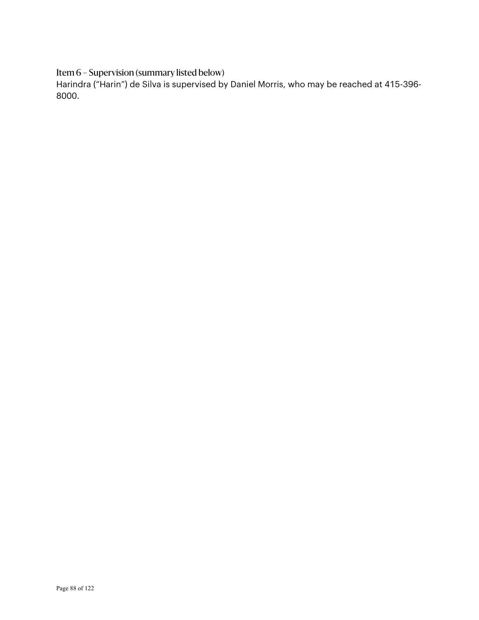Item 6 – Supervision (summary listed below)

Harindra ("Harin") de Silva is supervised by Daniel Morris, who may be reached at 415-396- 8000.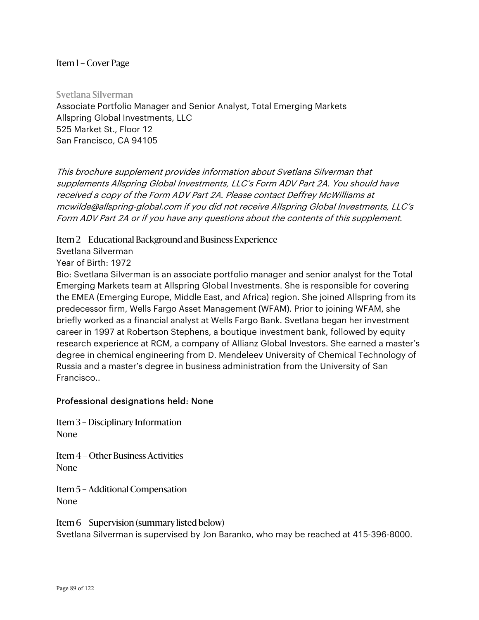Svetlana Silverman Associate Portfolio Manager and Senior Analyst, Total Emerging Markets Allspring Global Investments, LLC 525 Market St., Floor 12 San Francisco, CA 94105

This brochure supplement provides information about Svetlana Silverman that supplements Allspring Global Investments, LLC's Form ADV Part 2A. You should have received a copy of the Form ADV Part 2A. Please contact Deffrey McWilliams at mcwilde@allspring-global.com if you did not receive Allspring Global Investments, LLC's Form ADV Part 2A or if you have any questions about the contents of this supplement.

Item 2 – Educational Background and Business Experience

Svetlana Silverman

Year of Birth: 1972

Bio: Svetlana Silverman is an associate portfolio manager and senior analyst for the Total Emerging Markets team at Allspring Global Investments. She is responsible for covering the EMEA (Emerging Europe, Middle East, and Africa) region. She joined Allspring from its predecessor firm, Wells Fargo Asset Management (WFAM). Prior to joining WFAM, she briefly worked as a financial analyst at Wells Fargo Bank. Svetlana began her investment career in 1997 at Robertson Stephens, a boutique investment bank, followed by equity research experience at RCM, a company of Allianz Global Investors. She earned a master's degree in chemical engineering from D. Mendeleev University of Chemical Technology of Russia and a master's degree in business administration from the University of San Francisco..

# Professional designations held: None

Item 3 – Disciplinary Information None

Item 4 – Other Business Activities None

Item 5 – Additional Compensation None

Item 6 – Supervision (summary listed below) Svetlana Silverman is supervised by Jon Baranko, who may be reached at 415-396-8000.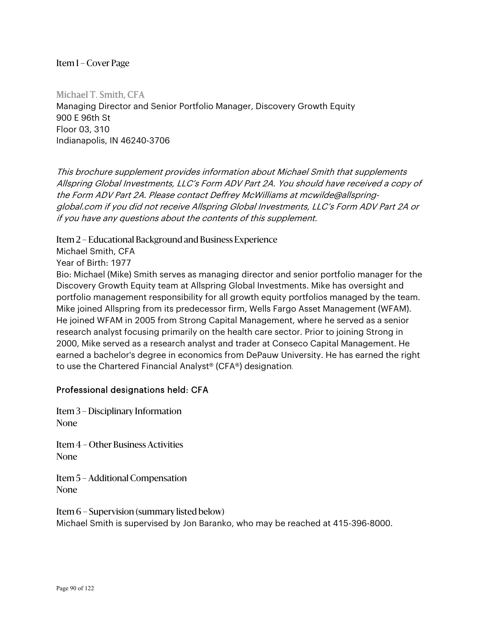Michael T. Smith, CFA Managing Director and Senior Portfolio Manager, Discovery Growth Equity 900 E 96th St Floor 03, 310 Indianapolis, IN 46240-3706

This brochure supplement provides information about Michael Smith that supplements Allspring Global Investments, LLC's Form ADV Part 2A. You should have received a copy of the Form ADV Part 2A. Please contact Deffrey McWilliams at mcwilde@allspringglobal.com if you did not receive Allspring Global Investments, LLC's Form ADV Part 2A or if you have any questions about the contents of this supplement.

Item 2 – Educational Background and Business Experience

Michael Smith, CFA

Year of Birth: 1977

Bio: Michael (Mike) Smith serves as managing director and senior portfolio manager for the Discovery Growth Equity team at Allspring Global Investments. Mike has oversight and portfolio management responsibility for all growth equity portfolios managed by the team. Mike joined Allspring from its predecessor firm, Wells Fargo Asset Management (WFAM). He joined WFAM in 2005 from Strong Capital Management, where he served as a senior research analyst focusing primarily on the health care sector. Prior to joining Strong in 2000, Mike served as a research analyst and trader at Conseco Capital Management. He earned a bachelor's degree in economics from DePauw University. He has earned the right to use the Chartered Financial Analyst® (CFA®) designation.

# Professional designations held: CFA

Item 3 – Disciplinary Information None

Item 4 – Other Business Activities None

Item 5 – Additional Compensation None

Item 6 – Supervision (summary listed below) Michael Smith is supervised by Jon Baranko, who may be reached at 415-396-8000.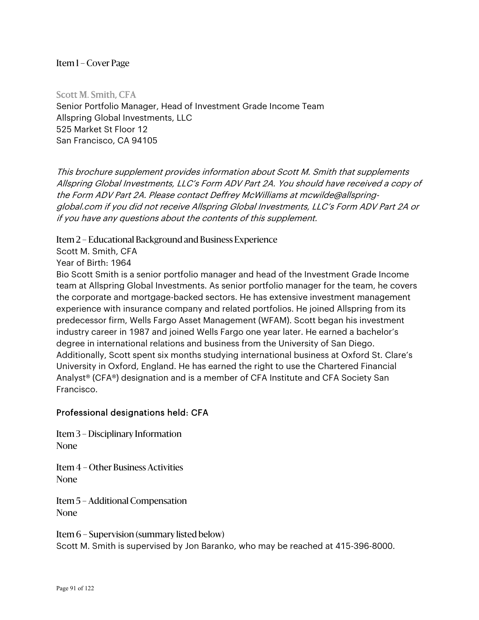Scott M. Smith, CFA Senior Portfolio Manager, Head of Investment Grade Income Team Allspring Global Investments, LLC 525 Market St Floor 12 San Francisco, CA 94105

This brochure supplement provides information about Scott M. Smith that supplements Allspring Global Investments, LLC's Form ADV Part 2A. You should have received a copy of the Form ADV Part 2A. Please contact Deffrey McWilliams at mcwilde@allspringglobal.com if you did not receive Allspring Global Investments, LLC's Form ADV Part 2A or if you have any questions about the contents of this supplement.

Item 2 – Educational Background and Business Experience

Scott M. Smith, CFA

Year of Birth: 1964

Bio Scott Smith is a senior portfolio manager and head of the Investment Grade Income team at Allspring Global Investments. As senior portfolio manager for the team, he covers the corporate and mortgage-backed sectors. He has extensive investment management experience with insurance company and related portfolios. He joined Allspring from its predecessor firm, Wells Fargo Asset Management (WFAM). Scott began his investment industry career in 1987 and joined Wells Fargo one year later. He earned a bachelor's degree in international relations and business from the University of San Diego. Additionally, Scott spent six months studying international business at Oxford St. Clare's University in Oxford, England. He has earned the right to use the Chartered Financial Analyst® (CFA®) designation and is a member of CFA Institute and CFA Society San Francisco.

# Professional designations held: CFA

Item 3 – Disciplinary Information None

Item 4 – Other Business Activities None

Item 5 – Additional Compensation None

Item 6 – Supervision (summary listed below) Scott M. Smith is supervised by Jon Baranko, who may be reached at 415-396-8000.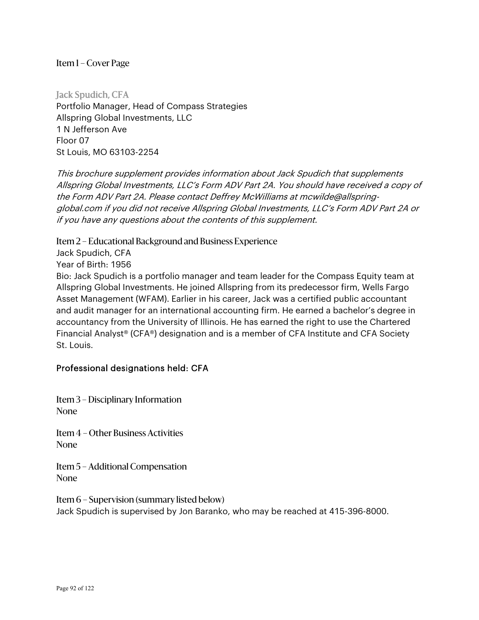Jack Spudich, CFA Portfolio Manager, Head of Compass Strategies Allspring Global Investments, LLC 1 N Jefferson Ave Floor 07 St Louis, MO 63103-2254

This brochure supplement provides information about Jack Spudich that supplements Allspring Global Investments, LLC's Form ADV Part 2A. You should have received a copy of the Form ADV Part 2A. Please contact Deffrey McWilliams at mcwilde@allspringglobal.com if you did not receive Allspring Global Investments, LLC's Form ADV Part 2A or if you have any questions about the contents of this supplement.

Item 2 – Educational Background and Business Experience

Jack Spudich, CFA

Year of Birth: 1956

Bio: Jack Spudich is a portfolio manager and team leader for the Compass Equity team at Allspring Global Investments. He joined Allspring from its predecessor firm, Wells Fargo Asset Management (WFAM). Earlier in his career, Jack was a certified public accountant and audit manager for an international accounting firm. He earned a bachelor's degree in accountancy from the University of Illinois. He has earned the right to use the Chartered Financial Analyst® (CFA®) designation and is a member of CFA Institute and CFA Society St. Louis.

#### Professional designations held: CFA

Item 3 – Disciplinary Information None

Item 4 – Other Business Activities None

Item 5 – Additional Compensation None

Item 6 – Supervision (summary listed below) Jack Spudich is supervised by Jon Baranko, who may be reached at 415-396-8000.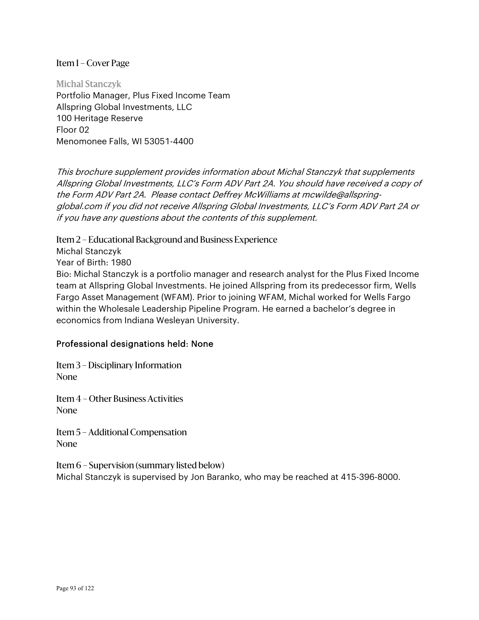Michal Stanczyk Portfolio Manager, Plus Fixed Income Team Allspring Global Investments, LLC 100 Heritage Reserve Floor 02 Menomonee Falls, WI 53051-4400

This brochure supplement provides information about Michal Stanczyk that supplements Allspring Global Investments, LLC's Form ADV Part 2A. You should have received a copy of the Form ADV Part 2A. Please contact Deffrey McWilliams at mcwilde@allspringglobal.com if you did not receive Allspring Global Investments, LLC's Form ADV Part 2A or if you have any questions about the contents of this supplement.

Item 2 – Educational Background and Business Experience

Michal Stanczyk

Year of Birth: 1980

Bio: Michal Stanczyk is a portfolio manager and research analyst for the Plus Fixed Income team at Allspring Global Investments. He joined Allspring from its predecessor firm, Wells Fargo Asset Management (WFAM). Prior to joining WFAM, Michal worked for Wells Fargo within the Wholesale Leadership Pipeline Program. He earned a bachelor's degree in economics from Indiana Wesleyan University.

# Professional designations held: None

Item 3 – Disciplinary Information None

Item 4 – Other Business Activities None

Item 5 – Additional Compensation None

Item 6 – Supervision (summary listed below) Michal Stanczyk is supervised by Jon Baranko, who may be reached at 415-396-8000.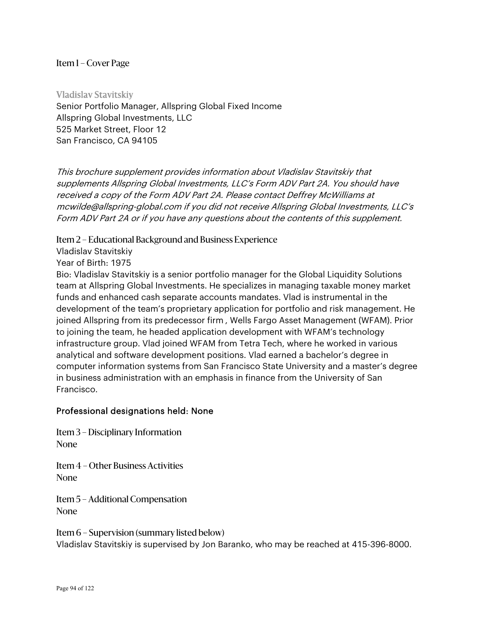Vladislav Stavitskiy Senior Portfolio Manager, Allspring Global Fixed Income Allspring Global Investments, LLC 525 Market Street, Floor 12 San Francisco, CA 94105

This brochure supplement provides information about Vladislav Stavitskiy that supplements Allspring Global Investments, LLC's Form ADV Part 2A. You should have received a copy of the Form ADV Part 2A. Please contact Deffrey McWilliams at mcwilde@allspring-global.com if you did not receive Allspring Global Investments, LLC's Form ADV Part 2A or if you have any questions about the contents of this supplement.

Item 2 – Educational Background and Business Experience

Vladislav Stavitskiy

Year of Birth: 1975

Bio: Vladislav Stavitskiy is a senior portfolio manager for the Global Liquidity Solutions team at Allspring Global Investments. He specializes in managing taxable money market funds and enhanced cash separate accounts mandates. Vlad is instrumental in the development of the team's proprietary application for portfolio and risk management. He joined Allspring from its predecessor firm , Wells Fargo Asset Management (WFAM). Prior to joining the team, he headed application development with WFAM's technology infrastructure group. Vlad joined WFAM from Tetra Tech, where he worked in various analytical and software development positions. Vlad earned a bachelor's degree in computer information systems from San Francisco State University and a master's degree in business administration with an emphasis in finance from the University of San Francisco.

#### Professional designations held: None

Item 3 – Disciplinary Information None

Item 4 – Other Business Activities None

Item 5 – Additional Compensation None

Item 6 – Supervision (summary listed below) Vladislav Stavitskiy is supervised by Jon Baranko, who may be reached at 415-396-8000.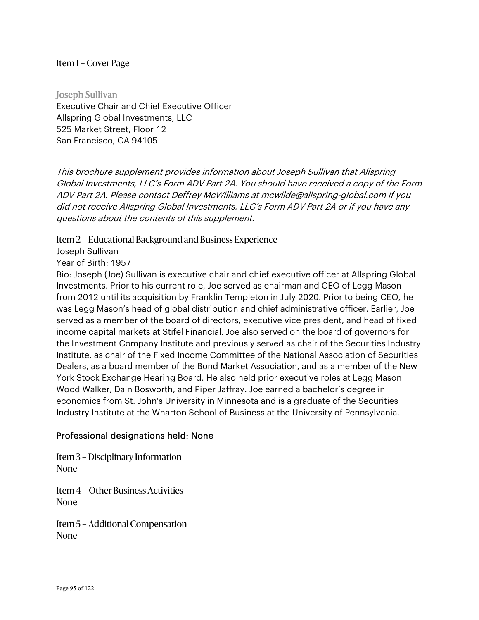Joseph Sullivan Executive Chair and Chief Executive Officer Allspring Global Investments, LLC 525 Market Street, Floor 12 San Francisco, CA 94105

This brochure supplement provides information about Joseph Sullivan that Allspring Global Investments, LLC's Form ADV Part 2A. You should have received a copy of the Form ADV Part 2A. Please contact Deffrey McWilliams at mcwilde@allspring-global.com if you did not receive Allspring Global Investments, LLC's Form ADV Part 2A or if you have any questions about the contents of this supplement.

Item 2 – Educational Background and Business Experience

Joseph Sullivan

Year of Birth: 1957

Bio: Joseph (Joe) Sullivan is executive chair and chief executive officer at Allspring Global Investments. Prior to his current role, Joe served as chairman and CEO of Legg Mason from 2012 until its acquisition by Franklin Templeton in July 2020. Prior to being CEO, he was Legg Mason's head of global distribution and chief administrative officer. Earlier, Joe served as a member of the board of directors, executive vice president, and head of fixed income capital markets at Stifel Financial. Joe also served on the board of governors for the Investment Company Institute and previously served as chair of the Securities Industry Institute, as chair of the Fixed Income Committee of the National Association of Securities Dealers, as a board member of the Bond Market Association, and as a member of the New York Stock Exchange Hearing Board. He also held prior executive roles at Legg Mason Wood Walker, Dain Bosworth, and Piper Jaffray. Joe earned a bachelor's degree in economics from St. John's University in Minnesota and is a graduate of the Securities Industry Institute at the Wharton School of Business at the University of Pennsylvania.

# Professional designations held: None

Item 3 – Disciplinary Information None

Item 4 – Other Business Activities None

Item 5 – Additional Compensation None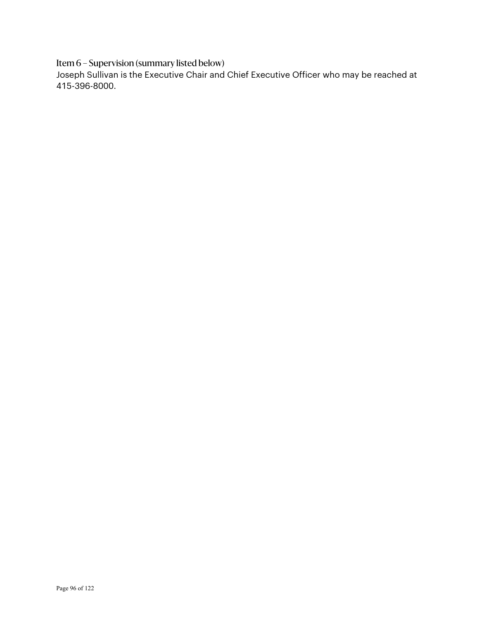Item 6 – Supervision (summary listed below)

Joseph Sullivan is the Executive Chair and Chief Executive Officer who may be reached at 415-396-8000.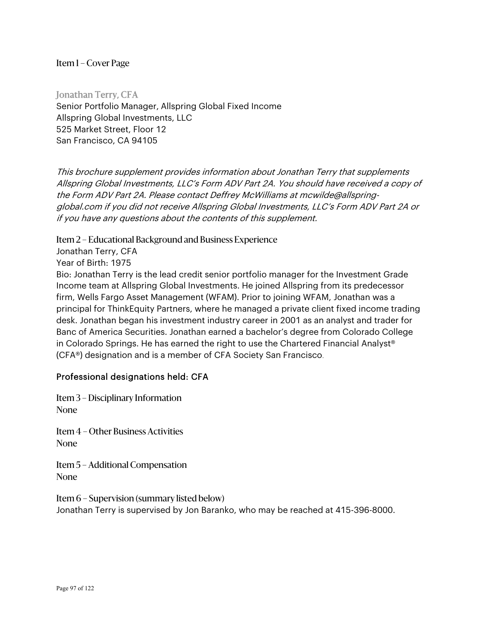Jonathan Terry, CFA Senior Portfolio Manager, Allspring Global Fixed Income Allspring Global Investments, LLC 525 Market Street, Floor 12 San Francisco, CA 94105

This brochure supplement provides information about Jonathan Terry that supplements Allspring Global Investments, LLC's Form ADV Part 2A. You should have received a copy of the Form ADV Part 2A. Please contact Deffrey McWilliams at mcwilde@allspringglobal.com if you did not receive Allspring Global Investments, LLC's Form ADV Part 2A or if you have any questions about the contents of this supplement.

Item 2 – Educational Background and Business Experience

Jonathan Terry, CFA

Year of Birth: 1975

Bio: Jonathan Terry is the lead credit senior portfolio manager for the Investment Grade Income team at Allspring Global Investments. He joined Allspring from its predecessor firm, Wells Fargo Asset Management (WFAM). Prior to joining WFAM, Jonathan was a principal for ThinkEquity Partners, where he managed a private client fixed income trading desk. Jonathan began his investment industry career in 2001 as an analyst and trader for Banc of America Securities. Jonathan earned a bachelor's degree from Colorado College in Colorado Springs. He has earned the right to use the Chartered Financial Analyst® (CFA®) designation and is a member of CFA Society San Francisco.

# Professional designations held: CFA

Item 3 – Disciplinary Information None

Item 4 – Other Business Activities None

Item 5 – Additional Compensation None

Item 6 – Supervision (summary listed below) Jonathan Terry is supervised by Jon Baranko, who may be reached at 415-396-8000.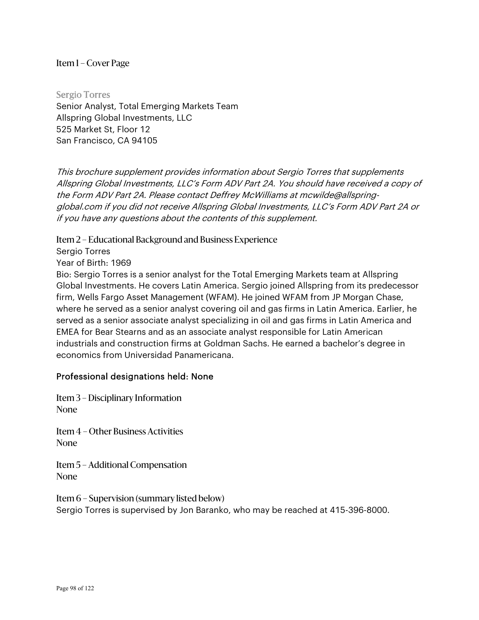Sergio Torres Senior Analyst, Total Emerging Markets Team Allspring Global Investments, LLC 525 Market St, Floor 12 San Francisco, CA 94105

This brochure supplement provides information about Sergio Torres that supplements Allspring Global Investments, LLC's Form ADV Part 2A. You should have received a copy of the Form ADV Part 2A. Please contact Deffrey McWilliams at mcwilde@allspringglobal.com if you did not receive Allspring Global Investments, LLC's Form ADV Part 2A or if you have any questions about the contents of this supplement.

Item 2 – Educational Background and Business Experience

Sergio Torres

Year of Birth: 1969

Bio: Sergio Torres is a senior analyst for the Total Emerging Markets team at Allspring Global Investments. He covers Latin America. Sergio joined Allspring from its predecessor firm, Wells Fargo Asset Management (WFAM). He joined WFAM from JP Morgan Chase, where he served as a senior analyst covering oil and gas firms in Latin America. Earlier, he served as a senior associate analyst specializing in oil and gas firms in Latin America and EMEA for Bear Stearns and as an associate analyst responsible for Latin American industrials and construction firms at Goldman Sachs. He earned a bachelor's degree in economics from Universidad Panamericana.

# Professional designations held: None

Item 3 – Disciplinary Information None

Item 4 – Other Business Activities None

Item 5 – Additional Compensation None

Item 6 – Supervision (summary listed below) Sergio Torres is supervised by Jon Baranko, who may be reached at 415-396-8000.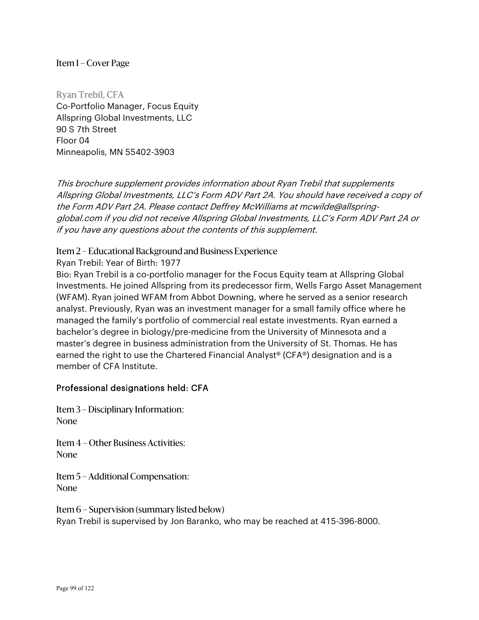Ryan Trebil, CFA Co-Portfolio Manager, Focus Equity Allspring Global Investments, LLC 90 S 7th Street Floor 04 Minneapolis, MN 55402-3903

This brochure supplement provides information about Ryan Trebil that supplements Allspring Global Investments, LLC's Form ADV Part 2A. You should have received a copy of the Form ADV Part 2A. Please contact Deffrey McWilliams at mcwilde@allspringglobal.com if you did not receive Allspring Global Investments, LLC's Form ADV Part 2A or if you have any questions about the contents of this supplement.

## Item 2 – Educational Background and Business Experience

Ryan Trebil: Year of Birth: 1977

Bio: Ryan Trebil is a co-portfolio manager for the Focus Equity team at Allspring Global Investments. He joined Allspring from its predecessor firm, Wells Fargo Asset Management (WFAM). Ryan joined WFAM from Abbot Downing, where he served as a senior research analyst. Previously, Ryan was an investment manager for a small family office where he managed the family's portfolio of commercial real estate investments. Ryan earned a bachelor's degree in biology/pre-medicine from the University of Minnesota and a master's degree in business administration from the University of St. Thomas. He has earned the right to use the Chartered Financial Analyst® (CFA®) designation and is a member of CFA Institute.

# Professional designations held: CFA

Item 3 – Disciplinary Information: None

Item 4 – Other Business Activities: None

Item 5 – Additional Compensation: None

Item 6 – Supervision (summary listed below) Ryan Trebil is supervised by Jon Baranko, who may be reached at 415-396-8000.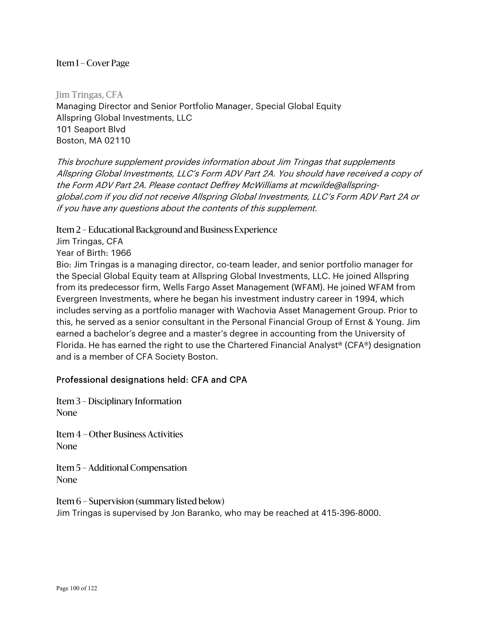Jim Tringas, CFA Managing Director and Senior Portfolio Manager, Special Global Equity Allspring Global Investments, LLC 101 Seaport Blvd Boston, MA 02110

This brochure supplement provides information about Jim Tringas that supplements Allspring Global Investments, LLC's Form ADV Part 2A. You should have received a copy of the Form ADV Part 2A. Please contact Deffrey McWilliams at mcwilde@allspringglobal.com if you did not receive Allspring Global Investments, LLC's Form ADV Part 2A or if you have any questions about the contents of this supplement.

Item 2 – Educational Background and Business Experience

Jim Tringas, CFA Year of Birth: 1966

Bio: Jim Tringas is a managing director, co-team leader, and senior portfolio manager for the Special Global Equity team at Allspring Global Investments, LLC. He joined Allspring from its predecessor firm, Wells Fargo Asset Management (WFAM). He joined WFAM from Evergreen Investments, where he began his investment industry career in 1994, which includes serving as a portfolio manager with Wachovia Asset Management Group. Prior to this, he served as a senior consultant in the Personal Financial Group of Ernst & Young. Jim earned a bachelor's degree and a master's degree in accounting from the University of Florida. He has earned the right to use the Chartered Financial Analyst® (CFA®) designation and is a member of CFA Society Boston.

#### Professional designations held: CFA and CPA

Item 3 – Disciplinary Information None

Item 4 – Other Business Activities None

Item 5 – Additional Compensation None

Item 6 – Supervision (summary listed below) Jim Tringas is supervised by Jon Baranko, who may be reached at 415-396-8000.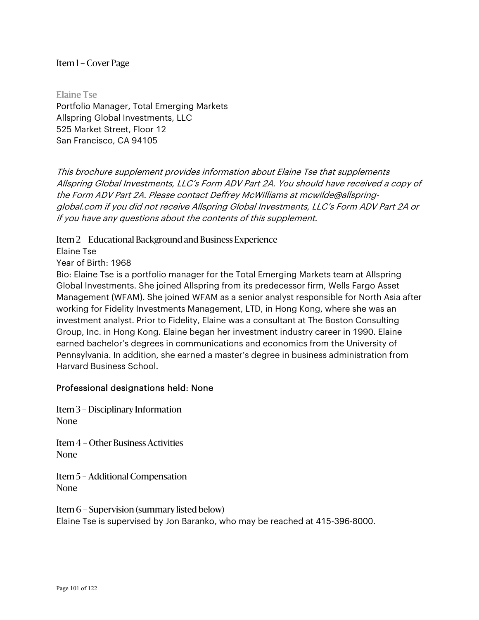Elaine Tse Portfolio Manager, Total Emerging Markets Allspring Global Investments, LLC 525 Market Street, Floor 12 San Francisco, CA 94105

This brochure supplement provides information about Elaine Tse that supplements Allspring Global Investments, LLC's Form ADV Part 2A. You should have received a copy of the Form ADV Part 2A. Please contact Deffrey McWilliams at mcwilde@allspringglobal.com if you did not receive Allspring Global Investments, LLC's Form ADV Part 2A or if you have any questions about the contents of this supplement.

Item 2 – Educational Background and Business Experience

Elaine Tse

Year of Birth: 1968

Bio: Elaine Tse is a portfolio manager for the Total Emerging Markets team at Allspring Global Investments. She joined Allspring from its predecessor firm, Wells Fargo Asset Management (WFAM). She joined WFAM as a senior analyst responsible for North Asia after working for Fidelity Investments Management, LTD, in Hong Kong, where she was an investment analyst. Prior to Fidelity, Elaine was a consultant at The Boston Consulting Group, Inc. in Hong Kong. Elaine began her investment industry career in 1990. Elaine earned bachelor's degrees in communications and economics from the University of Pennsylvania. In addition, she earned a master's degree in business administration from Harvard Business School.

#### Professional designations held: None

Item 3 – Disciplinary Information None

Item 4 – Other Business Activities None

Item 5 – Additional Compensation None

Item 6 – Supervision (summary listed below) Elaine Tse is supervised by Jon Baranko, who may be reached at 415-396-8000.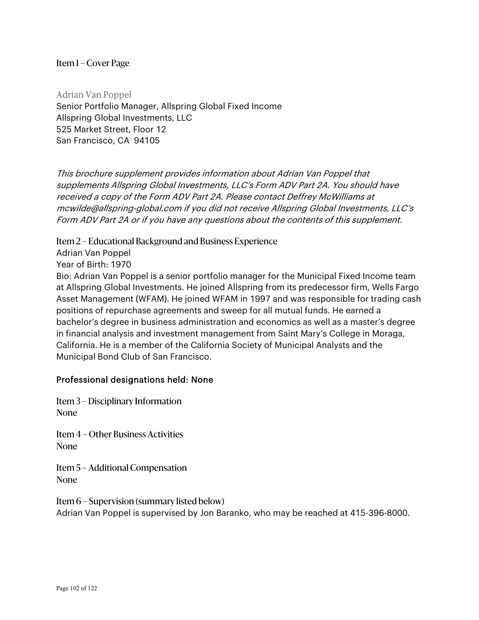Adrian Van Poppel Senior Portfolio Manager, Allspring Global Fixed Income Allspring Global Investments, LLC 525 Market Street, Floor 12 San Francisco, CA 94105

This brochure supplement provides information about Adrian Van Poppel that supplements Allspring Global Investments, LLC's Form ADV Part 2A. You should have received a copy of the Form ADV Part 2A. Please contact Deffrey McWilliams at mcwilde@allspring-global.com if you did not receive Allspring Global Investments, LLC's Form ADV Part 2A or if you have any questions about the contents of this supplement.

Item 2 – Educational Background and Business Experience

Adrian Van Poppel

Year of Birth: 1970

Bio: Adrian Van Poppel is a senior portfolio manager for the Municipal Fixed Income team at Allspring Global Investments. He joined Allspring from its predecessor firm, Wells Fargo Asset Management (WFAM). He joined WFAM in 1997 and was responsible for trading cash positions of repurchase agreements and sweep for all mutual funds. He earned a bachelor's degree in business administration and economics as well as a master's degree in financial analysis and investment management from Saint Mary's College in Moraga, California. He is a member of the California Society of Municipal Analysts and the Municipal Bond Club of San Francisco.

#### Professional designations held: None

Item 3 – Disciplinary Information None

Item 4 – Other Business Activities None

Item 5 – Additional Compensation None

Item 6 – Supervision (summary listed below) Adrian Van Poppel is supervised by Jon Baranko, who may be reached at 415-396-8000.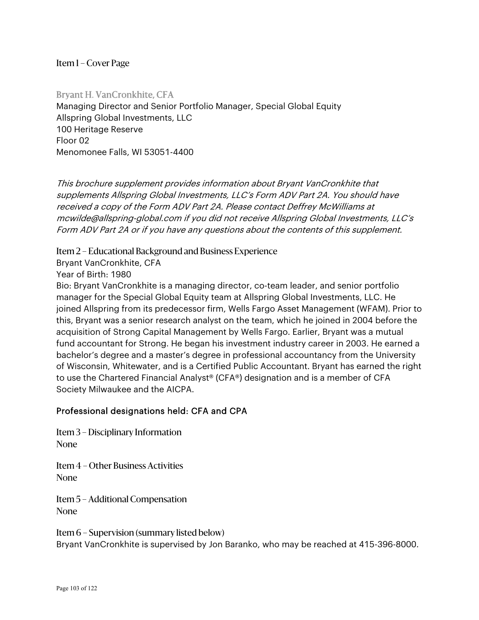Bryant H. VanCronkhite, CFA Managing Director and Senior Portfolio Manager, Special Global Equity Allspring Global Investments, LLC 100 Heritage Reserve Floor 02 Menomonee Falls, WI 53051-4400

This brochure supplement provides information about Bryant VanCronkhite that supplements Allspring Global Investments, LLC's Form ADV Part 2A. You should have received a copy of the Form ADV Part 2A. Please contact Deffrey McWilliams at mcwilde@allspring-global.com if you did not receive Allspring Global Investments, LLC's Form ADV Part 2A or if you have any questions about the contents of this supplement.

Item 2 – Educational Background and Business Experience

Bryant VanCronkhite, CFA

Year of Birth: 1980

Bio: Bryant VanCronkhite is a managing director, co-team leader, and senior portfolio manager for the Special Global Equity team at Allspring Global Investments, LLC. He joined Allspring from its predecessor firm, Wells Fargo Asset Management (WFAM). Prior to this, Bryant was a senior research analyst on the team, which he joined in 2004 before the acquisition of Strong Capital Management by Wells Fargo. Earlier, Bryant was a mutual fund accountant for Strong. He began his investment industry career in 2003. He earned a bachelor's degree and a master's degree in professional accountancy from the University of Wisconsin, Whitewater, and is a Certified Public Accountant. Bryant has earned the right to use the Chartered Financial Analyst® (CFA®) designation and is a member of CFA Society Milwaukee and the AICPA.

#### Professional designations held: CFA and CPA

Item 3 – Disciplinary Information None

Item 4 – Other Business Activities None

Item 5 – Additional Compensation None

Item 6 – Supervision (summary listed below) Bryant VanCronkhite is supervised by Jon Baranko, who may be reached at 415-396-8000.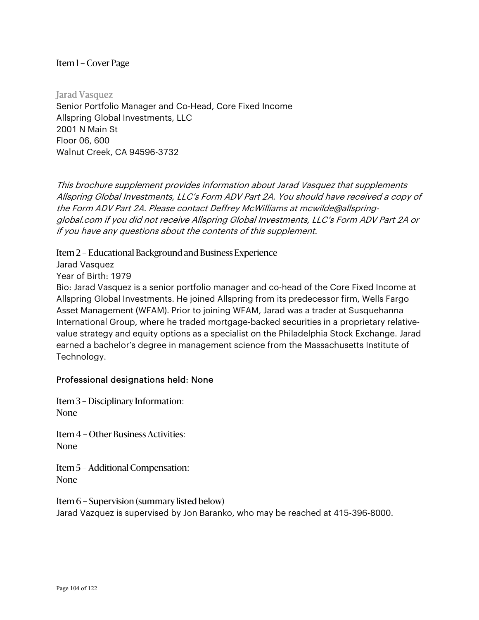Jarad Vasquez Senior Portfolio Manager and Co-Head, Core Fixed Income Allspring Global Investments, LLC 2001 N Main St Floor 06, 600 Walnut Creek, CA 94596-3732

This brochure supplement provides information about Jarad Vasquez that supplements Allspring Global Investments, LLC's Form ADV Part 2A. You should have received a copy of the Form ADV Part 2A. Please contact Deffrey McWilliams at mcwilde@allspringglobal.com if you did not receive Allspring Global Investments, LLC's Form ADV Part 2A or if you have any questions about the contents of this supplement.

Item 2 – Educational Background and Business Experience

Jarad Vasquez

Year of Birth: 1979

Bio: Jarad Vasquez is a senior portfolio manager and co-head of the Core Fixed Income at Allspring Global Investments. He joined Allspring from its predecessor firm, Wells Fargo Asset Management (WFAM). Prior to joining WFAM, Jarad was a trader at Susquehanna International Group, where he traded mortgage-backed securities in a proprietary relativevalue strategy and equity options as a specialist on the Philadelphia Stock Exchange. Jarad earned a bachelor's degree in management science from the Massachusetts Institute of Technology.

# Professional designations held: None

Item 3 – Disciplinary Information: None

Item 4 – Other Business Activities: None

Item 5 – Additional Compensation: None

Item 6 – Supervision (summary listed below) Jarad Vazquez is supervised by Jon Baranko, who may be reached at 415-396-8000.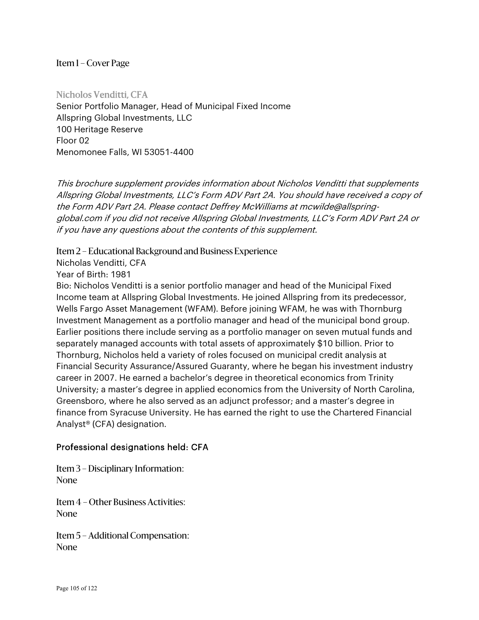Nicholos Venditti, CFA Senior Portfolio Manager, Head of Municipal Fixed Income Allspring Global Investments, LLC 100 Heritage Reserve Floor 02 Menomonee Falls, WI 53051-4400

This brochure supplement provides information about Nicholos Venditti that supplements Allspring Global Investments, LLC's Form ADV Part 2A. You should have received a copy of the Form ADV Part 2A. Please contact Deffrey McWilliams at mcwilde@allspringglobal.com if you did not receive Allspring Global Investments, LLC's Form ADV Part 2A or if you have any questions about the contents of this supplement.

Item 2 – Educational Background and Business Experience

Nicholas Venditti, CFA

Year of Birth: 1981

Bio: Nicholos Venditti is a senior portfolio manager and head of the Municipal Fixed Income team at Allspring Global Investments. He joined Allspring from its predecessor, Wells Fargo Asset Management (WFAM). Before joining WFAM, he was with Thornburg Investment Management as a portfolio manager and head of the municipal bond group. Earlier positions there include serving as a portfolio manager on seven mutual funds and separately managed accounts with total assets of approximately \$10 billion. Prior to Thornburg, Nicholos held a variety of roles focused on municipal credit analysis at Financial Security Assurance/Assured Guaranty, where he began his investment industry career in 2007. He earned a bachelor's degree in theoretical economics from Trinity University; a master's degree in applied economics from the University of North Carolina, Greensboro, where he also served as an adjunct professor; and a master's degree in finance from Syracuse University. He has earned the right to use the Chartered Financial Analyst® (CFA) designation.

#### Professional designations held: CFA

Item 3 – Disciplinary Information: None

Item 4 – Other Business Activities: None

Item 5 – Additional Compensation: None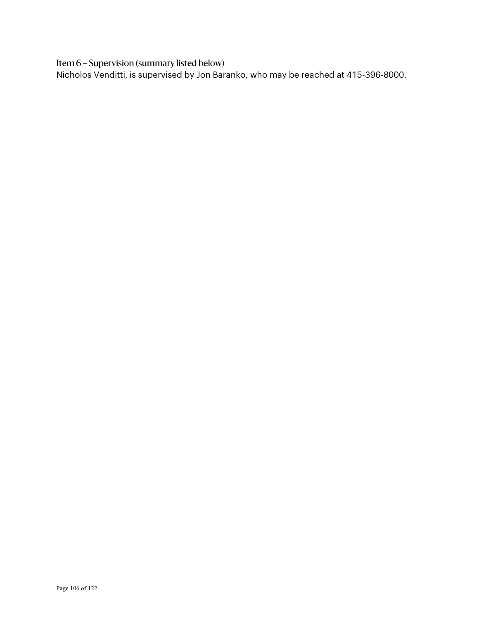Item 6 – Supervision (summary listed below)

Nicholos Venditti, is supervised by Jon Baranko, who may be reached at 415-396-8000.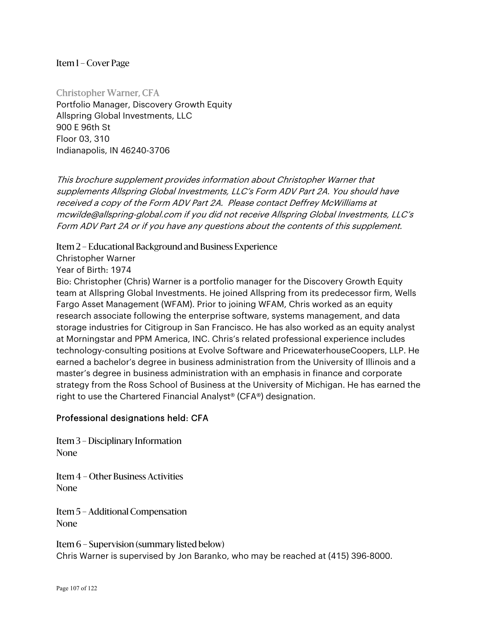Christopher Warner, CFA Portfolio Manager, Discovery Growth Equity Allspring Global Investments, LLC 900 E 96th St Floor 03, 310 Indianapolis, IN 46240-3706

This brochure supplement provides information about Christopher Warner that supplements Allspring Global Investments, LLC's Form ADV Part 2A. You should have received a copy of the Form ADV Part 2A. Please contact Deffrey McWilliams at mcwilde@allspring-global.com if you did not receive Allspring Global Investments, LLC's Form ADV Part 2A or if you have any questions about the contents of this supplement.

#### Item 2 – Educational Background and Business Experience

Christopher Warner

Year of Birth: 1974

Bio: Christopher (Chris) Warner is a portfolio manager for the Discovery Growth Equity team at Allspring Global Investments. He joined Allspring from its predecessor firm, Wells Fargo Asset Management (WFAM). Prior to joining WFAM, Chris worked as an equity research associate following the enterprise software, systems management, and data storage industries for Citigroup in San Francisco. He has also worked as an equity analyst at Morningstar and PPM America, INC. Chris's related professional experience includes technology-consulting positions at Evolve Software and PricewaterhouseCoopers, LLP. He earned a bachelor's degree in business administration from the University of Illinois and a master's degree in business administration with an emphasis in finance and corporate strategy from the Ross School of Business at the University of Michigan. He has earned the right to use the Chartered Financial Analyst® (CFA®) designation.

# Professional designations held: CFA

Item 3 – Disciplinary Information None

Item 4 – Other Business Activities None

Item 5 – Additional Compensation None

Item 6 – Supervision (summary listed below) Chris Warner is supervised by Jon Baranko, who may be reached at (415) 396-8000.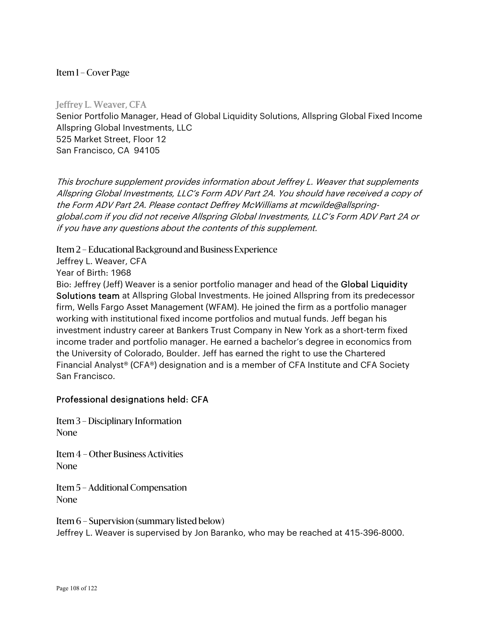#### Jeffrey L. Weaver, CFA

Senior Portfolio Manager, Head of Global Liquidity Solutions, Allspring Global Fixed Income Allspring Global Investments, LLC 525 Market Street, Floor 12 San Francisco, CA 94105

This brochure supplement provides information about Jeffrey L. Weaver that supplements Allspring Global Investments, LLC's Form ADV Part 2A. You should have received a copy of the Form ADV Part 2A. Please contact Deffrey McWilliams at mcwilde@allspringglobal.com if you did not receive Allspring Global Investments, LLC's Form ADV Part 2A or if you have any questions about the contents of this supplement.

Item 2 – Educational Background and Business Experience

Jeffrey L. Weaver, CFA Year of Birth: 1968

Bio: Jeffrey (Jeff) Weaver is a senior portfolio manager and head of the Global Liquidity Solutions team at Allspring Global Investments. He joined Allspring from its predecessor firm, Wells Fargo Asset Management (WFAM). He joined the firm as a portfolio manager working with institutional fixed income portfolios and mutual funds. Jeff began his investment industry career at Bankers Trust Company in New York as a short-term fixed income trader and portfolio manager. He earned a bachelor's degree in economics from the University of Colorado, Boulder. Jeff has earned the right to use the Chartered Financial Analyst® (CFA®) designation and is a member of CFA Institute and CFA Society San Francisco.

# Professional designations held: CFA

Item 3 – Disciplinary Information None

Item 4 – Other Business Activities None

Item 5 – Additional Compensation None

Item 6 – Supervision (summary listed below) Jeffrey L. Weaver is supervised by Jon Baranko, who may be reached at 415-396-8000.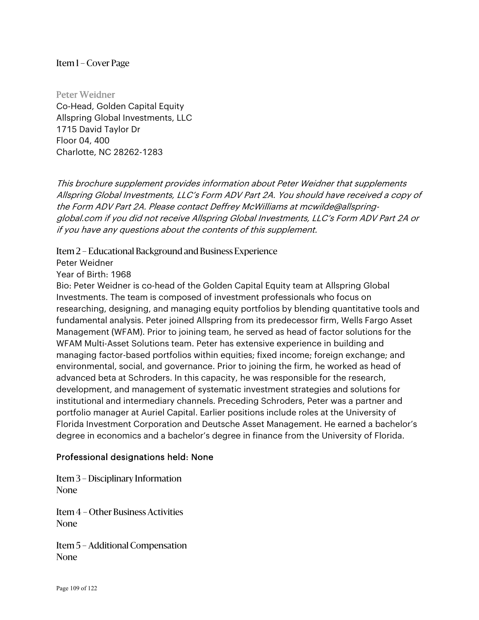Peter Weidner Co-Head, Golden Capital Equity Allspring Global Investments, LLC 1715 David Taylor Dr Floor 04, 400 Charlotte, NC 28262-1283

This brochure supplement provides information about Peter Weidner that supplements Allspring Global Investments, LLC's Form ADV Part 2A. You should have received a copy of the Form ADV Part 2A. Please contact Deffrey McWilliams at mcwilde@allspringglobal.com if you did not receive Allspring Global Investments, LLC's Form ADV Part 2A or if you have any questions about the contents of this supplement.

Item 2 – Educational Background and Business Experience

Peter Weidner

Year of Birth: 1968

Bio: Peter Weidner is co-head of the Golden Capital Equity team at Allspring Global Investments. The team is composed of investment professionals who focus on researching, designing, and managing equity portfolios by blending quantitative tools and fundamental analysis. Peter joined Allspring from its predecessor firm, Wells Fargo Asset Management (WFAM). Prior to joining team, he served as head of factor solutions for the WFAM Multi-Asset Solutions team. Peter has extensive experience in building and managing factor-based portfolios within equities; fixed income; foreign exchange; and environmental, social, and governance. Prior to joining the firm, he worked as head of advanced beta at Schroders. In this capacity, he was responsible for the research, development, and management of systematic investment strategies and solutions for institutional and intermediary channels. Preceding Schroders, Peter was a partner and portfolio manager at Auriel Capital. Earlier positions include roles at the University of Florida Investment Corporation and Deutsche Asset Management. He earned a bachelor's degree in economics and a bachelor's degree in finance from the University of Florida.

## Professional designations held: None

Item 3 – Disciplinary Information None

Item 4 – Other Business Activities None

Item 5 – Additional Compensation None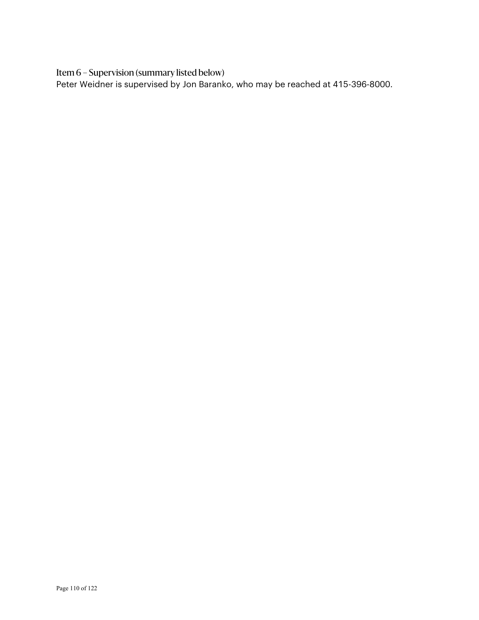Item 6 – Supervision (summary listed below)

Peter Weidner is supervised by Jon Baranko, who may be reached at 415-396-8000.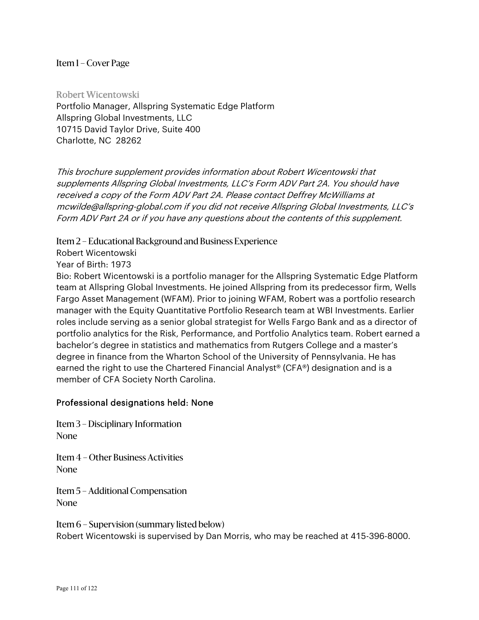Robert Wicentowski Portfolio Manager, Allspring Systematic Edge Platform Allspring Global Investments, LLC 10715 David Taylor Drive, Suite 400 Charlotte, NC 28262

This brochure supplement provides information about Robert Wicentowski that supplements Allspring Global Investments, LLC's Form ADV Part 2A. You should have received a copy of the Form ADV Part 2A. Please contact Deffrey McWilliams at mcwilde@allspring-global.com if you did not receive Allspring Global Investments, LLC's Form ADV Part 2A or if you have any questions about the contents of this supplement.

Item 2 – Educational Background and Business Experience

Robert Wicentowski

Year of Birth: 1973

Bio: Robert Wicentowski is a portfolio manager for the Allspring Systematic Edge Platform team at Allspring Global Investments. He joined Allspring from its predecessor firm, Wells Fargo Asset Management (WFAM). Prior to joining WFAM, Robert was a portfolio research manager with the Equity Quantitative Portfolio Research team at WBI Investments. Earlier roles include serving as a senior global strategist for Wells Fargo Bank and as a director of portfolio analytics for the Risk, Performance, and Portfolio Analytics team. Robert earned a bachelor's degree in statistics and mathematics from Rutgers College and a master's degree in finance from the Wharton School of the University of Pennsylvania. He has earned the right to use the Chartered Financial Analyst® (CFA®) designation and is a member of CFA Society North Carolina.

#### Professional designations held: None

Item 3 – Disciplinary Information None

Item 4 – Other Business Activities None

Item 5 – Additional Compensation None

Item 6 – Supervision (summary listed below) Robert Wicentowski is supervised by Dan Morris, who may be reached at 415-396-8000.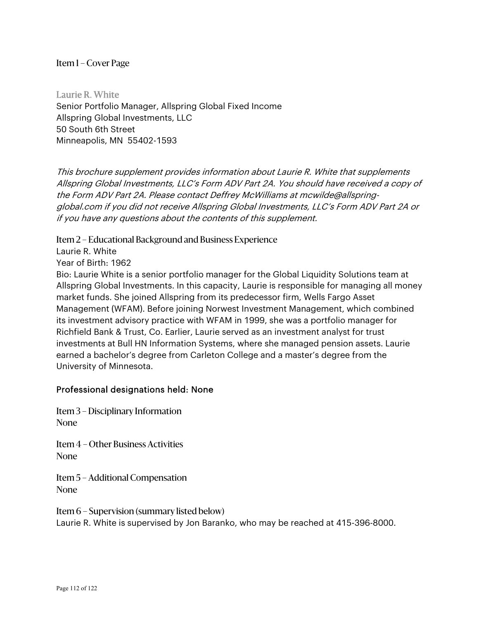Laurie R. White Senior Portfolio Manager, Allspring Global Fixed Income Allspring Global Investments, LLC 50 South 6th Street Minneapolis, MN 55402-1593

This brochure supplement provides information about Laurie R. White that supplements Allspring Global Investments, LLC's Form ADV Part 2A. You should have received a copy of the Form ADV Part 2A. Please contact Deffrey McWilliams at mcwilde@allspringglobal.com if you did not receive Allspring Global Investments, LLC's Form ADV Part 2A or if you have any questions about the contents of this supplement.

Item 2 – Educational Background and Business Experience

Laurie R. White

Year of Birth: 1962

Bio: Laurie White is a senior portfolio manager for the Global Liquidity Solutions team at Allspring Global Investments. In this capacity, Laurie is responsible for managing all money market funds. She joined Allspring from its predecessor firm, Wells Fargo Asset Management (WFAM). Before joining Norwest Investment Management, which combined its investment advisory practice with WFAM in 1999, she was a portfolio manager for Richfield Bank & Trust, Co. Earlier, Laurie served as an investment analyst for trust investments at Bull HN Information Systems, where she managed pension assets. Laurie earned a bachelor's degree from Carleton College and a master's degree from the University of Minnesota.

#### Professional designations held: None

Item 3 – Disciplinary Information None

Item 4 – Other Business Activities None

Item 5 – Additional Compensation None

Item 6 – Supervision (summary listed below) Laurie R. White is supervised by Jon Baranko, who may be reached at 415-396-8000.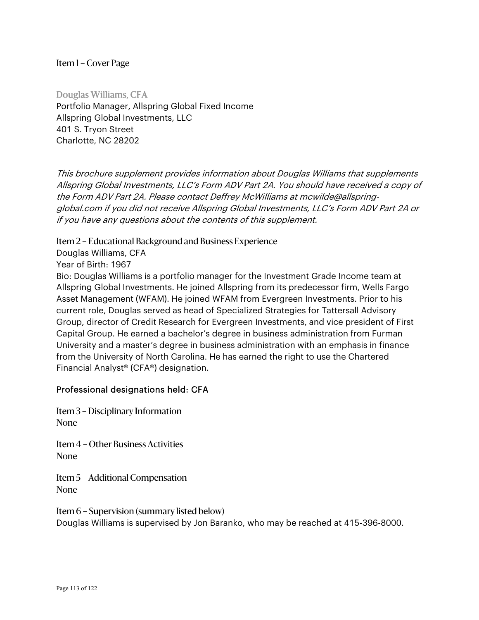Douglas Williams, CFA Portfolio Manager, Allspring Global Fixed Income Allspring Global Investments, LLC 401 S. Tryon Street Charlotte, NC 28202

This brochure supplement provides information about Douglas Williams that supplements Allspring Global Investments, LLC's Form ADV Part 2A. You should have received a copy of the Form ADV Part 2A. Please contact Deffrey McWilliams at mcwilde@allspringglobal.com if you did not receive Allspring Global Investments, LLC's Form ADV Part 2A or if you have any questions about the contents of this supplement.

Item 2 – Educational Background and Business Experience

Douglas Williams, CFA

Year of Birth: 1967

Bio: Douglas Williams is a portfolio manager for the Investment Grade Income team at Allspring Global Investments. He joined Allspring from its predecessor firm, Wells Fargo Asset Management (WFAM). He joined WFAM from Evergreen Investments. Prior to his current role, Douglas served as head of Specialized Strategies for Tattersall Advisory Group, director of Credit Research for Evergreen Investments, and vice president of First Capital Group. He earned a bachelor's degree in business administration from Furman University and a master's degree in business administration with an emphasis in finance from the University of North Carolina. He has earned the right to use the Chartered Financial Analyst® (CFA®) designation.

#### Professional designations held: CFA

Item 3 – Disciplinary Information None

Item 4 – Other Business Activities None

Item 5 – Additional Compensation None

Item 6 – Supervision (summary listed below) Douglas Williams is supervised by Jon Baranko, who may be reached at 415-396-8000.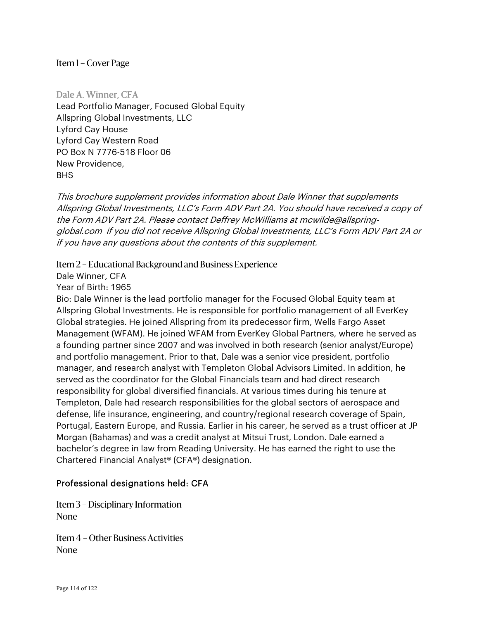Dale A. Winner, CFA Lead Portfolio Manager, Focused Global Equity Allspring Global Investments, LLC Lyford Cay House Lyford Cay Western Road PO Box N 7776-518 Floor 06 New Providence, BHS

This brochure supplement provides information about Dale Winner that supplements Allspring Global Investments, LLC's Form ADV Part 2A. You should have received a copy of the Form ADV Part 2A. Please contact Deffrey McWilliams at mcwilde@allspringglobal.com if you did not receive Allspring Global Investments, LLC's Form ADV Part 2A or if you have any questions about the contents of this supplement.

Item 2 – Educational Background and Business Experience

Dale Winner, CFA

Year of Birth: 1965

Bio: Dale Winner is the lead portfolio manager for the Focused Global Equity team at Allspring Global Investments. He is responsible for portfolio management of all EverKey Global strategies. He joined Allspring from its predecessor firm, Wells Fargo Asset Management (WFAM). He joined WFAM from EverKey Global Partners, where he served as a founding partner since 2007 and was involved in both research (senior analyst/Europe) and portfolio management. Prior to that, Dale was a senior vice president, portfolio manager, and research analyst with Templeton Global Advisors Limited. In addition, he served as the coordinator for the Global Financials team and had direct research responsibility for global diversified financials. At various times during his tenure at Templeton, Dale had research responsibilities for the global sectors of aerospace and defense, life insurance, engineering, and country/regional research coverage of Spain, Portugal, Eastern Europe, and Russia. Earlier in his career, he served as a trust officer at JP Morgan (Bahamas) and was a credit analyst at Mitsui Trust, London. Dale earned a bachelor's degree in law from Reading University. He has earned the right to use the Chartered Financial Analyst® (CFA®) designation.

## Professional designations held: CFA

Item 3 – Disciplinary Information None

Item 4 – Other Business Activities None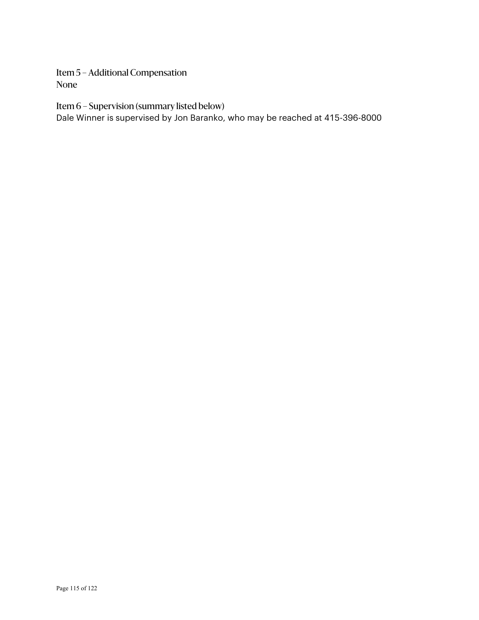Item 5 – Additional Compensation None

Item 6 – Supervision (summary listed below)

Dale Winner is supervised by Jon Baranko, who may be reached at 415-396-8000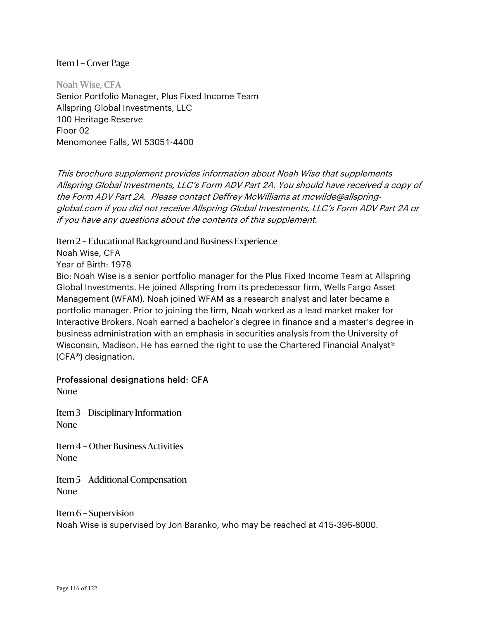Noah Wise, CFA Senior Portfolio Manager, Plus Fixed Income Team Allspring Global Investments, LLC 100 Heritage Reserve Floor 02 Menomonee Falls, WI 53051-4400

This brochure supplement provides information about Noah Wise that supplements Allspring Global Investments, LLC's Form ADV Part 2A. You should have received a copy of the Form ADV Part 2A. Please contact Deffrey McWilliams at mcwilde@allspringglobal.com if you did not receive Allspring Global Investments, LLC's Form ADV Part 2A or if you have any questions about the contents of this supplement.

Item 2 – Educational Background and Business Experience

Noah Wise, CFA

Year of Birth: 1978

Bio: Noah Wise is a senior portfolio manager for the Plus Fixed Income Team at Allspring Global Investments. He joined Allspring from its predecessor firm, Wells Fargo Asset Management (WFAM). Noah joined WFAM as a research analyst and later became a portfolio manager. Prior to joining the firm, Noah worked as a lead market maker for Interactive Brokers. Noah earned a bachelor's degree in finance and a master's degree in business administration with an emphasis in securities analysis from the University of Wisconsin, Madison. He has earned the right to use the Chartered Financial Analyst® (CFA®) designation.

## Professional designations held: CFA

None

Item 3 – Disciplinary Information None

Item 4 – Other Business Activities None

Item 5 – Additional Compensation None

Item 6 – Supervision Noah Wise is supervised by Jon Baranko, who may be reached at 415-396-8000.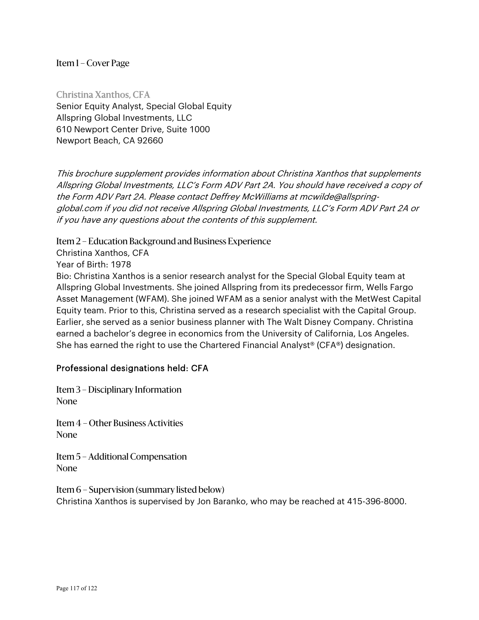Christina Xanthos, CFA Senior Equity Analyst, Special Global Equity Allspring Global Investments, LLC 610 Newport Center Drive, Suite 1000 Newport Beach, CA 92660

This brochure supplement provides information about Christina Xanthos that supplements Allspring Global Investments, LLC's Form ADV Part 2A. You should have received a copy of the Form ADV Part 2A. Please contact Deffrey McWilliams at mcwilde@allspringglobal.com if you did not receive Allspring Global Investments, LLC's Form ADV Part 2A or if you have any questions about the contents of this supplement.

Item 2 – Education Background and Business Experience

Christina Xanthos, CFA

Year of Birth: 1978

Bio: Christina Xanthos is a senior research analyst for the Special Global Equity team at Allspring Global Investments. She joined Allspring from its predecessor firm, Wells Fargo Asset Management (WFAM). She joined WFAM as a senior analyst with the MetWest Capital Equity team. Prior to this, Christina served as a research specialist with the Capital Group. Earlier, she served as a senior business planner with The Walt Disney Company. Christina earned a bachelor's degree in economics from the University of California, Los Angeles. She has earned the right to use the Chartered Financial Analyst<sup>®</sup> (CFA<sup>®</sup>) designation.

## Professional designations held: CFA

Item 3 – Disciplinary Information None

Item 4 – Other Business Activities None

Item 5 – Additional Compensation None

Item 6 – Supervision (summary listed below) Christina Xanthos is supervised by Jon Baranko, who may be reached at 415-396-8000.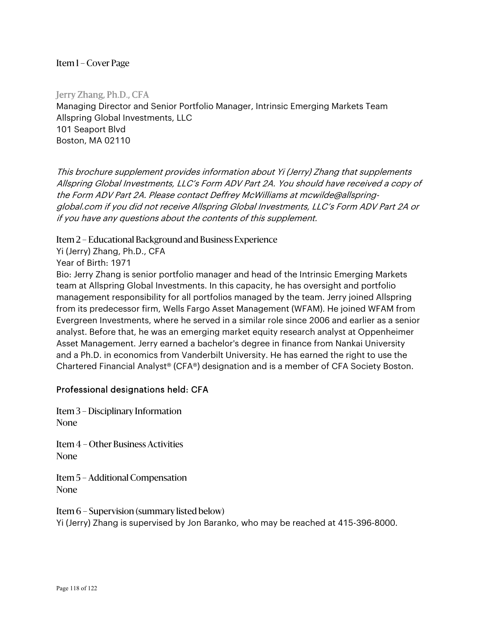Jerry Zhang, Ph.D., CFA Managing Director and Senior Portfolio Manager, Intrinsic Emerging Markets Team Allspring Global Investments, LLC 101 Seaport Blvd Boston, MA 02110

This brochure supplement provides information about Yi (Jerry) Zhang that supplements Allspring Global Investments, LLC's Form ADV Part 2A. You should have received a copy of the Form ADV Part 2A. Please contact Deffrey McWilliams at mcwilde@allspringglobal.com if you did not receive Allspring Global Investments, LLC's Form ADV Part 2A or if you have any questions about the contents of this supplement.

Item 2 – Educational Background and Business Experience

Yi (Jerry) Zhang, Ph.D., CFA

Year of Birth: 1971

Bio: Jerry Zhang is senior portfolio manager and head of the Intrinsic Emerging Markets team at Allspring Global Investments. In this capacity, he has oversight and portfolio management responsibility for all portfolios managed by the team. Jerry joined Allspring from its predecessor firm, Wells Fargo Asset Management (WFAM). He joined WFAM from Evergreen Investments, where he served in a similar role since 2006 and earlier as a senior analyst. Before that, he was an emerging market equity research analyst at Oppenheimer Asset Management. Jerry earned a bachelor's degree in finance from Nankai University and a Ph.D. in economics from Vanderbilt University. He has earned the right to use the Chartered Financial Analyst® (CFA®) designation and is a member of CFA Society Boston.

## Professional designations held: CFA

Item 3 – Disciplinary Information None

Item 4 – Other Business Activities None

Item 5 – Additional Compensation None

Item 6 – Supervision (summary listed below) Yi (Jerry) Zhang is supervised by Jon Baranko, who may be reached at 415-396-8000.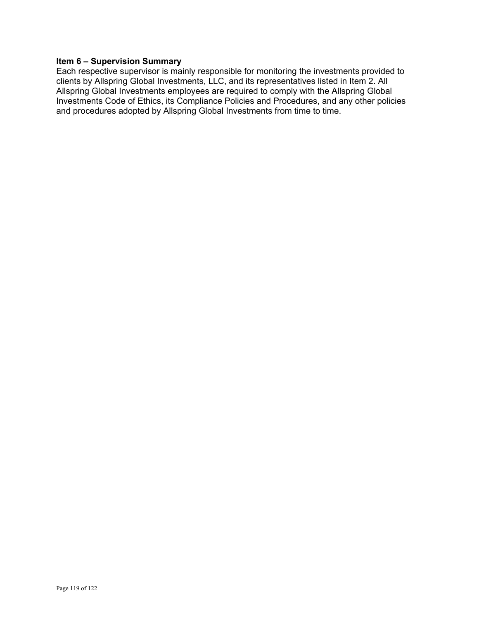#### **Item 6 – Supervision Summary**

Each respective supervisor is mainly responsible for monitoring the investments provided to clients by Allspring Global Investments, LLC, and its representatives listed in Item 2. All Allspring Global Investments employees are required to comply with the Allspring Global Investments Code of Ethics, its Compliance Policies and Procedures, and any other policies and procedures adopted by Allspring Global Investments from time to time.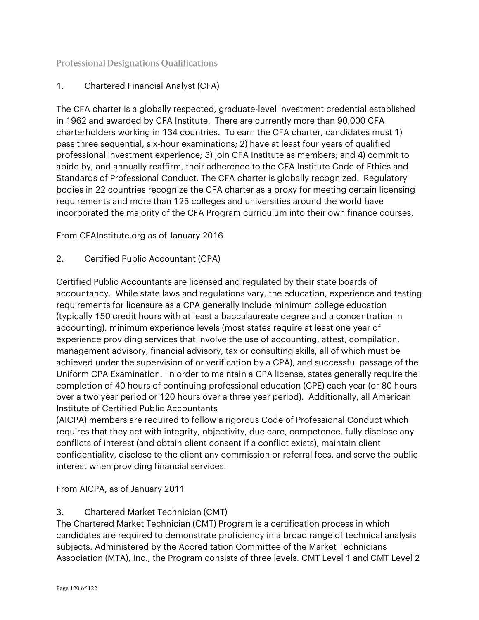## Professional Designations Qualifications

## 1. Chartered Financial Analyst (CFA)

The CFA charter is a globally respected, graduate-level investment credential established in 1962 and awarded by CFA Institute. There are currently more than 90,000 CFA charterholders working in 134 countries. To earn the CFA charter, candidates must 1) pass three sequential, six-hour examinations; 2) have at least four years of qualified professional investment experience; 3) join CFA Institute as members; and 4) commit to abide by, and annually reaffirm, their adherence to the CFA Institute Code of Ethics and Standards of Professional Conduct. The CFA charter is globally recognized. Regulatory bodies in 22 countries recognize the CFA charter as a proxy for meeting certain licensing requirements and more than 125 colleges and universities around the world have incorporated the majority of the CFA Program curriculum into their own finance courses.

From CFAInstitute.org as of January 2016

2. Certified Public Accountant (CPA)

Certified Public Accountants are licensed and regulated by their state boards of accountancy. While state laws and regulations vary, the education, experience and testing requirements for licensure as a CPA generally include minimum college education (typically 150 credit hours with at least a baccalaureate degree and a concentration in accounting), minimum experience levels (most states require at least one year of experience providing services that involve the use of accounting, attest, compilation, management advisory, financial advisory, tax or consulting skills, all of which must be achieved under the supervision of or verification by a CPA), and successful passage of the Uniform CPA Examination. In order to maintain a CPA license, states generally require the completion of 40 hours of continuing professional education (CPE) each year (or 80 hours over a two year period or 120 hours over a three year period). Additionally, all American Institute of Certified Public Accountants

(AICPA) members are required to follow a rigorous Code of Professional Conduct which requires that they act with integrity, objectivity, due care, competence, fully disclose any conflicts of interest (and obtain client consent if a conflict exists), maintain client confidentiality, disclose to the client any commission or referral fees, and serve the public interest when providing financial services.

From AICPA, as of January 2011

## 3. Chartered Market Technician (CMT)

The Chartered Market Technician (CMT) Program is a certification process in which candidates are required to demonstrate proficiency in a broad range of technical analysis subjects. Administered by the Accreditation Committee of the Market Technicians Association (MTA), Inc., the Program consists of three levels. CMT Level 1 and CMT Level 2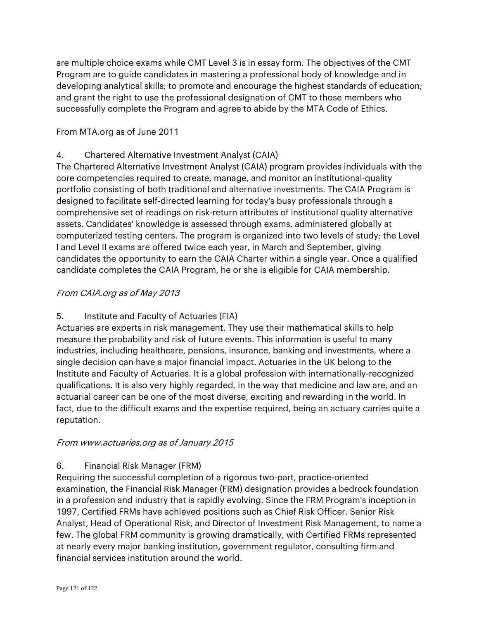are multiple choice exams while CMT Level 3 is in essay form. The objectives of the CMT Program are to guide candidates in mastering a professional body of knowledge and in developing analytical skills; to promote and encourage the highest standards of education; and grant the right to use the professional designation of CMT to those members who successfully complete the Program and agree to abide by the MTA Code of Ethics.

## From MTA.org as of June 2011

## 4. Chartered Alternative Investment Analyst (CAIA)

The Chartered Alternative Investment Analyst (CAIA) program provides individuals with the core competencies required to create, manage, and monitor an institutional-quality portfolio consisting of both traditional and alternative investments. The CAIA Program is designed to facilitate self-directed learning for today's busy professionals through a comprehensive set of readings on risk-return attributes of institutional quality alternative assets. Candidates' knowledge is assessed through exams, administered globally at computerized testing centers. The program is organized into two levels of study; the Level I and Level II exams are offered twice each year, in March and September, giving candidates the opportunity to earn the CAIA Charter within a single year. Once a qualified candidate completes the CAIA Program, he or she is eligible for CAIA membership.

## From CAIA.org as of May 2013

## 5. Institute and Faculty of Actuaries (FIA)

Actuaries are experts in risk management. They use their mathematical skills to help measure the probability and risk of future events. This information is useful to many industries, including healthcare, pensions, insurance, banking and investments, where a single decision can have a major financial impact. Actuaries in the UK belong to the Institute and Faculty of Actuaries. It is a global profession with internationally-recognized qualifications. It is also very highly regarded, in the way that medicine and law are, and an actuarial career can be one of the most diverse, exciting and rewarding in the world. In fact, due to the difficult exams and the expertise required, being an actuary carries quite a reputation.

## From www.actuaries.org as of January 2015

## 6. Financial Risk Manager (FRM)

Requiring the successful completion of a rigorous two-part, practice-oriented examination, the Financial Risk Manager (FRM) designation provides a bedrock foundation in a profession and industry that is rapidly evolving. Since the FRM Program's inception in 1997, Certified FRMs have achieved positions such as Chief Risk Officer, Senior Risk Analyst, Head of Operational Risk, and Director of Investment Risk Management, to name a few. The global FRM community is growing dramatically, with Certified FRMs represented at nearly every major banking institution, government regulator, consulting firm and financial services institution around the world.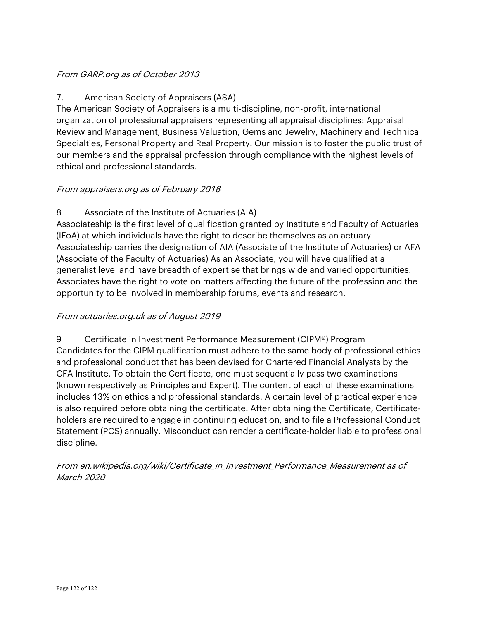## From GARP.org as of October 2013

## 7. American Society of Appraisers (ASA)

The American Society of Appraisers is a multi-discipline, non-profit, international organization of professional appraisers representing all appraisal disciplines: Appraisal Review and Management, Business Valuation, Gems and Jewelry, Machinery and Technical Specialties, Personal Property and Real Property. Our mission is to foster the public trust of our members and the appraisal profession through compliance with the highest levels of ethical and professional standards.

## From appraisers.org as of February 2018

## 8 Associate of the Institute of Actuaries (AIA)

Associateship is the first level of qualification granted by Institute and Faculty of Actuaries (IFoA) at which individuals have the right to describe themselves as an actuary Associateship carries the designation of AIA (Associate of the Institute of Actuaries) or AFA (Associate of the Faculty of Actuaries) As an Associate, you will have qualified at a generalist level and have breadth of expertise that brings wide and varied opportunities. Associates have the right to vote on matters affecting the future of the profession and the opportunity to be involved in membership forums, events and research.

## From actuaries.org.uk as of August 2019

9 Certificate in Investment Performance Measurement (CIPM®) Program Candidates for the CIPM qualification must adhere to the same body of professional ethics and professional conduct that has been devised for Chartered Financial Analysts by the CFA Institute. To obtain the Certificate, one must sequentially pass two examinations (known respectively as Principles and Expert). The content of each of these examinations includes 13% on ethics and professional standards. A certain level of practical experience is also required before obtaining the certificate. After obtaining the Certificate, Certificateholders are required to engage in continuing education, and to file a Professional Conduct Statement (PCS) annually. Misconduct can render a certificate-holder liable to professional discipline.

From en.wikipedia.org/wiki/Certificate\_in\_Investment\_Performance\_Measurement as of March 2020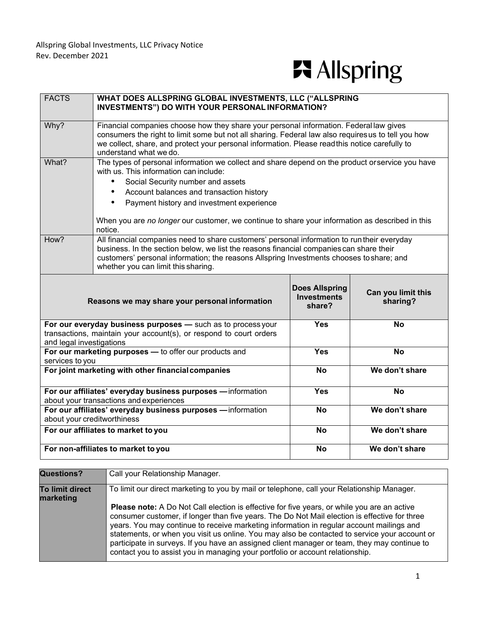# **F**i Allspring

| <b>FACTS</b>                                                                                                                                                   | WHAT DOES ALLSPRING GLOBAL INVESTMENTS, LLC ("ALLSPRING<br>INVESTMENTS") DO WITH YOUR PERSONAL INFORMATION?                                                                                                                                                                                                               |                                                       |                                |
|----------------------------------------------------------------------------------------------------------------------------------------------------------------|---------------------------------------------------------------------------------------------------------------------------------------------------------------------------------------------------------------------------------------------------------------------------------------------------------------------------|-------------------------------------------------------|--------------------------------|
| Why?                                                                                                                                                           | Financial companies choose how they share your personal information. Federal law gives<br>consumers the right to limit some but not all sharing. Federal law also requires us to tell you how<br>we collect, share, and protect your personal information. Please read this notice carefully to<br>understand what we do. |                                                       |                                |
| What?                                                                                                                                                          | The types of personal information we collect and share depend on the product orservice you have<br>with us. This information can include:<br>Social Security number and assets<br>$\bullet$<br>Account balances and transaction history<br>$\bullet$                                                                      |                                                       |                                |
|                                                                                                                                                                | Payment history and investment experience<br>$\bullet$                                                                                                                                                                                                                                                                    |                                                       |                                |
|                                                                                                                                                                | When you are no longer our customer, we continue to share your information as described in this<br>notice.                                                                                                                                                                                                                |                                                       |                                |
| How?                                                                                                                                                           | All financial companies need to share customers' personal information to run their everyday<br>business. In the section below, we list the reasons financial companies can share their<br>customers' personal information; the reasons Allspring Investments chooses to share; and<br>whether you can limit this sharing. |                                                       |                                |
|                                                                                                                                                                | Reasons we may share your personal information                                                                                                                                                                                                                                                                            | <b>Does Allspring</b><br><b>Investments</b><br>share? | Can you limit this<br>sharing? |
| For our everyday business purposes - such as to process your<br>transactions, maintain your account(s), or respond to court orders<br>and legal investigations |                                                                                                                                                                                                                                                                                                                           | <b>Yes</b>                                            | <b>No</b>                      |
|                                                                                                                                                                | For our marketing purposes - to offer our products and                                                                                                                                                                                                                                                                    | <b>Yes</b>                                            | <b>No</b>                      |
| services to you<br>For joint marketing with other financial companies                                                                                          |                                                                                                                                                                                                                                                                                                                           | <b>No</b>                                             | We don't share                 |
| For our affiliates' everyday business purposes - information                                                                                                   |                                                                                                                                                                                                                                                                                                                           | <b>Yes</b>                                            | <b>No</b>                      |
| about your transactions and experiences<br>For our affiliates' everyday business purposes - information                                                        |                                                                                                                                                                                                                                                                                                                           | <b>No</b>                                             | We don't share                 |
| about your creditworthiness                                                                                                                                    |                                                                                                                                                                                                                                                                                                                           |                                                       |                                |
| For our affiliates to market to you                                                                                                                            |                                                                                                                                                                                                                                                                                                                           | <b>No</b>                                             | We don't share                 |
| For non-affiliates to market to you                                                                                                                            |                                                                                                                                                                                                                                                                                                                           | <b>No</b>                                             | We don't share                 |

| <b>Questions?</b>            | Call your Relationship Manager.                                                                                                                                                                                                                                                                                                                                                                                                                                                                                                                                                   |
|------------------------------|-----------------------------------------------------------------------------------------------------------------------------------------------------------------------------------------------------------------------------------------------------------------------------------------------------------------------------------------------------------------------------------------------------------------------------------------------------------------------------------------------------------------------------------------------------------------------------------|
| To limit direct<br>marketing | To limit our direct marketing to you by mail or telephone, call your Relationship Manager.                                                                                                                                                                                                                                                                                                                                                                                                                                                                                        |
|                              | <b>Please note:</b> A Do Not Call election is effective for five years, or while you are an active<br>consumer customer, if longer than five years. The Do Not Mail election is effective for three<br>years. You may continue to receive marketing information in regular account mailings and<br>statements, or when you visit us online. You may also be contacted to service your account or<br>participate in surveys. If you have an assigned client manager or team, they may continue to<br>contact you to assist you in managing your portfolio or account relationship. |